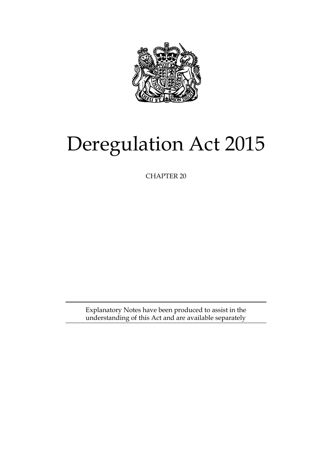

# Deregulation Act 2015

CHAPTER 20

Explanatory Notes have been produced to assist in the understanding of this Act and are available separately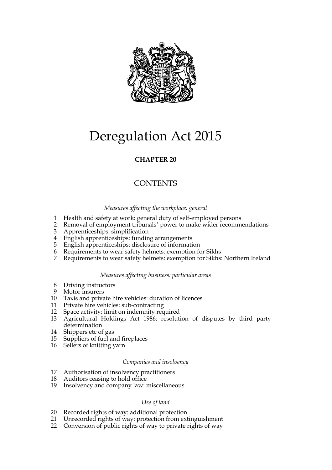

# Deregulation Act 2015

### **CHAPTER 20**

### **CONTENTS**

#### *Measures affecting the workplace: general*

- 1 Health and safety at work: general duty of self-employed persons
- 2 Removal of employment tribunals' power to make wider recommendations
- 3 Apprenticeships: simplification
- 4 English apprenticeships: funding arrangements
- 5 English apprenticeships: disclosure of information
- 6 Requirements to wear safety helmets: exemption for Sikhs
- 7 Requirements to wear safety helmets: exemption for Sikhs: Northern Ireland

#### *Measures affecting business: particular areas*

- 8 Driving instructors
- 9 Motor insurers
- 10 Taxis and private hire vehicles: duration of licences
- 11 Private hire vehicles: sub-contracting
- 12 Space activity: limit on indemnity required
- 13 Agricultural Holdings Act 1986: resolution of disputes by third party determination
- 14 Shippers etc of gas
- 15 Suppliers of fuel and fireplaces
- 16 Sellers of knitting yarn

#### *Companies and insolvency*

- 17 Authorisation of insolvency practitioners
- 18 Auditors ceasing to hold office
- 19 Insolvency and company law: miscellaneous

#### *Use of land*

- 20 Recorded rights of way: additional protection
- 21 Unrecorded rights of way: protection from extinguishment
- 22 Conversion of public rights of way to private rights of way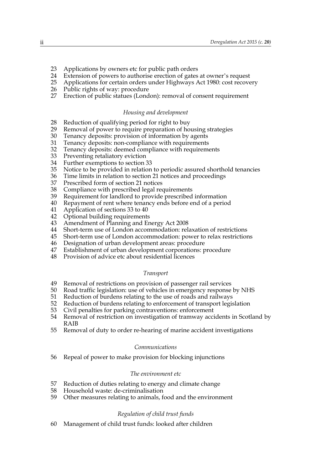- 23 Applications by owners etc for public path orders
- 24 Extension of powers to authorise erection of gates at owner's request
- 25 Applications for certain orders under Highways Act 1980: cost recovery
- 26 Public rights of way: procedure
- 27 Erection of public statues (London): removal of consent requirement

#### *Housing and development*

- 28 Reduction of qualifying period for right to buy
- 29 Removal of power to require preparation of housing strategies
- 30 Tenancy deposits: provision of information by agents
- 31 Tenancy deposits: non-compliance with requirements<br>32 Tenancy deposits: deemed compliance with requirements
- 32 Tenancy deposits: deemed compliance with requirements<br>33 Preventing retaliatory eviction
- 33 Preventing retaliatory eviction
- 34 Further exemptions to section 33
- 35 Notice to be provided in relation to periodic assured shorthold tenancies
- 36 Time limits in relation to section 21 notices and proceedings
- 37 Prescribed form of section 21 notices
- 38 Compliance with prescribed legal requirements
- 39 Requirement for landlord to provide prescribed information
- 40 Repayment of rent where tenancy ends before end of a period
- 41 Application of sections 33 to 40
- 42 Optional building requirements
- 43 Amendment of Planning and Energy Act 2008
- 44 Short-term use of London accommodation: relaxation of restrictions
- 45 Short-term use of London accommodation: power to relax restrictions
- 46 Designation of urban development areas: procedure
- Establishment of urban development corporations: procedure
- 48 Provision of advice etc about residential licences

#### *Transport*

- 49 Removal of restrictions on provision of passenger rail services
- 50 Road traffic legislation: use of vehicles in emergency response by NHS
- 51 Reduction of burdens relating to the use of roads and railways
- 52 Reduction of burdens relating to enforcement of transport legislation
- 53 Civil penalties for parking contraventions: enforcement
- 54 Removal of restriction on investigation of tramway accidents in Scotland by RAIB
- 55 Removal of duty to order re-hearing of marine accident investigations

#### *Communications*

56 Repeal of power to make provision for blocking injunctions

#### *The environment etc*

- 57 Reduction of duties relating to energy and climate change
- 58 Household waste: de-criminalisation
- 59 Other measures relating to animals, food and the environment

#### *Regulation of child trust funds*

60 Management of child trust funds: looked after children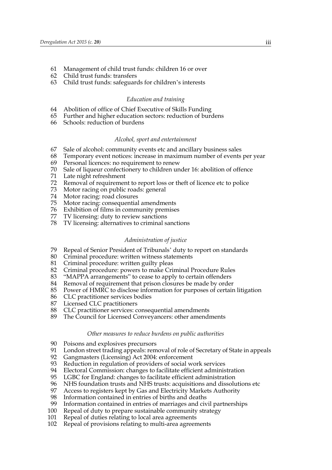- 61 Management of child trust funds: children 16 or over
- 62 Child trust funds: transfers
- 63 Child trust funds: safeguards for children's interests

#### *Education and training*

- 64 Abolition of office of Chief Executive of Skills Funding
- 65 Further and higher education sectors: reduction of burdens
- 66 Schools: reduction of burdens

#### *Alcohol, sport and entertainment*

- 67 Sale of alcohol: community events etc and ancillary business sales
- 68 Temporary event notices: increase in maximum number of events per year
- 69 Personal licences: no requirement to renew
- 70 Sale of liqueur confectionery to children under 16: abolition of offence
- Late night refreshment
- 72 Removal of requirement to report loss or theft of licence etc to police
- 73 Motor racing on public roads: general
- 74 Motor racing: road closures<br>75 Motor racing: consequential
- Motor racing: consequential amendments
- 76 Exhibition of films in community premises
- 77 TV licensing: duty to review sanctions
- 78 TV licensing: alternatives to criminal sanctions

#### *Administration of justice*

- 79 Repeal of Senior President of Tribunals' duty to report on standards
- 80 Criminal procedure: written witness statements
- 81 Criminal procedure: written guilty pleas<br>82 Criminal procedure: powers to make Cri
- 82 Criminal procedure: powers to make Criminal Procedure Rules
- 83 "MAPPA arrangements" to cease to apply to certain offenders
- 84 Removal of requirement that prison closures be made by order
- 85 Power of HMRC to disclose information for purposes of certain litigation
- 86 CLC practitioner services bodies
- 87 Licensed CLC practitioners
- 88 CLC practitioner services: consequential amendments
- 89 The Council for Licensed Conveyancers: other amendments

#### *Other measures to reduce burdens on public authorities*

- 90 Poisons and explosives precursors
- 91 London street trading appeals: removal of role of Secretary of State in appeals<br>92 Gangmasters (Licensing) Act 2004: enforcement
- 92 Gangmasters (Licensing) Act 2004: enforcement<br>93 Reduction in regulation of providers of social wo
- 93 Reduction in regulation of providers of social work services<br>94 Electoral Commission: changes to facilitate efficient adminis
- 94 Electoral Commission: changes to facilitate efficient administration<br>95 LGBC for England: changes to facilitate efficient administration
- LGBC for England: changes to facilitate efficient administration
- 96 NHS foundation trusts and NHS trusts: acquisitions and dissolutions etc
- 97 Access to registers kept by Gas and Electricity Markets Authority
- 98 Information contained in entries of births and deaths<br>99 Information contained in entries of marriages and civ
- Information contained in entries of marriages and civil partnerships
- 100 Repeal of duty to prepare sustainable community strategy
- 101 Repeal of duties relating to local area agreements
- 102 Repeal of provisions relating to multi-area agreements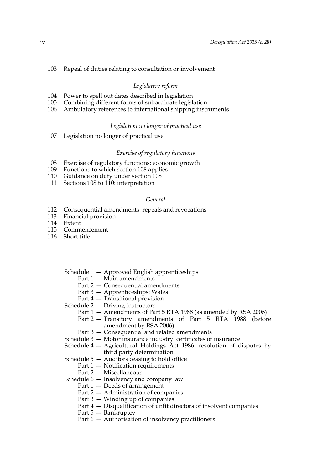#### 103 Repeal of duties relating to consultation or involvement

#### *Legislative reform*

- 104 Power to spell out dates described in legislation
- 105 Combining different forms of subordinate legislation
- 106 Ambulatory references to international shipping instruments

#### *Legislation no longer of practical use*

107 Legislation no longer of practical use

#### *Exercise of regulatory functions*

- 108 Exercise of regulatory functions: economic growth
- 109 Functions to which section 108 applies
- 110 Guidance on duty under section 108
- 111 Sections 108 to 110: interpretation

#### *General*

- 112 Consequential amendments, repeals and revocations
- 113 Financial provision
- 114 Extent
- 115 Commencement
- 116 Short title
	- Schedule 1 Approved English apprenticeships
		- Part 1 Main amendments
		- Part 2 Consequential amendments
		- Part 3 Apprenticeships: Wales
		- Part 4 Transitional provision

Schedule 2 — Driving instructors

- Part 1 Amendments of Part 5 RTA 1988 (as amended by RSA 2006)
- Part 2 Transitory amendments of Part 5 RTA 1988 (before amendment by RSA 2006)
- Part 3 Consequential and related amendments
- Schedule 3 Motor insurance industry: certificates of insurance
- Schedule 4 Agricultural Holdings Act 1986: resolution of disputes by third party determination
- Schedule  $5 -$  Auditors ceasing to hold office
	- Part 1 Notification requirements
	- Part 2 Miscellaneous

Schedule 6 — Insolvency and company law

- Part 1 Deeds of arrangement
- Part 2 Administration of companies
- Part 3 Winding up of companies
- Part 4 Disqualification of unfit directors of insolvent companies
- Part 5 Bankruptcy
- Part 6 Authorisation of insolvency practitioners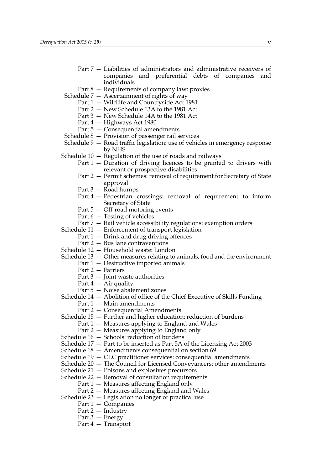- Part 7 Liabilities of administrators and administrative receivers of companies and preferential debts of companies and individuals
- Part 8 Requirements of company law: proxies
- Schedule 7 Ascertainment of rights of way
	- Part 1 Wildlife and Countryside Act 1981
	- Part 2 New Schedule 13A to the 1981 Act
	- Part 3 New Schedule 14A to the 1981 Act
	- Part 4 Highways Act 1980
	- Part 5 Consequential amendments
- Schedule 8 Provision of passenger rail services
- Schedule 9 Road traffic legislation: use of vehicles in emergency response by NHS
- Schedule  $10 -$  Regulation of the use of roads and railways
	- Part 1 Duration of driving licences to be granted to drivers with relevant or prospective disabilities
	- Part 2 Permit schemes: removal of requirement for Secretary of State approval
	- Part 3 Road humps
	- Part 4 Pedestrian crossings: removal of requirement to inform Secretary of State
	- Part 5 Off-road motoring events
	- Part 6 Testing of vehicles
	- Part 7 Rail vehicle accessibility regulations: exemption orders
- Schedule 11 Enforcement of transport legislation
	- Part 1 Drink and drug driving offences
	- Part 2 Bus lane contraventions
- Schedule 12 Household waste: London
- Schedule 13 Other measures relating to animals, food and the environment
	- Part 1 Destructive imported animals
		- Part 2 Farriers
		- Part  $3$  Joint waste authorities
		- Part  $4 Air$  quality
		- Part 5 Noise abatement zones
- Schedule 14 Abolition of office of the Chief Executive of Skills Funding
	- Part 1 Main amendments
	- Part 2 Consequential Amendments
- Schedule 15 Further and higher education: reduction of burdens
	- Part 1 Measures applying to England and Wales
	- Part 2 Measures applying to England only
- Schedule 16 Schools: reduction of burdens
- Schedule 17 Part to be inserted as Part 5A of the Licensing Act 2003
- Schedule 18 Amendments consequential on section 69
- Schedule 19 CLC practitioner services: consequential amendments
- Schedule 20 The Council for Licensed Conveyancers: other amendments
- Schedule 21 Poisons and explosives precursors
- Schedule 22 Removal of consultation requirements
	- Part 1 Measures affecting England only
	- Part 2 Measures affecting England and Wales
- Schedule 23 Legislation no longer of practical use
	- Part 1 Companies
	- Part 2 Industry
	- Part 3 Energy
	- Part 4 Transport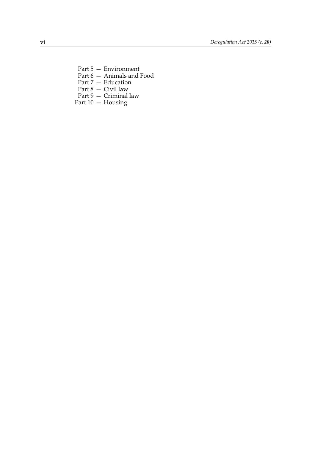- Part 5 Environment
- Part 6 Animals and Food
- Part 7 Education
- Part 8 Civil law
- Part 9 Criminal law Part 10 — Housing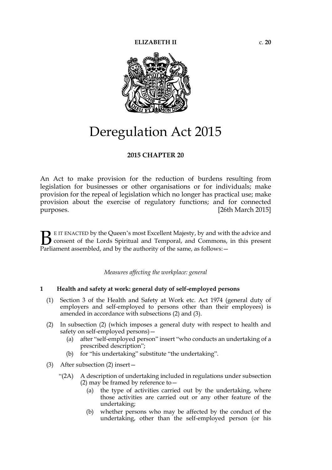

## Deregulation Act 2015

#### **2015 CHAPTER 20**

An Act to make provision for the reduction of burdens resulting from legislation for businesses or other organisations or for individuals; make provision for the repeal of legislation which no longer has practical use; make provision about the exercise of regulatory functions; and for connected purposes. [26th March 2015]

E IT ENACTED by the Queen's most Excellent Majesty, by and with the advice and consent of the Lords Spiritual and Temporal, and Commons, in this present **B** E IT ENACTED by the Queen's most Excellent Majesty, by and with consent of the Lords Spiritual and Temporal, and Commons, Parliament assembled, and by the authority of the same, as follows:  $-$ 

*Measures affecting the workplace: general*

#### **1 Health and safety at work: general duty of self-employed persons**

- (1) Section 3 of the Health and Safety at Work etc. Act 1974 (general duty of employers and self-employed to persons other than their employees) is amended in accordance with subsections (2) and (3).
- (2) In subsection (2) (which imposes a general duty with respect to health and safety on self-employed persons)—
	- (a) after "self-employed person" insert "who conducts an undertaking of a prescribed description";
	- (b) for "his undertaking" substitute "the undertaking".
- (3) After subsection (2) insert—
	- "(2A) A description of undertaking included in regulations under subsection (2) may be framed by reference to  $-$ 
		- (a) the type of activities carried out by the undertaking, where those activities are carried out or any other feature of the undertaking;
		- (b) whether persons who may be affected by the conduct of the undertaking, other than the self-employed person (or his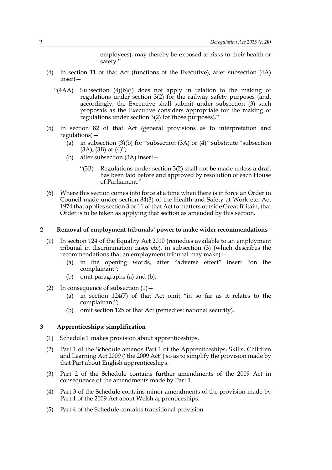employees), may thereby be exposed to risks to their health or safety."

- (4) In section 11 of that Act (functions of the Executive), after subsection (4A) insert—
	- "(4AA) Subsection  $(4)(b)(i)$  does not apply in relation to the making of regulations under section 3(2) for the railway safety purposes (and, accordingly, the Executive shall submit under subsection (3) such proposals as the Executive considers appropriate for the making of regulations under section 3(2) for those purposes)."
- (5) In section 82 of that Act (general provisions as to interpretation and regulations)—
	- (a) in subsection (3)(b) for "subsection (3A) or (4)" substitute "subsection  $(3A)$ ,  $(3B)$  or  $(4)$ ";
	- (b) after subsection (3A) insert—
		- "(3B) Regulations under section 3(2) shall not be made unless a draft has been laid before and approved by resolution of each House of Parliament."
- (6) Where this section comes into force at a time when there is in force an Order in Council made under section 84(3) of the Health and Safety at Work etc. Act 1974 that applies section 3 or 11 of that Act to matters outside Great Britain, that Order is to be taken as applying that section as amended by this section.

#### **2 Removal of employment tribunals' power to make wider recommendations**

- (1) In section 124 of the Equality Act 2010 (remedies available to an employment tribunal in discrimination cases etc), in subsection (3) (which describes the recommendations that an employment tribunal may make)—
	- (a) in the opening words, after "adverse effect" insert "on the complainant";
	- (b) omit paragraphs (a) and (b).
- (2) In consequence of subsection  $(1)$ 
	- (a) in section 124(7) of that Act omit "in so far as it relates to the complainant";
	- (b) omit section 125 of that Act (remedies: national security).

#### **3 Apprenticeships: simplification**

- (1) Schedule 1 makes provision about apprenticeships.
- (2) Part 1 of the Schedule amends Part 1 of the Apprenticeships, Skills, Children and Learning Act 2009 ("the 2009 Act") so as to simplify the provision made by that Part about English apprenticeships.
- (3) Part 2 of the Schedule contains further amendments of the 2009 Act in consequence of the amendments made by Part 1.
- (4) Part 3 of the Schedule contains minor amendments of the provision made by Part 1 of the 2009 Act about Welsh apprenticeships.
- (5) Part 4 of the Schedule contains transitional provision.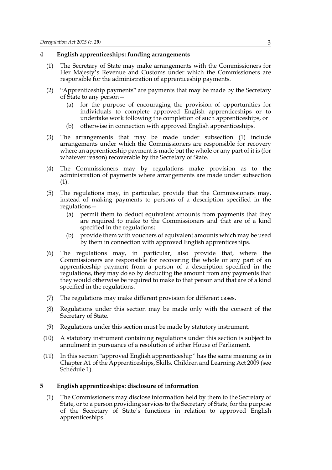#### **4 English apprenticeships: funding arrangements**

- (1) The Secretary of State may make arrangements with the Commissioners for Her Majesty's Revenue and Customs under which the Commissioners are responsible for the administration of apprenticeship payments.
- (2) "Apprenticeship payments" are payments that may be made by the Secretary of State to any person—
	- (a) for the purpose of encouraging the provision of opportunities for individuals to complete approved English apprenticeships or to undertake work following the completion of such apprenticeships, or
	- (b) otherwise in connection with approved English apprenticeships.
- (3) The arrangements that may be made under subsection (1) include arrangements under which the Commissioners are responsible for recovery where an apprenticeship payment is made but the whole or any part of it is (for whatever reason) recoverable by the Secretary of State.
- (4) The Commissioners may by regulations make provision as to the administration of payments where arrangements are made under subsection (1).
- (5) The regulations may, in particular, provide that the Commissioners may, instead of making payments to persons of a description specified in the regulations—
	- (a) permit them to deduct equivalent amounts from payments that they are required to make to the Commissioners and that are of a kind specified in the regulations;
	- (b) provide them with vouchers of equivalent amounts which may be used by them in connection with approved English apprenticeships.
- (6) The regulations may, in particular, also provide that, where the Commissioners are responsible for recovering the whole or any part of an apprenticeship payment from a person of a description specified in the regulations, they may do so by deducting the amount from any payments that they would otherwise be required to make to that person and that are of a kind specified in the regulations.
- (7) The regulations may make different provision for different cases.
- (8) Regulations under this section may be made only with the consent of the Secretary of State.
- (9) Regulations under this section must be made by statutory instrument.
- (10) A statutory instrument containing regulations under this section is subject to annulment in pursuance of a resolution of either House of Parliament.
- (11) In this section "approved English apprenticeship" has the same meaning as in Chapter A1 of the Apprenticeships, Skills, Children and Learning Act 2009 (see Schedule 1).

#### **5 English apprenticeships: disclosure of information**

(1) The Commissioners may disclose information held by them to the Secretary of State, or to a person providing services to the Secretary of State, for the purpose of the Secretary of State's functions in relation to approved English apprenticeships.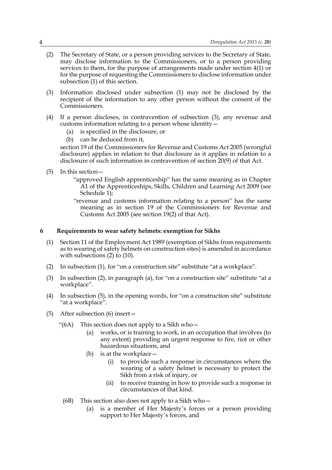- (2) The Secretary of State, or a person providing services to the Secretary of State, may disclose information to the Commissioners, or to a person providing services to them, for the purpose of arrangements made under section 4(1) or for the purpose of requesting the Commissioners to disclose information under subsection (1) of this section.
- (3) Information disclosed under subsection (1) may not be disclosed by the recipient of the information to any other person without the consent of the Commissioners.
- (4) If a person discloses, in contravention of subsection (3), any revenue and customs information relating to a person whose identity—
	- (a) is specified in the disclosure, or
	- (b) can be deduced from it,

section 19 of the Commissioners for Revenue and Customs Act 2005 (wrongful disclosure) applies in relation to that disclosure as it applies in relation to a disclosure of such information in contravention of section 20(9) of that Act.

- (5) In this section—
	- "approved English apprenticeship" has the same meaning as in Chapter A1 of the Apprenticeships, Skills, Children and Learning Act 2009 (see Schedule 1);
	- "revenue and customs information relating to a person" has the same meaning as in section 19 of the Commissioners for Revenue and Customs Act 2005 (see section 19(2) of that Act).

#### **6 Requirements to wear safety helmets: exemption for Sikhs**

- (1) Section 11 of the Employment Act 1989 (exemption of Sikhs from requirements as to wearing of safety helmets on construction sites) is amended in accordance with subsections (2) to (10).
- (2) In subsection (1), for "on a construction site" substitute "at a workplace".
- (3) In subsection (2), in paragraph (a), for "on a construction site" substitute "at a workplace".
- (4) In subsection (5), in the opening words, for "on a construction site" substitute "at a workplace".
- (5) After subsection (6) insert—
	- "(6A) This section does not apply to a Sikh who—
		- (a) works, or is training to work, in an occupation that involves (to any extent) providing an urgent response to fire, riot or other hazardous situations, and
		- (b) is at the workplace—
			- (i) to provide such a response in circumstances where the wearing of a safety helmet is necessary to protect the Sikh from a risk of injury, or
			- (ii) to receive training in how to provide such a response in circumstances of that kind.
		- (6B) This section also does not apply to a Sikh who—
			- (a) is a member of Her Majesty's forces or a person providing support to Her Majesty's forces, and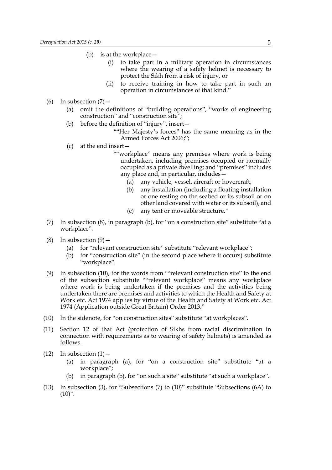- (b) is at the workplace—
	- (i) to take part in a military operation in circumstances where the wearing of a safety helmet is necessary to protect the Sikh from a risk of injury, or
	- (ii) to receive training in how to take part in such an operation in circumstances of that kind."
- (6) In subsection  $(7)$  -
	- (a) omit the definitions of "building operations", "works of engineering construction" and "construction site";
	- (b) before the definition of "injury", insert—
		- ""Her Majesty's forces" has the same meaning as in the Armed Forces Act 2006;";
	- (c) at the end insert—
		- ""workplace" means any premises where work is being undertaken, including premises occupied or normally occupied as a private dwelling; and "premises" includes any place and, in particular, includes—
			- (a) any vehicle, vessel, aircraft or hovercraft,
			- (b) any installation (including a floating installation or one resting on the seabed or its subsoil or on other land covered with water or its subsoil), and
			- (c) any tent or moveable structure."
- (7) In subsection (8), in paragraph (b), for "on a construction site" substitute "at a workplace".
- (8) In subsection  $(9)$ 
	- (a) for "relevant construction site" substitute "relevant workplace";
	- (b) for "construction site" (in the second place where it occurs) substitute "workplace".
- (9) In subsection (10), for the words from ""relevant construction site" to the end of the subsection substitute ""relevant workplace" means any workplace where work is being undertaken if the premises and the activities being undertaken there are premises and activities to which the Health and Safety at Work etc. Act 1974 applies by virtue of the Health and Safety at Work etc. Act 1974 (Application outside Great Britain) Order 2013."
- (10) In the sidenote, for "on construction sites" substitute "at workplaces".
- (11) Section 12 of that Act (protection of Sikhs from racial discrimination in connection with requirements as to wearing of safety helmets) is amended as follows.
- $(12)$  In subsection  $(1)$ 
	- (a) in paragraph (a), for "on a construction site" substitute "at a workplace";
	- (b) in paragraph (b), for "on such a site" substitute "at such a workplace".
- (13) In subsection (3), for "Subsections (7) to (10)" substitute "Subsections (6A) to  $(10)$ ".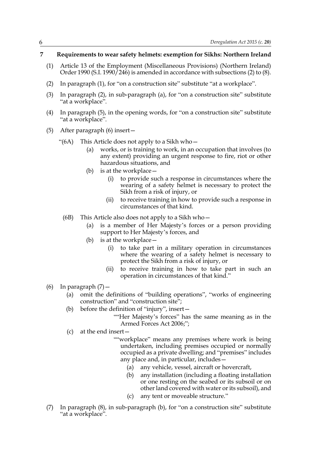#### **7 Requirements to wear safety helmets: exemption for Sikhs: Northern Ireland**

- (1) Article 13 of the Employment (Miscellaneous Provisions) (Northern Ireland) Order 1990 (S.I. 1990  $/246$ ) is amended in accordance with subsections (2) to (8).
- (2) In paragraph (1), for "on a construction site" substitute "at a workplace".
- (3) In paragraph (2), in sub-paragraph (a), for "on a construction site" substitute "at a workplace".
- (4) In paragraph (5), in the opening words, for "on a construction site" substitute "at a workplace".
- (5) After paragraph (6) insert—
	- "(6A) This Article does not apply to a Sikh who $-$ 
		- (a) works, or is training to work, in an occupation that involves (to any extent) providing an urgent response to fire, riot or other hazardous situations, and
		- (b) is at the workplace—
			- (i) to provide such a response in circumstances where the wearing of a safety helmet is necessary to protect the Sikh from a risk of injury, or
			- (ii) to receive training in how to provide such a response in circumstances of that kind.
	- (6B) This Article also does not apply to a Sikh who—
		- (a) is a member of Her Majesty's forces or a person providing support to Her Majesty's forces, and
		- (b) is at the workplace—
			- (i) to take part in a military operation in circumstances where the wearing of a safety helmet is necessary to protect the Sikh from a risk of injury, or
			- (ii) to receive training in how to take part in such an operation in circumstances of that kind."
- (6) In paragraph  $(7)$ 
	- (a) omit the definitions of "building operations", "works of engineering construction" and "construction site";
	- (b) before the definition of "injury", insert—
		- ""Her Majesty's forces" has the same meaning as in the Armed Forces Act 2006;";
	- (c) at the end insert—
		- ""workplace" means any premises where work is being undertaken, including premises occupied or normally occupied as a private dwelling; and "premises" includes any place and, in particular, includes—
			- (a) any vehicle, vessel, aircraft or hovercraft,
			- (b) any installation (including a floating installation or one resting on the seabed or its subsoil or on other land covered with water or its subsoil), and
			- (c) any tent or moveable structure."
- (7) In paragraph (8), in sub-paragraph (b), for "on a construction site" substitute "at a workplace".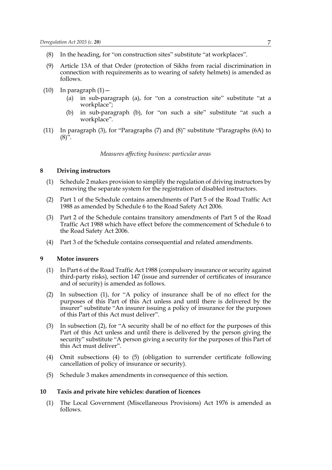- (8) In the heading, for "on construction sites" substitute "at workplaces".
- (9) Article 13A of that Order (protection of Sikhs from racial discrimination in connection with requirements as to wearing of safety helmets) is amended as follows.
- $(10)$  In paragraph  $(1)$ 
	- (a) in sub-paragraph (a), for "on a construction site" substitute "at a workplace";
	- (b) in sub-paragraph (b), for "on such a site" substitute "at such a workplace".
- (11) In paragraph (3), for "Paragraphs (7) and (8)" substitute "Paragraphs (6A) to  $(8)^{3}$ .

*Measures affecting business: particular areas*

#### **8 Driving instructors**

- (1) Schedule 2 makes provision to simplify the regulation of driving instructors by removing the separate system for the registration of disabled instructors.
- (2) Part 1 of the Schedule contains amendments of Part 5 of the Road Traffic Act 1988 as amended by Schedule 6 to the Road Safety Act 2006.
- (3) Part 2 of the Schedule contains transitory amendments of Part 5 of the Road Traffic Act 1988 which have effect before the commencement of Schedule 6 to the Road Safety Act 2006.
- (4) Part 3 of the Schedule contains consequential and related amendments.

#### **9 Motor insurers**

- (1) In Part 6 of the Road Traffic Act 1988 (compulsory insurance or security against third-party risks), section 147 (issue and surrender of certificates of insurance and of security) is amended as follows.
- (2) In subsection (1), for "A policy of insurance shall be of no effect for the purposes of this Part of this Act unless and until there is delivered by the insurer" substitute "An insurer issuing a policy of insurance for the purposes of this Part of this Act must deliver".
- (3) In subsection (2), for "A security shall be of no effect for the purposes of this Part of this Act unless and until there is delivered by the person giving the security" substitute "A person giving a security for the purposes of this Part of this Act must deliver".
- (4) Omit subsections (4) to (5) (obligation to surrender certificate following cancellation of policy of insurance or security).
- (5) Schedule 3 makes amendments in consequence of this section.

#### **10 Taxis and private hire vehicles: duration of licences**

(1) The Local Government (Miscellaneous Provisions) Act 1976 is amended as follows.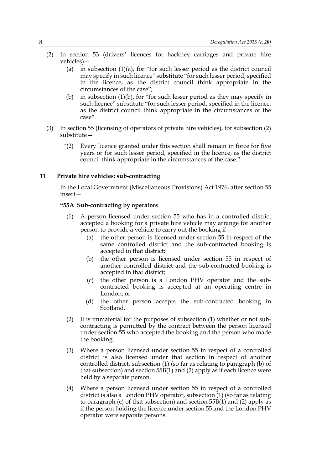- (2) In section 53 (drivers' licences for hackney carriages and private hire vehicles)—
	- (a) in subsection (1)(a), for "for such lesser period as the district council may specify in such licence" substitute "for such lesser period, specified in the licence, as the district council think appropriate in the circumstances of the case";
	- (b) in subsection (1)(b), for "for such lesser period as they may specify in such licence" substitute "for such lesser period, specified in the licence, as the district council think appropriate in the circumstances of the case".
- (3) In section 55 (licensing of operators of private hire vehicles), for subsection (2) substitute—
	- "(2) Every licence granted under this section shall remain in force for five years or for such lesser period, specified in the licence, as the district council think appropriate in the circumstances of the case."

#### **11 Private hire vehicles: sub-contracting**

In the Local Government (Miscellaneous Provisions) Act 1976, after section 55 insert—

#### **"55A Sub-contracting by operators**

- (1) A person licensed under section 55 who has in a controlled district accepted a booking for a private hire vehicle may arrange for another person to provide a vehicle to carry out the booking if—
	- (a) the other person is licensed under section 55 in respect of the same controlled district and the sub-contracted booking is accepted in that district;
	- (b) the other person is licensed under section 55 in respect of another controlled district and the sub-contracted booking is accepted in that district;
	- (c) the other person is a London PHV operator and the subcontracted booking is accepted at an operating centre in London; or
	- (d) the other person accepts the sub-contracted booking in Scotland.
- (2) It is immaterial for the purposes of subsection (1) whether or not subcontracting is permitted by the contract between the person licensed under section 55 who accepted the booking and the person who made the booking.
- (3) Where a person licensed under section 55 in respect of a controlled district is also licensed under that section in respect of another controlled district, subsection (1) (so far as relating to paragraph (b) of that subsection) and section  $55B(1)$  and  $(2)$  apply as if each licence were held by a separate person.
- (4) Where a person licensed under section 55 in respect of a controlled district is also a London PHV operator, subsection  $(1)$  (so far as relating to paragraph (c) of that subsection) and section 55B(1) and (2) apply as if the person holding the licence under section 55 and the London PHV operator were separate persons.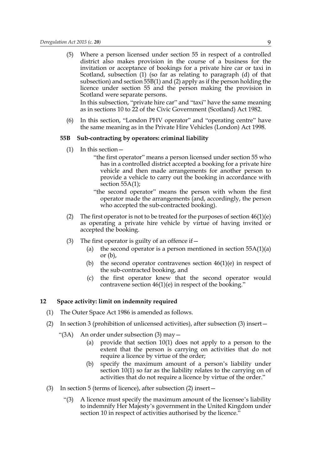(5) Where a person licensed under section 55 in respect of a controlled district also makes provision in the course of a business for the invitation or acceptance of bookings for a private hire car or taxi in Scotland, subsection (1) (so far as relating to paragraph (d) of that subsection) and section 55B(1) and (2) apply as if the person holding the licence under section 55 and the person making the provision in Scotland were separate persons.

In this subsection, "private hire car" and "taxi" have the same meaning as in sections 10 to 22 of the Civic Government (Scotland) Act 1982.

(6) In this section, "London PHV operator" and "operating centre" have the same meaning as in the Private Hire Vehicles (London) Act 1998.

#### **55B Sub-contracting by operators: criminal liability**

- (1) In this section—
	- "the first operator" means a person licensed under section 55 who has in a controlled district accepted a booking for a private hire vehicle and then made arrangements for another person to provide a vehicle to carry out the booking in accordance with section 55A(1);
	- "the second operator" means the person with whom the first operator made the arrangements (and, accordingly, the person who accepted the sub-contracted booking).
- (2) The first operator is not to be treated for the purposes of section  $46(1)(e)$ as operating a private hire vehicle by virtue of having invited or accepted the booking.
- (3) The first operator is guilty of an offence if  $-$ 
	- (a) the second operator is a person mentioned in section  $55A(1)(a)$ or  $(b)$ ,
	- (b) the second operator contravenes section  $46(1)(e)$  in respect of the sub-contracted booking, and
	- (c) the first operator knew that the second operator would contravene section  $46(1)(e)$  in respect of the booking."

#### **12 Space activity: limit on indemnity required**

- (1) The Outer Space Act 1986 is amended as follows.
- (2) In section 3 (prohibition of unlicensed activities), after subsection (3) insert—
	- "(3A) An order under subsection (3) may—
		- (a) provide that section 10(1) does not apply to a person to the extent that the person is carrying on activities that do not require a licence by virtue of the order;
		- (b) specify the maximum amount of a person's liability under section 10(1) so far as the liability relates to the carrying on of activities that do not require a licence by virtue of the order."
- (3) In section 5 (terms of licence), after subsection (2) insert—
	- "(3) A licence must specify the maximum amount of the licensee's liability to indemnify Her Majesty's government in the United Kingdom under section 10 in respect of activities authorised by the licence."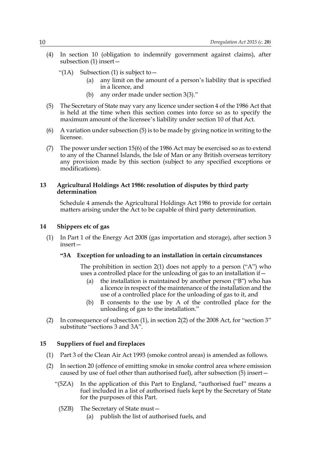(4) In section 10 (obligation to indemnify government against claims), after subsection (1) insert—

"(1A) Subsection (1) is subject to  $-$ 

- (a) any limit on the amount of a person's liability that is specified in a licence, and
- (b) any order made under section 3(3)."
- (5) The Secretary of State may vary any licence under section 4 of the 1986 Act that is held at the time when this section comes into force so as to specify the maximum amount of the licensee's liability under section 10 of that Act.
- (6) A variation under subsection (5) is to be made by giving notice in writing to the licensee.
- (7) The power under section 15(6) of the 1986 Act may be exercised so as to extend to any of the Channel Islands, the Isle of Man or any British overseas territory any provision made by this section (subject to any specified exceptions or modifications).

#### **13 Agricultural Holdings Act 1986: resolution of disputes by third party determination**

Schedule 4 amends the Agricultural Holdings Act 1986 to provide for certain matters arising under the Act to be capable of third party determination.

#### **14 Shippers etc of gas**

(1) In Part 1 of the Energy Act 2008 (gas importation and storage), after section 3 insert—

#### **"3A Exception for unloading to an installation in certain circumstances**

The prohibition in section 2(1) does not apply to a person ("A") who uses a controlled place for the unloading of gas to an installation if  $-$ 

- (a) the installation is maintained by another person ("B") who has a licence in respect of the maintenance of the installation and the use of a controlled place for the unloading of gas to it, and
- (b) B consents to the use by A of the controlled place for the unloading of gas to the installation."
- (2) In consequence of subsection (1), in section 2(2) of the 2008 Act, for "section 3" substitute "sections 3 and 3A".

#### **15 Suppliers of fuel and fireplaces**

- (1) Part 3 of the Clean Air Act 1993 (smoke control areas) is amended as follows.
- (2) In section 20 (offence of emitting smoke in smoke control area where emission caused by use of fuel other than authorised fuel), after subsection (5) insert—
	- "(5ZA) In the application of this Part to England, "authorised fuel" means a fuel included in a list of authorised fuels kept by the Secretary of State for the purposes of this Part.
		- (5ZB) The Secretary of State must—
			- (a) publish the list of authorised fuels, and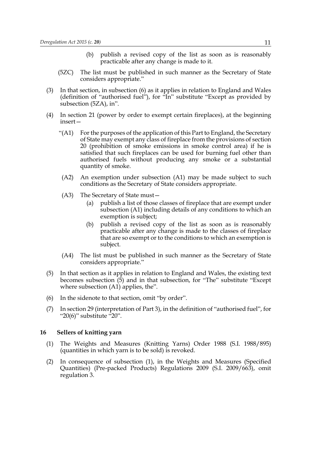- (b) publish a revised copy of the list as soon as is reasonably practicable after any change is made to it.
- (5ZC) The list must be published in such manner as the Secretary of State considers appropriate."
- (3) In that section, in subsection (6) as it applies in relation to England and Wales (definition of "authorised fuel"), for "In" substitute "Except as provided by subsection (5ZA), in".
- (4) In section 21 (power by order to exempt certain fireplaces), at the beginning insert—
	- "(A1) For the purposes of the application of this Part to England, the Secretary of State may exempt any class of fireplace from the provisions of section 20 (prohibition of smoke emissions in smoke control area) if he is satisfied that such fireplaces can be used for burning fuel other than authorised fuels without producing any smoke or a substantial quantity of smoke.
	- (A2) An exemption under subsection (A1) may be made subject to such conditions as the Secretary of State considers appropriate.
	- (A3) The Secretary of State must—
		- (a) publish a list of those classes of fireplace that are exempt under subsection (A1) including details of any conditions to which an exemption is subject;
		- (b) publish a revised copy of the list as soon as is reasonably practicable after any change is made to the classes of fireplace that are so exempt or to the conditions to which an exemption is subject.
	- (A4) The list must be published in such manner as the Secretary of State considers appropriate."
- (5) In that section as it applies in relation to England and Wales, the existing text becomes subsection (5) and in that subsection, for "The" substitute "Except where subsection (A1) applies, the".
- (6) In the sidenote to that section, omit "by order".
- (7) In section 29 (interpretation of Part 3), in the definition of "authorised fuel", for " $20(6)$ " substitute  $-20$ ".

#### **16 Sellers of knitting yarn**

- (1) The Weights and Measures (Knitting Yarns) Order 1988 (S.I. 1988/895) (quantities in which yarn is to be sold) is revoked.
- (2) In consequence of subsection (1), in the Weights and Measures (Specified Quantities) (Pre-packed Products) Regulations 2009 (S.I. 2009/663), omit regulation 3.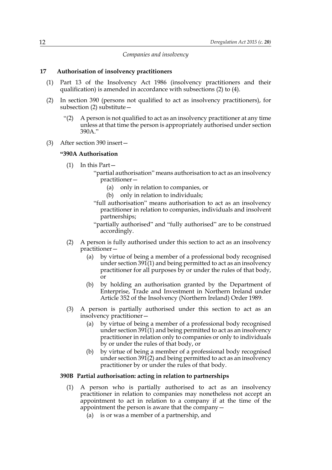*Companies and insolvency*

#### **17 Authorisation of insolvency practitioners**

- (1) Part 13 of the Insolvency Act 1986 (insolvency practitioners and their qualification) is amended in accordance with subsections (2) to (4).
- (2) In section 390 (persons not qualified to act as insolvency practitioners), for subsection (2) substitute—
	- "(2) A person is not qualified to act as an insolvency practitioner at any time unless at that time the person is appropriately authorised under section 390A."
- (3) After section 390 insert—

#### **"390A Authorisation**

- (1) In this Part—
	- "partial authorisation" means authorisation to act as an insolvency practitioner—
		- (a) only in relation to companies, or
		- (b) only in relation to individuals;
	- "full authorisation" means authorisation to act as an insolvency practitioner in relation to companies, individuals and insolvent partnerships;
	- "partially authorised" and "fully authorised" are to be construed accordingly.
- (2) A person is fully authorised under this section to act as an insolvency practitioner—
	- (a) by virtue of being a member of a professional body recognised under section 391(1) and being permitted to act as an insolvency practitioner for all purposes by or under the rules of that body, or
	- (b) by holding an authorisation granted by the Department of Enterprise, Trade and Investment in Northern Ireland under Article 352 of the Insolvency (Northern Ireland) Order 1989.
- (3) A person is partially authorised under this section to act as an insolvency practitioner—
	- (a) by virtue of being a member of a professional body recognised under section 391(1) and being permitted to act as an insolvency practitioner in relation only to companies or only to individuals by or under the rules of that body, or
	- (b) by virtue of being a member of a professional body recognised under section 391(2) and being permitted to act as an insolvency practitioner by or under the rules of that body.

#### **390B Partial authorisation: acting in relation to partnerships**

- (1) A person who is partially authorised to act as an insolvency practitioner in relation to companies may nonetheless not accept an appointment to act in relation to a company if at the time of the appointment the person is aware that the company—
	- (a) is or was a member of a partnership, and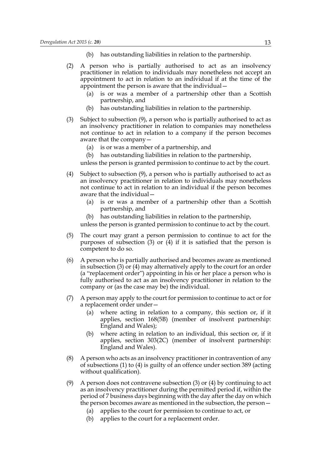- (b) has outstanding liabilities in relation to the partnership.
- (2) A person who is partially authorised to act as an insolvency practitioner in relation to individuals may nonetheless not accept an appointment to act in relation to an individual if at the time of the appointment the person is aware that the individual—
	- (a) is or was a member of a partnership other than a Scottish partnership, and
	- (b) has outstanding liabilities in relation to the partnership.
- (3) Subject to subsection (9), a person who is partially authorised to act as an insolvency practitioner in relation to companies may nonetheless not continue to act in relation to a company if the person becomes aware that the company—
	- (a) is or was a member of a partnership, and
	- (b) has outstanding liabilities in relation to the partnership,

unless the person is granted permission to continue to act by the court.

- (4) Subject to subsection (9), a person who is partially authorised to act as an insolvency practitioner in relation to individuals may nonetheless not continue to act in relation to an individual if the person becomes aware that the individual—
	- (a) is or was a member of a partnership other than a Scottish partnership, and
	- (b) has outstanding liabilities in relation to the partnership,

unless the person is granted permission to continue to act by the court.

- (5) The court may grant a person permission to continue to act for the purposes of subsection  $(3)$  or  $(4)$  if it is satisfied that the person is competent to do so.
- (6) A person who is partially authorised and becomes aware as mentioned in subsection (3) or (4) may alternatively apply to the court for an order (a "replacement order") appointing in his or her place a person who is fully authorised to act as an insolvency practitioner in relation to the company or (as the case may be) the individual.
- (7) A person may apply to the court for permission to continue to act or for a replacement order under—
	- (a) where acting in relation to a company, this section or, if it applies, section 168(5B) (member of insolvent partnership: England and Wales);
	- (b) where acting in relation to an individual, this section or, if it applies, section 303(2C) (member of insolvent partnership: England and Wales).
- (8) A person who acts as an insolvency practitioner in contravention of any of subsections (1) to (4) is guilty of an offence under section 389 (acting without qualification).
- (9) A person does not contravene subsection (3) or (4) by continuing to act as an insolvency practitioner during the permitted period if, within the period of 7 business days beginning with the day after the day on which the person becomes aware as mentioned in the subsection, the person—
	- (a) applies to the court for permission to continue to act, or
	- (b) applies to the court for a replacement order.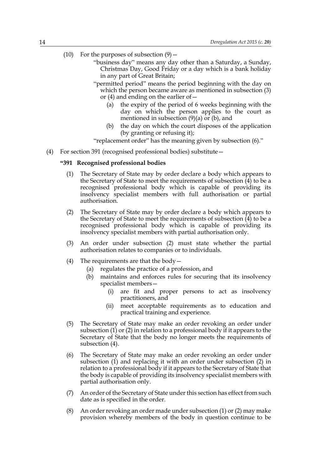- (10) For the purposes of subsection  $(9)$ 
	- "business day" means any day other than a Saturday, a Sunday, Christmas Day, Good Friday or a day which is a bank holiday in any part of Great Britain;
	- "permitted period" means the period beginning with the day on which the person became aware as mentioned in subsection (3) or (4) and ending on the earlier of—
		- (a) the expiry of the period of 6 weeks beginning with the day on which the person applies to the court as mentioned in subsection  $(9)(a)$  or  $(b)$ , and
		- (b) the day on which the court disposes of the application (by granting or refusing it);

"replacement order" has the meaning given by subsection (6)."

(4) For section 391 (recognised professional bodies) substitute—

#### **"391 Recognised professional bodies**

- (1) The Secretary of State may by order declare a body which appears to the Secretary of State to meet the requirements of subsection (4) to be a recognised professional body which is capable of providing its insolvency specialist members with full authorisation or partial authorisation.
- (2) The Secretary of State may by order declare a body which appears to the Secretary of State to meet the requirements of subsection  $\overline{(4)}$  to be a recognised professional body which is capable of providing its insolvency specialist members with partial authorisation only.
- (3) An order under subsection (2) must state whether the partial authorisation relates to companies or to individuals.
- (4) The requirements are that the body  $-$ 
	- (a) regulates the practice of a profession, and
	- (b) maintains and enforces rules for securing that its insolvency specialist members—
		- (i) are fit and proper persons to act as insolvency practitioners, and
		- (ii) meet acceptable requirements as to education and practical training and experience.
- (5) The Secretary of State may make an order revoking an order under subsection (1) or (2) in relation to a professional body if it appears to the Secretary of State that the body no longer meets the requirements of subsection (4).
- (6) The Secretary of State may make an order revoking an order under subsection (1) and replacing it with an order under subsection (2) in relation to a professional body if it appears to the Secretary of State that the body is capable of providing its insolvency specialist members with partial authorisation only.
- (7) An order of the Secretary of State under this section has effect from such date as is specified in the order.
- (8) An order revoking an order made under subsection (1) or (2) may make provision whereby members of the body in question continue to be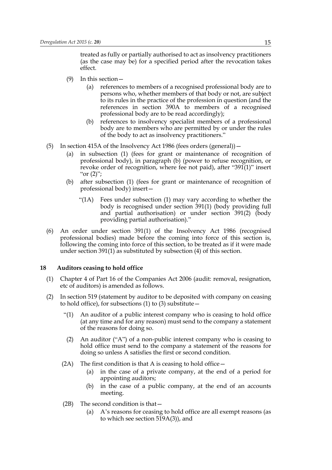treated as fully or partially authorised to act as insolvency practitioners (as the case may be) for a specified period after the revocation takes effect.

- (9) In this section—
	- (a) references to members of a recognised professional body are to persons who, whether members of that body or not, are subject to its rules in the practice of the profession in question (and the references in section 390A to members of a recognised professional body are to be read accordingly);
	- (b) references to insolvency specialist members of a professional body are to members who are permitted by or under the rules of the body to act as insolvency practitioners."
- (5) In section 415A of the Insolvency Act 1986 (fees orders (general))—
	- (a) in subsection (1) (fees for grant or maintenance of recognition of professional body), in paragraph (b) (power to refuse recognition, or revoke order of recognition, where fee not paid), after "391(1)" insert " $or (2)$ ";
	- (b) after subsection (1) (fees for grant or maintenance of recognition of professional body) insert—
		- "(1A) Fees under subsection (1) may vary according to whether the body is recognised under section 391(1) (body providing full and partial authorisation) or under section 391(2) (body providing partial authorisation)."
- (6) An order under section 391(1) of the Insolvency Act 1986 (recognised professional bodies) made before the coming into force of this section is, following the coming into force of this section, to be treated as if it were made under section 391(1) as substituted by subsection (4) of this section.

#### **18 Auditors ceasing to hold office**

- (1) Chapter 4 of Part 16 of the Companies Act 2006 (audit: removal, resignation, etc of auditors) is amended as follows.
- (2) In section 519 (statement by auditor to be deposited with company on ceasing to hold office), for subsections  $(1)$  to  $(3)$  substitute  $-$ 
	- "(1) An auditor of a public interest company who is ceasing to hold office (at any time and for any reason) must send to the company a statement of the reasons for doing so.
	- (2) An auditor ("A") of a non-public interest company who is ceasing to hold office must send to the company a statement of the reasons for doing so unless A satisfies the first or second condition.
	- (2A) The first condition is that A is ceasing to hold office  $-$ 
		- (a) in the case of a private company, at the end of a period for appointing auditors;
		- (b) in the case of a public company, at the end of an accounts meeting.
	- (2B) The second condition is that—
		- (a) A's reasons for ceasing to hold office are all exempt reasons (as to which see section 519A(3)), and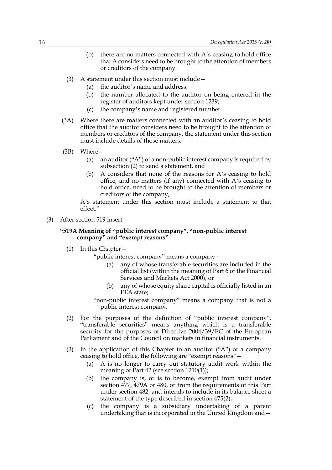- (b) there are no matters connected with A's ceasing to hold office that A considers need to be brought to the attention of members or creditors of the company.
- (3) A statement under this section must include—
	- (a) the auditor's name and address;
	- (b) the number allocated to the auditor on being entered in the register of auditors kept under section 1239;
	- (c) the company's name and registered number.
- (3A) Where there are matters connected with an auditor's ceasing to hold office that the auditor considers need to be brought to the attention of members or creditors of the company, the statement under this section must include details of those matters.
- (3B) Where—
	- (a) an auditor ("A") of a non-public interest company is required by subsection (2) to send a statement, and
	- (b) A considers that none of the reasons for A's ceasing to hold office, and no matters (if any) connected with A's ceasing to hold office, need to be brought to the attention of members or creditors of the company,

A's statement under this section must include a statement to that effect."

(3) After section 519 insert—

#### **"519A Meaning of "public interest company", "non-public interest company" and "exempt reasons"**

(1) In this Chapter—

"public interest company" means a company—

- any of whose transferable securities are included in the official list (within the meaning of Part 6 of the Financial Services and Markets Act 2000), or
- (b) any of whose equity share capital is officially listed in an EEA state;
- "non-public interest company" means a company that is not a public interest company.
- (2) For the purposes of the definition of "public interest company", "transferable securities" means anything which is a transferable security for the purposes of Directive 2004/39/EC of the European Parliament and of the Council on markets in financial instruments.
- (3) In the application of this Chapter to an auditor ("A") of a company ceasing to hold office, the following are "exempt reasons"—
	- (a) A is no longer to carry out statutory audit work within the meaning of Part 42 (see section 1210(1));
	- (b) the company is, or is to become, exempt from audit under section 477, 479A or 480, or from the requirements of this Part under section 482, and intends to include in its balance sheet a statement of the type described in section 475(2);
	- (c) the company is a subsidiary undertaking of a parent undertaking that is incorporated in the United Kingdom and—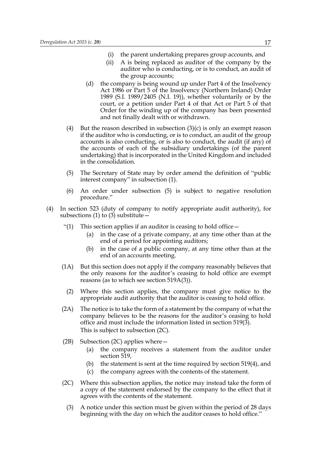- (i) the parent undertaking prepares group accounts, and
- (ii) A is being replaced as auditor of the company by the auditor who is conducting, or is to conduct, an audit of the group accounts;
- (d) the company is being wound up under Part 4 of the Insolvency Act 1986 or Part 5 of the Insolvency (Northern Ireland) Order 1989 (S.I. 1989/2405 (N.I. 19)), whether voluntarily or by the court, or a petition under Part 4 of that Act or Part 5 of that Order for the winding up of the company has been presented and not finally dealt with or withdrawn.
- (4) But the reason described in subsection  $(3)(c)$  is only an exempt reason if the auditor who is conducting, or is to conduct, an audit of the group accounts is also conducting, or is also to conduct, the audit (if any) of the accounts of each of the subsidiary undertakings (of the parent undertaking) that is incorporated in the United Kingdom and included in the consolidation.
- (5) The Secretary of State may by order amend the definition of "public interest company" in subsection (1).
- (6) An order under subsection (5) is subject to negative resolution procedure."
- (4) In section 523 (duty of company to notify appropriate audit authority), for subsections (1) to (3) substitute  $-$ 
	- "(1) This section applies if an auditor is ceasing to hold office  $-$ 
		- (a) in the case of a private company, at any time other than at the end of a period for appointing auditors;
		- (b) in the case of a public company, at any time other than at the end of an accounts meeting.
	- (1A) But this section does not apply if the company reasonably believes that the only reasons for the auditor's ceasing to hold office are exempt reasons (as to which see section 519A(3)).
		- (2) Where this section applies, the company must give notice to the appropriate audit authority that the auditor is ceasing to hold office.
	- (2A) The notice is to take the form of a statement by the company of what the company believes to be the reasons for the auditor's ceasing to hold office and must include the information listed in section 519(3). This is subject to subsection (2C).
	- (2B) Subsection (2C) applies where—
		- (a) the company receives a statement from the auditor under section 519,
		- (b) the statement is sent at the time required by section 519(4), and
		- (c) the company agrees with the contents of the statement.
	- (2C) Where this subsection applies, the notice may instead take the form of a copy of the statement endorsed by the company to the effect that it agrees with the contents of the statement.
		- (3) A notice under this section must be given within the period of 28 days beginning with the day on which the auditor ceases to hold office."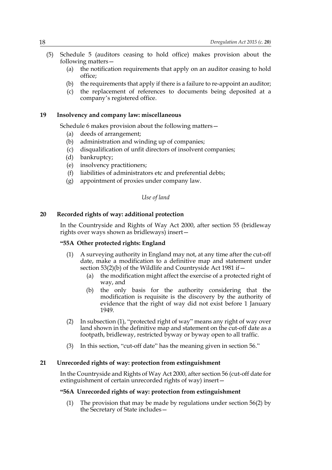- (5) Schedule 5 (auditors ceasing to hold office) makes provision about the following matters—
	- (a) the notification requirements that apply on an auditor ceasing to hold office;
	- (b) the requirements that apply if there is a failure to re-appoint an auditor;
	- (c) the replacement of references to documents being deposited at a company's registered office.

#### **19 Insolvency and company law: miscellaneous**

Schedule 6 makes provision about the following matters—

- (a) deeds of arrangement;
- (b) administration and winding up of companies;
- (c) disqualification of unfit directors of insolvent companies;
- (d) bankruptcy;
- (e) insolvency practitioners;
- (f) liabilities of administrators etc and preferential debts;
- (g) appointment of proxies under company law.

#### *Use of land*

#### **20 Recorded rights of way: additional protection**

In the Countryside and Rights of Way Act 2000, after section 55 (bridleway rights over ways shown as bridleways) insert—

#### **"55A Other protected rights: England**

- (1) A surveying authority in England may not, at any time after the cut-off date, make a modification to a definitive map and statement under section 53(2)(b) of the Wildlife and Countryside Act 1981 if—
	- (a) the modification might affect the exercise of a protected right of way, and
	- (b) the only basis for the authority considering that the modification is requisite is the discovery by the authority of evidence that the right of way did not exist before 1 January 1949.
- (2) In subsection (1), "protected right of way" means any right of way over land shown in the definitive map and statement on the cut-off date as a footpath, bridleway, restricted byway or byway open to all traffic.
- (3) In this section, "cut-off date" has the meaning given in section 56."

#### **21 Unrecorded rights of way: protection from extinguishment**

In the Countryside and Rights of Way Act 2000, after section 56 (cut-off date for extinguishment of certain unrecorded rights of way) insert—

#### **"56A Unrecorded rights of way: protection from extinguishment**

(1) The provision that may be made by regulations under section 56(2) by the Secretary of State includes—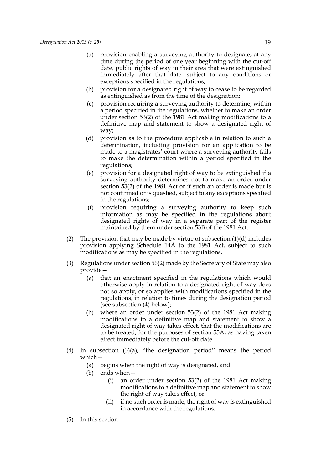- (a) provision enabling a surveying authority to designate, at any time during the period of one year beginning with the cut-off date, public rights of way in their area that were extinguished immediately after that date, subject to any conditions or exceptions specified in the regulations;
- (b) provision for a designated right of way to cease to be regarded as extinguished as from the time of the designation;
- (c) provision requiring a surveying authority to determine, within a period specified in the regulations, whether to make an order under section 53(2) of the 1981 Act making modifications to a definitive map and statement to show a designated right of way;
- (d) provision as to the procedure applicable in relation to such a determination, including provision for an application to be made to a magistrates' court where a surveying authority fails to make the determination within a period specified in the regulations;
- (e) provision for a designated right of way to be extinguished if a surveying authority determines not to make an order under section 53(2) of the 1981 Act or if such an order is made but is not confirmed or is quashed, subject to any exceptions specified in the regulations;
- (f) provision requiring a surveying authority to keep such information as may be specified in the regulations about designated rights of way in a separate part of the register maintained by them under section 53B of the 1981 Act.
- (2) The provision that may be made by virtue of subsection  $(1)(d)$  includes provision applying Schedule 14A to the 1981 Act, subject to such modifications as may be specified in the regulations.
- (3) Regulations under section 56(2) made by the Secretary of State may also provide—
	- (a) that an enactment specified in the regulations which would otherwise apply in relation to a designated right of way does not so apply, or so applies with modifications specified in the regulations, in relation to times during the designation period (see subsection (4) below);
	- (b) where an order under section 53(2) of the 1981 Act making modifications to a definitive map and statement to show a designated right of way takes effect, that the modifications are to be treated, for the purposes of section 55A, as having taken effect immediately before the cut-off date.
- (4) In subsection (3)(a), "the designation period" means the period which—
	- (a) begins when the right of way is designated, and
	- (b) ends when—
		- (i) an order under section 53(2) of the 1981 Act making modifications to a definitive map and statement to show the right of way takes effect, or
		- (ii) if no such order is made, the right of way is extinguished in accordance with the regulations.
- (5) In this section—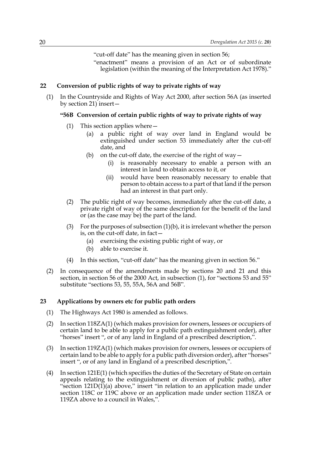"cut-off date" has the meaning given in section 56;

"enactment" means a provision of an Act or of subordinate legislation (within the meaning of the Interpretation Act 1978)."

#### **22 Conversion of public rights of way to private rights of way**

(1) In the Countryside and Rights of Way Act 2000, after section 56A (as inserted by section 21) insert—

#### **"56B Conversion of certain public rights of way to private rights of way**

- (1) This section applies where—
	- (a) a public right of way over land in England would be extinguished under section 53 immediately after the cut-off date, and
	- (b) on the cut-off date, the exercise of the right of way  $-$ 
		- (i) is reasonably necessary to enable a person with an interest in land to obtain access to it, or
		- (ii) would have been reasonably necessary to enable that person to obtain access to a part of that land if the person had an interest in that part only.
- (2) The public right of way becomes, immediately after the cut-off date, a private right of way of the same description for the benefit of the land or (as the case may be) the part of the land.
- (3) For the purposes of subsection (1)(b), it is irrelevant whether the person is, on the cut-off date, in fact—
	- (a) exercising the existing public right of way, or
	- (b) able to exercise it.
- (4) In this section, "cut-off date" has the meaning given in section 56."
- (2) In consequence of the amendments made by sections 20 and 21 and this section, in section 56 of the 2000 Act, in subsection (1), for "sections 53 and 55" substitute "sections 53, 55, 55A, 56A and 56B".

#### **23 Applications by owners etc for public path orders**

- (1) The Highways Act 1980 is amended as follows.
- (2) In section 118ZA(1) (which makes provision for owners, lessees or occupiers of certain land to be able to apply for a public path extinguishment order), after "horses" insert ", or of any land in England of a prescribed description,".
- (3) In section 119ZA(1) (which makes provision for owners, lessees or occupiers of certain land to be able to apply for a public path diversion order), after "horses" insert ", or of any land in England of a prescribed description,".
- (4) In section 121E(1) (which specifies the duties of the Secretary of State on certain appeals relating to the extinguishment or diversion of public paths), after "section  $121D(1)$ (a) above," insert "in relation to an application made under section 118C or 119C above or an application made under section 118ZA or 119ZA above to a council in Wales,".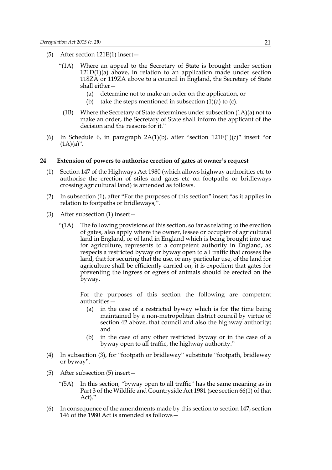- (5) After section 121E(1) insert—
	- "(1A) Where an appeal to the Secretary of State is brought under section 121D(1)(a) above, in relation to an application made under section 118ZA or 119ZA above to a council in England, the Secretary of State shall either—
		- (a) determine not to make an order on the application, or
		- (b) take the steps mentioned in subsection (1)(a) to (c).
		- (1B) Where the Secretary of State determines under subsection (1A)(a) not to make an order, the Secretary of State shall inform the applicant of the decision and the reasons for it."
- (6) In Schedule 6, in paragraph  $2A(1)(b)$ , after "section  $121E(1)(c)$ " insert "or  $(1A)(a)$ ".

#### **24 Extension of powers to authorise erection of gates at owner's request**

- (1) Section 147 of the Highways Act 1980 (which allows highway authorities etc to authorise the erection of stiles and gates etc on footpaths or bridleways crossing agricultural land) is amended as follows.
- (2) In subsection (1), after "For the purposes of this section" insert "as it applies in relation to footpaths or bridleways,".
- (3) After subsection (1) insert—
	- "(1A) The following provisions of this section, so far as relating to the erection of gates, also apply where the owner, lessee or occupier of agricultural land in England, or of land in England which is being brought into use for agriculture, represents to a competent authority in England, as respects a restricted byway or byway open to all traffic that crosses the land, that for securing that the use, or any particular use, of the land for agriculture shall be efficiently carried on, it is expedient that gates for preventing the ingress or egress of animals should be erected on the byway.

For the purposes of this section the following are competent authorities—

- (a) in the case of a restricted byway which is for the time being maintained by a non-metropolitan district council by virtue of section 42 above, that council and also the highway authority; and
- (b) in the case of any other restricted byway or in the case of a byway open to all traffic, the highway authority."
- (4) In subsection (3), for "footpath or bridleway" substitute "footpath, bridleway or byway".
- (5) After subsection (5) insert—
	- "(5A) In this section, "byway open to all traffic" has the same meaning as in Part 3 of the Wildlife and Countryside Act 1981 (see section 66(1) of that Act)."
- (6) In consequence of the amendments made by this section to section 147, section 146 of the 1980 Act is amended as follows—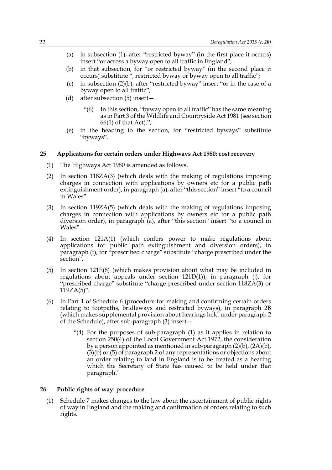- (a) in subsection (1), after "restricted byway" (in the first place it occurs) insert "or across a byway open to all traffic in England";
- (b) in that subsection, for "or restricted byway" (in the second place it occurs) substitute ", restricted byway or byway open to all traffic";
- (c) in subsection (2)(b), after "restricted byway" insert "or in the case of a byway open to all traffic";
- (d) after subsection (5) insert—
	- "(6) In this section, "byway open to all traffic" has the same meaning as in Part 3 of the Wildlife and Countryside Act 1981 (see section 66(1) of that Act).";
- (e) in the heading to the section, for "restricted byways" substitute "byways".

#### **25 Applications for certain orders under Highways Act 1980: cost recovery**

- (1) The Highways Act 1980 is amended as follows.
- (2) In section 118ZA(3) (which deals with the making of regulations imposing charges in connection with applications by owners etc for a public path extinguishment order), in paragraph (a), after "this section" insert "to a council in Wales".
- (3) In section 119ZA(5) (which deals with the making of regulations imposing charges in connection with applications by owners etc for a public path diversion order), in paragraph (a), after "this section" insert "to a council in Wales".
- (4) In section 121A(1) (which confers power to make regulations about applications for public path extinguishment and diversion orders), in paragraph (f), for "prescribed charge" substitute "charge prescribed under the section".
- (5) In section 121E(8) (which makes provision about what may be included in regulations about appeals under section  $121D(1)$ , in paragraph (j), for "prescribed charge" substitute "charge prescribed under section 118ZA(3) or  $119ZA(5)$ ".
- (6) In Part 1 of Schedule 6 (procedure for making and confirming certain orders relating to footpaths, bridleways and restricted byways), in paragraph 2B (which makes supplemental provision about hearings held under paragraph 2 of the Schedule), after sub-paragraph (3) insert—
	- "(4) For the purposes of sub-paragraph (1) as it applies in relation to section  $250(\overline{4})$  of the Local Government Act 1972, the consideration by a person appointed as mentioned in sub-paragraph (2)(b), (2A)(b),  $(3)(b)$  or  $(5)$  of paragraph 2 of any representations or objections about an order relating to land in England is to be treated as a hearing which the Secretary of State has caused to be held under that paragraph."

#### **26 Public rights of way: procedure**

(1) Schedule 7 makes changes to the law about the ascertainment of public rights of way in England and the making and confirmation of orders relating to such rights.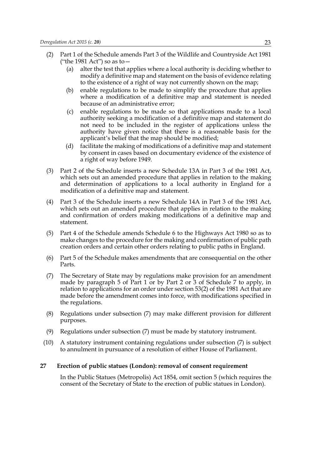- (2) Part 1 of the Schedule amends Part 3 of the Wildlife and Countryside Act 1981 ("the 1981 Act") so as to—
	- (a) alter the test that applies where a local authority is deciding whether to modify a definitive map and statement on the basis of evidence relating to the existence of a right of way not currently shown on the map;
	- (b) enable regulations to be made to simplify the procedure that applies where a modification of a definitive map and statement is needed because of an administrative error;
	- (c) enable regulations to be made so that applications made to a local authority seeking a modification of a definitive map and statement do not need to be included in the register of applications unless the authority have given notice that there is a reasonable basis for the applicant's belief that the map should be modified;
	- (d) facilitate the making of modifications of a definitive map and statement by consent in cases based on documentary evidence of the existence of a right of way before 1949.
- (3) Part 2 of the Schedule inserts a new Schedule 13A in Part 3 of the 1981 Act, which sets out an amended procedure that applies in relation to the making and determination of applications to a local authority in England for a modification of a definitive map and statement.
- (4) Part 3 of the Schedule inserts a new Schedule 14A in Part 3 of the 1981 Act, which sets out an amended procedure that applies in relation to the making and confirmation of orders making modifications of a definitive map and statement.
- (5) Part 4 of the Schedule amends Schedule 6 to the Highways Act 1980 so as to make changes to the procedure for the making and confirmation of public path creation orders and certain other orders relating to public paths in England.
- (6) Part 5 of the Schedule makes amendments that are consequential on the other Parts.
- (7) The Secretary of State may by regulations make provision for an amendment made by paragraph 5 of Part 1 or by Part 2 or 3 of Schedule 7 to apply, in relation to applications for an order under section 53(2) of the 1981 Act that are made before the amendment comes into force, with modifications specified in the regulations.
- (8) Regulations under subsection (7) may make different provision for different purposes.
- (9) Regulations under subsection (7) must be made by statutory instrument.
- (10) A statutory instrument containing regulations under subsection (7) is subject to annulment in pursuance of a resolution of either House of Parliament.

#### **27 Erection of public statues (London): removal of consent requirement**

In the Public Statues (Metropolis) Act 1854, omit section 5 (which requires the consent of the Secretary of State to the erection of public statues in London).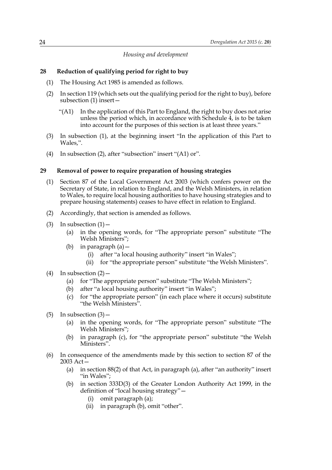#### *Housing and development*

#### **28 Reduction of qualifying period for right to buy**

- (1) The Housing Act 1985 is amended as follows.
- (2) In section 119 (which sets out the qualifying period for the right to buy), before subsection (1) insert—
	- "(A1) In the application of this Part to England, the right to buy does not arise unless the period which, in accordance with Schedule 4, is to be taken into account for the purposes of this section is at least three years."
- (3) In subsection (1), at the beginning insert "In the application of this Part to Wales,".
- (4) In subsection (2), after "subsection" insert "(A1) or".

#### **29 Removal of power to require preparation of housing strategies**

- (1) Section 87 of the Local Government Act 2003 (which confers power on the Secretary of State, in relation to England, and the Welsh Ministers, in relation to Wales, to require local housing authorities to have housing strategies and to prepare housing statements) ceases to have effect in relation to England.
- (2) Accordingly, that section is amended as follows.
- (3) In subsection  $(1)$ 
	- (a) in the opening words, for "The appropriate person" substitute "The Welsh Ministers";
	- (b) in paragraph (a)—
		- (i) after "a local housing authority" insert "in Wales";
		- (ii) for "the appropriate person" substitute "the Welsh Ministers".
- (4) In subsection  $(2)$  -
	- (a) for "The appropriate person" substitute "The Welsh Ministers";
	- (b) after "a local housing authority" insert "in Wales";
	- (c) for "the appropriate person" (in each place where it occurs) substitute "the Welsh Ministers".
- $(5)$  In subsection  $(3)$ 
	- (a) in the opening words, for "The appropriate person" substitute "The Welsh Ministers";
	- (b) in paragraph (c), for "the appropriate person" substitute "the Welsh Ministers".
- (6) In consequence of the amendments made by this section to section 87 of the 2003 Act—
	- (a) in section 88(2) of that Act, in paragraph (a), after "an authority" insert "in Wales";
	- (b) in section 333D(3) of the Greater London Authority Act 1999, in the definition of "local housing strategy"—
		- (i) omit paragraph (a);
		- (ii) in paragraph (b), omit "other".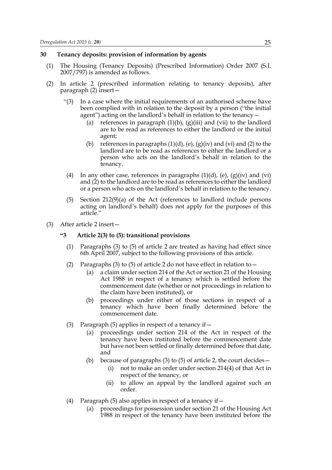#### **30 Tenancy deposits: provision of information by agents**

- (1) The Housing (Tenancy Deposits) (Prescribed Information) Order 2007 (S.I. 2007/797) is amended as follows.
- (2) In article 2 (prescribed information relating to tenancy deposits), after paragraph (2) insert—
	- "(3) In a case where the initial requirements of an authorised scheme have been complied with in relation to the deposit by a person ("the initial agent") acting on the landlord's behalf in relation to the tenancy—
		- (a) references in paragraph  $(1)(b)$ ,  $(g)(iii)$  and  $(vii)$  to the landlord are to be read as references to either the landlord or the initial agent;
		- (b) references in paragraphs  $(1)(d)$ ,  $(e)$ ,  $(g)(iv)$  and  $(vi)$  and  $(2)$  to the landlord are to be read as references to either the landlord or a person who acts on the landlord's behalf in relation to the tenancy.
		- (4) In any other case, references in paragraphs  $(1)(d)$ , (e),  $(g)(iv)$  and (vi) and (2) to the landlord are to be read as references to either the landlord or a person who acts on the landlord's behalf in relation to the tenancy.
	- (5) Section 212(9)(a) of the Act (references to landlord include persons acting on landlord's behalf) does not apply for the purposes of this article."
- (3) After article 2 insert—

#### **"3 Article 2(3) to (5): transitional provisions**

- (1) Paragraphs (3) to (5) of article 2 are treated as having had effect since 6th April 2007, subject to the following provisions of this article.
- (2) Paragraphs (3) to (5) of article 2 do not have effect in relation to  $-$ 
	- (a) a claim under section 214 of the Act or section 21 of the Housing Act 1988 in respect of a tenancy which is settled before the commencement date (whether or not proceedings in relation to the claim have been instituted), or
	- (b) proceedings under either of those sections in respect of a tenancy which have been finally determined before the commencement date.
- (3) Paragraph (5) applies in respect of a tenancy if  $-$ 
	- (a) proceedings under section 214 of the Act in respect of the tenancy have been instituted before the commencement date but have not been settled or finally determined before that date, and
	- (b) because of paragraphs (3) to (5) of article 2, the court decides—
		- (i) not to make an order under section 214(4) of that Act in respect of the tenancy, or
		- (ii) to allow an appeal by the landlord against such an order.
- (4) Paragraph (5) also applies in respect of a tenancy if  $-$ 
	- (a) proceedings for possession under section 21 of the Housing Act 1988 in respect of the tenancy have been instituted before the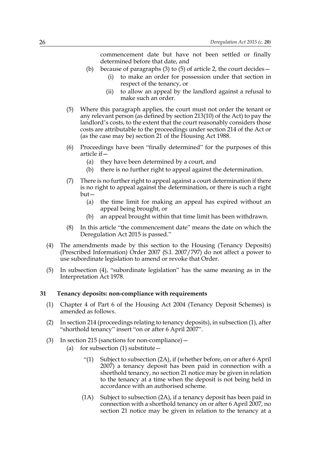commencement date but have not been settled or finally determined before that date, and

- (b) because of paragraphs (3) to (5) of article 2, the court decides
	- to make an order for possession under that section in respect of the tenancy, or
	- (ii) to allow an appeal by the landlord against a refusal to make such an order.
- (5) Where this paragraph applies, the court must not order the tenant or any relevant person (as defined by section 213(10) of the Act) to pay the landlord's costs, to the extent that the court reasonably considers those costs are attributable to the proceedings under section 214 of the Act or (as the case may be) section 21 of the Housing Act 1988.
- (6) Proceedings have been "finally determined" for the purposes of this article if—
	- (a) they have been determined by a court, and
	- (b) there is no further right to appeal against the determination.
- (7) There is no further right to appeal against a court determination if there is no right to appeal against the determination, or there is such a right but—
	- (a) the time limit for making an appeal has expired without an appeal being brought, or
	- (b) an appeal brought within that time limit has been withdrawn.
- (8) In this article "the commencement date" means the date on which the Deregulation Act 2015 is passed."
- (4) The amendments made by this section to the Housing (Tenancy Deposits) (Prescribed Information) Order 2007 (S.I. 2007/797) do not affect a power to use subordinate legislation to amend or revoke that Order.
- (5) In subsection (4), "subordinate legislation" has the same meaning as in the Interpretation Act 1978.

#### **31 Tenancy deposits: non-compliance with requirements**

- (1) Chapter 4 of Part 6 of the Housing Act 2004 (Tenancy Deposit Schemes) is amended as follows.
- (2) In section 214 (proceedings relating to tenancy deposits), in subsection (1), after "shorthold tenancy" insert "on or after 6 April 2007".
- (3) In section 215 (sanctions for non-compliance)—
	- (a) for subsection  $(1)$  substitute  $-$ 
		- "(1) Subject to subsection (2A), if (whether before, on or after 6 April 2007) a tenancy deposit has been paid in connection with a shorthold tenancy, no section 21 notice may be given in relation to the tenancy at a time when the deposit is not being held in accordance with an authorised scheme.
		- (1A) Subject to subsection (2A), if a tenancy deposit has been paid in connection with a shorthold tenancy on or after 6 April 2007, no section 21 notice may be given in relation to the tenancy at a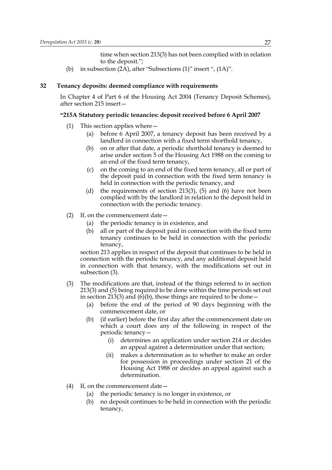time when section 213(3) has not been complied with in relation to the deposit.";

(b) in subsection (2A), after "Subsections (1)" insert ", (1A)".

#### **32 Tenancy deposits: deemed compliance with requirements**

In Chapter 4 of Part 6 of the Housing Act 2004 (Tenancy Deposit Schemes), after section 215 insert—

#### **"215A Statutory periodic tenancies: deposit received before 6 April 2007**

- (1) This section applies where—
	- (a) before 6 April 2007, a tenancy deposit has been received by a landlord in connection with a fixed term shorthold tenancy,
	- (b) on or after that date, a periodic shorthold tenancy is deemed to arise under section 5 of the Housing Act 1988 on the coming to an end of the fixed term tenancy,
	- (c) on the coming to an end of the fixed term tenancy, all or part of the deposit paid in connection with the fixed term tenancy is held in connection with the periodic tenancy, and
	- (d) the requirements of section 213(3), (5) and (6) have not been complied with by the landlord in relation to the deposit held in connection with the periodic tenancy.
- (2) If, on the commencement date—
	- (a) the periodic tenancy is in existence, and
	- (b) all or part of the deposit paid in connection with the fixed term tenancy continues to be held in connection with the periodic tenancy,

section 213 applies in respect of the deposit that continues to be held in connection with the periodic tenancy, and any additional deposit held in connection with that tenancy, with the modifications set out in subsection (3).

- (3) The modifications are that, instead of the things referred to in section 213(3) and (5) being required to be done within the time periods set out in section 213(3) and (6)(b), those things are required to be done  $-$ 
	- (a) before the end of the period of 90 days beginning with the commencement date, or
	- (b) (if earlier) before the first day after the commencement date on which a court does any of the following in respect of the periodic tenancy—
		- (i) determines an application under section 214 or decides an appeal against a determination under that section;
		- (ii) makes a determination as to whether to make an order for possession in proceedings under section 21 of the Housing Act 1988 or decides an appeal against such a determination.
- (4) If, on the commencement date—
	- (a) the periodic tenancy is no longer in existence, or
	- (b) no deposit continues to be held in connection with the periodic tenancy,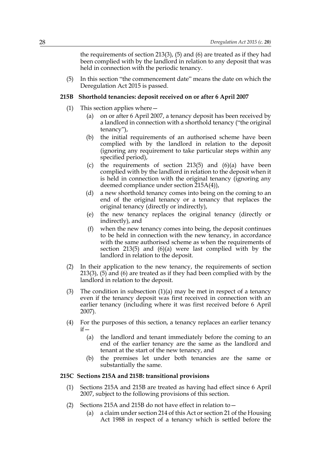the requirements of section 213(3), (5) and (6) are treated as if they had been complied with by the landlord in relation to any deposit that was held in connection with the periodic tenancy.

(5) In this section "the commencement date" means the date on which the Deregulation Act 2015 is passed.

#### **215B Shorthold tenancies: deposit received on or after 6 April 2007**

- (1) This section applies where—
	- (a) on or after 6 April 2007, a tenancy deposit has been received by a landlord in connection with a shorthold tenancy ("the original tenancy"),
	- (b) the initial requirements of an authorised scheme have been complied with by the landlord in relation to the deposit (ignoring any requirement to take particular steps within any specified period),
	- (c) the requirements of section  $213(5)$  and  $(6)(a)$  have been complied with by the landlord in relation to the deposit when it is held in connection with the original tenancy (ignoring any deemed compliance under section 215A(4)),
	- (d) a new shorthold tenancy comes into being on the coming to an end of the original tenancy or a tenancy that replaces the original tenancy (directly or indirectly),
	- (e) the new tenancy replaces the original tenancy (directly or indirectly), and
	- (f) when the new tenancy comes into being, the deposit continues to be held in connection with the new tenancy, in accordance with the same authorised scheme as when the requirements of section 213(5) and (6)(a) were last complied with by the landlord in relation to the deposit.
- (2) In their application to the new tenancy, the requirements of section 213(3), (5) and (6) are treated as if they had been complied with by the landlord in relation to the deposit.
- (3) The condition in subsection  $(1)(a)$  may be met in respect of a tenancy even if the tenancy deposit was first received in connection with an earlier tenancy (including where it was first received before 6 April 2007).
- (4) For the purposes of this section, a tenancy replaces an earlier tenancy  $if -$ 
	- (a) the landlord and tenant immediately before the coming to an end of the earlier tenancy are the same as the landlord and tenant at the start of the new tenancy, and
	- (b) the premises let under both tenancies are the same or substantially the same.

#### **215C Sections 215A and 215B: transitional provisions**

- (1) Sections 215A and 215B are treated as having had effect since 6 April 2007, subject to the following provisions of this section.
- (2) Sections 215A and 215B do not have effect in relation to—
	- (a) a claim under section 214 of this Act or section 21 of the Housing Act 1988 in respect of a tenancy which is settled before the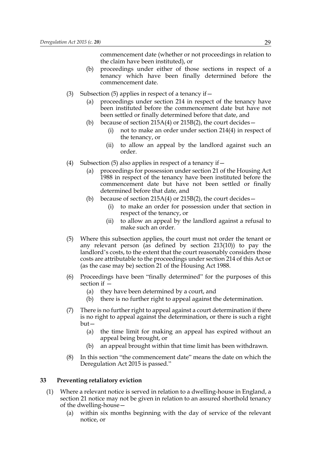commencement date (whether or not proceedings in relation to the claim have been instituted), or

- (b) proceedings under either of those sections in respect of a tenancy which have been finally determined before the commencement date.
- (3) Subsection (5) applies in respect of a tenancy if—
	- (a) proceedings under section 214 in respect of the tenancy have been instituted before the commencement date but have not been settled or finally determined before that date, and
	- (b) because of section 215A(4) or 215B(2), the court decides  $-$ 
		- (i) not to make an order under section 214(4) in respect of the tenancy, or
		- (ii) to allow an appeal by the landlord against such an order.
- (4) Subsection (5) also applies in respect of a tenancy if  $-$ 
	- (a) proceedings for possession under section 21 of the Housing Act 1988 in respect of the tenancy have been instituted before the commencement date but have not been settled or finally determined before that date, and
	- (b) because of section  $215A(4)$  or  $215B(2)$ , the court decides -
		- (i) to make an order for possession under that section in respect of the tenancy, or
		- (ii) to allow an appeal by the landlord against a refusal to make such an order.
- (5) Where this subsection applies, the court must not order the tenant or any relevant person (as defined by section 213(10)) to pay the landlord's costs, to the extent that the court reasonably considers those costs are attributable to the proceedings under section 214 of this Act or (as the case may be) section 21 of the Housing Act 1988.
- (6) Proceedings have been "finally determined" for the purposes of this section if —
	- (a) they have been determined by a court, and
	- (b) there is no further right to appeal against the determination.
- (7) There is no further right to appeal against a court determination if there is no right to appeal against the determination, or there is such a right but—
	- (a) the time limit for making an appeal has expired without an appeal being brought, or
	- (b) an appeal brought within that time limit has been withdrawn.
- (8) In this section "the commencement date" means the date on which the Deregulation Act 2015 is passed."

#### **33 Preventing retaliatory eviction**

- (1) Where a relevant notice is served in relation to a dwelling-house in England, a section 21 notice may not be given in relation to an assured shorthold tenancy of the dwelling-house—
	- (a) within six months beginning with the day of service of the relevant notice, or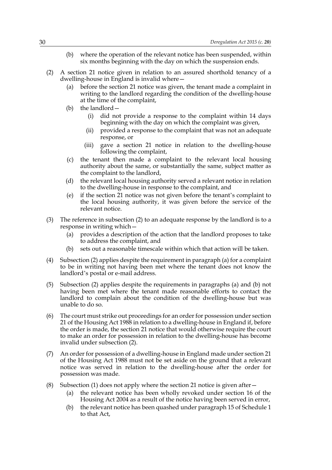- (b) where the operation of the relevant notice has been suspended, within six months beginning with the day on which the suspension ends.
- (2) A section 21 notice given in relation to an assured shorthold tenancy of a dwelling-house in England is invalid where—
	- (a) before the section 21 notice was given, the tenant made a complaint in writing to the landlord regarding the condition of the dwelling-house at the time of the complaint,
	- (b) the landlord—
		- (i) did not provide a response to the complaint within 14 days beginning with the day on which the complaint was given,
		- (ii) provided a response to the complaint that was not an adequate response, or
		- (iii) gave a section 21 notice in relation to the dwelling-house following the complaint,
	- (c) the tenant then made a complaint to the relevant local housing authority about the same, or substantially the same, subject matter as the complaint to the landlord,
	- (d) the relevant local housing authority served a relevant notice in relation to the dwelling-house in response to the complaint, and
	- (e) if the section 21 notice was not given before the tenant's complaint to the local housing authority, it was given before the service of the relevant notice.
- (3) The reference in subsection (2) to an adequate response by the landlord is to a response in writing which—
	- (a) provides a description of the action that the landlord proposes to take to address the complaint, and
	- (b) sets out a reasonable timescale within which that action will be taken.
- (4) Subsection (2) applies despite the requirement in paragraph (a) for a complaint to be in writing not having been met where the tenant does not know the landlord's postal or e-mail address.
- (5) Subsection (2) applies despite the requirements in paragraphs (a) and (b) not having been met where the tenant made reasonable efforts to contact the landlord to complain about the condition of the dwelling-house but was unable to do so.
- (6) The court must strike out proceedings for an order for possession under section 21 of the Housing Act 1988 in relation to a dwelling-house in England if, before the order is made, the section 21 notice that would otherwise require the court to make an order for possession in relation to the dwelling-house has become invalid under subsection (2).
- (7) An order for possession of a dwelling-house in England made under section 21 of the Housing Act 1988 must not be set aside on the ground that a relevant notice was served in relation to the dwelling-house after the order for possession was made.
- (8) Subsection (1) does not apply where the section 21 notice is given after—
	- (a) the relevant notice has been wholly revoked under section 16 of the Housing Act 2004 as a result of the notice having been served in error,
	- (b) the relevant notice has been quashed under paragraph 15 of Schedule 1 to that Act,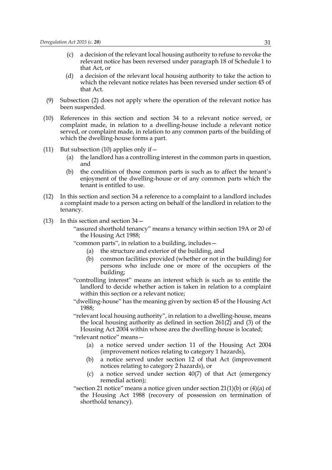- (c) a decision of the relevant local housing authority to refuse to revoke the relevant notice has been reversed under paragraph 18 of Schedule 1 to that Act, or
- (d) a decision of the relevant local housing authority to take the action to which the relevant notice relates has been reversed under section 45 of that Act.
- (9) Subsection (2) does not apply where the operation of the relevant notice has been suspended.
- (10) References in this section and section 34 to a relevant notice served, or complaint made, in relation to a dwelling-house include a relevant notice served, or complaint made, in relation to any common parts of the building of which the dwelling-house forms a part.
- (11) But subsection (10) applies only if  $-$ 
	- (a) the landlord has a controlling interest in the common parts in question, and
	- (b) the condition of those common parts is such as to affect the tenant's enjoyment of the dwelling-house or of any common parts which the tenant is entitled to use.
- (12) In this section and section 34 a reference to a complaint to a landlord includes a complaint made to a person acting on behalf of the landlord in relation to the tenancy.
- (13) In this section and section 34—

"assured shorthold tenancy" means a tenancy within section 19A or 20 of the Housing Act 1988;

"common parts", in relation to a building, includes—

- (a) the structure and exterior of the building, and
- (b) common facilities provided (whether or not in the building) for persons who include one or more of the occupiers of the building;
- "controlling interest" means an interest which is such as to entitle the landlord to decide whether action is taken in relation to a complaint within this section or a relevant notice;
- "dwelling-house" has the meaning given by section 45 of the Housing Act 1988;

"relevant local housing authority", in relation to a dwelling-house, means the local housing authority as defined in section 261(2) and (3) of the Housing Act 2004 within whose area the dwelling-house is located;

"relevant notice" means—

- (a) a notice served under section 11 of the Housing Act 2004 (improvement notices relating to category 1 hazards),
- (b) a notice served under section 12 of that Act (improvement notices relating to category 2 hazards), or
- (c) a notice served under section 40(7) of that Act (emergency remedial action);
- "section 21 notice" means a notice given under section  $21(1)(b)$  or  $(4)(a)$  of the Housing Act 1988 (recovery of possession on termination of shorthold tenancy).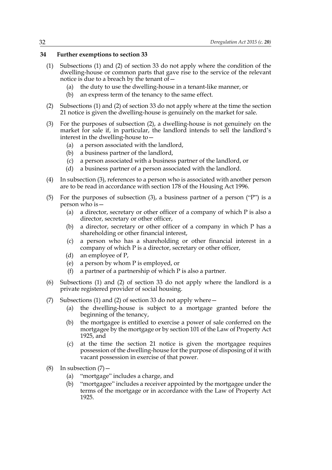## **34 Further exemptions to section 33**

- (1) Subsections (1) and (2) of section 33 do not apply where the condition of the dwelling-house or common parts that gave rise to the service of the relevant notice is due to a breach by the tenant of—
	- (a) the duty to use the dwelling-house in a tenant-like manner, or
	- (b) an express term of the tenancy to the same effect.
- (2) Subsections (1) and (2) of section 33 do not apply where at the time the section 21 notice is given the dwelling-house is genuinely on the market for sale.
- (3) For the purposes of subsection (2), a dwelling-house is not genuinely on the market for sale if, in particular, the landlord intends to sell the landlord's interest in the dwelling-house to—
	- (a) a person associated with the landlord,
	- (b) a business partner of the landlord,
	- (c) a person associated with a business partner of the landlord, or
	- (d) a business partner of a person associated with the landlord.
- (4) In subsection (3), references to a person who is associated with another person are to be read in accordance with section 178 of the Housing Act 1996.
- (5) For the purposes of subsection (3), a business partner of a person ("P") is a person who is—
	- (a) a director, secretary or other officer of a company of which P is also a director, secretary or other officer,
	- (b) a director, secretary or other officer of a company in which P has a shareholding or other financial interest,
	- (c) a person who has a shareholding or other financial interest in a company of which P is a director, secretary or other officer,
	- (d) an employee of P,
	- (e) a person by whom P is employed, or
	- (f) a partner of a partnership of which P is also a partner.
- (6) Subsections (1) and (2) of section 33 do not apply where the landlord is a private registered provider of social housing.
- (7) Subsections (1) and (2) of section 33 do not apply where—
	- (a) the dwelling-house is subject to a mortgage granted before the beginning of the tenancy,
	- (b) the mortgagee is entitled to exercise a power of sale conferred on the mortgagee by the mortgage or by section 101 of the Law of Property Act 1925, and
	- (c) at the time the section 21 notice is given the mortgagee requires possession of the dwelling-house for the purpose of disposing of it with vacant possession in exercise of that power.
- (8) In subsection  $(7)$ 
	- (a) "mortgage" includes a charge, and
	- (b) "mortgagee" includes a receiver appointed by the mortgagee under the terms of the mortgage or in accordance with the Law of Property Act 1925.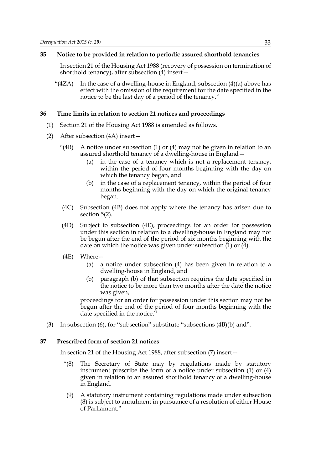### **35 Notice to be provided in relation to periodic assured shorthold tenancies**

In section 21 of the Housing Act 1988 (recovery of possession on termination of shorthold tenancy), after subsection (4) insert—

"( $4ZA$ ) In the case of a dwelling-house in England, subsection  $(4)(a)$  above has effect with the omission of the requirement for the date specified in the notice to be the last day of a period of the tenancy."

### **36 Time limits in relation to section 21 notices and proceedings**

- (1) Section 21 of the Housing Act 1988 is amended as follows.
- (2) After subsection (4A) insert—
	- "(4B) A notice under subsection (1) or (4) may not be given in relation to an assured shorthold tenancy of a dwelling-house in England—
		- (a) in the case of a tenancy which is not a replacement tenancy, within the period of four months beginning with the day on which the tenancy began, and
		- (b) in the case of a replacement tenancy, within the period of four months beginning with the day on which the original tenancy began.
	- (4C) Subsection (4B) does not apply where the tenancy has arisen due to section 5(2).
	- (4D) Subject to subsection (4E), proceedings for an order for possession under this section in relation to a dwelling-house in England may not be begun after the end of the period of six months beginning with the date on which the notice was given under subsection (1) or (4).
	- (4E) Where—
		- (a) a notice under subsection (4) has been given in relation to a dwelling-house in England, and
		- (b) paragraph (b) of that subsection requires the date specified in the notice to be more than two months after the date the notice was given,

proceedings for an order for possession under this section may not be begun after the end of the period of four months beginning with the date specified in the notice."

(3) In subsection (6), for "subsection" substitute "subsections (4B)(b) and".

### **37 Prescribed form of section 21 notices**

In section 21 of the Housing Act 1988, after subsection (7) insert—

- "(8) The Secretary of State may by regulations made by statutory instrument prescribe the form of a notice under subsection (1) or (4) given in relation to an assured shorthold tenancy of a dwelling-house in England.
- (9) A statutory instrument containing regulations made under subsection (8) is subject to annulment in pursuance of a resolution of either House of Parliament."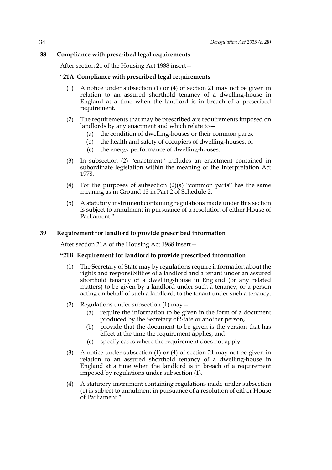# **38 Compliance with prescribed legal requirements**

After section 21 of the Housing Act 1988 insert—

# **"21A Compliance with prescribed legal requirements**

- (1) A notice under subsection (1) or (4) of section 21 may not be given in relation to an assured shorthold tenancy of a dwelling-house in England at a time when the landlord is in breach of a prescribed requirement.
- (2) The requirements that may be prescribed are requirements imposed on landlords by any enactment and which relate to—
	- (a) the condition of dwelling-houses or their common parts,
	- (b) the health and safety of occupiers of dwelling-houses, or
	- (c) the energy performance of dwelling-houses.
- (3) In subsection (2) "enactment" includes an enactment contained in subordinate legislation within the meaning of the Interpretation Act 1978.
- (4) For the purposes of subsection (2)(a) "common parts" has the same meaning as in Ground 13 in Part 2 of Schedule 2.
- (5) A statutory instrument containing regulations made under this section is subject to annulment in pursuance of a resolution of either House of Parliament."

## **39 Requirement for landlord to provide prescribed information**

After section 21A of the Housing Act 1988 insert—

## **"21B Requirement for landlord to provide prescribed information**

- (1) The Secretary of State may by regulations require information about the rights and responsibilities of a landlord and a tenant under an assured shorthold tenancy of a dwelling-house in England (or any related matters) to be given by a landlord under such a tenancy, or a person acting on behalf of such a landlord, to the tenant under such a tenancy.
- (2) Regulations under subsection  $(1)$  may  $-$ 
	- (a) require the information to be given in the form of a document produced by the Secretary of State or another person,
	- (b) provide that the document to be given is the version that has effect at the time the requirement applies, and
	- (c) specify cases where the requirement does not apply.
- (3) A notice under subsection (1) or (4) of section 21 may not be given in relation to an assured shorthold tenancy of a dwelling-house in England at a time when the landlord is in breach of a requirement imposed by regulations under subsection (1).
- (4) A statutory instrument containing regulations made under subsection (1) is subject to annulment in pursuance of a resolution of either House of Parliament."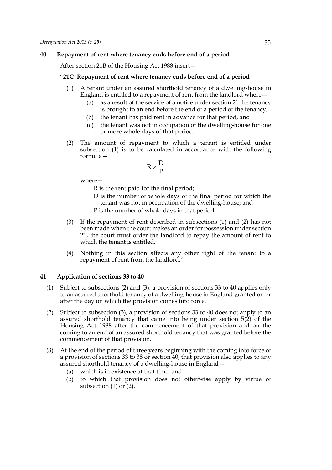### **40 Repayment of rent where tenancy ends before end of a period**

After section 21B of the Housing Act 1988 insert—

### **"21C Repayment of rent where tenancy ends before end of a period**

- (1) A tenant under an assured shorthold tenancy of a dwelling-house in England is entitled to a repayment of rent from the landlord where—
	- (a) as a result of the service of a notice under section 21 the tenancy is brought to an end before the end of a period of the tenancy,
	- (b) the tenant has paid rent in advance for that period, and
	- (c) the tenant was not in occupation of the dwelling-house for one or more whole days of that period.
- (2) The amount of repayment to which a tenant is entitled under subsection (1) is to be calculated in accordance with the following formula—

$$
R \times \frac{D}{P}
$$

where—

R is the rent paid for the final period;

- D is the number of whole days of the final period for which the tenant was not in occupation of the dwelling-house; and P is the number of whole days in that period.
- (3) If the repayment of rent described in subsections (1) and (2) has not been made when the court makes an order for possession under section 21, the court must order the landlord to repay the amount of rent to which the tenant is entitled.
- (4) Nothing in this section affects any other right of the tenant to a repayment of rent from the landlord."

### **41 Application of sections 33 to 40**

- (1) Subject to subsections (2) and (3), a provision of sections 33 to 40 applies only to an assured shorthold tenancy of a dwelling-house in England granted on or after the day on which the provision comes into force.
- (2) Subject to subsection (3), a provision of sections 33 to 40 does not apply to an assured shorthold tenancy that came into being under section 5(2) of the Housing Act 1988 after the commencement of that provision and on the coming to an end of an assured shorthold tenancy that was granted before the commencement of that provision.
- (3) At the end of the period of three years beginning with the coming into force of a provision of sections 33 to 38 or section 40, that provision also applies to any assured shorthold tenancy of a dwelling-house in England—
	- (a) which is in existence at that time, and
	- (b) to which that provision does not otherwise apply by virtue of subsection  $(1)$  or  $(2)$ .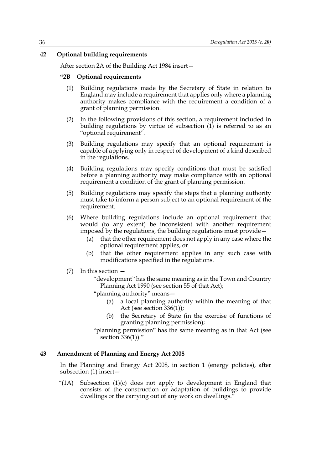## **42 Optional building requirements**

After section 2A of the Building Act 1984 insert—

# **"2B Optional requirements**

- (1) Building regulations made by the Secretary of State in relation to England may include a requirement that applies only where a planning authority makes compliance with the requirement a condition of a grant of planning permission.
- (2) In the following provisions of this section, a requirement included in building regulations by virtue of subsection  $(1)$  is referred to as an "optional requirement".
- (3) Building regulations may specify that an optional requirement is capable of applying only in respect of development of a kind described in the regulations.
- (4) Building regulations may specify conditions that must be satisfied before a planning authority may make compliance with an optional requirement a condition of the grant of planning permission.
- (5) Building regulations may specify the steps that a planning authority must take to inform a person subject to an optional requirement of the requirement.
- (6) Where building regulations include an optional requirement that would (to any extent) be inconsistent with another requirement imposed by the regulations, the building regulations must provide—
	- (a) that the other requirement does not apply in any case where the optional requirement applies, or
	- (b) that the other requirement applies in any such case with modifications specified in the regulations.
- (7) In this section
	- "development" has the same meaning as in the Town and Country Planning Act 1990 (see section 55 of that Act);
	- "planning authority" means—
		- (a) a local planning authority within the meaning of that Act (see section 336(1));
		- (b) the Secretary of State (in the exercise of functions of granting planning permission);
	- "planning permission" has the same meaning as in that Act (see section  $336(1)$ ."

#### **43 Amendment of Planning and Energy Act 2008**

In the Planning and Energy Act 2008, in section 1 (energy policies), after subsection (1) insert—

"(1A) Subsection (1)(c) does not apply to development in England that consists of the construction or adaptation of buildings to provide dwellings or the carrying out of any work on dwellings."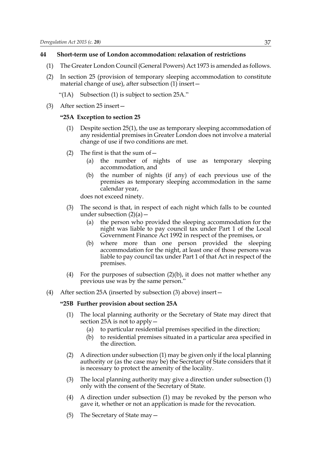# **44 Short-term use of London accommodation: relaxation of restrictions**

- (1) The Greater London Council (General Powers) Act 1973 is amended as follows.
- (2) In section 25 (provision of temporary sleeping accommodation to constitute material change of use), after subsection (1) insert—
	- "(1A) Subsection (1) is subject to section 25A."
- (3) After section 25 insert—

# **"25A Exception to section 25**

- (1) Despite section 25(1), the use as temporary sleeping accommodation of any residential premises in Greater London does not involve a material change of use if two conditions are met.
- (2) The first is that the sum of  $-$ 
	- (a) the number of nights of use as temporary sleeping accommodation, and
	- (b) the number of nights (if any) of each previous use of the premises as temporary sleeping accommodation in the same calendar year,

does not exceed ninety.

- (3) The second is that, in respect of each night which falls to be counted under subsection  $(2)(a)$  –
	- (a) the person who provided the sleeping accommodation for the night was liable to pay council tax under Part 1 of the Local Government Finance Act 1992 in respect of the premises, or
	- (b) where more than one person provided the sleeping accommodation for the night, at least one of those persons was liable to pay council tax under Part 1 of that Act in respect of the premises.
- (4) For the purposes of subsection  $(2)(b)$ , it does not matter whether any previous use was by the same person."
- (4) After section 25A (inserted by subsection (3) above) insert—

# **"25B Further provision about section 25A**

- (1) The local planning authority or the Secretary of State may direct that section 25A is not to apply—
	- (a) to particular residential premises specified in the direction;
	- (b) to residential premises situated in a particular area specified in the direction.
- (2) A direction under subsection (1) may be given only if the local planning authority or (as the case may be) the Secretary of State considers that it is necessary to protect the amenity of the locality.
- (3) The local planning authority may give a direction under subsection (1) only with the consent of the Secretary of State.
- (4) A direction under subsection (1) may be revoked by the person who gave it, whether or not an application is made for the revocation.
- (5) The Secretary of State may—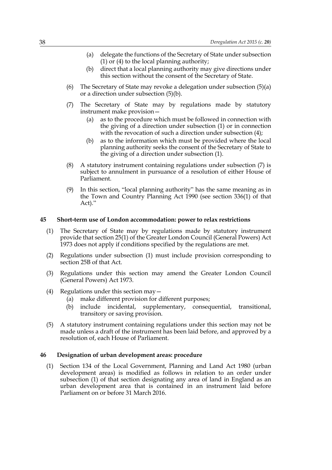- (a) delegate the functions of the Secretary of State under subsection (1) or (4) to the local planning authority;
- (b) direct that a local planning authority may give directions under this section without the consent of the Secretary of State.
- (6) The Secretary of State may revoke a delegation under subsection (5)(a) or a direction under subsection (5)(b).
- (7) The Secretary of State may by regulations made by statutory instrument make provision—
	- (a) as to the procedure which must be followed in connection with the giving of a direction under subsection (1) or in connection with the revocation of such a direction under subsection  $(4)$ ;
	- (b) as to the information which must be provided where the local planning authority seeks the consent of the Secretary of State to the giving of a direction under subsection (1).
- (8) A statutory instrument containing regulations under subsection (7) is subject to annulment in pursuance of a resolution of either House of Parliament.
- (9) In this section, "local planning authority" has the same meaning as in the Town and Country Planning Act 1990 (see section 336(1) of that Act)."

#### **45 Short-term use of London accommodation: power to relax restrictions**

- (1) The Secretary of State may by regulations made by statutory instrument provide that section 25(1) of the Greater London Council (General Powers) Act 1973 does not apply if conditions specified by the regulations are met.
- (2) Regulations under subsection (1) must include provision corresponding to section 25B of that Act.
- (3) Regulations under this section may amend the Greater London Council (General Powers) Act 1973.
- (4) Regulations under this section may—
	- (a) make different provision for different purposes;
	- (b) include incidental, supplementary, consequential, transitional, transitory or saving provision.
- (5) A statutory instrument containing regulations under this section may not be made unless a draft of the instrument has been laid before, and approved by a resolution of, each House of Parliament.

### **46 Designation of urban development areas: procedure**

(1) Section 134 of the Local Government, Planning and Land Act 1980 (urban development areas) is modified as follows in relation to an order under subsection (1) of that section designating any area of land in England as an urban development area that is contained in an instrument laid before Parliament on or before 31 March 2016.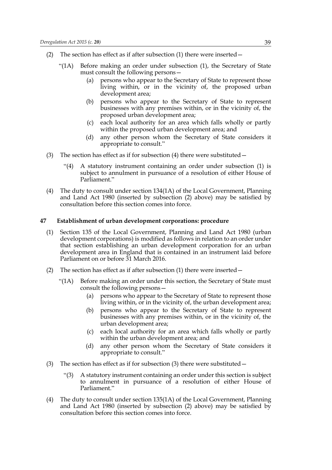- (2) The section has effect as if after subsection (1) there were inserted—
	- "(1A) Before making an order under subsection (1), the Secretary of State must consult the following persons—
		- (a) persons who appear to the Secretary of State to represent those living within, or in the vicinity of, the proposed urban development area;
		- (b) persons who appear to the Secretary of State to represent businesses with any premises within, or in the vicinity of, the proposed urban development area;
		- (c) each local authority for an area which falls wholly or partly within the proposed urban development area; and
		- (d) any other person whom the Secretary of State considers it appropriate to consult."
- (3) The section has effect as if for subsection (4) there were substituted—
	- "(4) A statutory instrument containing an order under subsection (1) is subject to annulment in pursuance of a resolution of either House of Parliament."
- (4) The duty to consult under section 134(1A) of the Local Government, Planning and Land Act 1980 (inserted by subsection (2) above) may be satisfied by consultation before this section comes into force.

### **47 Establishment of urban development corporations: procedure**

- (1) Section 135 of the Local Government, Planning and Land Act 1980 (urban development corporations) is modified as follows in relation to an order under that section establishing an urban development corporation for an urban development area in England that is contained in an instrument laid before Parliament on or before 31 March 2016.
- (2) The section has effect as if after subsection (1) there were inserted—
	- "(1A) Before making an order under this section, the Secretary of State must consult the following persons—
		- (a) persons who appear to the Secretary of State to represent those living within, or in the vicinity of, the urban development area;
		- (b) persons who appear to the Secretary of State to represent businesses with any premises within, or in the vicinity of, the urban development area;
		- (c) each local authority for an area which falls wholly or partly within the urban development area; and
		- (d) any other person whom the Secretary of State considers it appropriate to consult."
- (3) The section has effect as if for subsection (3) there were substituted—
	- "(3) A statutory instrument containing an order under this section is subject to annulment in pursuance of a resolution of either House of Parliament."
- (4) The duty to consult under section 135(1A) of the Local Government, Planning and Land Act 1980 (inserted by subsection (2) above) may be satisfied by consultation before this section comes into force.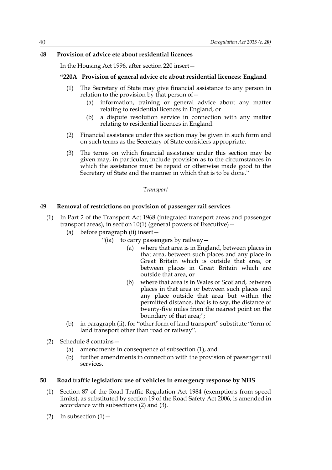# **48 Provision of advice etc about residential licences**

In the Housing Act 1996, after section 220 insert—

# **"220A Provision of general advice etc about residential licences: England**

- (1) The Secretary of State may give financial assistance to any person in relation to the provision by that person of—
	- (a) information, training or general advice about any matter relating to residential licences in England, or
	- (b) a dispute resolution service in connection with any matter relating to residential licences in England.
- (2) Financial assistance under this section may be given in such form and on such terms as the Secretary of State considers appropriate.
- (3) The terms on which financial assistance under this section may be given may, in particular, include provision as to the circumstances in which the assistance must be repaid or otherwise made good to the Secretary of State and the manner in which that is to be done."

### *Transport*

# **49 Removal of restrictions on provision of passenger rail services**

- (1) In Part 2 of the Transport Act 1968 (integrated transport areas and passenger transport areas), in section 10(1) (general powers of Executive)  $-$ 
	- (a) before paragraph (ii) insert—
		- "(ia) to carry passengers by railway—
			- (a) where that area is in England, between places in that area, between such places and any place in Great Britain which is outside that area, or between places in Great Britain which are outside that area, or
			- (b) where that area is in Wales or Scotland, between places in that area or between such places and any place outside that area but within the permitted distance, that is to say, the distance of twenty-five miles from the nearest point on the boundary of that area;";
	- (b) in paragraph (ii), for "other form of land transport" substitute "form of land transport other than road or railway".
- (2) Schedule 8 contains—
	- (a) amendments in consequence of subsection (1), and
	- (b) further amendments in connection with the provision of passenger rail services.

# **50 Road traffic legislation: use of vehicles in emergency response by NHS**

- (1) Section 87 of the Road Traffic Regulation Act 1984 (exemptions from speed limits), as substituted by section 19 of the Road Safety Act 2006, is amended in accordance with subsections (2) and (3).
- (2) In subsection  $(1)$  -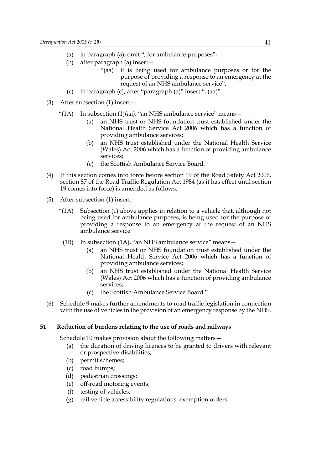- (a) in paragraph (a), omit ", for ambulance purposes";
- (b) after paragraph (a) insert—
	- "(aa) it is being used for ambulance purposes or for the purpose of providing a response to an emergency at the request of an NHS ambulance service";
- (c) in paragraph (c), after "paragraph (a)" insert ", (aa)".
- (3) After subsection (1) insert—
	- "(1A) In subsection (1)(aa), "an NHS ambulance service" means $-$ 
		- (a) an NHS trust or NHS foundation trust established under the National Health Service Act 2006 which has a function of providing ambulance services;
		- (b) an NHS trust established under the National Health Service (Wales) Act 2006 which has a function of providing ambulance services;
		- (c) the Scottish Ambulance Service Board."
- (4) If this section comes into force before section 19 of the Road Safety Act 2006, section 87 of the Road Traffic Regulation Act 1984 (as it has effect until section 19 comes into force) is amended as follows.
- (5) After subsection (1) insert—
	- "(1A) Subsection (1) above applies in relation to a vehicle that, although not being used for ambulance purposes, is being used for the purpose of providing a response to an emergency at the request of an NHS ambulance service.
		- (1B) In subsection (1A), "an NHS ambulance service" means—
			- (a) an NHS trust or NHS foundation trust established under the National Health Service Act 2006 which has a function of providing ambulance services;
			- (b) an NHS trust established under the National Health Service (Wales) Act 2006 which has a function of providing ambulance services;
			- (c) the Scottish Ambulance Service Board."
- (6) Schedule 9 makes further amendments to road traffic legislation in connection with the use of vehicles in the provision of an emergency response by the NHS.

## **51 Reduction of burdens relating to the use of roads and railways**

Schedule 10 makes provision about the following matters—

- (a) the duration of driving licences to be granted to drivers with relevant or prospective disabilities;
- (b) permit schemes;
- (c) road humps;
- (d) pedestrian crossings;
- (e) off-road motoring events;
- (f) testing of vehicles;
- (g) rail vehicle accessibility regulations: exemption orders.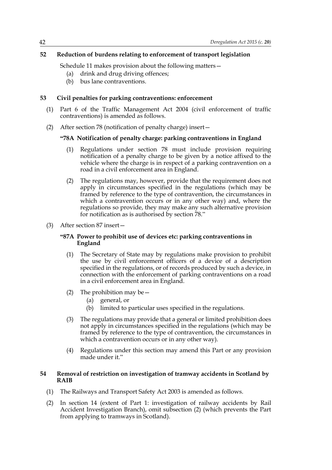# **52 Reduction of burdens relating to enforcement of transport legislation**

Schedule 11 makes provision about the following matters—

- (a) drink and drug driving offences;
- (b) bus lane contraventions.

# **53 Civil penalties for parking contraventions: enforcement**

- (1) Part 6 of the Traffic Management Act 2004 (civil enforcement of traffic contraventions) is amended as follows.
- (2) After section 78 (notification of penalty charge) insert—

## **"78A Notification of penalty charge: parking contraventions in England**

- (1) Regulations under section 78 must include provision requiring notification of a penalty charge to be given by a notice affixed to the vehicle where the charge is in respect of a parking contravention on a road in a civil enforcement area in England.
- (2) The regulations may, however, provide that the requirement does not apply in circumstances specified in the regulations (which may be framed by reference to the type of contravention, the circumstances in which a contravention occurs or in any other way) and, where the regulations so provide, they may make any such alternative provision for notification as is authorised by section 78."
- (3) After section 87 insert—

## **"87A Power to prohibit use of devices etc: parking contraventions in England**

- (1) The Secretary of State may by regulations make provision to prohibit the use by civil enforcement officers of a device of a description specified in the regulations, or of records produced by such a device, in connection with the enforcement of parking contraventions on a road in a civil enforcement area in England.
- (2) The prohibition may be  $-$ 
	- (a) general, or
	- (b) limited to particular uses specified in the regulations.
- (3) The regulations may provide that a general or limited prohibition does not apply in circumstances specified in the regulations (which may be framed by reference to the type of contravention, the circumstances in which a contravention occurs or in any other way).
- (4) Regulations under this section may amend this Part or any provision made under it."

# **54 Removal of restriction on investigation of tramway accidents in Scotland by RAIB**

- (1) The Railways and Transport Safety Act 2003 is amended as follows.
- (2) In section 14 (extent of Part 1: investigation of railway accidents by Rail Accident Investigation Branch), omit subsection (2) (which prevents the Part from applying to tramways in Scotland).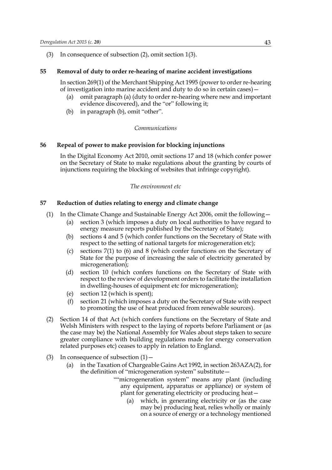### (3) In consequence of subsection (2), omit section 1(3).

# **55 Removal of duty to order re-hearing of marine accident investigations**

In section 269(1) of the Merchant Shipping Act 1995 (power to order re-hearing of investigation into marine accident and duty to do so in certain cases)—

- (a) omit paragraph (a) (duty to order re-hearing where new and important evidence discovered), and the "or" following it;
- (b) in paragraph (b), omit "other".

### *Communications*

# **56 Repeal of power to make provision for blocking injunctions**

In the Digital Economy Act 2010, omit sections 17 and 18 (which confer power on the Secretary of State to make regulations about the granting by courts of injunctions requiring the blocking of websites that infringe copyright).

### *The environment etc*

### **57 Reduction of duties relating to energy and climate change**

- (1) In the Climate Change and Sustainable Energy Act 2006, omit the following—
	- (a) section 3 (which imposes a duty on local authorities to have regard to energy measure reports published by the Secretary of State);
	- (b) sections 4 and 5 (which confer functions on the Secretary of State with respect to the setting of national targets for microgeneration etc);
	- (c) sections 7(1) to (6) and 8 (which confer functions on the Secretary of State for the purpose of increasing the sale of electricity generated by microgeneration);
	- (d) section 10 (which confers functions on the Secretary of State with respect to the review of development orders to facilitate the installation in dwelling-houses of equipment etc for microgeneration);
	- (e) section 12 (which is spent);
	- (f) section 21 (which imposes a duty on the Secretary of State with respect to promoting the use of heat produced from renewable sources).
- (2) Section 14 of that Act (which confers functions on the Secretary of State and Welsh Ministers with respect to the laying of reports before Parliament or (as the case may be) the National Assembly for Wales about steps taken to secure greater compliance with building regulations made for energy conservation related purposes etc) ceases to apply in relation to England.
- (3) In consequence of subsection  $(1)$ 
	- (a) in the Taxation of Chargeable Gains Act 1992, in section 263AZA(2), for the definition of "microgeneration system" substitute—
		- ""microgeneration system" means any plant (including any equipment, apparatus or appliance) or system of plant for generating electricity or producing heat—
			- (a) which, in generating electricity or (as the case may be) producing heat, relies wholly or mainly on a source of energy or a technology mentioned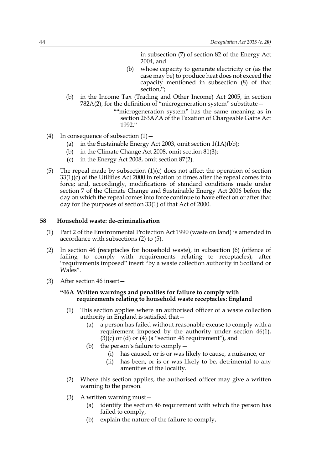in subsection (7) of section 82 of the Energy Act 2004, and

- (b) whose capacity to generate electricity or (as the case may be) to produce heat does not exceed the capacity mentioned in subsection (8) of that section,";
- (b) in the Income Tax (Trading and Other Income) Act 2005, in section 782A(2), for the definition of "microgeneration system" substitute—
	- ""microgeneration system" has the same meaning as in section 263AZA of the Taxation of Chargeable Gains Act 1992."
- (4) In consequence of subsection  $(1)$ 
	- (a) in the Sustainable Energy Act 2003, omit section 1(1A)(bb);
	- (b) in the Climate Change Act 2008, omit section 81(3);
	- (c) in the Energy Act 2008, omit section 87(2).
- (5) The repeal made by subsection  $(1)(c)$  does not affect the operation of section 33(1)(c) of the Utilities Act 2000 in relation to times after the repeal comes into force; and, accordingly, modifications of standard conditions made under section 7 of the Climate Change and Sustainable Energy Act 2006 before the day on which the repeal comes into force continue to have effect on or after that day for the purposes of section 33(1) of that Act of 2000.

## **58 Household waste: de-criminalisation**

- (1) Part 2 of the Environmental Protection Act 1990 (waste on land) is amended in accordance with subsections (2) to (5).
- (2) In section 46 (receptacles for household waste), in subsection (6) (offence of failing to comply with requirements relating to receptacles), after "requirements imposed" insert "by a waste collection authority in Scotland or Wales".
- (3) After section 46 insert—

## **"46A Written warnings and penalties for failure to comply with requirements relating to household waste receptacles: England**

- (1) This section applies where an authorised officer of a waste collection authority in England is satisfied that—
	- (a) a person has failed without reasonable excuse to comply with a requirement imposed by the authority under section 46(1),  $(3)(c)$  or  $(d)$  or  $(4)$  (a "section 46 requirement"), and
	- (b) the person's failure to comply  $-$ 
		- (i) has caused, or is or was likely to cause, a nuisance, or
		- (ii) has been, or is or was likely to be, detrimental to any amenities of the locality.
- (2) Where this section applies, the authorised officer may give a written warning to the person.
- (3) A written warning must—
	- (a) identify the section 46 requirement with which the person has failed to comply,
	- (b) explain the nature of the failure to comply,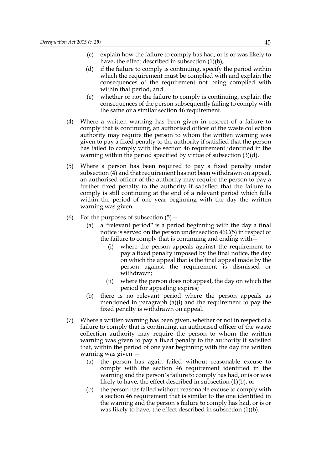- (c) explain how the failure to comply has had, or is or was likely to have, the effect described in subsection (1)(b),
- (d) if the failure to comply is continuing, specify the period within which the requirement must be complied with and explain the consequences of the requirement not being complied with within that period, and
- (e) whether or not the failure to comply is continuing, explain the consequences of the person subsequently failing to comply with the same or a similar section 46 requirement.
- (4) Where a written warning has been given in respect of a failure to comply that is continuing, an authorised officer of the waste collection authority may require the person to whom the written warning was given to pay a fixed penalty to the authority if satisfied that the person has failed to comply with the section 46 requirement identified in the warning within the period specified by virtue of subsection (3)(d).
- (5) Where a person has been required to pay a fixed penalty under subsection (4) and that requirement has not been withdrawn on appeal, an authorised officer of the authority may require the person to pay a further fixed penalty to the authority if satisfied that the failure to comply is still continuing at the end of a relevant period which falls within the period of one year beginning with the day the written warning was given.
- (6) For the purposes of subsection  $(5)$ 
	- (a) a "relevant period" is a period beginning with the day a final notice is served on the person under section 46C(5) in respect of the failure to comply that is continuing and ending with—
		- (i) where the person appeals against the requirement to pay a fixed penalty imposed by the final notice, the day on which the appeal that is the final appeal made by the person against the requirement is dismissed or withdrawn;
		- (ii) where the person does not appeal, the day on which the period for appealing expires;
	- (b) there is no relevant period where the person appeals as mentioned in paragraph (a)(i) and the requirement to pay the fixed penalty is withdrawn on appeal.
- (7) Where a written warning has been given, whether or not in respect of a failure to comply that is continuing, an authorised officer of the waste collection authority may require the person to whom the written warning was given to pay a fixed penalty to the authority if satisfied that, within the period of one year beginning with the day the written warning was given —
	- (a) the person has again failed without reasonable excuse to comply with the section 46 requirement identified in the warning and the person's failure to comply has had, or is or was likely to have, the effect described in subsection (1)(b), or
	- (b) the person has failed without reasonable excuse to comply with a section 46 requirement that is similar to the one identified in the warning and the person's failure to comply has had, or is or was likely to have, the effect described in subsection (1)(b).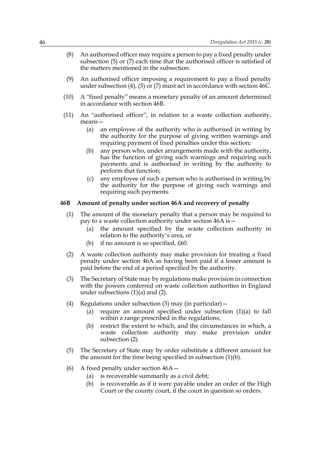- (8) An authorised officer may require a person to pay a fixed penalty under subsection (5) or (7) each time that the authorised officer is satisfied of the matters mentioned in the subsection.
- (9) An authorised officer imposing a requirement to pay a fixed penalty under subsection (4), (5) or (7) must act in accordance with section 46C.
- (10) A "fixed penalty" means a monetary penalty of an amount determined in accordance with section 46B.
- (11) An "authorised officer", in relation to a waste collection authority, means—
	- (a) an employee of the authority who is authorised in writing by the authority for the purpose of giving written warnings and requiring payment of fixed penalties under this section;
	- (b) any person who, under arrangements made with the authority, has the function of giving such warnings and requiring such payments and is authorised in writing by the authority to perform that function;
	- (c) any employee of such a person who is authorised in writing by the authority for the purpose of giving such warnings and requiring such payments.

#### **46B Amount of penalty under section 46A and recovery of penalty**

- (1) The amount of the monetary penalty that a person may be required to pay to a waste collection authority under section 46A is—
	- (a) the amount specified by the waste collection authority in relation to the authority's area, or
	- (b) if no amount is so specified,  $£60$ .
- (2) A waste collection authority may make provision for treating a fixed penalty under section 46A as having been paid if a lesser amount is paid before the end of a period specified by the authority.
- (3) The Secretary of State may by regulations make provision in connection with the powers conferred on waste collection authorities in England under subsections  $(1)(a)$  and  $(2)$ .
- (4) Regulations under subsection (3) may (in particular)—
	- (a) require an amount specified under subsection (1)(a) to fall within a range prescribed in the regulations;
	- (b) restrict the extent to which, and the circumstances in which, a waste collection authority may make provision under subsection (2).
- (5) The Secretary of State may by order substitute a different amount for the amount for the time being specified in subsection (1)(b).
- (6) A fixed penalty under section 46A—
	- (a) is recoverable summarily as a civil debt;
	- (b) is recoverable as if it were payable under an order of the High Court or the county court, if the court in question so orders.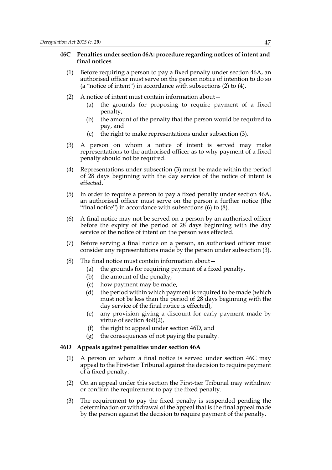## **46C Penalties under section 46A: procedure regarding notices of intent and final notices**

- (1) Before requiring a person to pay a fixed penalty under section 46A, an authorised officer must serve on the person notice of intention to do so (a "notice of intent") in accordance with subsections (2) to (4).
- (2) A notice of intent must contain information about—
	- (a) the grounds for proposing to require payment of a fixed penalty,
	- (b) the amount of the penalty that the person would be required to pay, and
	- (c) the right to make representations under subsection (3).
- (3) A person on whom a notice of intent is served may make representations to the authorised officer as to why payment of a fixed penalty should not be required.
- (4) Representations under subsection (3) must be made within the period of 28 days beginning with the day service of the notice of intent is effected.
- (5) In order to require a person to pay a fixed penalty under section 46A, an authorised officer must serve on the person a further notice (the "final notice") in accordance with subsections (6) to (8).
- (6) A final notice may not be served on a person by an authorised officer before the expiry of the period of 28 days beginning with the day service of the notice of intent on the person was effected.
- (7) Before serving a final notice on a person, an authorised officer must consider any representations made by the person under subsection (3).
- (8) The final notice must contain information about—
	- (a) the grounds for requiring payment of a fixed penalty,
	- (b) the amount of the penalty,
	- (c) how payment may be made,
	- (d) the period within which payment is required to be made (which must not be less than the period of 28 days beginning with the day service of the final notice is effected),
	- (e) any provision giving a discount for early payment made by virtue of section 46B(2),
	- (f) the right to appeal under section 46D, and
	- (g) the consequences of not paying the penalty.

### **46D Appeals against penalties under section 46A**

- (1) A person on whom a final notice is served under section 46C may appeal to the First-tier Tribunal against the decision to require payment of a fixed penalty.
- (2) On an appeal under this section the First-tier Tribunal may withdraw or confirm the requirement to pay the fixed penalty.
- (3) The requirement to pay the fixed penalty is suspended pending the determination or withdrawal of the appeal that is the final appeal made by the person against the decision to require payment of the penalty.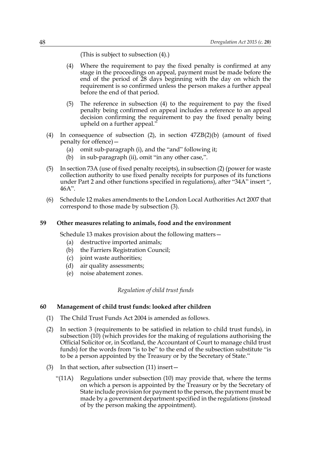(This is subject to subsection (4).)

- (4) Where the requirement to pay the fixed penalty is confirmed at any stage in the proceedings on appeal, payment must be made before the end of the period of 28 days beginning with the day on which the requirement is so confirmed unless the person makes a further appeal before the end of that period.
- (5) The reference in subsection (4) to the requirement to pay the fixed penalty being confirmed on appeal includes a reference to an appeal decision confirming the requirement to pay the fixed penalty being upheld on a further appeal."
- (4) In consequence of subsection (2), in section 47ZB(2)(b) (amount of fixed penalty for offence)—
	- (a) omit sub-paragraph (i), and the "and" following it;
	- (b) in sub-paragraph (ii), omit "in any other case,".
- (5) In section 73A (use of fixed penalty receipts), in subsection (2) (power for waste collection authority to use fixed penalty receipts for purposes of its functions under Part 2 and other functions specified in regulations), after "34A" insert ", 46A".
- (6) Schedule 12 makes amendments to the London Local Authorities Act 2007 that correspond to those made by subsection (3).

## **59 Other measures relating to animals, food and the environment**

Schedule 13 makes provision about the following matters—

- (a) destructive imported animals;
- (b) the Farriers Registration Council;
- (c) joint waste authorities;
- (d) air quality assessments;
- (e) noise abatement zones.

# *Regulation of child trust funds*

# **60 Management of child trust funds: looked after children**

- (1) The Child Trust Funds Act 2004 is amended as follows.
- (2) In section 3 (requirements to be satisfied in relation to child trust funds), in subsection (10) (which provides for the making of regulations authorising the Official Solicitor or, in Scotland, the Accountant of Court to manage child trust funds) for the words from "is to be" to the end of the subsection substitute "is to be a person appointed by the Treasury or by the Secretary of State."
- (3) In that section, after subsection (11) insert—
	- "(11A) Regulations under subsection (10) may provide that, where the terms on which a person is appointed by the Treasury or by the Secretary of State include provision for payment to the person, the payment must be made by a government department specified in the regulations (instead of by the person making the appointment).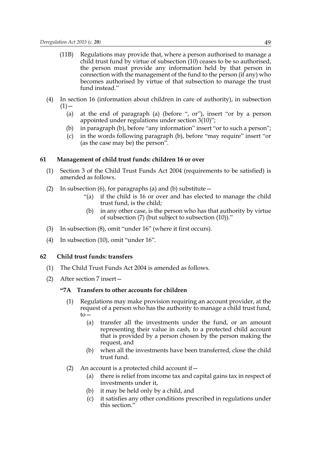- (11B) Regulations may provide that, where a person authorised to manage a child trust fund by virtue of subsection (10) ceases to be so authorised, the person must provide any information held by that person in connection with the management of the fund to the person (if any) who becomes authorised by virtue of that subsection to manage the trust fund instead."
- (4) In section 16 (information about children in care of authority), in subsection  $(1)$  —
	- (a) at the end of paragraph (a) (before ", or"), insert "or by a person appointed under regulations under section 3(10)";
	- (b) in paragraph (b), before "any information" insert "or to such a person";
	- (c) in the words following paragraph (b), before "may require" insert "or (as the case may be) the person".

#### **61 Management of child trust funds: children 16 or over**

- (1) Section 3 of the Child Trust Funds Act 2004 (requirements to be satisfied) is amended as follows.
- (2) In subsection (6), for paragraphs (a) and (b) substitute  $-$ 
	- "(a) if the child is 16 or over and has elected to manage the child trust fund, is the child;
	- (b) in any other case, is the person who has that authority by virtue of subsection (7) (but subject to subsection (10))."
- (3) In subsection (8), omit "under 16" (where it first occurs).
- (4) In subsection (10), omit "under 16".

# **62 Child trust funds: transfers**

- (1) The Child Trust Funds Act 2004 is amended as follows.
- (2) After section 7 insert—

# **"7A Transfers to other accounts for children**

- (1) Regulations may make provision requiring an account provider, at the request of a person who has the authority to manage a child trust fund,  $\overline{t}$ 
	- (a) transfer all the investments under the fund, or an amount representing their value in cash, to a protected child account that is provided by a person chosen by the person making the request, and
	- (b) when all the investments have been transferred, close the child trust fund.
- (2) An account is a protected child account if  $-$ 
	- (a) there is relief from income tax and capital gains tax in respect of investments under it,
	- (b) it may be held only by a child, and
	- (c) it satisfies any other conditions prescribed in regulations under this section."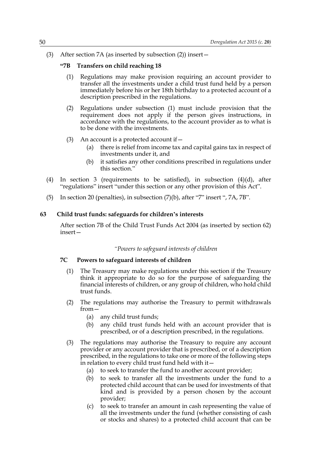(3) After section 7A (as inserted by subsection (2)) insert—

### **"7B Transfers on child reaching 18**

- (1) Regulations may make provision requiring an account provider to transfer all the investments under a child trust fund held by a person immediately before his or her 18th birthday to a protected account of a description prescribed in the regulations.
- (2) Regulations under subsection (1) must include provision that the requirement does not apply if the person gives instructions, in accordance with the regulations, to the account provider as to what is to be done with the investments.
- (3) An account is a protected account if  $-$ 
	- (a) there is relief from income tax and capital gains tax in respect of investments under it, and
	- (b) it satisfies any other conditions prescribed in regulations under this section."
- (4) In section 3 (requirements to be satisfied), in subsection (4)(d), after "regulations" insert "under this section or any other provision of this Act".
- (5) In section 20 (penalties), in subsection (7)(b), after "7" insert ", 7A, 7B".

### **63 Child trust funds: safeguards for children's interests**

After section 7B of the Child Trust Funds Act 2004 (as inserted by section 62) insert—

### *"Powers to safeguard interests of children*

## **7C Powers to safeguard interests of children**

- (1) The Treasury may make regulations under this section if the Treasury think it appropriate to do so for the purpose of safeguarding the financial interests of children, or any group of children, who hold child trust funds.
- (2) The regulations may authorise the Treasury to permit withdrawals from—
	- (a) any child trust funds;
	- (b) any child trust funds held with an account provider that is prescribed, or of a description prescribed, in the regulations.
- (3) The regulations may authorise the Treasury to require any account provider or any account provider that is prescribed, or of a description prescribed, in the regulations to take one or more of the following steps in relation to every child trust fund held with it—
	- (a) to seek to transfer the fund to another account provider;
	- (b) to seek to transfer all the investments under the fund to a protected child account that can be used for investments of that kind and is provided by a person chosen by the account provider;
	- (c) to seek to transfer an amount in cash representing the value of all the investments under the fund (whether consisting of cash or stocks and shares) to a protected child account that can be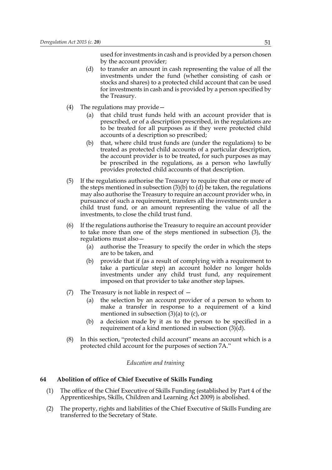used for investments in cash and is provided by a person chosen by the account provider;

- (d) to transfer an amount in cash representing the value of all the investments under the fund (whether consisting of cash or stocks and shares) to a protected child account that can be used for investments in cash and is provided by a person specified by the Treasury.
- (4) The regulations may provide—
	- (a) that child trust funds held with an account provider that is prescribed, or of a description prescribed, in the regulations are to be treated for all purposes as if they were protected child accounts of a description so prescribed;
	- (b) that, where child trust funds are (under the regulations) to be treated as protected child accounts of a particular description, the account provider is to be treated, for such purposes as may be prescribed in the regulations, as a person who lawfully provides protected child accounts of that description.
- (5) If the regulations authorise the Treasury to require that one or more of the steps mentioned in subsection  $(3)(b)$  to  $(d)$  be taken, the regulations may also authorise the Treasury to require an account provider who, in pursuance of such a requirement, transfers all the investments under a child trust fund, or an amount representing the value of all the investments, to close the child trust fund.
- (6) If the regulations authorise the Treasury to require an account provider to take more than one of the steps mentioned in subsection (3), the regulations must also—
	- (a) authorise the Treasury to specify the order in which the steps are to be taken, and
	- (b) provide that if (as a result of complying with a requirement to take a particular step) an account holder no longer holds investments under any child trust fund, any requirement imposed on that provider to take another step lapses.
- (7) The Treasury is not liable in respect of
	- (a) the selection by an account provider of a person to whom to make a transfer in response to a requirement of a kind mentioned in subsection  $(3)(a)$  to  $(c)$ , or
	- (b) a decision made by it as to the person to be specified in a requirement of a kind mentioned in subsection (3)(d).
- (8) In this section, "protected child account" means an account which is a protected child account for the purposes of section 7A."

### *Education and training*

## **64 Abolition of office of Chief Executive of Skills Funding**

- (1) The office of the Chief Executive of Skills Funding (established by Part 4 of the Apprenticeships, Skills, Children and Learning Act 2009) is abolished.
- (2) The property, rights and liabilities of the Chief Executive of Skills Funding are transferred to the Secretary of State.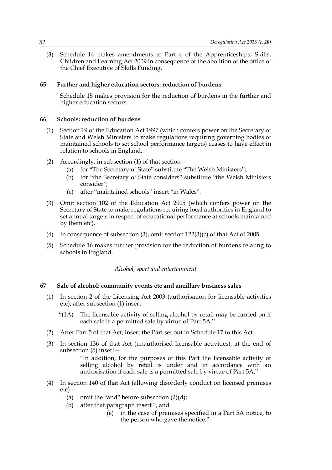(3) Schedule 14 makes amendments to Part 4 of the Apprenticeships, Skills, Children and Learning Act 2009 in consequence of the abolition of the office of the Chief Executive of Skills Funding.

# **65 Further and higher education sectors: reduction of burdens**

Schedule 15 makes provision for the reduction of burdens in the further and higher education sectors.

# **66 Schools: reduction of burdens**

- (1) Section 19 of the Education Act 1997 (which confers power on the Secretary of State and Welsh Ministers to make regulations requiring governing bodies of maintained schools to set school performance targets) ceases to have effect in relation to schools in England.
- (2) Accordingly, in subsection (1) of that section—
	- (a) for "The Secretary of State" substitute "The Welsh Ministers";
	- (b) for "the Secretary of State considers" substitute "the Welsh Ministers consider";
	- (c) after "maintained schools" insert "in Wales".
- (3) Omit section 102 of the Education Act 2005 (which confers power on the Secretary of State to make regulations requiring local authorities in England to set annual targets in respect of educational performance at schools maintained by them etc).
- (4) In consequence of subsection (3), omit section 122(3)(c) of that Act of 2005.
- (5) Schedule 16 makes further provision for the reduction of burdens relating to schools in England.

# *Alcohol, sport and entertainment*

# **67 Sale of alcohol: community events etc and ancillary business sales**

- (1) In section 2 of the Licensing Act 2003 (authorisation for licensable activities etc), after subsection (1) insert—
	- "(1A) The licensable activity of selling alcohol by retail may be carried on if each sale is a permitted sale by virtue of Part 5A."
- (2) After Part 5 of that Act, insert the Part set out in Schedule 17 to this Act.
- (3) In section 136 of that Act (unauthorised licensable activities), at the end of subsection (5) insert—

 "In addition, for the purposes of this Part the licensable activity of selling alcohol by retail is under and in accordance with an authorisation if each sale is a permitted sale by virtue of Part 5A."

- (4) In section 140 of that Act (allowing disorderly conduct on licensed premises etc)—
	- (a) omit the "and" before subsection  $(2)(d)$ ;
	- (b) after that paragraph insert ", and
		- (e) in the case of premises specified in a Part 5A notice, to the person who gave the notice."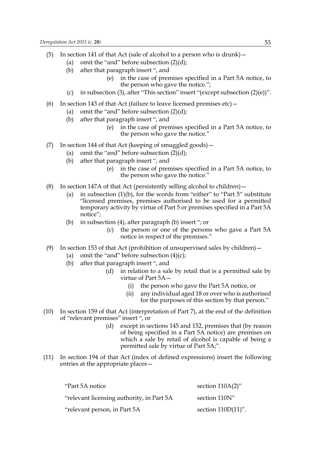- (5) In section 141 of that Act (sale of alcohol to a person who is drunk)—
	- (a) omit the "and" before subsection  $(2)(d)$ ;
	- (b) after that paragraph insert ", and
		- (e) in the case of premises specified in a Part 5A notice, to the person who gave the notice.";
	- (c) in subsection (3), after "This section" insert "(except subsection  $(2)(e)$ )".
- (6) In section 143 of that Act (failure to leave licensed premises  $etc$ )
	- (a) omit the "and" before subsection  $(2)(d)$ ;
	- (b) after that paragraph insert ", and
		- (e) in the case of premises specified in a Part 5A notice, to the person who gave the notice."
- (7) In section 144 of that Act (keeping of smuggled goods)—
	- (a) omit the "and" before subsection  $(2)(d)$ ;
	- (b) after that paragraph insert ", and
		- (e) in the case of premises specified in a Part 5A notice, to the person who gave the notice."
- (8) In section 147A of that Act (persistently selling alcohol to children)—
	- (a) in subsection (1)(b), for the words from "either" to "Part 5" substitute "licensed premises, premises authorised to be used for a permitted temporary activity by virtue of Part 5 or premises specified in a Part 5A notice";
	- (b) in subsection (4), after paragraph (b) insert "; or
		- (c) the person or one of the persons who gave a Part 5A notice in respect of the premises."
- (9) In section 153 of that Act (prohibition of unsupervised sales by children)—
	- (a) omit the "and" before subsection  $(4)(c)$ ;
	- (b) after that paragraph insert ", and
		- (d) in relation to a sale by retail that is a permitted sale by virtue of Part 5A—
			- (i) the person who gave the Part 5A notice, or
			- (ii) any individual aged 18 or over who is authorised for the purposes of this section by that person."
- (10) In section 159 of that Act (interpretation of Part 7), at the end of the definition of "relevant premises" insert ", or
	- (d) except in sections 145 and 152, premises that (by reason of being specified in a Part 5A notice) are premises on which a sale by retail of alcohol is capable of being a permitted sale by virtue of Part 5A;".
- (11) In section 194 of that Act (index of defined expressions) insert the following entries at the appropriate places—

| "Part 5A notice                           | section $110A(2)$ "   |
|-------------------------------------------|-----------------------|
| relevant licensing authority, in Part 5A" | section 110N"         |
| "relevant person, in Part 5A              | section $110D(11)$ ". |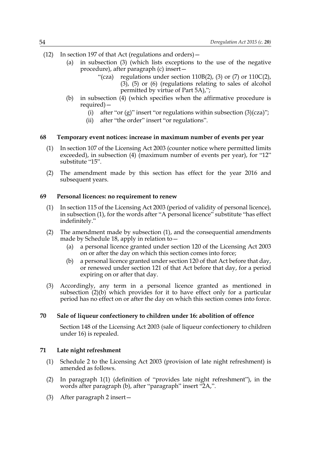- (12) In section 197 of that Act (regulations and orders)—
	- (a) in subsection (3) (which lists exceptions to the use of the negative procedure), after paragraph (c) insert—
		- "(cza) regulations under section  $110B(2)$ , (3) or (7) or  $110C(2)$ , (3), (5) or (6) (regulations relating to sales of alcohol permitted by virtue of Part 5A),";
	- (b) in subsection (4) (which specifies when the affirmative procedure is required)—
		- (i) after "or (g)" insert "or regulations within subsection  $(3)(cza)$ ";
		- (ii) after "the order" insert "or regulations".

#### **68 Temporary event notices: increase in maximum number of events per year**

- (1) In section 107 of the Licensing Act 2003 (counter notice where permitted limits exceeded), in subsection (4) (maximum number of events per year), for "12" substitute "15".
- (2) The amendment made by this section has effect for the year 2016 and subsequent years.

#### **69 Personal licences: no requirement to renew**

- (1) In section 115 of the Licensing Act 2003 (period of validity of personal licence), in subsection (1), for the words after "A personal licence" substitute "has effect indefinitely."
- (2) The amendment made by subsection (1), and the consequential amendments made by Schedule 18, apply in relation to—
	- (a) a personal licence granted under section 120 of the Licensing Act 2003 on or after the day on which this section comes into force;
	- (b) a personal licence granted under section 120 of that Act before that day, or renewed under section 121 of that Act before that day, for a period expiring on or after that day.
- (3) Accordingly, any term in a personal licence granted as mentioned in subsection (2)(b) which provides for it to have effect only for a particular period has no effect on or after the day on which this section comes into force.

## **70 Sale of liqueur confectionery to children under 16: abolition of offence**

Section 148 of the Licensing Act 2003 (sale of liqueur confectionery to children under 16) is repealed.

### **71 Late night refreshment**

- (1) Schedule 2 to the Licensing Act 2003 (provision of late night refreshment) is amended as follows.
- (2) In paragraph 1(1) (definition of "provides late night refreshment"), in the words after paragraph (b), after "paragraph" insert "2A,".
- (3) After paragraph 2 insert—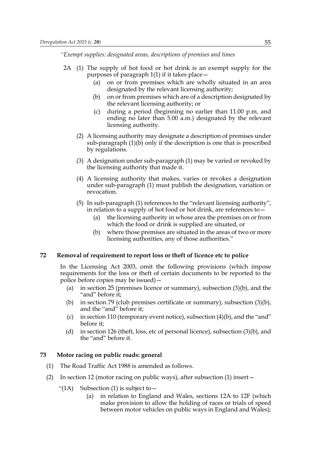*"Exempt supplies: designated areas, descriptions of premises and times*

- 2A (1) The supply of hot food or hot drink is an exempt supply for the purposes of paragraph 1(1) if it takes place—
	- (a) on or from premises which are wholly situated in an area designated by the relevant licensing authority;
	- (b) on or from premises which are of a description designated by the relevant licensing authority; or
	- (c) during a period (beginning no earlier than 11.00 p.m. and ending no later than 5.00 a.m.) designated by the relevant licensing authority.
	- (2) A licensing authority may designate a description of premises under sub-paragraph (1)(b) only if the description is one that is prescribed by regulations.
	- (3) A designation under sub-paragraph (1) may be varied or revoked by the licensing authority that made it.
	- (4) A licensing authority that makes, varies or revokes a designation under sub-paragraph (1) must publish the designation, variation or revocation.
	- (5) In sub-paragraph (1) references to the "relevant licensing authority", in relation to a supply of hot food or hot drink, are references to—
		- (a) the licensing authority in whose area the premises on or from which the food or drink is supplied are situated, or
		- (b) where those premises are situated in the areas of two or more licensing authorities, any of those authorities."

## **72 Removal of requirement to report loss or theft of licence etc to police**

In the Licensing Act 2003, omit the following provisions (which impose requirements for the loss or theft of certain documents to be reported to the police before copies may be issued)—

- (a) in section 25 (premises licence or summary), subsection (3)(b), and the "and" before it;
- (b) in section 79 (club premises certificate or summary), subsection (3)(b), and the "and" before it;
- (c) in section 110 (temporary event notice), subsection (4)(b), and the "and" before it;
- (d) in section 126 (theft, loss, etc of personal licence), subsection (3)(b), and the "and" before it.

### **73 Motor racing on public roads: general**

- (1) The Road Traffic Act 1988 is amended as follows.
- (2) In section 12 (motor racing on public ways), after subsection (1) insert—
	- "(1A) Subsection (1) is subject to  $-$ 
		- (a) in relation to England and Wales, sections 12A to 12F (which make provision to allow the holding of races or trials of speed between motor vehicles on public ways in England and Wales);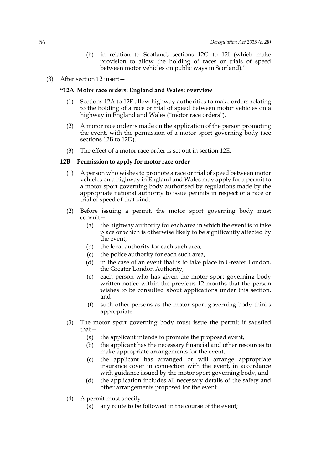- (b) in relation to Scotland, sections 12G to 12I (which make provision to allow the holding of races or trials of speed between motor vehicles on public ways in Scotland)."
- (3) After section 12 insert—

#### **"12A Motor race orders: England and Wales: overview**

- (1) Sections 12A to 12F allow highway authorities to make orders relating to the holding of a race or trial of speed between motor vehicles on a highway in England and Wales ("motor race orders").
- (2) A motor race order is made on the application of the person promoting the event, with the permission of a motor sport governing body (see sections 12B to 12D).
- (3) The effect of a motor race order is set out in section 12E.

### **12B Permission to apply for motor race order**

- (1) A person who wishes to promote a race or trial of speed between motor vehicles on a highway in England and Wales may apply for a permit to a motor sport governing body authorised by regulations made by the appropriate national authority to issue permits in respect of a race or trial of speed of that kind.
- (2) Before issuing a permit, the motor sport governing body must consult—
	- (a) the highway authority for each area in which the event is to take place or which is otherwise likely to be significantly affected by the event,
	- (b) the local authority for each such area,
	- (c) the police authority for each such area,
	- (d) in the case of an event that is to take place in Greater London, the Greater London Authority,
	- (e) each person who has given the motor sport governing body written notice within the previous 12 months that the person wishes to be consulted about applications under this section, and
	- (f) such other persons as the motor sport governing body thinks appropriate.
- (3) The motor sport governing body must issue the permit if satisfied that—
	- (a) the applicant intends to promote the proposed event,
	- (b) the applicant has the necessary financial and other resources to make appropriate arrangements for the event,
	- (c) the applicant has arranged or will arrange appropriate insurance cover in connection with the event, in accordance with guidance issued by the motor sport governing body, and
	- (d) the application includes all necessary details of the safety and other arrangements proposed for the event.
- (4) A permit must specify—
	- (a) any route to be followed in the course of the event;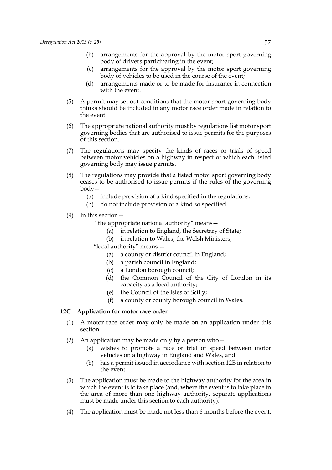- (b) arrangements for the approval by the motor sport governing body of drivers participating in the event;
- (c) arrangements for the approval by the motor sport governing body of vehicles to be used in the course of the event;
- (d) arrangements made or to be made for insurance in connection with the event.
- (5) A permit may set out conditions that the motor sport governing body thinks should be included in any motor race order made in relation to the event.
- (6) The appropriate national authority must by regulations list motor sport governing bodies that are authorised to issue permits for the purposes of this section.
- (7) The regulations may specify the kinds of races or trials of speed between motor vehicles on a highway in respect of which each listed governing body may issue permits.
- (8) The regulations may provide that a listed motor sport governing body ceases to be authorised to issue permits if the rules of the governing body—
	- (a) include provision of a kind specified in the regulations;
	- (b) do not include provision of a kind so specified.
- (9) In this section—
	- "the appropriate national authority" means—
		- (a) in relation to England, the Secretary of State;
		- (b) in relation to Wales, the Welsh Ministers;
	- "local authority" means
		- (a) a county or district council in England;
		- (b) a parish council in England;
		- (c) a London borough council;
		- (d) the Common Council of the City of London in its capacity as a local authority;
		- (e) the Council of the Isles of Scilly;
		- (f) a county or county borough council in Wales.

#### **12C Application for motor race order**

- (1) A motor race order may only be made on an application under this section.
- (2) An application may be made only by a person who—
	- (a) wishes to promote a race or trial of speed between motor vehicles on a highway in England and Wales, and
	- (b) has a permit issued in accordance with section 12B in relation to the event.
- (3) The application must be made to the highway authority for the area in which the event is to take place (and, where the event is to take place in the area of more than one highway authority, separate applications must be made under this section to each authority).
- (4) The application must be made not less than 6 months before the event.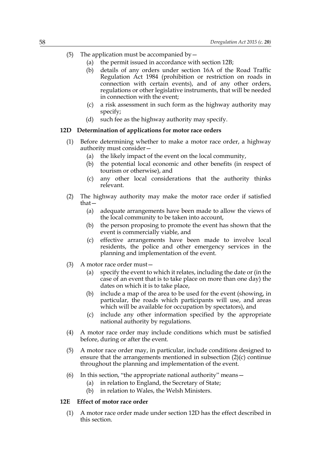- (5) The application must be accompanied by  $-$ 
	- (a) the permit issued in accordance with section 12B;
	- (b) details of any orders under section 16A of the Road Traffic Regulation Act 1984 (prohibition or restriction on roads in connection with certain events), and of any other orders, regulations or other legislative instruments, that will be needed in connection with the event;
	- (c) a risk assessment in such form as the highway authority may specify;
	- (d) such fee as the highway authority may specify.

### **12D Determination of applications for motor race orders**

- (1) Before determining whether to make a motor race order, a highway authority must consider—
	- (a) the likely impact of the event on the local community,
	- (b) the potential local economic and other benefits (in respect of tourism or otherwise), and
	- (c) any other local considerations that the authority thinks relevant.
- (2) The highway authority may make the motor race order if satisfied that—
	- (a) adequate arrangements have been made to allow the views of the local community to be taken into account,
	- (b) the person proposing to promote the event has shown that the event is commercially viable, and
	- (c) effective arrangements have been made to involve local residents, the police and other emergency services in the planning and implementation of the event.
- (3) A motor race order must—
	- (a) specify the event to which it relates, including the date or (in the case of an event that is to take place on more than one day) the dates on which it is to take place,
	- (b) include a map of the area to be used for the event (showing, in particular, the roads which participants will use, and areas which will be available for occupation by spectators), and
	- (c) include any other information specified by the appropriate national authority by regulations.
- (4) A motor race order may include conditions which must be satisfied before, during or after the event.
- (5) A motor race order may, in particular, include conditions designed to ensure that the arrangements mentioned in subsection (2)(c) continue throughout the planning and implementation of the event.
- (6) In this section, "the appropriate national authority" means—
	- (a) in relation to England, the Secretary of State;
	- (b) in relation to Wales, the Welsh Ministers.

# **12E Effect of motor race order**

(1) A motor race order made under section 12D has the effect described in this section.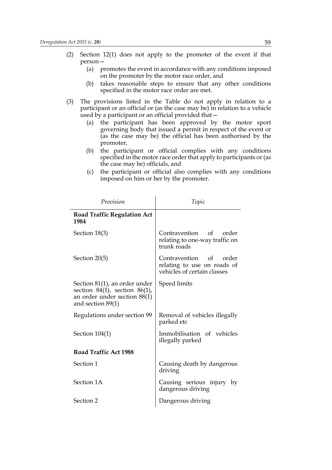- (2) Section 12(1) does not apply to the promoter of the event if that person—
	- (a) promotes the event in accordance with any conditions imposed on the promoter by the motor race order, and
	- (b) takes reasonable steps to ensure that any other conditions specified in the motor race order are met.
- (3) The provisions listed in the Table do not apply in relation to a participant or an official or (as the case may be) in relation to a vehicle used by a participant or an official provided that—
	- (a) the participant has been approved by the motor sport governing body that issued a permit in respect of the event or (as the case may be) the official has been authorised by the promoter,
	- (b) the participant or official complies with any conditions specified in the motor race order that apply to participants or (as the case may be) officials, and
	- (c) the participant or official also complies with any conditions imposed on him or her by the promoter.

| Provision                                                                                                                      | Topic                                                                                |
|--------------------------------------------------------------------------------------------------------------------------------|--------------------------------------------------------------------------------------|
| <b>Road Traffic Regulation Act</b><br>1984                                                                                     |                                                                                      |
| Section 18(3)                                                                                                                  | Contravention of order<br>relating to one-way traffic on<br>trunk roads              |
| Section 20(5)                                                                                                                  | Contravention of order<br>relating to use on roads of<br>vehicles of certain classes |
| Section $81(1)$ , an order under<br>section $84(1)$ , section $86(1)$ ,<br>an order under section 88(1)<br>and section $89(1)$ | Speed limits                                                                         |
| Regulations under section 99                                                                                                   | Removal of vehicles illegally<br>parked etc                                          |
| Section $104(1)$                                                                                                               | Immobilisation of vehicles<br>illegally parked                                       |
| Road Traffic Act 1988                                                                                                          |                                                                                      |
| Section 1                                                                                                                      | Causing death by dangerous<br>driving                                                |
| Section 1A                                                                                                                     | Causing serious injury by<br>dangerous driving                                       |
| Section 2                                                                                                                      | Dangerous driving                                                                    |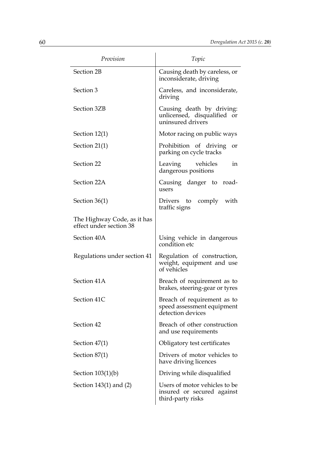| Provision                                              | Topic                                                                            |
|--------------------------------------------------------|----------------------------------------------------------------------------------|
| Section 2B                                             | Causing death by careless, or<br>inconsiderate, driving                          |
| Section 3                                              | Careless, and inconsiderate,<br>driving                                          |
| Section 3ZB                                            | Causing death by driving:<br>unlicensed, disqualified or<br>uninsured drivers    |
| Section $12(1)$                                        | Motor racing on public ways                                                      |
| Section $21(1)$                                        | Prohibition of driving<br>or<br>parking on cycle tracks                          |
| Section 22                                             | vehicles<br>Leaving<br>in<br>dangerous positions                                 |
| Section 22A                                            | Causing danger to road-<br>users                                                 |
| Section $36(1)$                                        | comply with<br>Drivers to<br>traffic signs                                       |
| The Highway Code, as it has<br>effect under section 38 |                                                                                  |
| Section 40A                                            | Using vehicle in dangerous<br>condition etc                                      |
| Regulations under section 41                           | Regulation of construction,<br>weight, equipment and use<br>of vehicles          |
| Section 41A                                            | Breach of requirement as to<br>brakes, steering-gear or tyres                    |
| Section 41C                                            | Breach of requirement as to<br>speed assessment equipment<br>detection devices   |
| Section 42                                             | Breach of other construction<br>and use requirements                             |
| Section $47(1)$                                        | Obligatory test certificates                                                     |
| Section $87(1)$                                        | Drivers of motor vehicles to<br>have driving licences                            |
| Section $103(1)(b)$                                    | Driving while disqualified                                                       |
| Section 143(1) and (2)                                 | Users of motor vehicles to be<br>insured or secured against<br>third-party risks |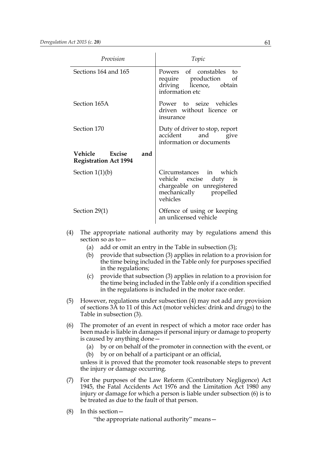| Provision                                             | Topic                                                                                                                   |
|-------------------------------------------------------|-------------------------------------------------------------------------------------------------------------------------|
| Sections 164 and 165                                  | Powers of constables to<br>require production of<br>driving licence, obtain<br>information etc                          |
| Section 165A                                          | Power to seize vehicles<br>driven without licence or<br>insurance                                                       |
| Section 170                                           | Duty of driver to stop, report<br>accident and give<br>information or documents                                         |
| Vehicle Excise<br>and<br><b>Registration Act 1994</b> |                                                                                                                         |
| Section $1(1)(b)$                                     | Circumstances in which<br>vehicle excise duty<br>1S<br>chargeable on unregistered<br>mechanically propelled<br>vehicles |
| Section $29(1)$                                       | Offence of using or keeping<br>an unlicensed vehicle                                                                    |

- (4) The appropriate national authority may by regulations amend this section so as to—
	- (a) add or omit an entry in the Table in subsection (3);
	- (b) provide that subsection (3) applies in relation to a provision for the time being included in the Table only for purposes specified in the regulations;
	- (c) provide that subsection (3) applies in relation to a provision for the time being included in the Table only if a condition specified in the regulations is included in the motor race order.
- (5) However, regulations under subsection (4) may not add any provision of sections 3A to 11 of this Act (motor vehicles: drink and drugs) to the Table in subsection (3).
- (6) The promoter of an event in respect of which a motor race order has been made is liable in damages if personal injury or damage to property is caused by anything done—
	- (a) by or on behalf of the promoter in connection with the event, or (b) by or on behalf of a participant or an official,

unless it is proved that the promoter took reasonable steps to prevent the injury or damage occurring.

- (7) For the purposes of the Law Reform (Contributory Negligence) Act 1945, the Fatal Accidents Act 1976 and the Limitation Act 1980 any injury or damage for which a person is liable under subsection (6) is to be treated as due to the fault of that person.
- (8) In this section—

"the appropriate national authority" means—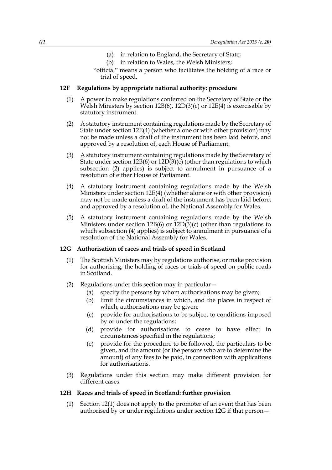- (a) in relation to England, the Secretary of State;
- (b) in relation to Wales, the Welsh Ministers;
- "official" means a person who facilitates the holding of a race or trial of speed.

### **12F Regulations by appropriate national authority: procedure**

- (1) A power to make regulations conferred on the Secretary of State or the Welsh Ministers by section 12B(6), 12D(3)(c) or 12E(4) is exercisable by statutory instrument.
- (2) A statutory instrument containing regulations made by the Secretary of State under section 12E(4) (whether alone or with other provision) may not be made unless a draft of the instrument has been laid before, and approved by a resolution of, each House of Parliament.
- (3) A statutory instrument containing regulations made by the Secretary of State under section 12B(6) or  $12D(3)(c)$  (other than regulations to which subsection (2) applies) is subject to annulment in pursuance of a resolution of either House of Parliament.
- (4) A statutory instrument containing regulations made by the Welsh Ministers under section 12E(4) (whether alone or with other provision) may not be made unless a draft of the instrument has been laid before, and approved by a resolution of, the National Assembly for Wales.
- (5) A statutory instrument containing regulations made by the Welsh Ministers under section 12B(6) or 12D(3)(c) (other than regulations to which subsection (4) applies) is subject to annulment in pursuance of a resolution of the National Assembly for Wales.

## **12G Authorisation of races and trials of speed in Scotland**

- (1) The Scottish Ministers may by regulations authorise, or make provision for authorising, the holding of races or trials of speed on public roads in Scotland.
- (2) Regulations under this section may in particular—
	- (a) specify the persons by whom authorisations may be given;
	- (b) limit the circumstances in which, and the places in respect of which, authorisations may be given;
	- (c) provide for authorisations to be subject to conditions imposed by or under the regulations;
	- (d) provide for authorisations to cease to have effect in circumstances specified in the regulations;
	- (e) provide for the procedure to be followed, the particulars to be given, and the amount (or the persons who are to determine the amount) of any fees to be paid, in connection with applications for authorisations.
- (3) Regulations under this section may make different provision for different cases.

#### **12H Races and trials of speed in Scotland: further provision**

(1) Section 12(1) does not apply to the promoter of an event that has been authorised by or under regulations under section 12G if that person—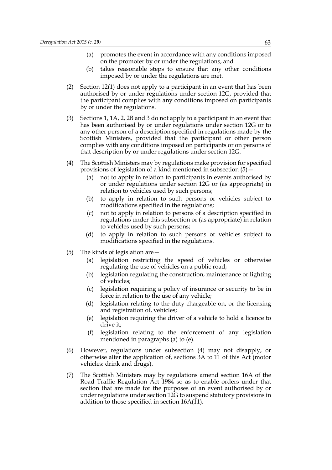- (a) promotes the event in accordance with any conditions imposed on the promoter by or under the regulations, and
- (b) takes reasonable steps to ensure that any other conditions imposed by or under the regulations are met.
- (2) Section 12(1) does not apply to a participant in an event that has been authorised by or under regulations under section 12G, provided that the participant complies with any conditions imposed on participants by or under the regulations.
- (3) Sections 1, 1A, 2, 2B and 3 do not apply to a participant in an event that has been authorised by or under regulations under section 12G or to any other person of a description specified in regulations made by the Scottish Ministers, provided that the participant or other person complies with any conditions imposed on participants or on persons of that description by or under regulations under section 12G.
- (4) The Scottish Ministers may by regulations make provision for specified provisions of legislation of a kind mentioned in subsection (5)—
	- (a) not to apply in relation to participants in events authorised by or under regulations under section 12G or (as appropriate) in relation to vehicles used by such persons;
	- (b) to apply in relation to such persons or vehicles subject to modifications specified in the regulations;
	- (c) not to apply in relation to persons of a description specified in regulations under this subsection or (as appropriate) in relation to vehicles used by such persons;
	- (d) to apply in relation to such persons or vehicles subject to modifications specified in the regulations.
- (5) The kinds of legislation are—
	- (a) legislation restricting the speed of vehicles or otherwise regulating the use of vehicles on a public road;
	- (b) legislation regulating the construction, maintenance or lighting of vehicles;
	- (c) legislation requiring a policy of insurance or security to be in force in relation to the use of any vehicle;
	- (d) legislation relating to the duty chargeable on, or the licensing and registration of, vehicles;
	- (e) legislation requiring the driver of a vehicle to hold a licence to drive it;
	- (f) legislation relating to the enforcement of any legislation mentioned in paragraphs (a) to (e).
- (6) However, regulations under subsection (4) may not disapply, or otherwise alter the application of, sections 3A to 11 of this Act (motor vehicles: drink and drugs).
- (7) The Scottish Ministers may by regulations amend section 16A of the Road Traffic Regulation Act 1984 so as to enable orders under that section that are made for the purposes of an event authorised by or under regulations under section 12G to suspend statutory provisions in addition to those specified in section 16A(11).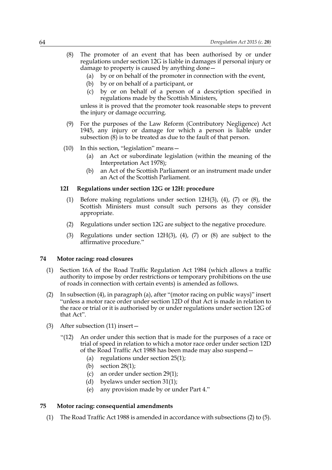- (8) The promoter of an event that has been authorised by or under regulations under section 12G is liable in damages if personal injury or damage to property is caused by anything done—
	- (a) by or on behalf of the promoter in connection with the event,
	- (b) by or on behalf of a participant, or
	- (c) by or on behalf of a person of a description specified in regulations made by the Scottish Ministers,

unless it is proved that the promoter took reasonable steps to prevent the injury or damage occurring.

- (9) For the purposes of the Law Reform (Contributory Negligence) Act 1945, any injury or damage for which a person is liable under subsection (8) is to be treated as due to the fault of that person.
- (10) In this section, "legislation" means—
	- (a) an Act or subordinate legislation (within the meaning of the Interpretation Act 1978);
	- (b) an Act of the Scottish Parliament or an instrument made under an Act of the Scottish Parliament.

# **12I Regulations under section 12G or 12H: procedure**

- (1) Before making regulations under section 12H(3), (4), (7) or (8), the Scottish Ministers must consult such persons as they consider appropriate.
- (2) Regulations under section 12G are subject to the negative procedure.
- (3) Regulations under section  $12H(3)$ , (4), (7) or (8) are subject to the affirmative procedure."

### **74 Motor racing: road closures**

- (1) Section 16A of the Road Traffic Regulation Act 1984 (which allows a traffic authority to impose by order restrictions or temporary prohibitions on the use of roads in connection with certain events) is amended as follows.
- (2) In subsection (4), in paragraph (a), after "(motor racing on public ways)" insert "unless a motor race order under section 12D of that Act is made in relation to the race or trial or it is authorised by or under regulations under section 12G of that Act".
- (3) After subsection (11) insert—
	- "(12) An order under this section that is made for the purposes of a race or trial of speed in relation to which a motor race order under section 12D of the Road Traffic Act 1988 has been made may also suspend—
		- (a) regulations under section 25(1);
		- (b) section 28(1);
		- (c) an order under section 29(1);
		- (d) byelaws under section 31(1);
		- (e) any provision made by or under Part 4."

# **75 Motor racing: consequential amendments**

(1) The Road Traffic Act 1988 is amended in accordance with subsections (2) to (5).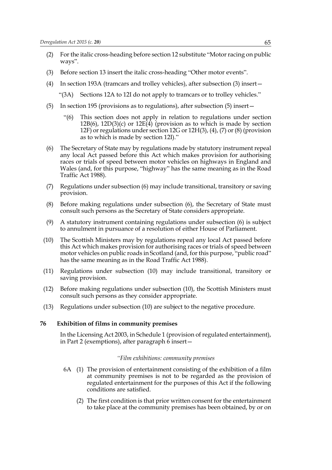- (2) For the italic cross-heading before section 12 substitute "Motor racing on public ways".
- (3) Before section 13 insert the italic cross-heading "Other motor events".
- (4) In section 193A (tramcars and trolley vehicles), after subsection (3) insert—

"(3A) Sections 12A to 12I do not apply to tramcars or to trolley vehicles."

- (5) In section 195 (provisions as to regulations), after subsection (5) insert—
	- "(6) This section does not apply in relation to regulations under section  $12B(6)$ ,  $12D(3)(c)$  or  $12E(4)$  (provision as to which is made by section 12F) or regulations under section 12G or 12H(3), (4), (7) or (8) (provision as to which is made by section 12I)."
- (6) The Secretary of State may by regulations made by statutory instrument repeal any local Act passed before this Act which makes provision for authorising races or trials of speed between motor vehicles on highways in England and Wales (and, for this purpose, "highway" has the same meaning as in the Road Traffic Act 1988).
- (7) Regulations under subsection (6) may include transitional, transitory or saving provision.
- (8) Before making regulations under subsection (6), the Secretary of State must consult such persons as the Secretary of State considers appropriate.
- (9) A statutory instrument containing regulations under subsection (6) is subject to annulment in pursuance of a resolution of either House of Parliament.
- (10) The Scottish Ministers may by regulations repeal any local Act passed before this Act which makes provision for authorising races or trials of speed between motor vehicles on public roads in Scotland (and, for this purpose, "public road" has the same meaning as in the Road Traffic Act 1988).
- (11) Regulations under subsection (10) may include transitional, transitory or saving provision.
- (12) Before making regulations under subsection (10), the Scottish Ministers must consult such persons as they consider appropriate.
- (13) Regulations under subsection (10) are subject to the negative procedure.

### **76 Exhibition of films in community premises**

In the Licensing Act 2003, in Schedule 1 (provision of regulated entertainment), in Part 2 (exemptions), after paragraph 6 insert—

#### *"Film exhibitions: community premises*

- 6A (1) The provision of entertainment consisting of the exhibition of a film at community premises is not to be regarded as the provision of regulated entertainment for the purposes of this Act if the following conditions are satisfied.
	- (2) The first condition is that prior written consent for the entertainment to take place at the community premises has been obtained, by or on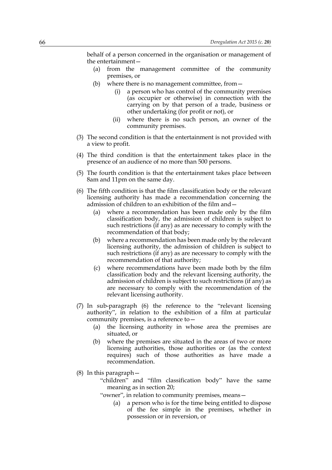behalf of a person concerned in the organisation or management of the entertainment—

- (a) from the management committee of the community premises, or
- (b) where there is no management committee, from—
	- (i) a person who has control of the community premises (as occupier or otherwise) in connection with the carrying on by that person of a trade, business or other undertaking (for profit or not), or
	- (ii) where there is no such person, an owner of the community premises.
- (3) The second condition is that the entertainment is not provided with a view to profit.
- (4) The third condition is that the entertainment takes place in the presence of an audience of no more than 500 persons.
- (5) The fourth condition is that the entertainment takes place between 8am and 11pm on the same day.
- (6) The fifth condition is that the film classification body or the relevant licensing authority has made a recommendation concerning the admission of children to an exhibition of the film and—
	- (a) where a recommendation has been made only by the film classification body, the admission of children is subject to such restrictions (if any) as are necessary to comply with the recommendation of that body;
	- (b) where a recommendation has been made only by the relevant licensing authority, the admission of children is subject to such restrictions (if any) as are necessary to comply with the recommendation of that authority;
	- (c) where recommendations have been made both by the film classification body and the relevant licensing authority, the admission of children is subject to such restrictions (if any) as are necessary to comply with the recommendation of the relevant licensing authority.
- (7) In sub-paragraph (6) the reference to the "relevant licensing authority", in relation to the exhibition of a film at particular community premises, is a reference to—
	- (a) the licensing authority in whose area the premises are situated, or
	- (b) where the premises are situated in the areas of two or more licensing authorities, those authorities or (as the context requires) such of those authorities as have made a recommendation.
- (8) In this paragraph—
	- "children" and "film classification body" have the same meaning as in section 20;
	- "owner", in relation to community premises, means—
		- (a) a person who is for the time being entitled to dispose of the fee simple in the premises, whether in possession or in reversion, or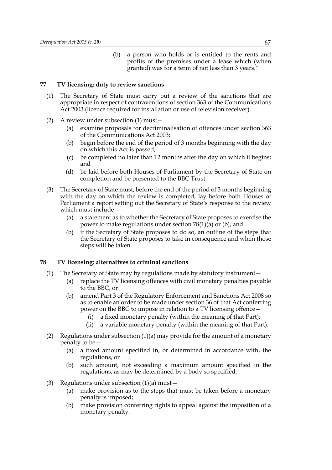(b) a person who holds or is entitled to the rents and profits of the premises under a lease which (when granted) was for a term of not less than 3 years."

#### **77 TV licensing: duty to review sanctions**

- (1) The Secretary of State must carry out a review of the sanctions that are appropriate in respect of contraventions of section 363 of the Communications Act 2003 (licence required for installation or use of television receiver).
- (2) A review under subsection (1) must—
	- (a) examine proposals for decriminalisation of offences under section 363 of the Communications Act 2003;
	- (b) begin before the end of the period of 3 months beginning with the day on which this Act is passed;
	- (c) be completed no later than 12 months after the day on which it begins; and
	- (d) be laid before both Houses of Parliament by the Secretary of State on completion and be presented to the BBC Trust.
- (3) The Secretary of State must, before the end of the period of 3 months beginning with the day on which the review is completed, lay before both Houses of Parliament a report setting out the Secretary of State's response to the review which must include—
	- (a) a statement as to whether the Secretary of State proposes to exercise the power to make regulations under section 78(1)(a) or (b), and
	- (b) if the Secretary of State proposes to do so, an outline of the steps that the Secretary of State proposes to take in consequence and when those steps will be taken.

### **78 TV licensing: alternatives to criminal sanctions**

- (1) The Secretary of State may by regulations made by statutory instrument—
	- (a) replace the TV licensing offences with civil monetary penalties payable to the BBC, or
	- (b) amend Part 3 of the Regulatory Enforcement and Sanctions Act 2008 so as to enable an order to be made under section 36 of that Act conferring power on the BBC to impose in relation to a TV licensing offence—
		- (i) a fixed monetary penalty (within the meaning of that Part);
		- (ii) a variable monetary penalty (within the meaning of that Part).
- (2) Regulations under subsection  $(1)(a)$  may provide for the amount of a monetary penalty to be—
	- (a) a fixed amount specified in, or determined in accordance with, the regulations, or
	- (b) such amount, not exceeding a maximum amount specified in the regulations, as may be determined by a body so specified.
- (3) Regulations under subsection  $(1)(a)$  must
	- (a) make provision as to the steps that must be taken before a monetary penalty is imposed;
	- (b) make provision conferring rights to appeal against the imposition of a monetary penalty.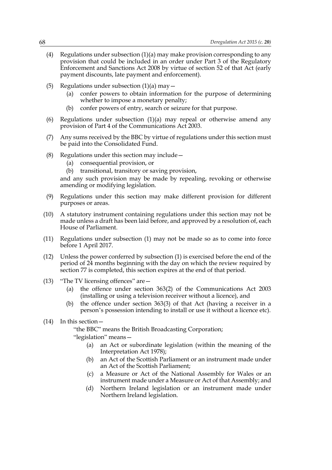- (4) Regulations under subsection  $(1)(a)$  may make provision corresponding to any provision that could be included in an order under Part 3 of the Regulatory Enforcement and Sanctions Act 2008 by virtue of section 52 of that Act (early payment discounts, late payment and enforcement).
- (5) Regulations under subsection  $(1)(a)$  may  $-$ 
	- (a) confer powers to obtain information for the purpose of determining whether to impose a monetary penalty;
	- (b) confer powers of entry, search or seizure for that purpose.
- (6) Regulations under subsection (1)(a) may repeal or otherwise amend any provision of Part 4 of the Communications Act 2003.
- (7) Any sums received by the BBC by virtue of regulations under this section must be paid into the Consolidated Fund.
- (8) Regulations under this section may include—
	- (a) consequential provision, or
	- (b) transitional, transitory or saving provision,

and any such provision may be made by repealing, revoking or otherwise amending or modifying legislation.

- (9) Regulations under this section may make different provision for different purposes or areas.
- (10) A statutory instrument containing regulations under this section may not be made unless a draft has been laid before, and approved by a resolution of, each House of Parliament.
- (11) Regulations under subsection (1) may not be made so as to come into force before 1 April 2017.
- (12) Unless the power conferred by subsection (1) is exercised before the end of the period of 24 months beginning with the day on which the review required by section 77 is completed, this section expires at the end of that period.
- (13) "The TV licensing offences" are  $-$ 
	- (a) the offence under section 363(2) of the Communications Act 2003 (installing or using a television receiver without a licence), and
	- (b) the offence under section 363(3) of that Act (having a receiver in a person's possession intending to install or use it without a licence etc).
- (14) In this section—

"the BBC" means the British Broadcasting Corporation;

- "legislation" means—
	- (a) an Act or subordinate legislation (within the meaning of the Interpretation Act 1978);
	- (b) an Act of the Scottish Parliament or an instrument made under an Act of the Scottish Parliament;
	- (c) a Measure or Act of the National Assembly for Wales or an instrument made under a Measure or Act of that Assembly; and
	- (d) Northern Ireland legislation or an instrument made under Northern Ireland legislation.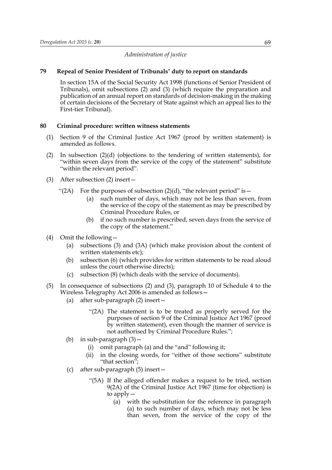### *Administration of justice*

### **79 Repeal of Senior President of Tribunals' duty to report on standards**

In section 15A of the Social Security Act 1998 (functions of Senior President of Tribunals), omit subsections (2) and (3) (which require the preparation and publication of an annual report on standards of decision-making in the making of certain decisions of the Secretary of State against which an appeal lies to the First-tier Tribunal).

### **80 Criminal procedure: written witness statements**

- (1) Section 9 of the Criminal Justice Act 1967 (proof by written statement) is amended as follows.
- (2) In subsection (2)(d) (objections to the tendering of written statements), for "within seven days from the service of the copy of the statement" substitute "within the relevant period".
- (3) After subsection (2) insert—
	- "(2A) For the purposes of subsection  $(2)(d)$ , "the relevant period" is  $-$ 
		- (a) such number of days, which may not be less than seven, from the service of the copy of the statement as may be prescribed by Criminal Procedure Rules, or
		- (b) if no such number is prescribed, seven days from the service of the copy of the statement."
- (4) Omit the following—
	- (a) subsections  $(3)$  and  $(3A)$  (which make provision about the content of written statements etc);
	- (b) subsection (6) (which provides for written statements to be read aloud unless the court otherwise directs);
	- (c) subsection (8) (which deals with the service of documents).
- (5) In consequence of subsections (2) and (3), paragraph 10 of Schedule 4 to the Wireless Telegraphy Act 2006 is amended as follows—
	- (a) after sub-paragraph (2) insert—
		- "(2A) The statement is to be treated as properly served for the purposes of section 9 of the Criminal Justice Act 1967 (proof by written statement), even though the manner of service is not authorised by Criminal Procedure Rules.";
	- (b) in sub-paragraph  $(3)$  -
		- (i) omit paragraph (a) and the "and" following it;
		- (ii) in the closing words, for "either of those sections" substitute "that section";
	- (c) after sub-paragraph (5) insert—
		- "(5A) If the alleged offender makes a request to be tried, section 9(2A) of the Criminal Justice Act 1967 (time for objection) is to apply—
			- (a) with the substitution for the reference in paragraph (a) to such number of days, which may not be less than seven, from the service of the copy of the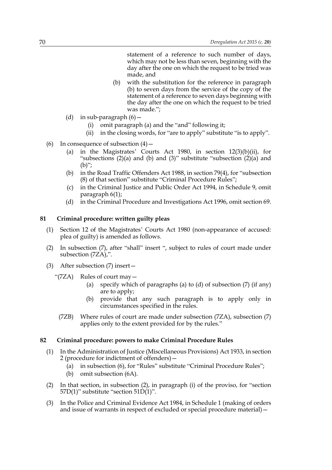statement of a reference to such number of days, which may not be less than seven, beginning with the day after the one on which the request to be tried was made, and

- (b) with the substitution for the reference in paragraph (b) to seven days from the service of the copy of the statement of a reference to seven days beginning with the day after the one on which the request to be tried was made.";
- (d) in sub-paragraph  $(6)$  -
	- (i) omit paragraph (a) and the "and" following it;
	- (ii) in the closing words, for "are to apply" substitute "is to apply".
- (6) In consequence of subsection  $(4)$  -
	- (a) in the Magistrates' Courts Act 1980, in section  $12(3)(b)(ii)$ , for "subsections  $(2)(a)$  and  $(b)$  and  $(3)$ " substitute "subsection  $(2)(a)$  and  $(b)$ ";
	- (b) in the Road Traffic Offenders Act 1988, in section 79(4), for "subsection (8) of that section" substitute "Criminal Procedure Rules";
	- (c) in the Criminal Justice and Public Order Act 1994, in Schedule 9, omit paragraph 6(1);
	- (d) in the Criminal Procedure and Investigations Act 1996, omit section 69.

## **81 Criminal procedure: written guilty pleas**

- (1) Section 12 of the Magistrates' Courts Act 1980 (non-appearance of accused: plea of guilty) is amended as follows.
- (2) In subsection (7), after "shall" insert ", subject to rules of court made under subsection (7ZA),".
- (3) After subsection (7) insert—
	- "(7ZA) Rules of court may—
		- (a) specify which of paragraphs (a) to (d) of subsection  $(7)$  (if any) are to apply;
		- (b) provide that any such paragraph is to apply only in circumstances specified in the rules.
		- (7ZB) Where rules of court are made under subsection (7ZA), subsection (7) applies only to the extent provided for by the rules."

### **82 Criminal procedure: powers to make Criminal Procedure Rules**

- (1) In the Administration of Justice (Miscellaneous Provisions) Act 1933, in section 2 (procedure for indictment of offenders)—
	- (a) in subsection (6), for "Rules" substitute "Criminal Procedure Rules";
	- (b) omit subsection (6A).
- (2) In that section, in subsection (2), in paragraph (i) of the proviso, for "section 57D(1)" substitute "section 51D(1)".
- (3) In the Police and Criminal Evidence Act 1984, in Schedule 1 (making of orders and issue of warrants in respect of excluded or special procedure material)—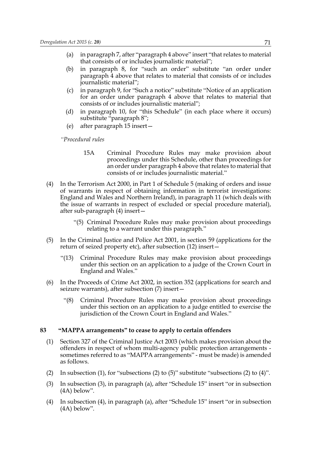- (a) in paragraph 7, after "paragraph 4 above" insert "that relates to material that consists of or includes journalistic material";
- (b) in paragraph 8, for "such an order" substitute "an order under paragraph 4 above that relates to material that consists of or includes journalistic material";
- (c) in paragraph 9, for "Such a notice" substitute "Notice of an application for an order under paragraph 4 above that relates to material that consists of or includes journalistic material";
- (d) in paragraph 10, for "this Schedule" (in each place where it occurs) substitute "paragraph 8";
- (e) after paragraph 15 insert—

*"Procedural rules*

- 15A Criminal Procedure Rules may make provision about proceedings under this Schedule, other than proceedings for an order under paragraph 4 above that relates to material that consists of or includes journalistic material."
- (4) In the Terrorism Act 2000, in Part 1 of Schedule 5 (making of orders and issue of warrants in respect of obtaining information in terrorist investigations: England and Wales and Northern Ireland), in paragraph 11 (which deals with the issue of warrants in respect of excluded or special procedure material), after sub-paragraph (4) insert—
	- "(5) Criminal Procedure Rules may make provision about proceedings relating to a warrant under this paragraph."
- (5) In the Criminal Justice and Police Act 2001, in section 59 (applications for the return of seized property etc), after subsection (12) insert—
	- "(13) Criminal Procedure Rules may make provision about proceedings under this section on an application to a judge of the Crown Court in England and Wales."
- (6) In the Proceeds of Crime Act 2002, in section 352 (applications for search and seizure warrants), after subsection (7) insert—
	- "(8) Criminal Procedure Rules may make provision about proceedings under this section on an application to a judge entitled to exercise the jurisdiction of the Crown Court in England and Wales."

### **83 "MAPPA arrangements" to cease to apply to certain offenders**

- (1) Section 327 of the Criminal Justice Act 2003 (which makes provision about the offenders in respect of whom multi-agency public protection arrangements sometimes referred to as "MAPPA arrangements" - must be made) is amended as follows.
- (2) In subsection (1), for "subsections (2) to (5)" substitute "subsections (2) to (4)".
- (3) In subsection (3), in paragraph (a), after "Schedule 15" insert "or in subsection (4A) below".
- (4) In subsection (4), in paragraph (a), after "Schedule 15" insert "or in subsection (4A) below".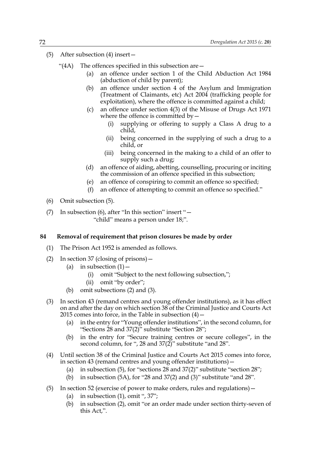- (5) After subsection (4) insert—
	- "(4A) The offences specified in this subsection are  $-$ 
		- (a) an offence under section 1 of the Child Abduction Act 1984 (abduction of child by parent);
		- (b) an offence under section 4 of the Asylum and Immigration (Treatment of Claimants, etc) Act 2004 (trafficking people for exploitation), where the offence is committed against a child;
		- (c) an offence under section 4(3) of the Misuse of Drugs Act 1971 where the offence is committed by  $-$ 
			- (i) supplying or offering to supply a Class A drug to a child,
			- (ii) being concerned in the supplying of such a drug to a child, or
			- (iii) being concerned in the making to a child of an offer to supply such a drug;
		- (d) an offence of aiding, abetting, counselling, procuring or inciting the commission of an offence specified in this subsection;
		- (e) an offence of conspiring to commit an offence so specified;
		- (f) an offence of attempting to commit an offence so specified."
- (6) Omit subsection (5).
- (7) In subsection (6), after "In this section" insert "— "child" means a person under 18;".

### **84 Removal of requirement that prison closures be made by order**

- (1) The Prison Act 1952 is amended as follows.
- (2) In section 37 (closing of prisons)—
	- (a) in subsection  $(1)$  -
		- (i) omit "Subject to the next following subsection,";
		- (ii) omit "by order";
	- (b) omit subsections (2) and (3).
- (3) In section 43 (remand centres and young offender institutions), as it has effect on and after the day on which section 38 of the Criminal Justice and Courts Act 2015 comes into force, in the Table in subsection  $(4)$  –
	- (a) in the entry for "Young offender institutions", in the second column, for "Sections 28 and 37(2)" substitute "Section 28";
	- (b) in the entry for "Secure training centres or secure colleges", in the second column, for ", 28 and  $37(2)$ " substitute "and 28".
- (4) Until section 38 of the Criminal Justice and Courts Act 2015 comes into force, in section 43 (remand centres and young offender institutions)—
	- (a) in subsection (5), for "sections 28 and 37(2)" substitute "section 28";
	- (b) in subsection (5A), for "28 and 37(2) and (3)" substitute "and 28".
- (5) In section 52 (exercise of power to make orders, rules and regulations)—
	- (a) in subsection  $(1)$ , omit ", 37";
	- (b) in subsection (2), omit "or an order made under section thirty-seven of this Act,".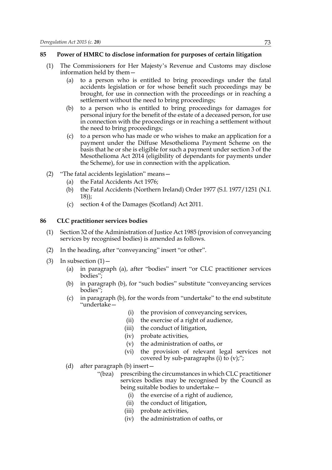### **85 Power of HMRC to disclose information for purposes of certain litigation**

- (1) The Commissioners for Her Majesty's Revenue and Customs may disclose information held by them—
	- (a) to a person who is entitled to bring proceedings under the fatal accidents legislation or for whose benefit such proceedings may be brought, for use in connection with the proceedings or in reaching a settlement without the need to bring proceedings;
	- (b) to a person who is entitled to bring proceedings for damages for personal injury for the benefit of the estate of a deceased person, for use in connection with the proceedings or in reaching a settlement without the need to bring proceedings;
	- (c) to a person who has made or who wishes to make an application for a payment under the Diffuse Mesothelioma Payment Scheme on the basis that he or she is eligible for such a payment under section 3 of the Mesothelioma Act 2014 (eligibility of dependants for payments under the Scheme), for use in connection with the application.
- (2) "The fatal accidents legislation" means—
	- (a) the Fatal Accidents Act 1976;
	- (b) the Fatal Accidents (Northern Ireland) Order 1977 (S.I. 1977/1251 (N.I. 18));
	- (c) section 4 of the Damages (Scotland) Act 2011.

### **86 CLC practitioner services bodies**

- (1) Section 32 of the Administration of Justice Act 1985 (provision of conveyancing services by recognised bodies) is amended as follows.
- (2) In the heading, after "conveyancing" insert "or other".
- $(3)$  In subsection  $(1)$ 
	- (a) in paragraph (a), after "bodies" insert "or CLC practitioner services bodies";
	- (b) in paragraph (b), for "such bodies" substitute "conveyancing services bodies";
	- (c) in paragraph (b), for the words from "undertake" to the end substitute "undertake—
		- (i) the provision of conveyancing services,
		- (ii) the exercise of a right of audience,
		- (iii) the conduct of litigation,
		- (iv) probate activities,
		- (v) the administration of oaths, or
		- (vi) the provision of relevant legal services not covered by sub-paragraphs (i) to  $(v)$ ;";
	- (d) after paragraph (b) insert—
		- "(bza) prescribing the circumstances in which CLC practitioner services bodies may be recognised by the Council as being suitable bodies to undertake—
			- (i) the exercise of a right of audience,
			- (ii) the conduct of litigation,
			- (iii) probate activities,
			- (iv) the administration of oaths, or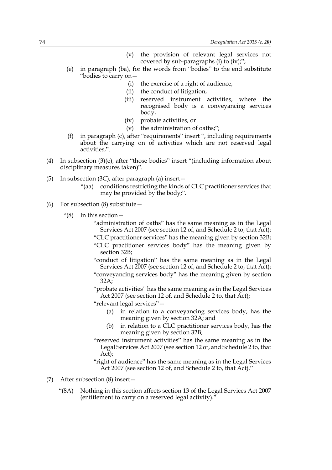- (v) the provision of relevant legal services not covered by sub-paragraphs (i) to (iv);";
- (e) in paragraph (ba), for the words from "bodies" to the end substitute "bodies to carry on—
	- (i) the exercise of a right of audience,
	- (ii) the conduct of litigation,
	- (iii) reserved instrument activities, where the recognised body is a conveyancing services body,
	- (iv) probate activities, or
	- (v) the administration of oaths;";
- (f) in paragraph (c), after "requirements" insert ", including requirements about the carrying on of activities which are not reserved legal activities,".
- (4) In subsection (3)(e), after "those bodies" insert "(including information about disciplinary measures taken)".
- (5) In subsection (3C), after paragraph (a) insert—
	- "(aa) conditions restricting the kinds of CLC practitioner services that may be provided by the body;".
- (6) For subsection  $(8)$  substitute  $-$ 
	- "(8) In this section—
		- "administration of oaths" has the same meaning as in the Legal Services Act 2007 (see section 12 of, and Schedule 2 to, that Act); "CLC practitioner services" has the meaning given by section 32B; "CLC practitioner services body" has the meaning given by section 32B;

"conduct of litigation" has the same meaning as in the Legal Services Act 2007 (see section 12 of, and Schedule 2 to, that Act);

"conveyancing services body" has the meaning given by section 32A;

"probate activities" has the same meaning as in the Legal Services Act 2007 (see section 12 of, and Schedule 2 to, that Act);

"relevant legal services"—

- (a) in relation to a conveyancing services body, has the meaning given by section 32A; and
- (b) in relation to a CLC practitioner services body, has the meaning given by section 32B;
- "reserved instrument activities" has the same meaning as in the Legal Services Act 2007 (see section 12 of, and Schedule 2 to, that Act);

"right of audience" has the same meaning as in the Legal Services Act 2007 (see section 12 of, and Schedule 2 to, that Act)."

- (7) After subsection (8) insert—
	- "(8A) Nothing in this section affects section 13 of the Legal Services Act 2007 (entitlement to carry on a reserved legal activity).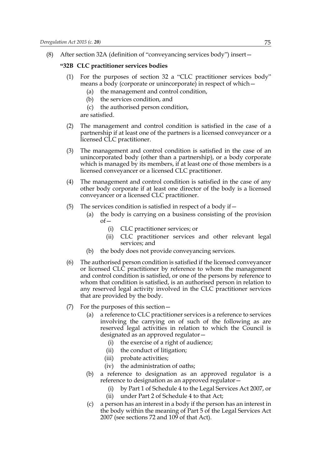(8) After section 32A (definition of "conveyancing services body") insert—

### **"32B CLC practitioner services bodies**

- (1) For the purposes of section 32 a "CLC practitioner services body" means a body (corporate or unincorporate) in respect of which—
	- (a) the management and control condition,
	- (b) the services condition, and
	- (c) the authorised person condition,

are satisfied.

- (2) The management and control condition is satisfied in the case of a partnership if at least one of the partners is a licensed conveyancer or a licensed CLC practitioner.
- (3) The management and control condition is satisfied in the case of an unincorporated body (other than a partnership), or a body corporate which is managed by its members, if at least one of those members is a licensed conveyancer or a licensed CLC practitioner.
- (4) The management and control condition is satisfied in the case of any other body corporate if at least one director of the body is a licensed conveyancer or a licensed CLC practitioner.
- (5) The services condition is satisfied in respect of a body if  $-$ 
	- (a) the body is carrying on a business consisting of the provision of—
		- (i) CLC practitioner services; or
		- (ii) CLC practitioner services and other relevant legal services; and
	- (b) the body does not provide conveyancing services.
- (6) The authorised person condition is satisfied if the licensed conveyancer or licensed CLC practitioner by reference to whom the management and control condition is satisfied, or one of the persons by reference to whom that condition is satisfied, is an authorised person in relation to any reserved legal activity involved in the CLC practitioner services that are provided by the body.
- (7) For the purposes of this section—
	- (a) a reference to CLC practitioner services is a reference to services involving the carrying on of such of the following as are reserved legal activities in relation to which the Council is designated as an approved regulator—
		- (i) the exercise of a right of audience;
		- (ii) the conduct of litigation;
		- (iii) probate activities;
		- (iv) the administration of oaths;
	- (b) a reference to designation as an approved regulator is a reference to designation as an approved regulator—
		- (i) by Part 1 of Schedule 4 to the Legal Services Act 2007, or
		- (ii) under Part 2 of Schedule 4 to that Act;
	- (c) a person has an interest in a body if the person has an interest in the body within the meaning of Part 5 of the Legal Services Act 2007 (see sections 72 and 109 of that Act).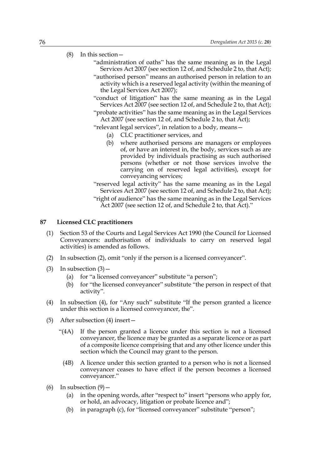# (8) In this section—

- "administration of oaths" has the same meaning as in the Legal Services Act 2007 (see section 12 of, and Schedule 2 to, that Act);
- "authorised person" means an authorised person in relation to an activity which is a reserved legal activity (within the meaning of the Legal Services Act 2007);
- "conduct of litigation" has the same meaning as in the Legal Services Act 2007 (see section 12 of, and Schedule 2 to, that Act);
- "probate activities" has the same meaning as in the Legal Services Act 2007 (see section 12 of, and Schedule 2 to, that Act);
- "relevant legal services", in relation to a body, means—
	- (a) CLC practitioner services, and
	- (b) where authorised persons are managers or employees of, or have an interest in, the body, services such as are provided by individuals practising as such authorised persons (whether or not those services involve the carrying on of reserved legal activities), except for conveyancing services;
- "reserved legal activity" has the same meaning as in the Legal Services Act 2007 (see section 12 of, and Schedule 2 to, that Act); "right of audience" has the same meaning as in the Legal Services Act 2007 (see section 12 of, and Schedule 2 to, that Act)."

#### **87 Licensed CLC practitioners**

- (1) Section 53 of the Courts and Legal Services Act 1990 (the Council for Licensed Conveyancers: authorisation of individuals to carry on reserved legal activities) is amended as follows.
- (2) In subsection (2), omit "only if the person is a licensed conveyancer".
- (3) In subsection  $(3)$ 
	- (a) for "a licensed conveyancer" substitute "a person";
	- (b) for "the licensed conveyancer" substitute "the person in respect of that activity".
- (4) In subsection (4), for "Any such" substitute "If the person granted a licence under this section is a licensed conveyancer, the".
- (5) After subsection (4) insert—
	- "(4A) If the person granted a licence under this section is not a licensed conveyancer, the licence may be granted as a separate licence or as part of a composite licence comprising that and any other licence under this section which the Council may grant to the person.
	- (4B) A licence under this section granted to a person who is not a licensed conveyancer ceases to have effect if the person becomes a licensed conveyancer."
- (6) In subsection  $(9)$ 
	- (a) in the opening words, after "respect to" insert "persons who apply for, or hold, an advocacy, litigation or probate licence and";
	- (b) in paragraph (c), for "licensed conveyancer" substitute "person";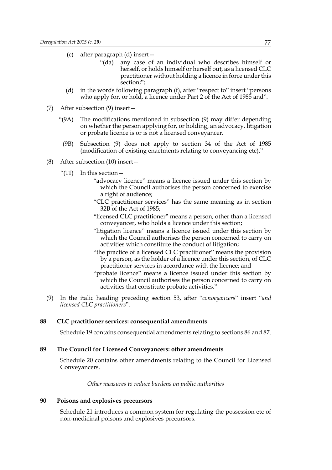- (c) after paragraph (d) insert—
	- "(da) any case of an individual who describes himself or herself, or holds himself or herself out, as a licensed CLC practitioner without holding a licence in force under this section;";
- (d) in the words following paragraph (f), after "respect to" insert "persons who apply for, or hold, a licence under Part 2 of the Act of 1985 and".
- (7) After subsection (9) insert—
	- "(9A) The modifications mentioned in subsection (9) may differ depending on whether the person applying for, or holding, an advocacy, litigation or probate licence is or is not a licensed conveyancer.
	- (9B) Subsection (9) does not apply to section 34 of the Act of 1985 (modification of existing enactments relating to conveyancing etc)."
- (8) After subsection (10) insert—
	- "(11) In this section—
		- "advocacy licence" means a licence issued under this section by which the Council authorises the person concerned to exercise a right of audience;
		- "CLC practitioner services" has the same meaning as in section 32B of the Act of 1985;
		- "licensed CLC practitioner" means a person, other than a licensed conveyancer, who holds a licence under this section;
		- "litigation licence" means a licence issued under this section by which the Council authorises the person concerned to carry on activities which constitute the conduct of litigation;
		- "the practice of a licensed CLC practitioner" means the provision by a person, as the holder of a licence under this section, of CLC practitioner services in accordance with the licence; and
		- "probate licence" means a licence issued under this section by which the Council authorises the person concerned to carry on activities that constitute probate activities."
- (9) In the italic heading preceding section 53, after "*conveyancers*" insert "*and licensed CLC practitioners*".

#### **88 CLC practitioner services: consequential amendments**

Schedule 19 contains consequential amendments relating to sections 86 and 87.

### **89 The Council for Licensed Conveyancers: other amendments**

Schedule 20 contains other amendments relating to the Council for Licensed Conveyancers.

*Other measures to reduce burdens on public authorities*

### **90 Poisons and explosives precursors**

Schedule 21 introduces a common system for regulating the possession etc of non-medicinal poisons and explosives precursors.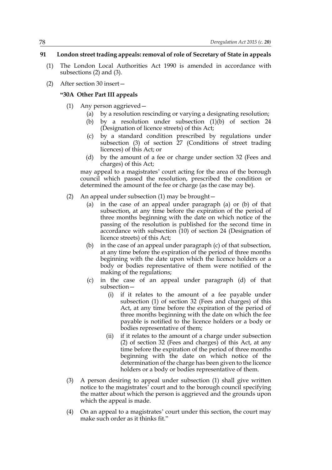### **91 London street trading appeals: removal of role of Secretary of State in appeals**

- (1) The London Local Authorities Act 1990 is amended in accordance with subsections (2) and (3).
- (2) After section 30 insert—

### **"30A Other Part III appeals**

- (1) Any person aggrieved—
	- (a) by a resolution rescinding or varying a designating resolution;
	- (b) by a resolution under subsection (1)(b) of section 24 (Designation of licence streets) of this Act;
	- (c) by a standard condition prescribed by regulations under subsection (3) of section 27 (Conditions of street trading licences) of this Act; or
	- (d) by the amount of a fee or charge under section 32 (Fees and charges) of this Act;

may appeal to a magistrates' court acting for the area of the borough council which passed the resolution, prescribed the condition or determined the amount of the fee or charge (as the case may be).

- (2) An appeal under subsection (1) may be brought—
	- (a) in the case of an appeal under paragraph (a) or (b) of that subsection, at any time before the expiration of the period of three months beginning with the date on which notice of the passing of the resolution is published for the second time in accordance with subsection (10) of section 24 (Designation of licence streets) of this Act;
	- (b) in the case of an appeal under paragraph (c) of that subsection, at any time before the expiration of the period of three months beginning with the date upon which the licence holders or a body or bodies representative of them were notified of the making of the regulations;
	- (c) in the case of an appeal under paragraph (d) of that subsection—
		- (i) if it relates to the amount of a fee payable under subsection (1) of section 32 (Fees and charges) of this Act, at any time before the expiration of the period of three months beginning with the date on which the fee payable is notified to the licence holders or a body or bodies representative of them;
		- (ii) if it relates to the amount of a charge under subsection (2) of section 32 (Fees and charges) of this Act, at any time before the expiration of the period of three months beginning with the date on which notice of the determination of the charge has been given to the licence holders or a body or bodies representative of them.
- (3) A person desiring to appeal under subsection (1) shall give written notice to the magistrates' court and to the borough council specifying the matter about which the person is aggrieved and the grounds upon which the appeal is made.
- (4) On an appeal to a magistrates' court under this section, the court may make such order as it thinks fit."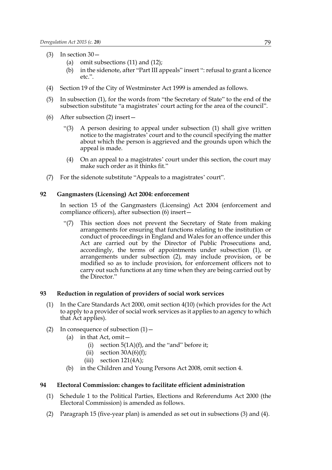- (3) In section 30—
	- (a) omit subsections (11) and (12);
	- (b) in the sidenote, after "Part III appeals" insert ": refusal to grant a licence etc.".
- (4) Section 19 of the City of Westminster Act 1999 is amended as follows.
- (5) In subsection (1), for the words from "the Secretary of State" to the end of the subsection substitute "a magistrates' court acting for the area of the council".
- (6) After subsection (2) insert—
	- A person desiring to appeal under subsection (1) shall give written notice to the magistrates' court and to the council specifying the matter about which the person is aggrieved and the grounds upon which the appeal is made.
	- (4) On an appeal to a magistrates' court under this section, the court may make such order as it thinks fit."
- (7) For the sidenote substitute "Appeals to a magistrates' court".

### **92 Gangmasters (Licensing) Act 2004: enforcement**

In section 15 of the Gangmasters (Licensing) Act 2004 (enforcement and compliance officers), after subsection (6) insert—

"(7) This section does not prevent the Secretary of State from making arrangements for ensuring that functions relating to the institution or conduct of proceedings in England and Wales for an offence under this Act are carried out by the Director of Public Prosecutions and, accordingly, the terms of appointments under subsection (1), or arrangements under subsection (2), may include provision, or be modified so as to include provision, for enforcement officers not to carry out such functions at any time when they are being carried out by the Director."

### **93 Reduction in regulation of providers of social work services**

- (1) In the Care Standards Act 2000, omit section 4(10) (which provides for the Act to apply to a provider of social work services as it applies to an agency to which that Act applies).
- (2) In consequence of subsection  $(1)$  -
	- (a) in that Act, omit—
		- (i) section  $5(1A)(f)$ , and the "and" before it;
		- (ii) section  $30A(6)(f)$ ;
		- $(iii)$  section 121(4A);
	- (b) in the Children and Young Persons Act 2008, omit section 4.

### **94 Electoral Commission: changes to facilitate efficient administration**

- (1) Schedule 1 to the Political Parties, Elections and Referendums Act 2000 (the Electoral Commission) is amended as follows.
- (2) Paragraph 15 (five-year plan) is amended as set out in subsections (3) and (4).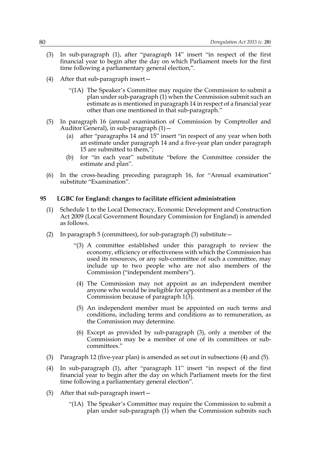- (3) In sub-paragraph (1), after "paragraph 14" insert "in respect of the first financial year to begin after the day on which Parliament meets for the first time following a parliamentary general election,".
- (4) After that sub-paragraph insert—
	- "(1A) The Speaker's Committee may require the Commission to submit a plan under sub-paragraph (1) when the Commission submit such an estimate as is mentioned in paragraph 14 in respect of a financial year other than one mentioned in that sub-paragraph."
- (5) In paragraph 16 (annual examination of Commission by Comptroller and Auditor General), in sub-paragraph (1)—
	- (a) after "paragraphs 14 and 15" insert "in respect of any year when both an estimate under paragraph 14 and a five-year plan under paragraph 15 are submitted to them,";
	- (b) for "in each year" substitute "before the Committee consider the estimate and plan".
- (6) In the cross-heading preceding paragraph 16, for "Annual examination" substitute "Examination".

### **95 LGBC for England: changes to facilitate efficient administration**

- (1) Schedule 1 to the Local Democracy, Economic Development and Construction Act 2009 (Local Government Boundary Commission for England) is amended as follows.
- (2) In paragraph 5 (committees), for sub-paragraph (3) substitute—
	- "(3) A committee established under this paragraph to review the economy, efficiency or effectiveness with which the Commission has used its resources, or any sub-committee of such a committee, may include up to two people who are not also members of the Commission ("independent members").
	- (4) The Commission may not appoint as an independent member anyone who would be ineligible for appointment as a member of the Commission because of paragraph 1(3).
	- (5) An independent member must be appointed on such terms and conditions, including terms and conditions as to remuneration, as the Commission may determine.
	- (6) Except as provided by sub-paragraph (3), only a member of the Commission may be a member of one of its committees or subcommittees."
- (3) Paragraph 12 (five-year plan) is amended as set out in subsections (4) and (5).
- (4) In sub-paragraph (1), after "paragraph 11" insert "in respect of the first financial year to begin after the day on which Parliament meets for the first time following a parliamentary general election".
- (5) After that sub-paragraph insert—
	- "(1A) The Speaker's Committee may require the Commission to submit a plan under sub-paragraph (1) when the Commission submits such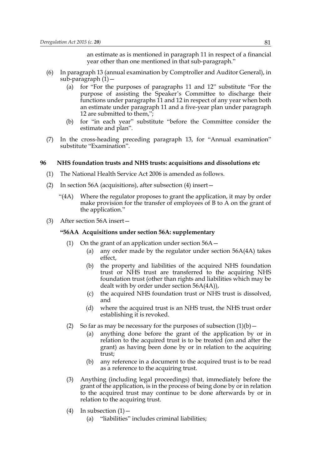an estimate as is mentioned in paragraph 11 in respect of a financial year other than one mentioned in that sub-paragraph."

- (6) In paragraph 13 (annual examination by Comptroller and Auditor General), in sub-paragraph (1)—
	- (a) for "For the purposes of paragraphs 11 and 12" substitute "For the purpose of assisting the Speaker's Committee to discharge their functions under paragraphs 11 and 12 in respect of any year when both an estimate under paragraph 11 and a five-year plan under paragraph 12 are submitted to them,";
	- (b) for "in each year" substitute "before the Committee consider the estimate and plan".
- (7) In the cross-heading preceding paragraph 13, for "Annual examination" substitute "Examination".

### **96 NHS foundation trusts and NHS trusts: acquisitions and dissolutions etc**

- (1) The National Health Service Act 2006 is amended as follows.
- (2) In section 56A (acquisitions), after subsection (4) insert—
	- "(4A) Where the regulator proposes to grant the application, it may by order make provision for the transfer of employees of B to A on the grant of the application."
- (3) After section 56A insert—

#### **"56AA Acquisitions under section 56A: supplementary**

- (1) On the grant of an application under section  $56A -$ 
	- (a) any order made by the regulator under section 56A(4A) takes effect,
	- (b) the property and liabilities of the acquired NHS foundation trust or NHS trust are transferred to the acquiring NHS foundation trust (other than rights and liabilities which may be dealt with by order under section 56A(4A)),
	- (c) the acquired NHS foundation trust or NHS trust is dissolved, and
	- (d) where the acquired trust is an NHS trust, the NHS trust order establishing it is revoked.
- (2) So far as may be necessary for the purposes of subsection  $(1)(b)$ 
	- (a) anything done before the grant of the application by or in relation to the acquired trust is to be treated (on and after the grant) as having been done by or in relation to the acquiring trust;
	- (b) any reference in a document to the acquired trust is to be read as a reference to the acquiring trust.
- (3) Anything (including legal proceedings) that, immediately before the grant of the application, is in the process of being done by or in relation to the acquired trust may continue to be done afterwards by or in relation to the acquiring trust.
- $(4)$  In subsection  $(1)$ 
	- (a) "liabilities" includes criminal liabilities;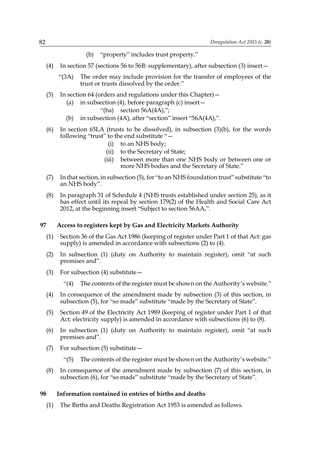- (b) "property" includes trust property."
- (4) In section 57 (sections 56 to 56B: supplementary), after subsection (3) insert—
	- "(3A) The order may include provision for the transfer of employees of the trust or trusts dissolved by the order."
- (5) In section 64 (orders and regulations under this Chapter)—
	- (a) in subsection (4), before paragraph (c) insert—
		- "(ba) section  $56A(4A)$ ";
	- (b) in subsection (4A), after "section" insert "56A(4A),".
- (6) In section 65LA (trusts to be dissolved), in subsection  $(3)(b)$ , for the words following "trust" to the end substitute "—
	- (i) to an NHS body;
	- (ii) to the Secretary of State;
	- (iii) between more than one NHS body or between one or more NHS bodies and the Secretary of State."
- (7) In that section, in subsection (5), for "to an NHS foundation trust" substitute "to an NHS body".
- (8) In paragraph 31 of Schedule 4 (NHS trusts established under section 25), as it has effect until its repeal by section 179(2) of the Health and Social Care Act 2012, at the beginning insert "Subject to section 56AA,".

### **97 Access to registers kept by Gas and Electricity Markets Authority**

- (1) Section 36 of the Gas Act 1986 (keeping of register under Part 1 of that Act: gas supply) is amended in accordance with subsections (2) to (4).
- (2) In subsection (1) (duty on Authority to maintain register), omit "at such premises and".
- (3) For subsection  $(4)$  substitute  $-$ 
	- "(4) The contents of the register must be shown on the Authority's website."
- (4) In consequence of the amendment made by subsection (3) of this section, in subsection (5), for "so made" substitute "made by the Secretary of State".
- (5) Section 49 of the Electricity Act 1989 (keeping of register under Part 1 of that Act: electricity supply) is amended in accordance with subsections (6) to (8).
- (6) In subsection (1) (duty on Authority to maintain register), omit "at such premises and".
- (7) For subsection (5) substitute—
	- "(5) The contents of the register must be shown on the Authority's website."
- (8) In consequence of the amendment made by subsection (7) of this section, in subsection (6), for "so made" substitute "made by the Secretary of State".

### **98 Information contained in entries of births and deaths**

(1) The Births and Deaths Registration Act 1953 is amended as follows.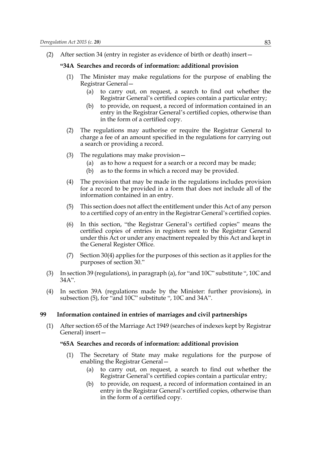(2) After section 34 (entry in register as evidence of birth or death) insert—

### **"34A Searches and records of information: additional provision**

- (1) The Minister may make regulations for the purpose of enabling the Registrar General—
	- (a) to carry out, on request, a search to find out whether the Registrar General's certified copies contain a particular entry;
	- (b) to provide, on request, a record of information contained in an entry in the Registrar General's certified copies, otherwise than in the form of a certified copy.
- (2) The regulations may authorise or require the Registrar General to charge a fee of an amount specified in the regulations for carrying out a search or providing a record.
- (3) The regulations may make provision—
	- (a) as to how a request for a search or a record may be made;
	- (b) as to the forms in which a record may be provided.
- (4) The provision that may be made in the regulations includes provision for a record to be provided in a form that does not include all of the information contained in an entry.
- (5) This section does not affect the entitlement under this Act of any person to a certified copy of an entry in the Registrar General's certified copies.
- (6) In this section, "the Registrar General's certified copies" means the certified copies of entries in registers sent to the Registrar General under this Act or under any enactment repealed by this Act and kept in the General Register Office.
- (7) Section 30(4) applies for the purposes of this section as it applies for the purposes of section 30."
- (3) In section 39 (regulations), in paragraph (a), for "and 10C" substitute ", 10C and 34A".
- (4) In section 39A (regulations made by the Minister: further provisions), in subsection (5), for "and 10C" substitute ", 10C and 34A".

### **99 Information contained in entries of marriages and civil partnerships**

(1) After section 65 of the Marriage Act 1949 (searches of indexes kept by Registrar General) insert—

### **"65A Searches and records of information: additional provision**

- (1) The Secretary of State may make regulations for the purpose of enabling the Registrar General—
	- (a) to carry out, on request, a search to find out whether the Registrar General's certified copies contain a particular entry;
	- (b) to provide, on request, a record of information contained in an entry in the Registrar General's certified copies, otherwise than in the form of a certified copy.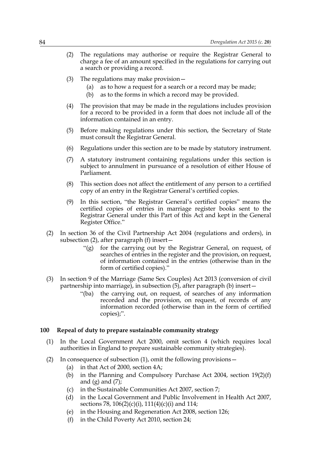- (2) The regulations may authorise or require the Registrar General to charge a fee of an amount specified in the regulations for carrying out a search or providing a record.
- (3) The regulations may make provision—
	- (a) as to how a request for a search or a record may be made;
	- (b) as to the forms in which a record may be provided.
- (4) The provision that may be made in the regulations includes provision for a record to be provided in a form that does not include all of the information contained in an entry.
- (5) Before making regulations under this section, the Secretary of State must consult the Registrar General.
- (6) Regulations under this section are to be made by statutory instrument.
- (7) A statutory instrument containing regulations under this section is subject to annulment in pursuance of a resolution of either House of Parliament.
- (8) This section does not affect the entitlement of any person to a certified copy of an entry in the Registrar General's certified copies.
- (9) In this section, "the Registrar General's certified copies" means the certified copies of entries in marriage register books sent to the Registrar General under this Part of this Act and kept in the General Register Office."
- (2) In section 36 of the Civil Partnership Act 2004 (regulations and orders), in subsection (2), after paragraph (f) insert—
	- "(g) for the carrying out by the Registrar General, on request, of searches of entries in the register and the provision, on request, of information contained in the entries (otherwise than in the form of certified copies)."
- (3) In section 9 of the Marriage (Same Sex Couples) Act 2013 (conversion of civil partnership into marriage), in subsection (5), after paragraph (b) insert—
	- "(ba) the carrying out, on request, of searches of any information recorded and the provision, on request, of records of any information recorded (otherwise than in the form of certified copies);".

#### **100 Repeal of duty to prepare sustainable community strategy**

- (1) In the Local Government Act 2000, omit section 4 (which requires local authorities in England to prepare sustainable community strategies).
- (2) In consequence of subsection (1), omit the following provisions—
	- (a) in that Act of 2000, section 4A;
	- (b) in the Planning and Compulsory Purchase Act 2004, section 19(2)(f) and  $(g)$  and  $(7)$ ;
	- (c) in the Sustainable Communities Act 2007, section 7;
	- (d) in the Local Government and Public Involvement in Health Act 2007, sections 78, 106(2)(c)(i), 111(4)(c)(i) and 114;
	- (e) in the Housing and Regeneration Act 2008, section 126;
	- (f) in the Child Poverty Act 2010, section 24;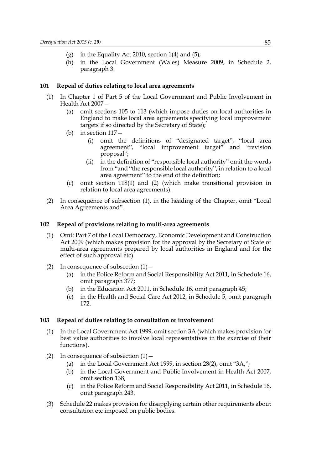- (g) in the Equality Act 2010, section  $1(4)$  and  $(5)$ ;
- (h) in the Local Government (Wales) Measure 2009, in Schedule 2, paragraph 3.

### **101 Repeal of duties relating to local area agreements**

- (1) In Chapter 1 of Part 5 of the Local Government and Public Involvement in Health Act 2007—
	- (a) omit sections 105 to 113 (which impose duties on local authorities in England to make local area agreements specifying local improvement targets if so directed by the Secretary of State);
	- (b) in section 117—
		- (i) omit the definitions of "designated target", "local area agreement", "local improvement target" and "revision proposal";
		- (ii) in the definition of "responsible local authority" omit the words from "and "the responsible local authority", in relation to a local area agreement" to the end of the definition;
	- (c) omit section 118(1) and (2) (which make transitional provision in relation to local area agreements).
- (2) In consequence of subsection (1), in the heading of the Chapter, omit "Local Area Agreements and".

### **102 Repeal of provisions relating to multi-area agreements**

- (1) Omit Part 7 of the Local Democracy, Economic Development and Construction Act 2009 (which makes provision for the approval by the Secretary of State of multi-area agreements prepared by local authorities in England and for the effect of such approval etc).
- (2) In consequence of subsection  $(1)$ 
	- (a) in the Police Reform and Social Responsibility Act 2011, in Schedule 16, omit paragraph 377;
	- (b) in the Education Act 2011, in Schedule 16, omit paragraph 45;
	- (c) in the Health and Social Care Act 2012, in Schedule 5, omit paragraph 172.

### **103 Repeal of duties relating to consultation or involvement**

- (1) In the Local Government Act 1999, omit section 3A (which makes provision for best value authorities to involve local representatives in the exercise of their functions).
- (2) In consequence of subsection  $(1)$ 
	- (a) in the Local Government Act 1999, in section 28(2), omit "3A,";
	- (b) in the Local Government and Public Involvement in Health Act 2007, omit section 138;
	- (c) in the Police Reform and Social Responsibility Act 2011, in Schedule 16, omit paragraph 243.
- (3) Schedule 22 makes provision for disapplying certain other requirements about consultation etc imposed on public bodies.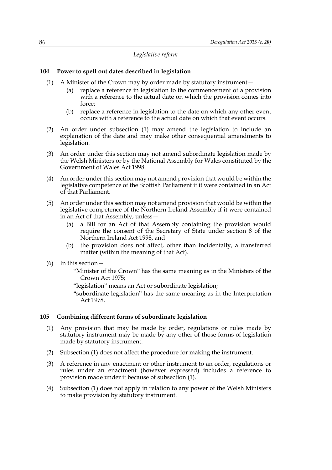### *Legislative reform*

### **104 Power to spell out dates described in legislation**

- (1) A Minister of the Crown may by order made by statutory instrument—
	- (a) replace a reference in legislation to the commencement of a provision with a reference to the actual date on which the provision comes into force;
	- (b) replace a reference in legislation to the date on which any other event occurs with a reference to the actual date on which that event occurs.
- (2) An order under subsection (1) may amend the legislation to include an explanation of the date and may make other consequential amendments to legislation.
- (3) An order under this section may not amend subordinate legislation made by the Welsh Ministers or by the National Assembly for Wales constituted by the Government of Wales Act 1998.
- (4) An order under this section may not amend provision that would be within the legislative competence of the Scottish Parliament if it were contained in an Act of that Parliament.
- (5) An order under this section may not amend provision that would be within the legislative competence of the Northern Ireland Assembly if it were contained in an Act of that Assembly, unless—
	- (a) a Bill for an Act of that Assembly containing the provision would require the consent of the Secretary of State under section 8 of the Northern Ireland Act 1998, and
	- (b) the provision does not affect, other than incidentally, a transferred matter (within the meaning of that Act).
- (6) In this section—
	- "Minister of the Crown" has the same meaning as in the Ministers of the Crown Act 1975;
	- "legislation" means an Act or subordinate legislation;
	- "subordinate legislation" has the same meaning as in the Interpretation Act 1978.

#### **105 Combining different forms of subordinate legislation**

- (1) Any provision that may be made by order, regulations or rules made by statutory instrument may be made by any other of those forms of legislation made by statutory instrument.
- (2) Subsection (1) does not affect the procedure for making the instrument.
- (3) A reference in any enactment or other instrument to an order, regulations or rules under an enactment (however expressed) includes a reference to provision made under it because of subsection (1).
- (4) Subsection (1) does not apply in relation to any power of the Welsh Ministers to make provision by statutory instrument.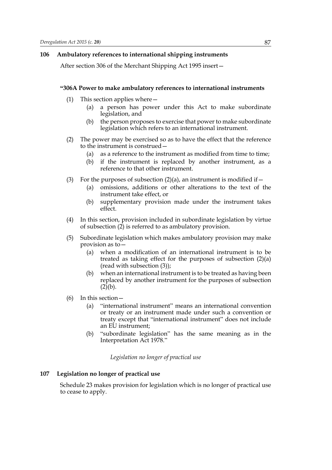#### **106 Ambulatory references to international shipping instruments**

After section 306 of the Merchant Shipping Act 1995 insert—

#### **"306A Power to make ambulatory references to international instruments**

- (1) This section applies where—
	- (a) a person has power under this Act to make subordinate legislation, and
	- (b) the person proposes to exercise that power to make subordinate legislation which refers to an international instrument.
- (2) The power may be exercised so as to have the effect that the reference to the instrument is construed—
	- (a) as a reference to the instrument as modified from time to time;
	- (b) if the instrument is replaced by another instrument, as a reference to that other instrument.
- (3) For the purposes of subsection  $(2)(a)$ , an instrument is modified if  $-$ 
	- (a) omissions, additions or other alterations to the text of the instrument take effect, or
	- (b) supplementary provision made under the instrument takes effect.
- (4) In this section, provision included in subordinate legislation by virtue of subsection (2) is referred to as ambulatory provision.
- (5) Subordinate legislation which makes ambulatory provision may make provision as to—
	- (a) when a modification of an international instrument is to be treated as taking effect for the purposes of subsection (2)(a) (read with subsection (3));
	- (b) when an international instrument is to be treated as having been replaced by another instrument for the purposes of subsection  $(2)$ <sub>(b)</sub>.
- (6) In this section—
	- (a) "international instrument" means an international convention or treaty or an instrument made under such a convention or treaty except that "international instrument" does not include an EU instrument;
	- (b) "subordinate legislation" has the same meaning as in the Interpretation Act 1978."

*Legislation no longer of practical use*

### **107 Legislation no longer of practical use**

Schedule 23 makes provision for legislation which is no longer of practical use to cease to apply.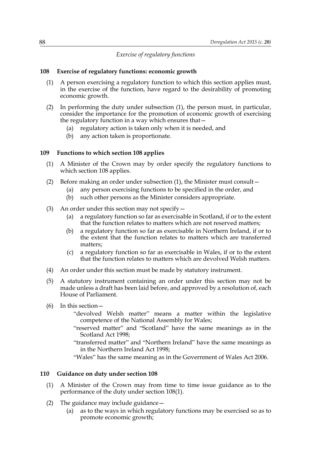### *Exercise of regulatory functions*

### **108 Exercise of regulatory functions: economic growth**

- (1) A person exercising a regulatory function to which this section applies must, in the exercise of the function, have regard to the desirability of promoting economic growth.
- (2) In performing the duty under subsection (1), the person must, in particular, consider the importance for the promotion of economic growth of exercising the regulatory function in a way which ensures that—
	- (a) regulatory action is taken only when it is needed, and
	- (b) any action taken is proportionate.

#### **109 Functions to which section 108 applies**

- (1) A Minister of the Crown may by order specify the regulatory functions to which section 108 applies.
- (2) Before making an order under subsection (1), the Minister must consult—
	- (a) any person exercising functions to be specified in the order, and
	- (b) such other persons as the Minister considers appropriate.
- (3) An order under this section may not specify—
	- (a) a regulatory function so far as exercisable in Scotland, if or to the extent that the function relates to matters which are not reserved matters;
	- (b) a regulatory function so far as exercisable in Northern Ireland, if or to the extent that the function relates to matters which are transferred matters;
	- (c) a regulatory function so far as exercisable in Wales, if or to the extent that the function relates to matters which are devolved Welsh matters.
- (4) An order under this section must be made by statutory instrument.
- (5) A statutory instrument containing an order under this section may not be made unless a draft has been laid before, and approved by a resolution of, each House of Parliament.
- (6) In this section—
	- "devolved Welsh matter" means a matter within the legislative competence of the National Assembly for Wales;
	- "reserved matter" and "Scotland" have the same meanings as in the Scotland Act 1998;
	- "transferred matter" and "Northern Ireland" have the same meanings as in the Northern Ireland Act 1998;
	- "Wales" has the same meaning as in the Government of Wales Act 2006.

#### **110 Guidance on duty under section 108**

- (1) A Minister of the Crown may from time to time issue guidance as to the performance of the duty under section 108(1).
- (2) The guidance may include guidance—
	- (a) as to the ways in which regulatory functions may be exercised so as to promote economic growth;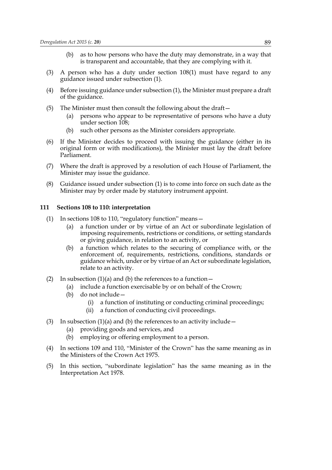- (b) as to how persons who have the duty may demonstrate, in a way that is transparent and accountable, that they are complying with it.
- (3) A person who has a duty under section 108(1) must have regard to any guidance issued under subsection (1).
- (4) Before issuing guidance under subsection (1), the Minister must prepare a draft of the guidance.
- (5) The Minister must then consult the following about the draft—
	- (a) persons who appear to be representative of persons who have a duty under section 108;
	- (b) such other persons as the Minister considers appropriate.
- (6) If the Minister decides to proceed with issuing the guidance (either in its original form or with modifications), the Minister must lay the draft before Parliament.
- (7) Where the draft is approved by a resolution of each House of Parliament, the Minister may issue the guidance.
- (8) Guidance issued under subsection (1) is to come into force on such date as the Minister may by order made by statutory instrument appoint.

### **111 Sections 108 to 110: interpretation**

- (1) In sections 108 to 110, "regulatory function" means—
	- (a) a function under or by virtue of an Act or subordinate legislation of imposing requirements, restrictions or conditions, or setting standards or giving guidance, in relation to an activity, or
	- (b) a function which relates to the securing of compliance with, or the enforcement of, requirements, restrictions, conditions, standards or guidance which, under or by virtue of an Act or subordinate legislation, relate to an activity.
- (2) In subsection  $(1)(a)$  and  $(b)$  the references to a function  $-$ 
	- (a) include a function exercisable by or on behalf of the Crown;
	- (b) do not include—
		- (i) a function of instituting or conducting criminal proceedings;
		- (ii) a function of conducting civil proceedings.
- (3) In subsection  $(1)(a)$  and  $(b)$  the references to an activity include
	- (a) providing goods and services, and
	- (b) employing or offering employment to a person.
- (4) In sections 109 and 110, "Minister of the Crown" has the same meaning as in the Ministers of the Crown Act 1975.
- (5) In this section, "subordinate legislation" has the same meaning as in the Interpretation Act 1978.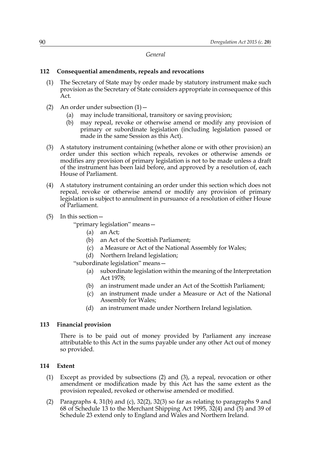*General*

### **112 Consequential amendments, repeals and revocations**

- (1) The Secretary of State may by order made by statutory instrument make such provision as the Secretary of State considers appropriate in consequence of this Act.
- (2) An order under subsection  $(1)$ 
	- (a) may include transitional, transitory or saving provision;
	- (b) may repeal, revoke or otherwise amend or modify any provision of primary or subordinate legislation (including legislation passed or made in the same Session as this Act).
- (3) A statutory instrument containing (whether alone or with other provision) an order under this section which repeals, revokes or otherwise amends or modifies any provision of primary legislation is not to be made unless a draft of the instrument has been laid before, and approved by a resolution of, each House of Parliament.
- (4) A statutory instrument containing an order under this section which does not repeal, revoke or otherwise amend or modify any provision of primary legislation is subject to annulment in pursuance of a resolution of either House of Parliament.
- (5) In this section—

"primary legislation" means—

- (a) an Act;
- (b) an Act of the Scottish Parliament;
- (c) a Measure or Act of the National Assembly for Wales;
- (d) Northern Ireland legislation;

"subordinate legislation" means—

- (a) subordinate legislation within the meaning of the Interpretation Act 1978;
- (b) an instrument made under an Act of the Scottish Parliament;
- (c) an instrument made under a Measure or Act of the National Assembly for Wales;
- (d) an instrument made under Northern Ireland legislation.

### **113 Financial provision**

There is to be paid out of money provided by Parliament any increase attributable to this Act in the sums payable under any other Act out of money so provided.

### **114 Extent**

- (1) Except as provided by subsections (2) and (3), a repeal, revocation or other amendment or modification made by this Act has the same extent as the provision repealed, revoked or otherwise amended or modified.
- (2) Paragraphs 4, 31(b) and (c), 32(2), 32(3) so far as relating to paragraphs 9 and 68 of Schedule 13 to the Merchant Shipping Act 1995, 32(4) and (5) and 39 of Schedule 23 extend only to England and Wales and Northern Ireland.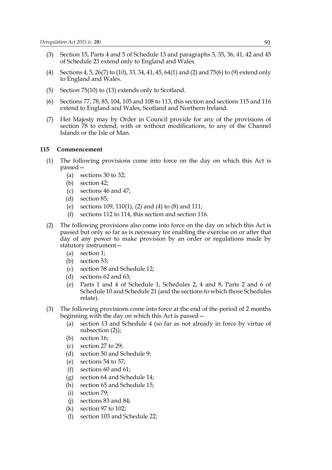- (3) Section 15, Parts 4 and 5 of Schedule 13 and paragraphs 5, 35, 36, 41, 42 and 45 of Schedule 23 extend only to England and Wales.
- (4) Sections 4, 5, 26(7) to (10), 33, 34, 41, 45, 64(1) and (2) and 75(6) to (9) extend only to England and Wales.
- (5) Section 75(10) to (13) extends only to Scotland.
- (6) Sections 77, 78, 85, 104, 105 and 108 to 113, this section and sections 115 and 116 extend to England and Wales, Scotland and Northern Ireland.
- (7) Her Majesty may by Order in Council provide for any of the provisions of section 78 to extend, with or without modifications, to any of the Channel Islands or the Isle of Man.

### **115 Commencement**

- (1) The following provisions come into force on the day on which this Act is passed—
	- (a) sections 30 to 32;
	- (b) section 42;
	- (c) sections 46 and 47;
	- (d) section 85;
	- (e) sections 109, 110(1), (2) and (4) to (8) and 111;
	- (f) sections 112 to 114, this section and section 116.
- (2) The following provisions also come into force on the day on which this Act is passed but only so far as is necessary for enabling the exercise on or after that day of any power to make provision by an order or regulations made by statutory instrument—
	- (a) section 1;
	- (b) section 53;
	- (c) section 58 and Schedule 12;
	- (d) sections 62 and 63;
	- (e) Parts 1 and 4 of Schedule 1, Schedules 2, 4 and 8, Parts 2 and 6 of Schedule 10 and Schedule 21 (and the sections to which those Schedules relate).
- (3) The following provisions come into force at the end of the period of 2 months beginning with the day on which this Act is passed—
	- (a) section 13 and Schedule 4 (so far as not already in force by virtue of subsection (2));
	- (b) section 16;
	- (c) section 27 to 29;
	- (d) section 50 and Schedule 9;
	- (e) sections 54 to 57;
	- (f) sections 60 and 61;
	- (g) section 64 and Schedule 14;
	- (h) section 65 and Schedule 15;
	- (i) section 79;
	- (j) sections 83 and 84;
	- (k) section 97 to 102;
	- (l) section 103 and Schedule 22;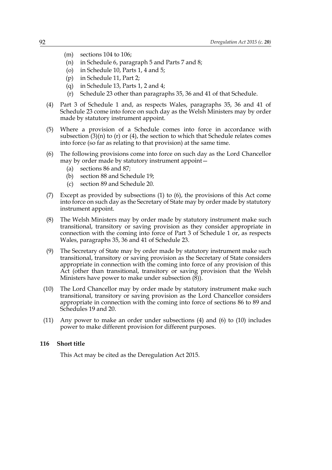- (m) sections 104 to 106;
- (n) in Schedule 6, paragraph 5 and Parts 7 and 8;
- (o) in Schedule 10, Parts 1, 4 and 5;
- (p) in Schedule 11, Part 2;
- (q) in Schedule 13, Parts 1, 2 and 4;
- (r) Schedule 23 other than paragraphs 35, 36 and 41 of that Schedule.
- (4) Part 3 of Schedule 1 and, as respects Wales, paragraphs 35, 36 and 41 of Schedule 23 come into force on such day as the Welsh Ministers may by order made by statutory instrument appoint.
- (5) Where a provision of a Schedule comes into force in accordance with subsection  $(3)(n)$  to  $(r)$  or  $(4)$ , the section to which that Schedule relates comes into force (so far as relating to that provision) at the same time.
- (6) The following provisions come into force on such day as the Lord Chancellor may by order made by statutory instrument appoint—
	- (a) sections 86 and 87;
	- (b) section 88 and Schedule 19;
	- (c) section 89 and Schedule 20.
- (7) Except as provided by subsections (1) to (6), the provisions of this Act come into force on such day as the Secretary of State may by order made by statutory instrument appoint.
- (8) The Welsh Ministers may by order made by statutory instrument make such transitional, transitory or saving provision as they consider appropriate in connection with the coming into force of Part 3 of Schedule 1 or, as respects Wales, paragraphs 35, 36 and 41 of Schedule 23.
- (9) The Secretary of State may by order made by statutory instrument make such transitional, transitory or saving provision as the Secretary of State considers appropriate in connection with the coming into force of any provision of this Act (other than transitional, transitory or saving provision that the Welsh Ministers have power to make under subsection  $(\breve{8})$ .
- (10) The Lord Chancellor may by order made by statutory instrument make such transitional, transitory or saving provision as the Lord Chancellor considers appropriate in connection with the coming into force of sections 86 to 89 and Schedules 19 and 20.
- (11) Any power to make an order under subsections (4) and (6) to (10) includes power to make different provision for different purposes.

### **116 Short title**

This Act may be cited as the Deregulation Act 2015.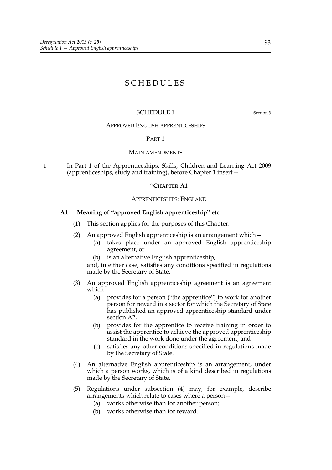# SCHEDULES

### SCHEDULE 1 Section 3

### APPROVED ENGLISH APPRENTICESHIPS

#### PART 1

#### MAIN AMENDMENTS

1 In Part 1 of the Apprenticeships, Skills, Children and Learning Act 2009 (apprenticeships, study and training), before Chapter 1 insert—

#### **"CHAPTER A1**

#### APPRENTICESHIPS: ENGLAND

### **A1 Meaning of "approved English apprenticeship" etc**

- (1) This section applies for the purposes of this Chapter.
- (2) An approved English apprenticeship is an arrangement which—
	- (a) takes place under an approved English apprenticeship agreement, or
	- (b) is an alternative English apprenticeship,

and, in either case, satisfies any conditions specified in regulations made by the Secretary of State.

- (3) An approved English apprenticeship agreement is an agreement which—
	- (a) provides for a person ("the apprentice") to work for another person for reward in a sector for which the Secretary of State has published an approved apprenticeship standard under section A2,
	- (b) provides for the apprentice to receive training in order to assist the apprentice to achieve the approved apprenticeship standard in the work done under the agreement, and
	- (c) satisfies any other conditions specified in regulations made by the Secretary of State.
- (4) An alternative English apprenticeship is an arrangement, under which a person works, which is of a kind described in regulations made by the Secretary of State.
- (5) Regulations under subsection (4) may, for example, describe arrangements which relate to cases where a person—
	- (a) works otherwise than for another person;
	- (b) works otherwise than for reward.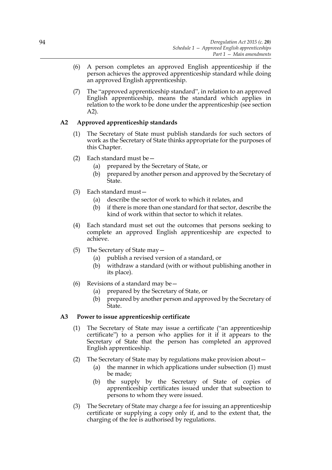- (6) A person completes an approved English apprenticeship if the person achieves the approved apprenticeship standard while doing an approved English apprenticeship.
- (7) The "approved apprenticeship standard", in relation to an approved English apprenticeship, means the standard which applies in relation to the work to be done under the apprenticeship (see section A2).

# **A2 Approved apprenticeship standards**

- (1) The Secretary of State must publish standards for such sectors of work as the Secretary of State thinks appropriate for the purposes of this Chapter.
- (2) Each standard must be—
	- (a) prepared by the Secretary of State, or
	- (b) prepared by another person and approved by the Secretary of State.
- (3) Each standard must—
	- (a) describe the sector of work to which it relates, and
	- (b) if there is more than one standard for that sector, describe the kind of work within that sector to which it relates.
- (4) Each standard must set out the outcomes that persons seeking to complete an approved English apprenticeship are expected to achieve.
- (5) The Secretary of State may—
	- (a) publish a revised version of a standard, or
	- (b) withdraw a standard (with or without publishing another in its place).
- (6) Revisions of a standard may be  $-$ 
	- (a) prepared by the Secretary of State, or
	- (b) prepared by another person and approved by the Secretary of State.

# **A3 Power to issue apprenticeship certificate**

- (1) The Secretary of State may issue a certificate ("an apprenticeship certificate") to a person who applies for it if it appears to the Secretary of State that the person has completed an approved English apprenticeship.
- (2) The Secretary of State may by regulations make provision about—
	- (a) the manner in which applications under subsection (1) must be made;
	- (b) the supply by the Secretary of State of copies of apprenticeship certificates issued under that subsection to persons to whom they were issued.
- (3) The Secretary of State may charge a fee for issuing an apprenticeship certificate or supplying a copy only if, and to the extent that, the charging of the fee is authorised by regulations.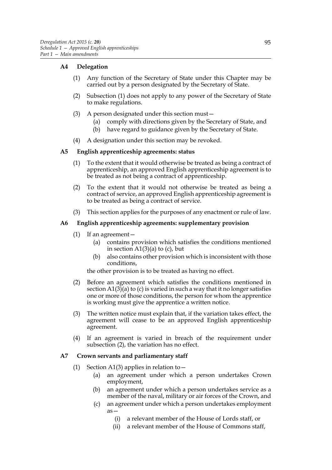### **A4 Delegation**

- (1) Any function of the Secretary of State under this Chapter may be carried out by a person designated by the Secretary of State.
- (2) Subsection (1) does not apply to any power of the Secretary of State to make regulations.
- (3) A person designated under this section must—
	- (a) comply with directions given by the Secretary of State, and
	- (b) have regard to guidance given by the Secretary of State.
- (4) A designation under this section may be revoked.

### **A5 English apprenticeship agreements: status**

- (1) To the extent that it would otherwise be treated as being a contract of apprenticeship, an approved English apprenticeship agreement is to be treated as not being a contract of apprenticeship.
- (2) To the extent that it would not otherwise be treated as being a contract of service, an approved English apprenticeship agreement is to be treated as being a contract of service.
- (3) This section applies for the purposes of any enactment or rule of law.

### **A6 English apprenticeship agreements: supplementary provision**

- (1) If an agreement—
	- (a) contains provision which satisfies the conditions mentioned in section  $A1(3)(a)$  to (c), but
	- (b) also contains other provision which is inconsistent with those conditions,

the other provision is to be treated as having no effect.

- (2) Before an agreement which satisfies the conditions mentioned in section  $A1(3)$ (a) to (c) is varied in such a way that it no longer satisfies one or more of those conditions, the person for whom the apprentice is working must give the apprentice a written notice.
- (3) The written notice must explain that, if the variation takes effect, the agreement will cease to be an approved English apprenticeship agreement.
- (4) If an agreement is varied in breach of the requirement under subsection (2), the variation has no effect.

### **A7 Crown servants and parliamentary staff**

- (1) Section A1(3) applies in relation to  $-$ 
	- (a) an agreement under which a person undertakes Crown employment,
	- (b) an agreement under which a person undertakes service as a member of the naval, military or air forces of the Crown, and
	- (c) an agreement under which a person undertakes employment as—
		- (i) a relevant member of the House of Lords staff, or
		- (ii) a relevant member of the House of Commons staff,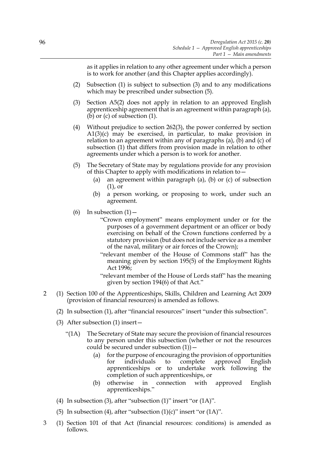as it applies in relation to any other agreement under which a person is to work for another (and this Chapter applies accordingly).

- (2) Subsection (1) is subject to subsection (3) and to any modifications which may be prescribed under subsection (5).
- (3) Section A5(2) does not apply in relation to an approved English apprenticeship agreement that is an agreement within paragraph (a), (b) or (c) of subsection (1).
- (4) Without prejudice to section 262(3), the power conferred by section A1(3)(c) may be exercised, in particular, to make provision in relation to an agreement within any of paragraphs (a), (b) and (c) of subsection (1) that differs from provision made in relation to other agreements under which a person is to work for another.
- (5) The Secretary of State may by regulations provide for any provision of this Chapter to apply with modifications in relation to—
	- (a) an agreement within paragraph (a), (b) or (c) of subsection (1), or
	- (b) a person working, or proposing to work, under such an agreement.
- (6) In subsection  $(1)$ 
	- "Crown employment" means employment under or for the purposes of a government department or an officer or body exercising on behalf of the Crown functions conferred by a statutory provision (but does not include service as a member of the naval, military or air forces of the Crown);
	- "relevant member of the House of Commons staff" has the meaning given by section 195(5) of the Employment Rights Act 1996;
	- "relevant member of the House of Lords staff" has the meaning given by section 194(6) of that Act."
- 2 (1) Section 100 of the Apprenticeships, Skills, Children and Learning Act 2009 (provision of financial resources) is amended as follows.
	- (2) In subsection (1), after "financial resources" insert "under this subsection".
	- (3) After subsection (1) insert—
		- "(1A) The Secretary of State may secure the provision of financial resources to any person under this subsection (whether or not the resources could be secured under subsection  $(1)$ ) –
			- (a) for the purpose of encouraging the provision of opportunities for individuals to complete approved English apprenticeships or to undertake work following the completion of such apprenticeships, or
			- (b) otherwise in connection with approved English apprenticeships."
	- (4) In subsection (3), after "subsection (1)" insert "or (1A)".
	- (5) In subsection (4), after "subsection  $(1)(c)$ " insert "or  $(1A)$ ".
- 3 (1) Section 101 of that Act (financial resources: conditions) is amended as follows.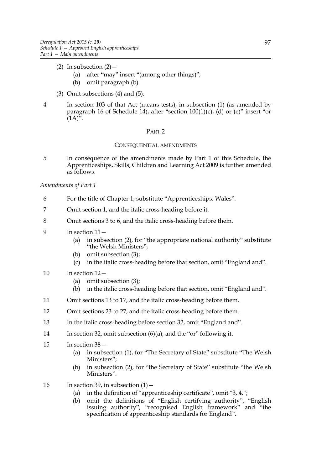- (2) In subsection  $(2)$ 
	- (a) after "may" insert "(among other things)";
	- (b) omit paragraph (b).
- (3) Omit subsections (4) and (5).
- 4 In section 103 of that Act (means tests), in subsection (1) (as amended by paragraph 16 of Schedule 14), after "section 100(1)(c), (d) or (e)" insert "or  $(1A)^{5}$ .

### PART 2

### CONSEQUENTIAL AMENDMENTS

5 In consequence of the amendments made by Part 1 of this Schedule, the Apprenticeships, Skills, Children and Learning Act 2009 is further amended as follows.

### *Amendments of Part 1*

- 6 For the title of Chapter 1, substitute "Apprenticeships: Wales".
- 7 Omit section 1, and the italic cross-heading before it.
- 8 Omit sections 3 to 6, and the italic cross-heading before them.
- 9 In section 11—
	- (a) in subsection (2), for "the appropriate national authority" substitute "the Welsh Ministers";
	- (b) omit subsection (3);
	- (c) in the italic cross-heading before that section, omit "England and".
- 10 In section 12—
	- (a) omit subsection (3);
	- (b) in the italic cross-heading before that section, omit "England and".
- 11 Omit sections 13 to 17, and the italic cross-heading before them.
- 12 Omit sections 23 to 27, and the italic cross-heading before them.
- 13 In the italic cross-heading before section 32, omit "England and".
- 14 In section 32, omit subsection (6)(a), and the "or" following it.
- 15 In section 38—
	- (a) in subsection (1), for "The Secretary of State" substitute "The Welsh Ministers";
	- (b) in subsection (2), for "the Secretary of State" substitute "the Welsh Ministers".
- 16 In section 39, in subsection  $(1)$ 
	- (a) in the definition of "apprenticeship certificate", omit "3, 4,";
	- (b) omit the definitions of "English certifying authority", "English issuing authority", "recognised English framework" and "the specification of apprenticeship standards for England".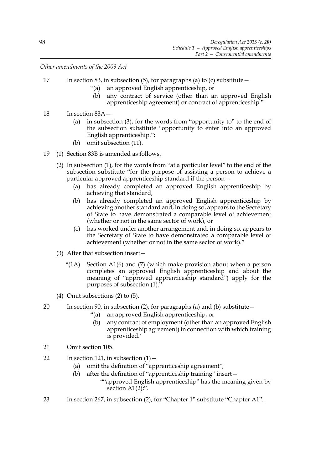*Other amendments of the 2009 Act*

- 17 In section 83, in subsection (5), for paragraphs (a) to (c) substitute
	- "(a) an approved English apprenticeship, or
	- (b) any contract of service (other than an approved English apprenticeship agreement) or contract of apprenticeship."
- 18 In section 83A—
	- (a) in subsection (3), for the words from "opportunity to" to the end of the subsection substitute "opportunity to enter into an approved English apprenticeship.";
	- (b) omit subsection (11).
- 19 (1) Section 83B is amended as follows.
	- (2) In subsection (1), for the words from "at a particular level" to the end of the subsection substitute "for the purpose of assisting a person to achieve a particular approved apprenticeship standard if the person—
		- (a) has already completed an approved English apprenticeship by achieving that standard,
		- (b) has already completed an approved English apprenticeship by achieving another standard and, in doing so, appears to the Secretary of State to have demonstrated a comparable level of achievement (whether or not in the same sector of work), or
		- (c) has worked under another arrangement and, in doing so, appears to the Secretary of State to have demonstrated a comparable level of achievement (whether or not in the same sector of work)."
	- (3) After that subsection insert—
		- "(1A) Section A1(6) and (7) (which make provision about when a person completes an approved English apprenticeship and about the meaning of "approved apprenticeship standard") apply for the purposes of subsection (1)."
	- (4) Omit subsections (2) to (5).
- 20 In section 90, in subsection (2), for paragraphs (a) and (b) substitute—
	- "(a) an approved English apprenticeship, or
	- (b) any contract of employment (other than an approved English apprenticeship agreement) in connection with which training is provided."
- 21 Omit section 105.
- 22 In section 121, in subsection  $(1)$ 
	- (a) omit the definition of "apprenticeship agreement";
	- (b) after the definition of "apprenticeship training" insert—
		- ""approved English apprenticeship" has the meaning given by section A1(2);".
- 23 In section 267, in subsection (2), for "Chapter 1" substitute "Chapter A1".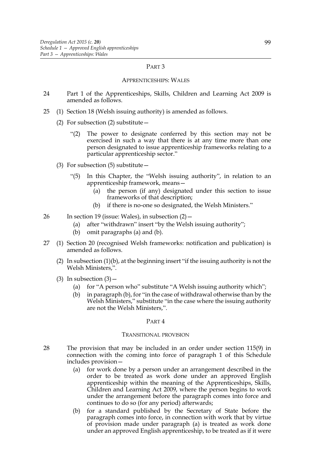#### PART 3

#### APPRENTICESHIPS: WALES

- 24 Part 1 of the Apprenticeships, Skills, Children and Learning Act 2009 is amended as follows.
- 25 (1) Section 18 (Welsh issuing authority) is amended as follows.
	- (2) For subsection (2) substitute—
		- "(2) The power to designate conferred by this section may not be exercised in such a way that there is at any time more than one person designated to issue apprenticeship frameworks relating to a particular apprenticeship sector."
	- (3) For subsection (5) substitute—
		- "(5) In this Chapter, the "Welsh issuing authority", in relation to an apprenticeship framework, means—
			- (a) the person (if any) designated under this section to issue frameworks of that description;
			- (b) if there is no-one so designated, the Welsh Ministers."
- 26 In section 19 (issue: Wales), in subsection (2)—
	- (a) after "withdrawn" insert "by the Welsh issuing authority";
	- (b) omit paragraphs (a) and (b).
- 27 (1) Section 20 (recognised Welsh frameworks: notification and publication) is amended as follows.
	- (2) In subsection (1)(b), at the beginning insert "if the issuing authority is not the Welsh Ministers,".
	- (3) In subsection  $(3)$  -
		- (a) for "A person who" substitute "A Welsh issuing authority which";
		- (b) in paragraph (b), for "in the case of withdrawal otherwise than by the Welsh Ministers," substitute "in the case where the issuing authority are not the Welsh Ministers,".

#### PART 4

### TRANSITIONAL PROVISION

- 28 The provision that may be included in an order under section 115(9) in connection with the coming into force of paragraph 1 of this Schedule includes provision—
	- (a) for work done by a person under an arrangement described in the order to be treated as work done under an approved English apprenticeship within the meaning of the Apprenticeships, Skills, Children and Learning Act 2009, where the person begins to work under the arrangement before the paragraph comes into force and continues to do so (for any period) afterwards;
	- (b) for a standard published by the Secretary of State before the paragraph comes into force, in connection with work that by virtue of provision made under paragraph (a) is treated as work done under an approved English apprenticeship, to be treated as if it were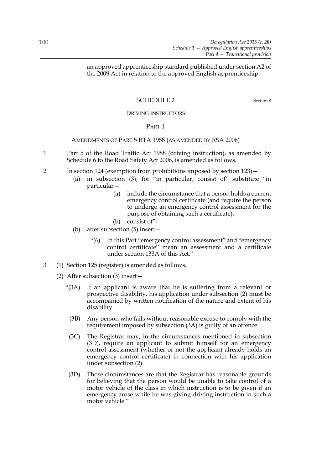an approved apprenticeship standard published under section A2 of the 2009 Act in relation to the approved English apprenticeship.

# SCHEDULE 2 Section 8

### DRIVING INSTRUCTORS

### PART 1

### AMENDMENTS OF PART 5 RTA 1988 (AS AMENDED BY RSA 2006)

- 1 Part 5 of the Road Traffic Act 1988 (driving instruction), as amended by Schedule 6 to the Road Safety Act 2006, is amended as follows.
- 2 In section 124 (exemption from prohibitions imposed by section 123)—
	- (a) in subsection (3), for "in particular, consist of" substitute "in particular—
		- (a) include the circumstance that a person holds a current emergency control certificate (and require the person to undergo an emergency control assessment for the purpose of obtaining such a certificate);
		- (b) consist of";
	- (b) after subsection (5) insert—
		- "(6) In this Part "emergency control assessment" and "emergency control certificate" mean an assessment and a certificate under section 133A of this Act."
- 3 (1) Section 125 (register) is amended as follows.
	- (2) After subsection (3) insert—
		- "(3A) If an applicant is aware that he is suffering from a relevant or prospective disability, his application under subsection (2) must be accompanied by written notification of the nature and extent of his disability.
			- (3B) Any person who fails without reasonable excuse to comply with the requirement imposed by subsection (3A) is guilty of an offence.
		- (3C) The Registrar may, in the circumstances mentioned in subsection (3D), require an applicant to submit himself for an emergency control assessment (whether or not the applicant already holds an emergency control certificate) in connection with his application under subsection (2).
		- (3D) Those circumstances are that the Registrar has reasonable grounds for believing that the person would be unable to take control of a motor vehicle of the class in which instruction is to be given if an emergency arose while he was giving driving instruction in such a motor vehicle."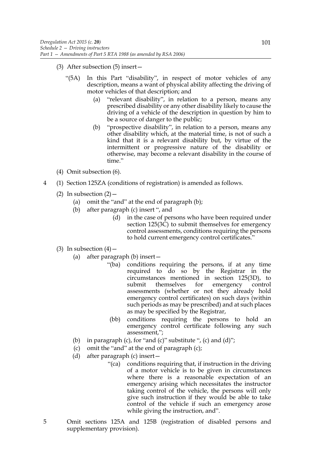- (3) After subsection (5) insert—
	- "(5A) In this Part "disability", in respect of motor vehicles of any description, means a want of physical ability affecting the driving of motor vehicles of that description; and
		- (a) "relevant disability", in relation to a person, means any prescribed disability or any other disability likely to cause the driving of a vehicle of the description in question by him to be a source of danger to the public;
		- (b) "prospective disability", in relation to a person, means any other disability which, at the material time, is not of such a kind that it is a relevant disability but, by virtue of the intermittent or progressive nature of the disability or otherwise, may become a relevant disability in the course of time."
- (4) Omit subsection (6).
- 4 (1) Section 125ZA (conditions of registration) is amended as follows.
	- (2) In subsection  $(2)$ 
		- (a) omit the "and" at the end of paragraph (b);
		- (b) after paragraph (c) insert ", and
			- (d) in the case of persons who have been required under section 125(3C) to submit themselves for emergency control assessments, conditions requiring the persons to hold current emergency control certificates."
	- (3) In subsection  $(4)$  -
		- (a) after paragraph (b) insert—
			- "(ba) conditions requiring the persons, if at any time required to do so by the Registrar in the circumstances mentioned in section 125(3D), to submit themselves for emergency control assessments (whether or not they already hold emergency control certificates) on such days (within such periods as may be prescribed) and at such places as may be specified by the Registrar,
			- (bb) conditions requiring the persons to hold an emergency control certificate following any such assessment,";
		- (b) in paragraph (c), for "and (c)" substitute ", (c) and  $(d)$ ";
		- (c) omit the "and" at the end of paragraph (c);
		- (d) after paragraph (c) insert—
			- "(ca) conditions requiring that, if instruction in the driving of a motor vehicle is to be given in circumstances where there is a reasonable expectation of an emergency arising which necessitates the instructor taking control of the vehicle, the persons will only give such instruction if they would be able to take control of the vehicle if such an emergency arose while giving the instruction, and".
- 5 Omit sections 125A and 125B (registration of disabled persons and supplementary provision).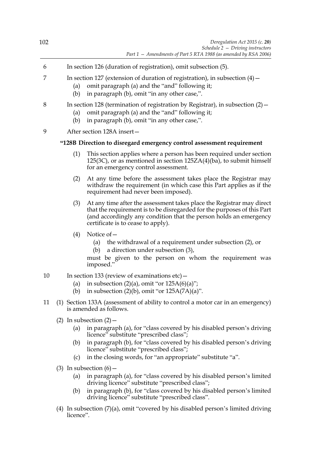- 6 In section 126 (duration of registration), omit subsection (5).
- 7 In section 127 (extension of duration of registration), in subsection (4)—
	- (a) omit paragraph (a) and the "and" following it;
	- (b) in paragraph (b), omit "in any other case,".

# 8 In section 128 (termination of registration by Registrar), in subsection (2)—

- (a) omit paragraph (a) and the "and" following it;
- (b) in paragraph (b), omit "in any other case,".
- 9 After section 128A insert—

# **"128B Direction to disregard emergency control assessment requirement**

- (1) This section applies where a person has been required under section 125(3C), or as mentioned in section 125ZA(4)(ba), to submit himself for an emergency control assessment.
- (2) At any time before the assessment takes place the Registrar may withdraw the requirement (in which case this Part applies as if the requirement had never been imposed).
- (3) At any time after the assessment takes place the Registrar may direct that the requirement is to be disregarded for the purposes of this Part (and accordingly any condition that the person holds an emergency certificate is to cease to apply).
- (4) Notice of—
	- (a) the withdrawal of a requirement under subsection (2), or
	- (b) a direction under subsection (3),

must be given to the person on whom the requirement was imposed."

- 10 In section 133 (review of examinations etc)
	- (a) in subsection  $(2)(a)$ , omit "or  $125A(6)(a)$ ";
		- (b) in subsection  $(2)(b)$ , omit "or  $125A(7A)(a)$ ".
- 11 (1) Section 133A (assessment of ability to control a motor car in an emergency) is amended as follows.
	- (2) In subsection  $(2)$ 
		- (a) in paragraph (a), for "class covered by his disabled person's driving licence" substitute "prescribed class";
		- (b) in paragraph (b), for "class covered by his disabled person's driving licence" substitute "prescribed class";
		- (c) in the closing words, for "an appropriate" substitute "a".
	- (3) In subsection  $(6)$ 
		- (a) in paragraph (a), for "class covered by his disabled person's limited driving licence" substitute "prescribed class";
		- (b) in paragraph (b), for "class covered by his disabled person's limited driving licence" substitute "prescribed class".
	- (4) In subsection (7)(a), omit "covered by his disabled person's limited driving licence".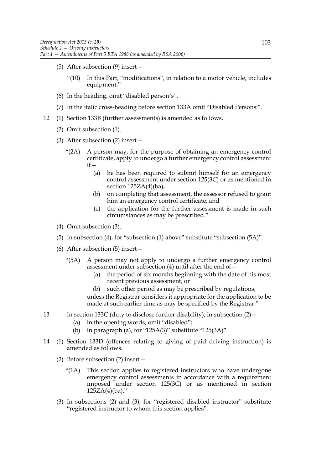- (5) After subsection (9) insert—
	- "(10) In this Part, "modifications", in relation to a motor vehicle, includes equipment."
- (6) In the heading, omit "disabled person's".
- (7) In the italic cross-heading before section 133A omit "Disabled Persons:".
- 12 (1) Section 133B (further assessments) is amended as follows.
	- (2) Omit subsection (1).
	- (3) After subsection (2) insert—
		- "(2A) A person may, for the purpose of obtaining an emergency control certificate, apply to undergo a further emergency control assessment  $if$ 
			- (a) he has been required to submit himself for an emergency control assessment under section 125(3C) or as mentioned in section 125ZA(4)(ba),
			- (b) on completing that assessment, the assessor refused to grant him an emergency control certificate, and
			- (c) the application for the further assessment is made in such circumstances as may be prescribed."
	- (4) Omit subsection (3).
	- (5) In subsection (4), for "subsection (1) above" substitute "subsection (5A)".
	- (6) After subsection (5) insert—
		- "(5A) A person may not apply to undergo a further emergency control assessment under subsection  $(4)$  until after the end of  $-$ 
			- (a) the period of six months beginning with the date of his most recent previous assessment, or
			- (b) such other period as may be prescribed by regulations, unless the Registrar considers it appropriate for the application to be made at such earlier time as may be specified by the Registrar."
- 13 In section 133C (duty to disclose further disability), in subsection  $(2)$  -
	- (a) in the opening words, omit "disabled";
	- (b) in paragraph (a), for " $125A(3)$ " substitute " $125(3A)$ ".
- 14 (1) Section 133D (offences relating to giving of paid driving instruction) is amended as follows.
	- (2) Before subsection (2) insert—
		- "(1A) This section applies to registered instructors who have undergone emergency control assessments in accordance with a requirement imposed under section 125(3C) or as mentioned in section  $125ZA(4)(ba)$ ."
	- (3) In subsections (2) and (3), for "registered disabled instructor" substitute "registered instructor to whom this section applies".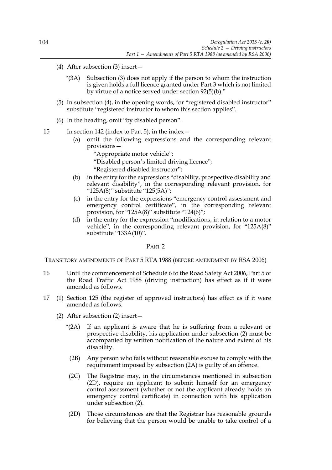- (4) After subsection (3) insert—
	- "(3A) Subsection (3) does not apply if the person to whom the instruction is given holds a full licence granted under Part 3 which is not limited by virtue of a notice served under section 92(5)(b)."
- (5) In subsection (4), in the opening words, for "registered disabled instructor" substitute "registered instructor to whom this section applies".
- (6) In the heading, omit "by disabled person".

15 In section 142 (index to Part 5), in the index—

(a) omit the following expressions and the corresponding relevant provisions—

> "Appropriate motor vehicle"; "Disabled person's limited driving licence"; "Registered disabled instructor";

- (b) in the entry for the expressions "disability, prospective disability and relevant disability", in the corresponding relevant provision, for "125A(8)" substitute "125(5A)";
- (c) in the entry for the expressions "emergency control assessment and emergency control certificate", in the corresponding relevant provision, for "125A(8)" substitute "124(6)";
- (d) in the entry for the expression "modifications, in relation to a motor vehicle", in the corresponding relevant provision, for "125A(8)" substitute "133A(10)".

PART 2

TRANSITORY AMENDMENTS OF PART 5 RTA 1988 (BEFORE AMENDMENT BY RSA 2006)

- 16 Until the commencement of Schedule 6 to the Road Safety Act 2006, Part 5 of the Road Traffic Act 1988 (driving instruction) has effect as if it were amended as follows.
- 17 (1) Section 125 (the register of approved instructors) has effect as if it were amended as follows.
	- (2) After subsection (2) insert—
		- "(2A) If an applicant is aware that he is suffering from a relevant or prospective disability, his application under subsection (2) must be accompanied by written notification of the nature and extent of his disability.
			- (2B) Any person who fails without reasonable excuse to comply with the requirement imposed by subsection (2A) is guilty of an offence.
		- (2C) The Registrar may, in the circumstances mentioned in subsection (2D), require an applicant to submit himself for an emergency control assessment (whether or not the applicant already holds an emergency control certificate) in connection with his application under subsection (2).
		- (2D) Those circumstances are that the Registrar has reasonable grounds for believing that the person would be unable to take control of a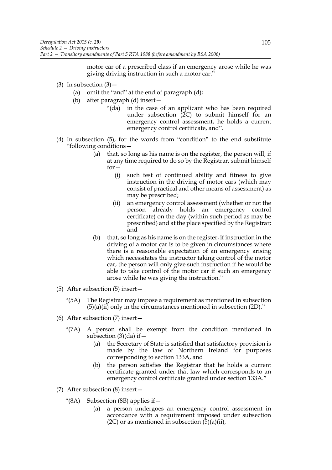motor car of a prescribed class if an emergency arose while he was giving driving instruction in such a motor car."

- (3) In subsection  $(3)$ 
	- (a) omit the "and" at the end of paragraph (d);
	- (b) after paragraph (d) insert—
		- "(da) in the case of an applicant who has been required under subsection (2C) to submit himself for an emergency control assessment, he holds a current emergency control certificate, and".
- (4) In subsection (5), for the words from "condition" to the end substitute "following conditions—
	- (a) that, so long as his name is on the register, the person will, if at any time required to do so by the Registrar, submit himself for—
		- (i) such test of continued ability and fitness to give instruction in the driving of motor cars (which may consist of practical and other means of assessment) as may be prescribed;
		- (ii) an emergency control assessment (whether or not the person already holds an emergency control certificate) on the day (within such period as may be prescribed) and at the place specified by the Registrar; and
	- (b) that, so long as his name is on the register, if instruction in the driving of a motor car is to be given in circumstances where there is a reasonable expectation of an emergency arising which necessitates the instructor taking control of the motor car, the person will only give such instruction if he would be able to take control of the motor car if such an emergency arose while he was giving the instruction."
- (5) After subsection (5) insert—
	- "(5A) The Registrar may impose a requirement as mentioned in subsection  $(5)(a)(ii)$  only in the circumstances mentioned in subsection  $(2D)$ ."
- (6) After subsection (7) insert—
	- "(7A) A person shall be exempt from the condition mentioned in subsection  $(3)(da)$  if  $-$ 
		- (a) the Secretary of State is satisfied that satisfactory provision is made by the law of Northern Ireland for purposes corresponding to section 133A, and
		- (b) the person satisfies the Registrar that he holds a current certificate granted under that law which corresponds to an emergency control certificate granted under section 133A."
- (7) After subsection (8) insert—
	- "(8A) Subsection (8B) applies if—
		- (a) a person undergoes an emergency control assessment in accordance with a requirement imposed under subsection  $(2C)$  or as mentioned in subsection  $(5)(a)(ii)$ ,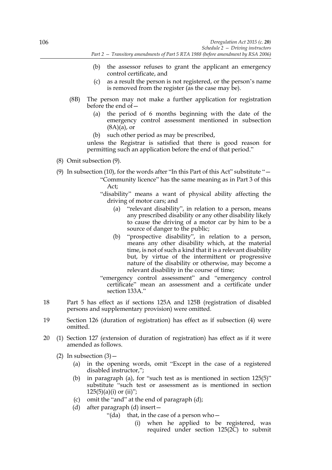- (b) the assessor refuses to grant the applicant an emergency control certificate, and
- (c) as a result the person is not registered, or the person's name is removed from the register (as the case may be).
- (8B) The person may not make a further application for registration before the end of—
	- (a) the period of 6 months beginning with the date of the emergency control assessment mentioned in subsection  $(8A)(a)$ , or
	- (b) such other period as may be prescribed,

unless the Registrar is satisfied that there is good reason for permitting such an application before the end of that period."

# (8) Omit subsection (9).

(9) In subsection (10), for the words after "In this Part of this Act" substitute " $-$ 

- "Community licence" has the same meaning as in Part 3 of this Act;
- "disability" means a want of physical ability affecting the driving of motor cars; and
	- (a) "relevant disability", in relation to a person, means any prescribed disability or any other disability likely to cause the driving of a motor car by him to be a source of danger to the public;
	- (b) "prospective disability", in relation to a person, means any other disability which, at the material time, is not of such a kind that it is a relevant disability but, by virtue of the intermittent or progressive nature of the disability or otherwise, may become a relevant disability in the course of time;

"emergency control assessment" and "emergency control certificate" mean an assessment and a certificate under section 133A."

- 18 Part 5 has effect as if sections 125A and 125B (registration of disabled persons and supplementary provision) were omitted.
- 19 Section 126 (duration of registration) has effect as if subsection (4) were omitted.
- 20 (1) Section 127 (extension of duration of registration) has effect as if it were amended as follows.
	- (2) In subsection  $(3)$  -
		- (a) in the opening words, omit "Except in the case of a registered disabled instructor,";
		- (b) in paragraph (a), for "such test as is mentioned in section 125(5)" substitute "such test or assessment as is mentioned in section  $125(5)(a)(i)$  or  $(ii)$ ";
		- (c) omit the "and" at the end of paragraph (d);
		- (d) after paragraph (d) insert—
			- "(da) that, in the case of a person who  $-$ 
				- (i) when he applied to be registered, was required under section 125(2C) to submit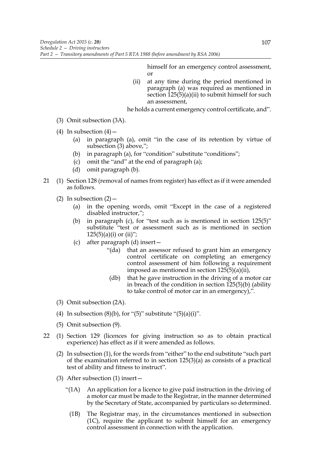himself for an emergency control assessment, or

(ii) at any time during the period mentioned in paragraph (a) was required as mentioned in section  $\hat{1}25(5)(a)(ii)$  to submit himself for such an assessment,

he holds a current emergency control certificate, and".

- (3) Omit subsection (3A).
- (4) In subsection  $(4)$ 
	- (a) in paragraph (a), omit "in the case of its retention by virtue of subsection (3) above,";
	- (b) in paragraph (a), for "condition" substitute "conditions";
	- (c) omit the "and" at the end of paragraph (a);
	- (d) omit paragraph (b).
- 21 (1) Section 128 (removal of names from register) has effect as if it were amended as follows.
	- (2) In subsection  $(2)$ 
		- (a) in the opening words, omit "Except in the case of a registered disabled instructor,";
		- (b) in paragraph (c), for "test such as is mentioned in section 125(5)" substitute "test or assessment such as is mentioned in section  $125(5)(a)(i)$  or  $(ii)$ ";
		- (c) after paragraph (d) insert—
			- "(da) that an assessor refused to grant him an emergency control certificate on completing an emergency control assessment of him following a requirement imposed as mentioned in section 125(5)(a)(ii),
			- (db) that he gave instruction in the driving of a motor car in breach of the condition in section 125(5)(b) (ability to take control of motor car in an emergency),".
	- (3) Omit subsection (2A).
	- (4) In subsection  $(8)(b)$ , for " $(5)$ " substitute " $(5)(a)(i)$ ".
	- (5) Omit subsection (9).
- 22 (1) Section 129 (licences for giving instruction so as to obtain practical experience) has effect as if it were amended as follows.
	- (2) In subsection (1), for the words from "either" to the end substitute "such part of the examination referred to in section 125(3)(a) as consists of a practical test of ability and fitness to instruct".
	- (3) After subsection (1) insert—
		- "(1A) An application for a licence to give paid instruction in the driving of a motor car must be made to the Registrar, in the manner determined by the Secretary of State, accompanied by particulars so determined.
			- (1B) The Registrar may, in the circumstances mentioned in subsection (1C), require the applicant to submit himself for an emergency control assessment in connection with the application.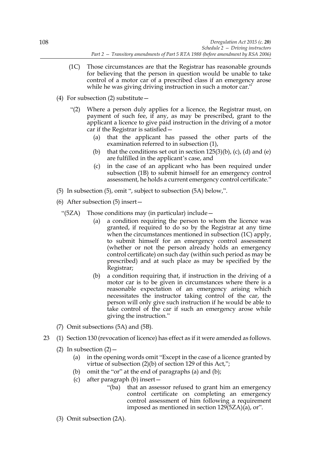- (1C) Those circumstances are that the Registrar has reasonable grounds for believing that the person in question would be unable to take control of a motor car of a prescribed class if an emergency arose while he was giving driving instruction in such a motor car."
- (4) For subsection (2) substitute—
	- "(2) Where a person duly applies for a licence, the Registrar must, on payment of such fee, if any, as may be prescribed, grant to the applicant a licence to give paid instruction in the driving of a motor car if the Registrar is satisfied—
		- (a) that the applicant has passed the other parts of the examination referred to in subsection (1),
		- (b) that the conditions set out in section  $125(3)(b)$ , (c), (d) and (e) are fulfilled in the applicant's case, and
		- (c) in the case of an applicant who has been required under subsection (1B) to submit himself for an emergency control assessment, he holds a current emergency control certificate."
- (5) In subsection (5), omit ", subject to subsection (5A) below,".
- (6) After subsection (5) insert—
	- "(5ZA) Those conditions may (in particular) include—
		- (a) a condition requiring the person to whom the licence was granted, if required to do so by the Registrar at any time when the circumstances mentioned in subsection (1C) apply, to submit himself for an emergency control assessment (whether or not the person already holds an emergency control certificate) on such day (within such period as may be prescribed) and at such place as may be specified by the Registrar;
		- (b) a condition requiring that, if instruction in the driving of a motor car is to be given in circumstances where there is a reasonable expectation of an emergency arising which necessitates the instructor taking control of the car, the person will only give such instruction if he would be able to take control of the car if such an emergency arose while giving the instruction."
- (7) Omit subsections (5A) and (5B).
- 23 (1) Section 130 (revocation of licence) has effect as if it were amended as follows.
	- (2) In subsection  $(2)$ 
		- (a) in the opening words omit "Except in the case of a licence granted by virtue of subsection (2)(b) of section 129 of this Act,";
		- (b) omit the "or" at the end of paragraphs (a) and (b);
		- (c) after paragraph (b) insert—
			- "(ba) that an assessor refused to grant him an emergency control certificate on completing an emergency control assessment of him following a requirement imposed as mentioned in section  $129(5ZA)(\bar{a})$ , or".
	- (3) Omit subsection (2A).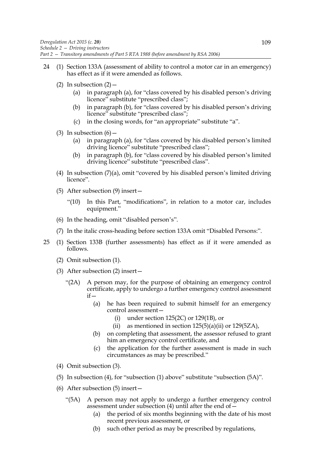- 24 (1) Section 133A (assessment of ability to control a motor car in an emergency) has effect as if it were amended as follows.
	- (2) In subsection  $(2)$  -
		- (a) in paragraph (a), for "class covered by his disabled person's driving licence" substitute "prescribed class";
		- (b) in paragraph (b), for "class covered by his disabled person's driving licence" substitute "prescribed class";
		- (c) in the closing words, for "an appropriate" substitute "a".
	- (3) In subsection  $(6)$ 
		- (a) in paragraph (a), for "class covered by his disabled person's limited driving licence" substitute "prescribed class";
		- (b) in paragraph (b), for "class covered by his disabled person's limited driving licence" substitute "prescribed class".
	- (4) In subsection (7)(a), omit "covered by his disabled person's limited driving licence".
	- (5) After subsection (9) insert—
		- "(10) In this Part, "modifications", in relation to a motor car, includes equipment."
	- (6) In the heading, omit "disabled person's".
	- (7) In the italic cross-heading before section 133A omit "Disabled Persons:".
- 25 (1) Section 133B (further assessments) has effect as if it were amended as follows.
	- (2) Omit subsection (1).
	- (3) After subsection (2) insert—
		- "(2A) A person may, for the purpose of obtaining an emergency control certificate, apply to undergo a further emergency control assessment  $if -$ 
			- (a) he has been required to submit himself for an emergency control assessment—
				- (i) under section 125(2C) or 129(1B), or
				- (ii) as mentioned in section  $125(5)(a)(ii)$  or  $129(5ZA)$ ,
			- (b) on completing that assessment, the assessor refused to grant him an emergency control certificate, and
			- (c) the application for the further assessment is made in such circumstances as may be prescribed."
	- (4) Omit subsection (3).
	- (5) In subsection (4), for "subsection (1) above" substitute "subsection (5A)".
	- (6) After subsection (5) insert—
		- "(5A) A person may not apply to undergo a further emergency control assessment under subsection  $(4)$  until after the end of  $-$ 
			- (a) the period of six months beginning with the date of his most recent previous assessment, or
			- (b) such other period as may be prescribed by regulations,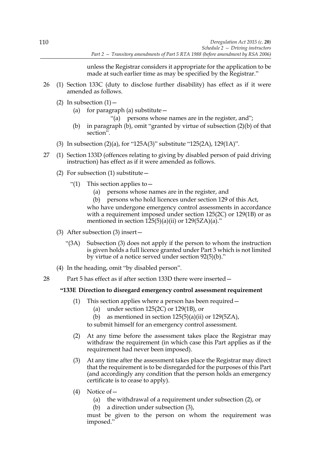unless the Registrar considers it appropriate for the application to be made at such earlier time as may be specified by the Registrar."

- 26 (1) Section 133C (duty to disclose further disability) has effect as if it were amended as follows.
	- (2) In subsection  $(1)$  -
		- (a) for paragraph (a) substitute  $-$ 
			- "(a) persons whose names are in the register, and";
		- (b) in paragraph (b), omit "granted by virtue of subsection (2)(b) of that section".
	- (3) In subsection (2)(a), for "125A(3)" substitute "125(2A), 129(1A)".
- 27 (1) Section 133D (offences relating to giving by disabled person of paid driving instruction) has effect as if it were amended as follows.
	- (2) For subsection (1) substitute  $-$ 
		- "(1) This section applies to  $-$ 
			- (a) persons whose names are in the register, and
			- (b) persons who hold licences under section 129 of this Act,

who have undergone emergency control assessments in accordance with a requirement imposed under section 125(2C) or 129(1B) or as mentioned in section  $125(5)(a)(ii)$  or  $129(5ZA)(a)$ ."

- (3) After subsection (3) insert—
	- "(3A) Subsection (3) does not apply if the person to whom the instruction is given holds a full licence granted under Part 3 which is not limited by virtue of a notice served under section 92(5)(b)."
- (4) In the heading, omit "by disabled person".
- 28 Part 5 has effect as if after section 133D there were inserted -

# **"133E Direction to disregard emergency control assessment requirement**

- (1) This section applies where a person has been required—
	- (a) under section 125(2C) or 129(1B), or
	- (b) as mentioned in section  $125(5)(a)(ii)$  or  $129(5ZA)$ ,

to submit himself for an emergency control assessment.

- (2) At any time before the assessment takes place the Registrar may withdraw the requirement (in which case this Part applies as if the requirement had never been imposed).
- (3) At any time after the assessment takes place the Registrar may direct that the requirement is to be disregarded for the purposes of this Part (and accordingly any condition that the person holds an emergency certificate is to cease to apply).
- (4) Notice of—
	- (a) the withdrawal of a requirement under subsection (2), or
	- (b) a direction under subsection (3),

must be given to the person on whom the requirement was imposed."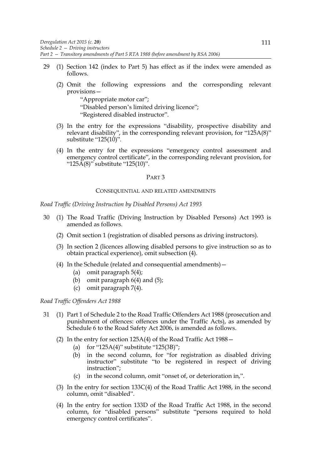- 29 (1) Section 142 (index to Part 5) has effect as if the index were amended as follows.
	- (2) Omit the following expressions and the corresponding relevant provisions—

"Appropriate motor car"; "Disabled person's limited driving licence"; "Registered disabled instructor".

- (3) In the entry for the expressions "disability, prospective disability and relevant disability", in the corresponding relevant provision, for "125A(8)" substitute "125(10)".
- (4) In the entry for the expressions "emergency control assessment and emergency control certificate", in the corresponding relevant provision, for " $125\overline{A}(8)$ " substitute " $125(10)$ ".

#### PART 3

#### CONSEQUENTIAL AND RELATED AMENDMENTS

*Road Traffic (Driving Instruction by Disabled Persons) Act 1993*

- 30 (1) The Road Traffic (Driving Instruction by Disabled Persons) Act 1993 is amended as follows.
	- (2) Omit section 1 (registration of disabled persons as driving instructors).
	- (3) In section 2 (licences allowing disabled persons to give instruction so as to obtain practical experience), omit subsection (4).
	- (4) In the Schedule (related and consequential amendments)—
		- (a) omit paragraph 5(4);
		- (b) omit paragraph  $6(4)$  and  $(5)$ ;
		- (c) omit paragraph 7(4).

#### *Road Traffic Offenders Act 1988*

- 31 (1) Part 1 of Schedule 2 to the Road Traffic Offenders Act 1988 (prosecution and punishment of offences: offences under the Traffic Acts), as amended by Schedule 6 to the Road Safety Act 2006, is amended as follows.
	- (2) In the entry for section 125A(4) of the Road Traffic Act 1988—
		- (a) for "125A(4)" substitute "125(3B)";
		- (b) in the second column, for "for registration as disabled driving instructor" substitute "to be registered in respect of driving instruction";
		- (c) in the second column, omit "onset of, or deterioration in,".
	- (3) In the entry for section 133C(4) of the Road Traffic Act 1988, in the second column, omit "disabled".
	- (4) In the entry for section 133D of the Road Traffic Act 1988, in the second column, for "disabled persons" substitute "persons required to hold emergency control certificates".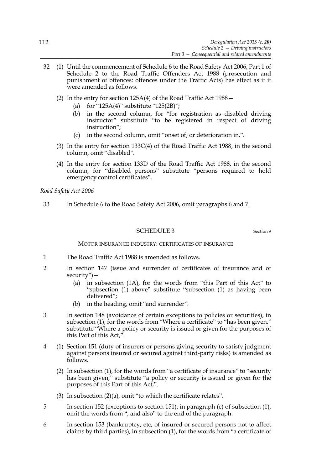- 32 (1) Until the commencement of Schedule 6 to the Road Safety Act 2006, Part 1 of Schedule 2 to the Road Traffic Offenders Act 1988 (prosecution and punishment of offences: offences under the Traffic Acts) has effect as if it were amended as follows.
	- (2) In the entry for section 125A(4) of the Road Traffic Act 1988—
		- (a) for "125A(4)" substitute "125(2B)";
		- (b) in the second column, for "for registration as disabled driving instructor" substitute "to be registered in respect of driving instruction";
		- (c) in the second column, omit "onset of, or deterioration in,".
	- (3) In the entry for section  $133C(4)$  of the Road Traffic Act 1988, in the second column, omit "disabled".
	- (4) In the entry for section 133D of the Road Traffic Act 1988, in the second column, for "disabled persons" substitute "persons required to hold emergency control certificates".

*Road Safety Act 2006*

33 In Schedule 6 to the Road Safety Act 2006, omit paragraphs 6 and 7.

## SCHEDULE 3 Section 9

#### MOTOR INSURANCE INDUSTRY: CERTIFICATES OF INSURANCE

- 1 The Road Traffic Act 1988 is amended as follows.
- 2 In section 147 (issue and surrender of certificates of insurance and of security")—
	- (a) in subsection (1A), for the words from "this Part of this Act" to "subsection (1) above" substitute "subsection (1) as having been delivered";
	- (b) in the heading, omit "and surrender".
- 3 In section 148 (avoidance of certain exceptions to policies or securities), in subsection (1), for the words from "Where a certificate" to "has been given," substitute "Where a policy or security is issued or given for the purposes of this Part of this Act,".
- 4 (1) Section 151 (duty of insurers or persons giving security to satisfy judgment against persons insured or secured against third-party risks) is amended as follows.
	- (2) In subsection (1), for the words from "a certificate of insurance" to "security has been given," substitute "a policy or security is issued or given for the purposes of this Part of this Act,".
	- (3) In subsection (2)(a), omit "to which the certificate relates".
- 5 In section 152 (exceptions to section 151), in paragraph (c) of subsection (1), omit the words from ", and also" to the end of the paragraph.
- 6 In section 153 (bankruptcy, etc, of insured or secured persons not to affect claims by third parties), in subsection (1), for the words from "a certificate of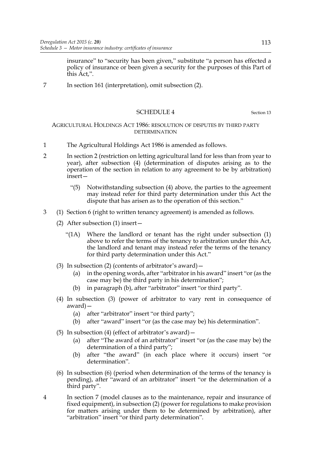insurance" to "security has been given," substitute "a person has effected a policy of insurance or been given a security for the purposes of this Part of this Act,".

7 In section 161 (interpretation), omit subsection (2).

# SCHEDULE 4 Section 13

## AGRICULTURAL HOLDINGS ACT 1986: RESOLUTION OF DISPUTES BY THIRD PARTY DETERMINATION

- 1 The Agricultural Holdings Act 1986 is amended as follows.
- 2 In section 2 (restriction on letting agricultural land for less than from year to year), after subsection (4) (determination of disputes arising as to the operation of the section in relation to any agreement to be by arbitration) insert—
	- "(5) Notwithstanding subsection (4) above, the parties to the agreement may instead refer for third party determination under this Act the dispute that has arisen as to the operation of this section."
- 3 (1) Section 6 (right to written tenancy agreement) is amended as follows.
	- (2) After subsection (1) insert—
		- "(1A) Where the landlord or tenant has the right under subsection  $(1)$ above to refer the terms of the tenancy to arbitration under this Act, the landlord and tenant may instead refer the terms of the tenancy for third party determination under this Act."
	- (3) In subsection (2) (contents of arbitrator's award)  $-$ 
		- (a) in the opening words, after "arbitrator in his award" insert "or (as the case may be) the third party in his determination";
		- (b) in paragraph (b), after "arbitrator" insert "or third party".
	- (4) In subsection (3) (power of arbitrator to vary rent in consequence of award)—
		- (a) after "arbitrator" insert "or third party";
		- (b) after "award" insert "or (as the case may be) his determination".
	- (5) In subsection (4) (effect of arbitrator's award)—
		- (a) after "The award of an arbitrator" insert "or (as the case may be) the determination of a third party";
		- (b) after "the award" (in each place where it occurs) insert "or determination".
	- (6) In subsection (6) (period when determination of the terms of the tenancy is pending), after "award of an arbitrator" insert "or the determination of a third party".
- 4 In section 7 (model clauses as to the maintenance, repair and insurance of fixed equipment), in subsection (2) (power for regulations to make provision for matters arising under them to be determined by arbitration), after "arbitration" insert "or third party determination".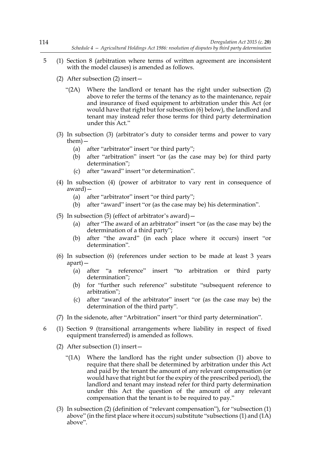- 5 (1) Section 8 (arbitration where terms of written agreement are inconsistent with the model clauses) is amended as follows.
	- (2) After subsection (2) insert—
		- "(2A) Where the landlord or tenant has the right under subsection (2) above to refer the terms of the tenancy as to the maintenance, repair and insurance of fixed equipment to arbitration under this Act (or would have that right but for subsection (6) below), the landlord and tenant may instead refer those terms for third party determination under this Act."
	- (3) In subsection (3) (arbitrator's duty to consider terms and power to vary them)—
		- (a) after "arbitrator" insert "or third party";
		- (b) after "arbitration" insert "or (as the case may be) for third party determination";
		- (c) after "award" insert "or determination".
	- (4) In subsection (4) (power of arbitrator to vary rent in consequence of award)—
		- (a) after "arbitrator" insert "or third party";
		- (b) after "award" insert "or (as the case may be) his determination".
	- (5) In subsection (5) (effect of arbitrator's award)—
		- (a) after "The award of an arbitrator" insert "or (as the case may be) the determination of a third party";
		- (b) after "the award" (in each place where it occurs) insert "or determination".
	- (6) In subsection (6) (references under section to be made at least 3 years apart)—
		- (a) after "a reference" insert "to arbitration or third party determination";
		- (b) for "further such reference" substitute "subsequent reference to arbitration";
		- (c) after "award of the arbitrator" insert "or (as the case may be) the determination of the third party".
	- (7) In the sidenote, after "Arbitration" insert "or third party determination".
- 6 (1) Section 9 (transitional arrangements where liability in respect of fixed equipment transferred) is amended as follows.
	- (2) After subsection (1) insert—
		- "(1A) Where the landlord has the right under subsection (1) above to require that there shall be determined by arbitration under this Act and paid by the tenant the amount of any relevant compensation (or would have that right but for the expiry of the prescribed period), the landlord and tenant may instead refer for third party determination under this Act the question of the amount of any relevant compensation that the tenant is to be required to pay."
	- (3) In subsection (2) (definition of "relevant compensation"), for "subsection (1) above" (in the first place where it occurs) substitute "subsections (1) and (1A) above".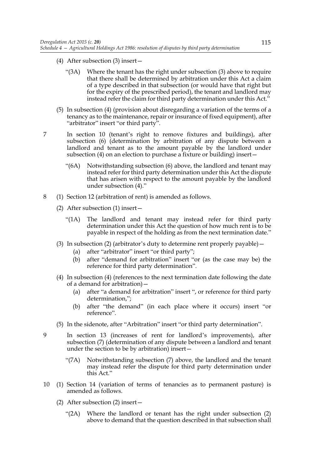- (4) After subsection (3) insert—
	- "(3A) Where the tenant has the right under subsection (3) above to require that there shall be determined by arbitration under this Act a claim of a type described in that subsection (or would have that right but for the expiry of the prescribed period), the tenant and landlord may instead refer the claim for third party determination under this Act."
- (5) In subsection (4) (provision about disregarding a variation of the terms of a tenancy as to the maintenance, repair or insurance of fixed equipment), after "arbitrator" insert "or third party".
- 7 In section 10 (tenant's right to remove fixtures and buildings), after subsection (6) (determination by arbitration of any dispute between a landlord and tenant as to the amount payable by the landlord under subsection (4) on an election to purchase a fixture or building) insert—
	- "(6A) Notwithstanding subsection (6) above, the landlord and tenant may instead refer for third party determination under this Act the dispute that has arisen with respect to the amount payable by the landlord under subsection (4)."
- 8 (1) Section 12 (arbitration of rent) is amended as follows.
	- (2) After subsection (1) insert—
		- "(1A) The landlord and tenant may instead refer for third party determination under this Act the question of how much rent is to be payable in respect of the holding as from the next termination date."
	- (3) In subsection (2) (arbitrator's duty to determine rent properly payable)—
		- (a) after "arbitrator" insert "or third party";
		- (b) after "demand for arbitration" insert "or (as the case may be) the reference for third party determination".
	- (4) In subsection (4) (references to the next termination date following the date of a demand for arbitration)—
		- (a) after "a demand for arbitration" insert ", or reference for third party determination,";
		- (b) after "the demand" (in each place where it occurs) insert "or reference".
	- (5) In the sidenote, after "Arbitration" insert "or third party determination".
- 9 In section 13 (increases of rent for landlord's improvements), after subsection (7) (determination of any dispute between a landlord and tenant under the section to be by arbitration) insert—
	- "(7A) Notwithstanding subsection (7) above, the landlord and the tenant may instead refer the dispute for third party determination under this Act."
- 10 (1) Section 14 (variation of terms of tenancies as to permanent pasture) is amended as follows.
	- (2) After subsection (2) insert—
		- "(2A) Where the landlord or tenant has the right under subsection (2) above to demand that the question described in that subsection shall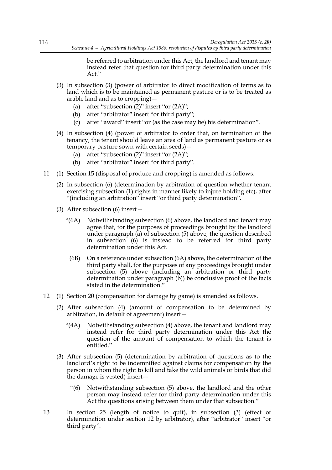be referred to arbitration under this Act, the landlord and tenant may instead refer that question for third party determination under this Act."

- (3) In subsection (3) (power of arbitrator to direct modification of terms as to land which is to be maintained as permanent pasture or is to be treated as arable land and as to cropping)—
	- (a) after "subsection (2)" insert "or (2A)";
	- (b) after "arbitrator" insert "or third party";
	- (c) after "award" insert "or (as the case may be) his determination".
- (4) In subsection (4) (power of arbitrator to order that, on termination of the tenancy, the tenant should leave an area of land as permanent pasture or as temporary pasture sown with certain seeds)—
	- (a) after "subsection (2)" insert "or (2A)";
	- (b) after "arbitrator" insert "or third party".
- 11 (1) Section 15 (disposal of produce and cropping) is amended as follows.
	- (2) In subsection (6) (determination by arbitration of question whether tenant exercising subsection (1) rights in manner likely to injure holding etc), after "(including an arbitration" insert "or third party determination".
	- (3) After subsection (6) insert—
		- "(6A) Notwithstanding subsection (6) above, the landlord and tenant may agree that, for the purposes of proceedings brought by the landlord under paragraph (a) of subsection (5) above, the question described in subsection (6) is instead to be referred for third party determination under this Act.
			- (6B) On a reference under subsection (6A) above, the determination of the third party shall, for the purposes of any proceedings brought under subsection (5) above (including an arbitration or third party determination under paragraph  $(b)$ ) be conclusive proof of the facts stated in the determination."
- 12 (1) Section 20 (compensation for damage by game) is amended as follows.
	- (2) After subsection (4) (amount of compensation to be determined by arbitration, in default of agreement) insert—
		- "(4A) Notwithstanding subsection (4) above, the tenant and landlord may instead refer for third party determination under this Act the question of the amount of compensation to which the tenant is entitled."
	- (3) After subsection (5) (determination by arbitration of questions as to the landlord's right to be indemnified against claims for compensation by the person in whom the right to kill and take the wild animals or birds that did the damage is vested) insert—
		- "(6) Notwithstanding subsection (5) above, the landlord and the other person may instead refer for third party determination under this Act the questions arising between them under that subsection."
- 13 In section 25 (length of notice to quit), in subsection (3) (effect of determination under section 12 by arbitrator), after "arbitrator" insert "or third party".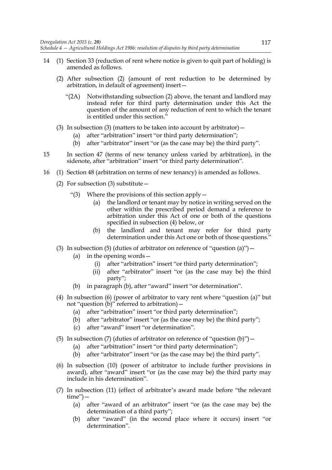- 14 (1) Section 33 (reduction of rent where notice is given to quit part of holding) is amended as follows.
	- (2) After subsection (2) (amount of rent reduction to be determined by arbitration, in default of agreement) insert—
		- "(2A) Notwithstanding subsection (2) above, the tenant and landlord may instead refer for third party determination under this Act the question of the amount of any reduction of rent to which the tenant is entitled under this section."
	- (3) In subsection (3) (matters to be taken into account by arbitrator)  $-$ 
		- (a) after "arbitration" insert "or third party determination";
		- (b) after "arbitrator" insert "or (as the case may be) the third party".
- 15 In section 47 (terms of new tenancy unless varied by arbitration), in the sidenote, after "arbitration" insert "or third party determination".
- 16 (1) Section 48 (arbitration on terms of new tenancy) is amended as follows.
	- (2) For subsection (3) substitute—
		- "(3) Where the provisions of this section apply  $-$ 
			- (a) the landlord or tenant may by notice in writing served on the other within the prescribed period demand a reference to arbitration under this Act of one or both of the questions specified in subsection (4) below, or
			- (b) the landlord and tenant may refer for third party determination under this Act one or both of those questions."
	- (3) In subsection (5) (duties of arbitrator on reference of "question (a)")  $-$ 
		- (a) in the opening words—
			- (i) after "arbitration" insert "or third party determination";
			- (ii) after "arbitrator" insert "or (as the case may be) the third party";
		- (b) in paragraph (b), after "award" insert "or determination".
	- (4) In subsection (6) (power of arbitrator to vary rent where "question (a)" but not "question  $(b)$ " referred to arbitration) –
		- (a) after "arbitration" insert "or third party determination";
		- (b) after "arbitrator" insert "or (as the case may be) the third party";
		- (c) after "award" insert "or determination".
	- (5) In subsection (7) (duties of arbitrator on reference of "question (b)")  $-$ 
		- (a) after "arbitration" insert "or third party determination";
		- (b) after "arbitrator" insert "or (as the case may be) the third party".
	- (6) In subsection (10) (power of arbitrator to include further provisions in award), after "award" insert "or (as the case may be) the third party may include in his determination".
	- (7) In subsection (11) (effect of arbitrator's award made before "the relevant time")—
		- (a) after "award of an arbitrator" insert "or (as the case may be) the determination of a third party";
		- (b) after "award" (in the second place where it occurs) insert "or determination".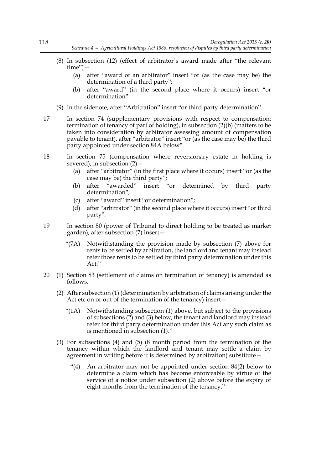- (8) In subsection (12) (effect of arbitrator's award made after "the relevant time")—
	- (a) after "award of an arbitrator" insert "or (as the case may be) the determination of a third party";
	- (b) after "award" (in the second place where it occurs) insert "or determination".
- (9) In the sidenote, after "Arbitration" insert "or third party determination".
- 17 In section 74 (supplementary provisions with respect to compensation: termination of tenancy of part of holding), in subsection (2)(b) (matters to be taken into consideration by arbitrator assessing amount of compensation payable to tenant), after "arbitrator" insert "or (as the case may be) the third party appointed under section 84A below".
- 18 In section 75 (compensation where reversionary estate in holding is severed), in subsection  $(2)$  –
	- (a) after "arbitrator" (in the first place where it occurs) insert "or (as the case may be) the third party";
	- (b) after "awarded" insert "or determined by third party determination";
	- (c) after "award" insert "or determination";
	- (d) after "arbitrator" (in the second place where it occurs) insert "or third party".
- 19 In section 80 (power of Tribunal to direct holding to be treated as market garden), after subsection (7) insert—
	- "(7A) Notwithstanding the provision made by subsection (7) above for rents to be settled by arbitration, the landlord and tenant may instead refer those rents to be settled by third party determination under this Act."
- 20 (1) Section 83 (settlement of claims on termination of tenancy) is amended as follows.
	- (2) After subsection (1) (determination by arbitration of claims arising under the Act etc on or out of the termination of the tenancy) insert—
		- "(1A) Notwithstanding subsection (1) above, but subject to the provisions of subsections (2) and (3) below, the tenant and landlord may instead refer for third party determination under this Act any such claim as is mentioned in subsection (1)."
	- (3) For subsections (4) and (5) (8 month period from the termination of the tenancy within which the landlord and tenant may settle a claim by agreement in writing before it is determined by arbitration) substitute—
		- "(4) An arbitrator may not be appointed under section 84(2) below to determine a claim which has become enforceable by virtue of the service of a notice under subsection (2) above before the expiry of eight months from the termination of the tenancy."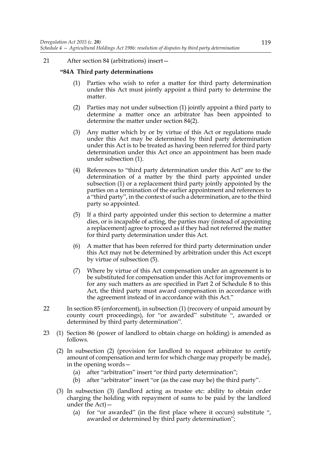## 21 After section 84 (arbitrations) insert—

#### **"84A Third party determinations**

- (1) Parties who wish to refer a matter for third party determination under this Act must jointly appoint a third party to determine the matter.
- (2) Parties may not under subsection (1) jointly appoint a third party to determine a matter once an arbitrator has been appointed to determine the matter under section 84(2).
- (3) Any matter which by or by virtue of this Act or regulations made under this Act may be determined by third party determination under this Act is to be treated as having been referred for third party determination under this Act once an appointment has been made under subsection (1).
- (4) References to "third party determination under this Act" are to the determination of a matter by the third party appointed under subsection (1) or a replacement third party jointly appointed by the parties on a termination of the earlier appointment and references to a "third party", in the context of such a determination, are to the third party so appointed.
- (5) If a third party appointed under this section to determine a matter dies, or is incapable of acting, the parties may (instead of appointing a replacement) agree to proceed as if they had not referred the matter for third party determination under this Act.
- (6) A matter that has been referred for third party determination under this Act may not be determined by arbitration under this Act except by virtue of subsection (5).
- (7) Where by virtue of this Act compensation under an agreement is to be substituted for compensation under this Act for improvements or for any such matters as are specified in Part 2 of Schedule 8 to this Act, the third party must award compensation in accordance with the agreement instead of in accordance with this Act."
- 22 In section 85 (enforcement), in subsection (1) (recovery of unpaid amount by county court proceedings), for "or awarded" substitute ", awarded or determined by third party determination".
- 23 (1) Section 86 (power of landlord to obtain charge on holding) is amended as follows.
	- (2) In subsection (2) (provision for landlord to request arbitrator to certify amount of compensation and term for which charge may properly be made), in the opening words—
		- (a) after "arbitration" insert "or third party determination";
		- (b) after "arbitrator" insert "or (as the case may be) the third party".
	- (3) In subsection (3) (landlord acting as trustee etc: ability to obtain order charging the holding with repayment of sums to be paid by the landlord under the Act)—
		- (a) for "or awarded" (in the first place where it occurs) substitute ", awarded or determined by third party determination";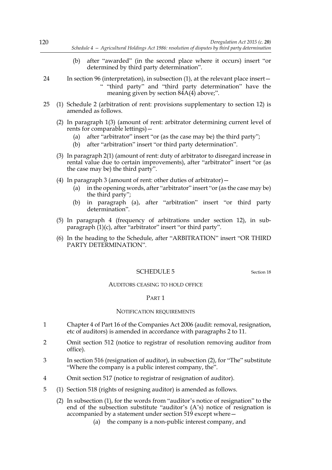- (b) after "awarded" (in the second place where it occurs) insert "or determined by third party determination".
- 24 In section 96 (interpretation), in subsection (1), at the relevant place insert— " "third party" and "third party determination" have the meaning given by section  $84A(4)$  above;".
- 25 (1) Schedule 2 (arbitration of rent: provisions supplementary to section 12) is amended as follows.
	- (2) In paragraph 1(3) (amount of rent: arbitrator determining current level of rents for comparable lettings)—
		- (a) after "arbitrator" insert "or (as the case may be) the third party";
		- (b) after "arbitration" insert "or third party determination".
	- (3) In paragraph 2(1) (amount of rent: duty of arbitrator to disregard increase in rental value due to certain improvements), after "arbitrator" insert "or (as the case may be) the third party".
	- (4) In paragraph 3 (amount of rent: other duties of arbitrator)  $-$ 
		- (a) in the opening words, after "arbitrator" insert "or (as the case may be) the third party";
		- (b) in paragraph (a), after "arbitration" insert "or third party determination".
	- (5) In paragraph 4 (frequency of arbitrations under section 12), in subparagraph (1)(c), after "arbitrator" insert "or third party".
	- (6) In the heading to the Schedule, after "ARBITRATION" insert "OR THIRD PARTY DETERMINATION".

# SCHEDULE 5 Section 18

## AUDITORS CEASING TO HOLD OFFICE

# PART 1

#### NOTIFICATION REQUIREMENTS

- 1 Chapter 4 of Part 16 of the Companies Act 2006 (audit: removal, resignation, etc of auditors) is amended in accordance with paragraphs 2 to 11.
- 2 Omit section 512 (notice to registrar of resolution removing auditor from office).
- 3 In section 516 (resignation of auditor), in subsection (2), for "The" substitute "Where the company is a public interest company, the".
- 4 Omit section 517 (notice to registrar of resignation of auditor).
- 5 (1) Section 518 (rights of resigning auditor) is amended as follows.
	- (2) In subsection (1), for the words from "auditor's notice of resignation" to the end of the subsection substitute "auditor's (A's) notice of resignation is accompanied by a statement under section 519 except where—
		- (a) the company is a non-public interest company, and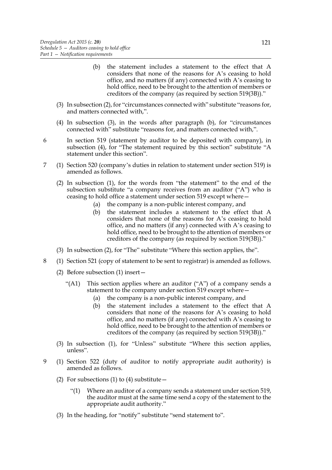- (b) the statement includes a statement to the effect that A considers that none of the reasons for A's ceasing to hold office, and no matters (if any) connected with A's ceasing to hold office, need to be brought to the attention of members or creditors of the company (as required by section 519(3B))."
- (3) In subsection (2), for "circumstances connected with" substitute "reasons for, and matters connected with,".
- (4) In subsection (3), in the words after paragraph (b), for "circumstances connected with" substitute "reasons for, and matters connected with,".
- 6 In section 519 (statement by auditor to be deposited with company), in subsection (4), for "The statement required by this section" substitute "A statement under this section".
- 7 (1) Section 520 (company's duties in relation to statement under section 519) is amended as follows.
	- (2) In subsection (1), for the words from "the statement" to the end of the subsection substitute "a company receives from an auditor ("A") who is ceasing to hold office a statement under section 519 except where—
		- (a) the company is a non-public interest company, and
		- (b) the statement includes a statement to the effect that A considers that none of the reasons for A's ceasing to hold office, and no matters (if any) connected with A's ceasing to hold office, need to be brought to the attention of members or creditors of the company (as required by section 519(3B))."
	- (3) In subsection (2), for "The" substitute "Where this section applies, the".
- 8 (1) Section 521 (copy of statement to be sent to registrar) is amended as follows.
	- (2) Before subsection (1) insert—
		- "(A1) This section applies where an auditor ("A") of a company sends a statement to the company under section 519 except where -
			- (a) the company is a non-public interest company, and
			- (b) the statement includes a statement to the effect that A considers that none of the reasons for A's ceasing to hold office, and no matters (if any) connected with A's ceasing to hold office, need to be brought to the attention of members or creditors of the company (as required by section 519(3B))."
	- (3) In subsection (1), for "Unless" substitute "Where this section applies, unless".
- 9 (1) Section 522 (duty of auditor to notify appropriate audit authority) is amended as follows.
	- (2) For subsections (1) to (4) substitute  $-$ 
		- "(1) Where an auditor of a company sends a statement under section 519, the auditor must at the same time send a copy of the statement to the appropriate audit authority."
	- (3) In the heading, for "notify" substitute "send statement to".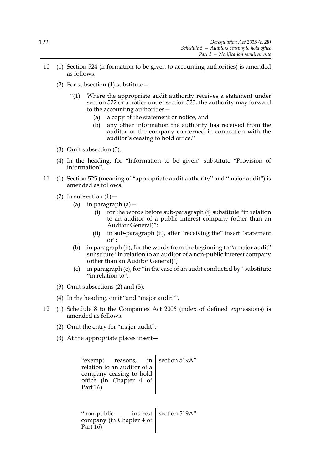- 10 (1) Section 524 (information to be given to accounting authorities) is amended as follows.
	- (2) For subsection (1) substitute  $-$ 
		- "(1) Where the appropriate audit authority receives a statement under section 522 or a notice under section 523, the authority may forward to the accounting authorities—
			- (a) a copy of the statement or notice, and
			- (b) any other information the authority has received from the auditor or the company concerned in connection with the auditor's ceasing to hold office."
	- (3) Omit subsection (3).
	- (4) In the heading, for "Information to be given" substitute "Provision of information".
- 11 (1) Section 525 (meaning of "appropriate audit authority" and "major audit") is amended as follows.
	- (2) In subsection  $(1)$ 
		- (a) in paragraph  $(a)$  -
			- (i) for the words before sub-paragraph (i) substitute "in relation to an auditor of a public interest company (other than an Auditor General)";
			- (ii) in sub-paragraph (ii), after "receiving the" insert "statement or";
		- (b) in paragraph (b), for the words from the beginning to "a major audit" substitute "in relation to an auditor of a non-public interest company (other than an Auditor General)";
		- (c) in paragraph (c), for "in the case of an audit conducted by" substitute "in relation to".
	- (3) Omit subsections (2) and (3).
	- (4) In the heading, omit "and "major audit"".
- 12 (1) Schedule 8 to the Companies Act 2006 (index of defined expressions) is amended as follows.
	- (2) Omit the entry for "major audit".
	- (3) At the appropriate places insert—

| "exempt reasons, in<br>relation to an auditor of a<br>company ceasing to hold<br>office (in Chapter 4 of<br>Part 16) | section 519A"            |
|----------------------------------------------------------------------------------------------------------------------|--------------------------|
| "non-public<br>company (in Chapter 4 of<br>Part 16)                                                                  | interest   section 519A" |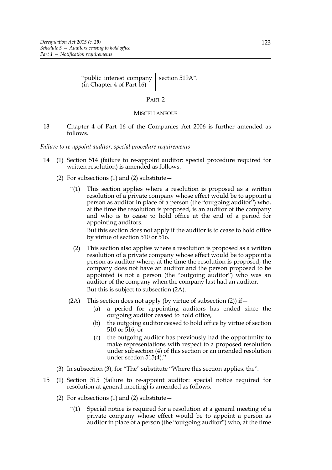"public interest company (in Chapter 4 of Part 16) section 519A".

#### PART 2

#### **MISCELLANEOUS**

13 Chapter 4 of Part 16 of the Companies Act 2006 is further amended as follows.

#### *Failure to re-appoint auditor: special procedure requirements*

- 14 (1) Section 514 (failure to re-appoint auditor: special procedure required for written resolution) is amended as follows.
	- (2) For subsections (1) and (2) substitute  $-$ 
		- "(1) This section applies where a resolution is proposed as a written resolution of a private company whose effect would be to appoint a person as auditor in place of a person (the "outgoing auditor") who, at the time the resolution is proposed, is an auditor of the company and who is to cease to hold office at the end of a period for appointing auditors.

But this section does not apply if the auditor is to cease to hold office by virtue of section 510 or 516.

- (2) This section also applies where a resolution is proposed as a written resolution of a private company whose effect would be to appoint a person as auditor where, at the time the resolution is proposed, the company does not have an auditor and the person proposed to be appointed is not a person (the "outgoing auditor") who was an auditor of the company when the company last had an auditor. But this is subject to subsection (2A).
- (2A) This section does not apply (by virtue of subsection  $(2)$ ) if  $-$ 
	- (a) a period for appointing auditors has ended since the outgoing auditor ceased to hold office,
	- (b) the outgoing auditor ceased to hold office by virtue of section 510 or 516, or
	- (c) the outgoing auditor has previously had the opportunity to make representations with respect to a proposed resolution under subsection (4) of this section or an intended resolution under section 515(4)."
- (3) In subsection (3), for "The" substitute "Where this section applies, the".
- 15 (1) Section 515 (failure to re-appoint auditor: special notice required for resolution at general meeting) is amended as follows.
	- (2) For subsections (1) and (2) substitute  $-$ 
		- "(1) Special notice is required for a resolution at a general meeting of a private company whose effect would be to appoint a person as auditor in place of a person (the "outgoing auditor") who, at the time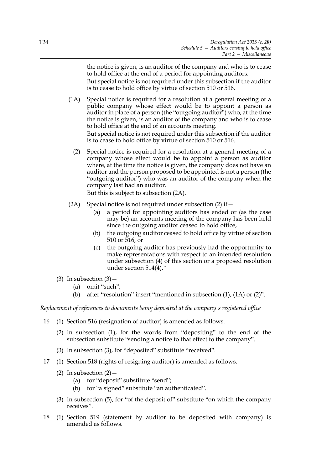the notice is given, is an auditor of the company and who is to cease to hold office at the end of a period for appointing auditors. But special notice is not required under this subsection if the auditor is to cease to hold office by virtue of section 510 or 516.

(1A) Special notice is required for a resolution at a general meeting of a public company whose effect would be to appoint a person as auditor in place of a person (the "outgoing auditor") who, at the time the notice is given, is an auditor of the company and who is to cease to hold office at the end of an accounts meeting.

But special notice is not required under this subsection if the auditor is to cease to hold office by virtue of section 510 or 516.

(2) Special notice is required for a resolution at a general meeting of a company whose effect would be to appoint a person as auditor where, at the time the notice is given, the company does not have an auditor and the person proposed to be appointed is not a person (the "outgoing auditor") who was an auditor of the company when the company last had an auditor.

But this is subject to subsection (2A).

- (2A) Special notice is not required under subsection  $(2)$  if  $-$ 
	- (a) a period for appointing auditors has ended or (as the case may be) an accounts meeting of the company has been held since the outgoing auditor ceased to hold office,
	- (b) the outgoing auditor ceased to hold office by virtue of section 510 or 516, or
	- (c) the outgoing auditor has previously had the opportunity to make representations with respect to an intended resolution under subsection (4) of this section or a proposed resolution under section 514(4)."
- (3) In subsection  $(3)$  -
	- (a) omit "such";
	- (b) after "resolution" insert "mentioned in subsection (1), (1A) or (2)".

*Replacement of references to documents being deposited at the company's registered office*

- 16 (1) Section 516 (resignation of auditor) is amended as follows.
	- (2) In subsection (1), for the words from "depositing" to the end of the subsection substitute "sending a notice to that effect to the company".
	- (3) In subsection (3), for "deposited" substitute "received".
- 17 (1) Section 518 (rights of resigning auditor) is amended as follows.
	- (2) In subsection  $(2)$ 
		- (a) for "deposit" substitute "send";
		- (b) for "a signed" substitute "an authenticated".
	- (3) In subsection (5), for "of the deposit of" substitute "on which the company receives".
- 18 (1) Section 519 (statement by auditor to be deposited with company) is amended as follows.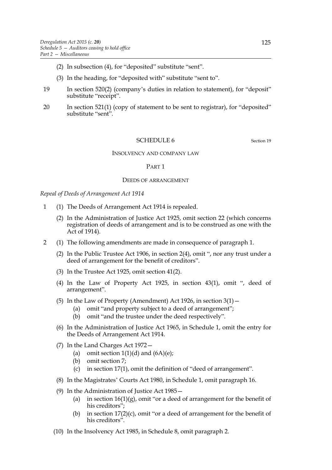- (2) In subsection (4), for "deposited" substitute "sent".
- (3) In the heading, for "deposited with" substitute "sent to".
- 19 In section 520(2) (company's duties in relation to statement), for "deposit" substitute "receipt".
- 20 In section 521(1) (copy of statement to be sent to registrar), for "deposited" substitute "sent".

#### SCHEDULE 6 Section 19

#### INSOLVENCY AND COMPANY LAW

#### PART 1

#### DEEDS OF ARRANGEMENT

*Repeal of Deeds of Arrangement Act 1914*

- 1 (1) The Deeds of Arrangement Act 1914 is repealed.
	- (2) In the Administration of Justice Act 1925, omit section 22 (which concerns registration of deeds of arrangement and is to be construed as one with the Act of 1914).
- 2 (1) The following amendments are made in consequence of paragraph 1.
	- (2) In the Public Trustee Act 1906, in section 2(4), omit ", nor any trust under a deed of arrangement for the benefit of creditors".
	- (3) In the Trustee Act 1925, omit section 41(2).
	- (4) In the Law of Property Act 1925, in section 43(1), omit ", deed of arrangement".
	- (5) In the Law of Property (Amendment) Act 1926, in section  $3(1)$  -
		- (a) omit "and property subject to a deed of arrangement";
		- (b) omit "and the trustee under the deed respectively".
	- (6) In the Administration of Justice Act 1965, in Schedule 1, omit the entry for the Deeds of Arrangement Act 1914.
	- (7) In the Land Charges Act 1972—
		- (a) omit section  $1(1)(d)$  and  $(6A)(e)$ ;
		- (b) omit section 7;
		- (c) in section 17(1), omit the definition of "deed of arrangement".
	- (8) In the Magistrates' Courts Act 1980, in Schedule 1, omit paragraph 16.
	- (9) In the Administration of Justice Act 1985—
		- (a) in section  $16(1)(g)$ , omit "or a deed of arrangement for the benefit of his creditors";
		- (b) in section  $17(2)(c)$ , omit "or a deed of arrangement for the benefit of his creditors".
	- (10) In the Insolvency Act 1985, in Schedule 8, omit paragraph 2.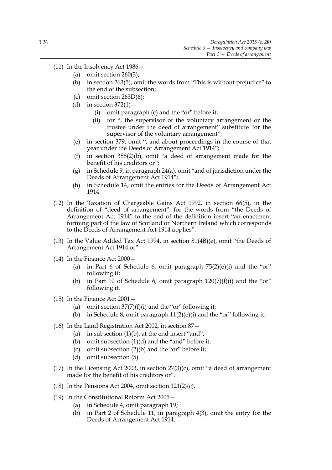- (11) In the Insolvency Act 1986—
	- (a) omit section  $260(3)$ ;
	- (b) in section 263(5), omit the words from "This is without prejudice" to the end of the subsection;
	- (c) omit section 263D(6);
	- (d) in section  $372(1)$  -
		- (i) omit paragraph (c) and the "or" before it;
		- (ii) for ", the supervisor of the voluntary arrangement or the trustee under the deed of arrangement" substitute "or the supervisor of the voluntary arrangement";
	- (e) in section 379, omit ", and about proceedings in the course of that year under the Deeds of Arrangement Act 1914";
	- (f) in section 388(2)(b), omit "a deed of arrangement made for the benefit of his creditors or";
	- (g) in Schedule 9, in paragraph 24(a), omit "and of jurisdiction under the Deeds of Arrangement Act 1914";
	- (h) in Schedule 14, omit the entries for the Deeds of Arrangement Act 1914.
- (12) In the Taxation of Chargeable Gains Act 1992, in section 66(5), in the definition of "deed of arrangement", for the words from "the Deeds of Arrangement Act 1914" to the end of the definition insert "an enactment forming part of the law of Scotland or Northern Ireland which corresponds to the Deeds of Arrangement Act 1914 applies".
- (13) In the Value Added Tax Act 1994, in section 81(4B)(e), omit "the Deeds of Arrangement Act 1914 or".
- (14) In the Finance Act 2000—
	- (a) in Part 6 of Schedule 6, omit paragraph  $75(2)(e)(i)$  and the "or" following it;
	- (b) in Part 10 of Schedule 6, omit paragraph  $120(7)(f)(i)$  and the "or" following it.
- (15) In the Finance Act 2001—
	- (a) omit section  $37(7)(f)(i)$  and the "or" following it;
	- (b) in Schedule 8, omit paragraph  $11(2)(e)(i)$  and the "or" following it.
- (16) In the Land Registration Act 2002, in section 87—
	- (a) in subsection  $(1)(b)$ , at the end insert "and";
	- (b) omit subsection (1)(d) and the "and" before it;
	- (c) omit subsection (2)(b) and the "or" before it;
	- (d) omit subsection (5).
- (17) In the Licensing Act 2003, in section  $27(3)(c)$ , omit "a deed of arrangement made for the benefit of his creditors or".
- (18) In the Pensions Act 2004, omit section  $121(2)(c)$ .
- (19) In the Constitutional Reform Act 2005—
	- (a) in Schedule 4, omit paragraph 19;
	- (b) in Part 2 of Schedule 11, in paragraph 4(3), omit the entry for the Deeds of Arrangement Act 1914.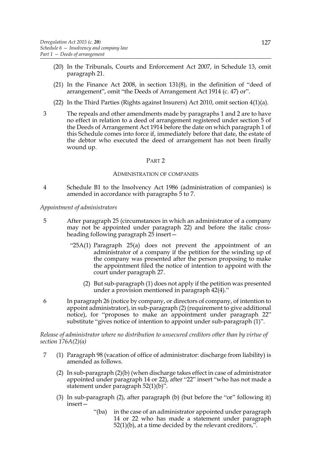- (20) In the Tribunals, Courts and Enforcement Act 2007, in Schedule 13, omit paragraph 21.
- (21) In the Finance Act 2008, in section 131(8), in the definition of "deed of arrangement", omit "the Deeds of Arrangement Act 1914 (c. 47) or".
- (22) In the Third Parties (Rights against Insurers) Act 2010, omit section 4(1)(a).
- 3 The repeals and other amendments made by paragraphs 1 and 2 are to have no effect in relation to a deed of arrangement registered under section 5 of the Deeds of Arrangement Act 1914 before the date on which paragraph 1 of this Schedule comes into force if, immediately before that date, the estate of the debtor who executed the deed of arrangement has not been finally wound up.

#### ADMINISTRATION OF COMPANIES

4 Schedule B1 to the Insolvency Act 1986 (administration of companies) is amended in accordance with paragraphs 5 to 7.

#### *Appointment of administrators*

- 5 After paragraph 25 (circumstances in which an administrator of a company may not be appointed under paragraph 22) and before the italic crossheading following paragraph 25 insert—
	- "25A(1) Paragraph 25(a) does not prevent the appointment of an administrator of a company if the petition for the winding up of the company was presented after the person proposing to make the appointment filed the notice of intention to appoint with the court under paragraph 27.
		- (2) But sub-paragraph (1) does not apply if the petition was presented under a provision mentioned in paragraph 42(4)."
- 6 In paragraph 26 (notice by company, or directors of company, of intention to appoint administrator), in sub-paragraph (2) (requirement to give additional notice), for "proposes to make an appointment under paragraph 22" substitute "gives notice of intention to appoint under sub-paragraph (1)".

*Release of administrator where no distribution to unsecured creditors other than by virtue of section 176A(2)(a)*

- 7 (1) Paragraph 98 (vacation of office of administrator: discharge from liability) is amended as follows.
	- (2) In sub-paragraph (2)(b) (when discharge takes effect in case of administrator appointed under paragraph 14 or 22), after "22" insert "who has not made a statement under paragraph 52(1)(b)".
	- (3) In sub-paragraph (2), after paragraph (b) (but before the "or" following it) insert—
		- "(ba) in the case of an administrator appointed under paragraph 14 or 22 who has made a statement under paragraph  $52(1)(b)$ , at a time decided by the relevant creditors,".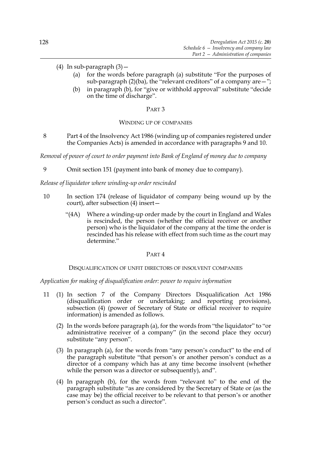- (4) In sub-paragraph  $(3)$  -
	- (a) for the words before paragraph (a) substitute "For the purposes of sub-paragraph  $(2)(ba)$ , the "relevant creditors" of a company are  $-$ ";
	- (b) in paragraph (b), for "give or withhold approval" substitute "decide on the time of discharge".

## WINDING UP OF COMPANIES

8 Part 4 of the Insolvency Act 1986 (winding up of companies registered under the Companies Acts) is amended in accordance with paragraphs 9 and 10.

*Removal of power of court to order payment into Bank of England of money due to company*

9 Omit section 151 (payment into bank of money due to company).

*Release of liquidator where winding-up order rescinded*

- 10 In section 174 (release of liquidator of company being wound up by the court), after subsection (4) insert—
	- "(4A) Where a winding-up order made by the court in England and Wales is rescinded, the person (whether the official receiver or another person) who is the liquidator of the company at the time the order is rescinded has his release with effect from such time as the court may determine."

### PART 4

# DISQUALIFICATION OF UNFIT DIRECTORS OF INSOLVENT COMPANIES

*Application for making of disqualification order: power to require information*

- 11 (1) In section 7 of the Company Directors Disqualification Act 1986 (disqualification order or undertaking; and reporting provisions), subsection (4) (power of Secretary of State or official receiver to require information) is amended as follows.
	- (2) In the words before paragraph (a), for the words from "the liquidator" to "or administrative receiver of a company" (in the second place they occur) substitute "any person".
	- (3) In paragraph (a), for the words from "any person's conduct" to the end of the paragraph substitute "that person's or another person's conduct as a director of a company which has at any time become insolvent (whether while the person was a director or subsequently), and".
	- (4) In paragraph (b), for the words from "relevant to" to the end of the paragraph substitute "as are considered by the Secretary of State or (as the case may be) the official receiver to be relevant to that person's or another person's conduct as such a director".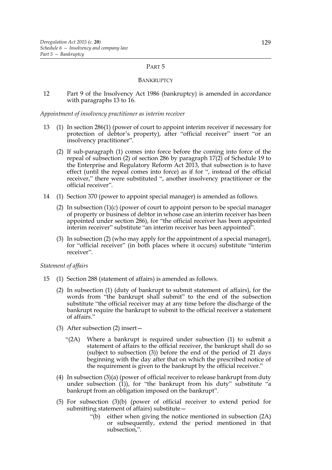#### BANKRUPTCY

12 Part 9 of the Insolvency Act 1986 (bankruptcy) is amended in accordance with paragraphs 13 to 16.

#### *Appointment of insolvency practitioner as interim receiver*

- 13 (1) In section 286(1) (power of court to appoint interim receiver if necessary for protection of debtor's property), after "official receiver" insert "or an insolvency practitioner".
	- (2) If sub-paragraph (1) comes into force before the coming into force of the repeal of subsection (2) of section 286 by paragraph 17(2) of Schedule 19 to the Enterprise and Regulatory Reform Act 2013, that subsection is to have effect (until the repeal comes into force) as if for ", instead of the official receiver," there were substituted ", another insolvency practitioner or the official receiver".
- 14 (1) Section 370 (power to appoint special manager) is amended as follows.
	- (2) In subsection (1)(c) (power of court to appoint person to be special manager of property or business of debtor in whose case an interim receiver has been appointed under section 286), for "the official receiver has been appointed interim receiver" substitute "an interim receiver has been appointed".
	- (3) In subsection (2) (who may apply for the appointment of a special manager), for "official receiver" (in both places where it occurs) substitute "interim receiver".

# *Statement of affairs*

- 15 (1) Section 288 (statement of affairs) is amended as follows.
	- (2) In subsection (1) (duty of bankrupt to submit statement of affairs), for the words from "the bankrupt shall submit" to the end of the subsection substitute "the official receiver may at any time before the discharge of the bankrupt require the bankrupt to submit to the official receiver a statement of affairs."
	- (3) After subsection (2) insert—
		- "(2A) Where a bankrupt is required under subsection (1) to submit a statement of affairs to the official receiver, the bankrupt shall do so (subject to subsection (3)) before the end of the period of 21 days beginning with the day after that on which the prescribed notice of the requirement is given to the bankrupt by the official receiver."
	- (4) In subsection (3)(a) (power of official receiver to release bankrupt from duty under subsection  $(1)$ ), for "the bankrupt from his duty" substitute "a bankrupt from an obligation imposed on the bankrupt".
	- (5) For subsection (3)(b) (power of official receiver to extend period for submitting statement of affairs) substitute—
		- "(b) either when giving the notice mentioned in subsection (2A) or subsequently, extend the period mentioned in that subsection,".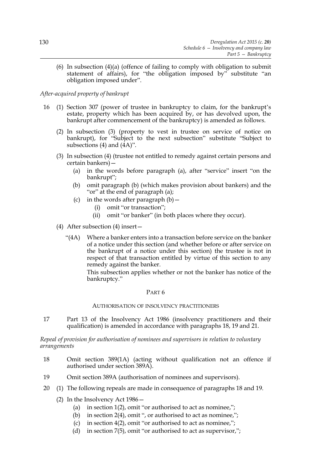(6) In subsection (4)(a) (offence of failing to comply with obligation to submit statement of affairs), for "the obligation imposed by" substitute "an obligation imposed under".

# *After-acquired property of bankrupt*

- 16 (1) Section 307 (power of trustee in bankruptcy to claim, for the bankrupt's estate, property which has been acquired by, or has devolved upon, the bankrupt after commencement of the bankruptcy) is amended as follows.
	- (2) In subsection (3) (property to vest in trustee on service of notice on bankrupt), for "Subject to the next subsection" substitute "Subject to subsections  $(4)$  and  $(4A)$ ".
	- (3) In subsection (4) (trustee not entitled to remedy against certain persons and certain bankers)—
		- (a) in the words before paragraph (a), after "service" insert "on the bankrupt";
		- (b) omit paragraph (b) (which makes provision about bankers) and the "or" at the end of paragraph (a);
		- (c) in the words after paragraph  $(b)$  -
			- (i) omit "or transaction";
			- (ii) omit "or banker" (in both places where they occur).
	- (4) After subsection (4) insert—
		- "(4A) Where a banker enters into a transaction before service on the banker of a notice under this section (and whether before or after service on the bankrupt of a notice under this section) the trustee is not in respect of that transaction entitled by virtue of this section to any remedy against the banker.

This subsection applies whether or not the banker has notice of the bankruptcy."

#### PART 6

#### AUTHORISATION OF INSOLVENCY PRACTITIONERS

17 Part 13 of the Insolvency Act 1986 (insolvency practitioners and their qualification) is amended in accordance with paragraphs 18, 19 and 21.

## *Repeal of provision for authorisation of nominees and supervisors in relation to voluntary arrangements*

- 18 Omit section 389(1A) (acting without qualification not an offence if authorised under section 389A).
- 19 Omit section 389A (authorisation of nominees and supervisors).
- 20 (1) The following repeals are made in consequence of paragraphs 18 and 19.
	- (2) In the Insolvency Act 1986—
		- (a) in section  $1(2)$ , omit "or authorised to act as nominee,";
		- (b) in section 2(4), omit ", or authorised to act as nominee,";
		- (c) in section 4(2), omit "or authorised to act as nominee,";
		- (d) in section 7(5), omit "or authorised to act as supervisor,";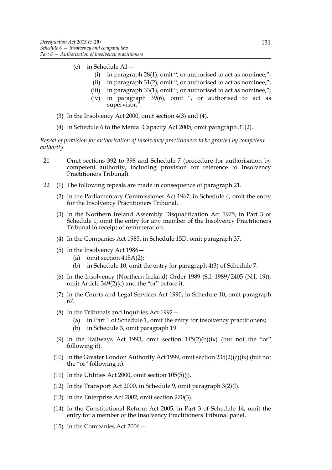- (e) in Schedule A1—
	- (i) in paragraph 28(1), omit ", or authorised to act as nominee,";
	- (ii) in paragraph  $31(2)$ , omit ", or authorised to act as nominee,";
	- (iii) in paragraph 33(1), omit ", or authorised to act as nominee,";
	- (iv) in paragraph 39(6), omit ", or authorised to act as supervisor,".
- (3) In the Insolvency Act 2000, omit section 4(3) and (4).
- (4) In Schedule 6 to the Mental Capacity Act 2005, omit paragraph 31(2).

*Repeal of provision for authorisation of insolvency practitioners to be granted by competent authority*

- 21 Omit sections 392 to 398 and Schedule 7 (procedure for authorisation by competent authority, including provision for reference to Insolvency Practitioners Tribunal).
- 22 (1) The following repeals are made in consequence of paragraph 21.
	- (2) In the Parliamentary Commissioner Act 1967, in Schedule 4, omit the entry for the Insolvency Practitioners Tribunal.
	- (3) In the Northern Ireland Assembly Disqualification Act 1975, in Part 3 of Schedule 1, omit the entry for any member of the Insolvency Practitioners Tribunal in receipt of remuneration.
	- (4) In the Companies Act 1985, in Schedule 15D, omit paragraph 37.
	- (5) In the Insolvency Act 1986—
		- (a) omit section 415A(2);
		- (b) in Schedule 10, omit the entry for paragraph 4(3) of Schedule 7.
	- (6) In the Insolvency (Northern Ireland) Order 1989 (S.I. 1989/2405 (N.I. 19)), omit Article  $349(2)(c)$  and the "or" before it.
	- (7) In the Courts and Legal Services Act 1990, in Schedule 10, omit paragraph 67.
	- (8) In the Tribunals and Inquiries Act 1992—
		- (a) in Part 1 of Schedule 1, omit the entry for insolvency practitioners;
		- (b) in Schedule 3, omit paragraph 19.
	- (9) In the Railways Act 1993, omit section  $145(2)(b)(ix)$  (but not the "or" following it).
	- (10) In the Greater London Authority Act 1999, omit section  $235(2)(c)(ix)$  (but not the "or" following it).
	- (11) In the Utilities Act 2000, omit section 105(5)(j).
	- (12) In the Transport Act 2000, in Schedule 9, omit paragraph 3(2)(l).
	- (13) In the Enterprise Act 2002, omit section 270(3).
	- (14) In the Constitutional Reform Act 2005, in Part 3 of Schedule 14, omit the entry for a member of the Insolvency Practitioners Tribunal panel.
	- (15) In the Companies Act 2006—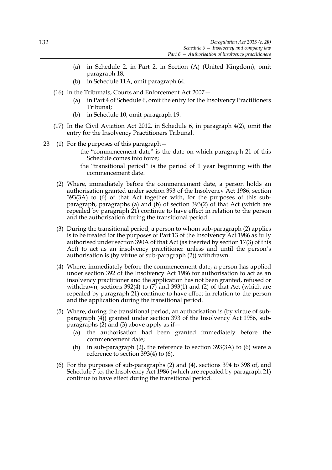- (a) in Schedule 2, in Part 2, in Section (A) (United Kingdom), omit paragraph 18;
- (b) in Schedule 11A, omit paragraph 64.
- (16) In the Tribunals, Courts and Enforcement Act 2007—
	- (a) in Part 4 of Schedule 6, omit the entry for the Insolvency Practitioners Tribunal;
	- (b) in Schedule 10, omit paragraph 19.
- (17) In the Civil Aviation Act 2012, in Schedule 6, in paragraph 4(2), omit the entry for the Insolvency Practitioners Tribunal.
- 23 (1) For the purposes of this paragraph
	- the "commencement date" is the date on which paragraph 21 of this Schedule comes into force;
	- the "transitional period" is the period of 1 year beginning with the commencement date.
	- (2) Where, immediately before the commencement date, a person holds an authorisation granted under section 393 of the Insolvency Act 1986, section 393(3A) to (6) of that Act together with, for the purposes of this subparagraph, paragraphs (a) and (b) of section 393(2) of that Act (which are repealed by paragraph 21) continue to have effect in relation to the person and the authorisation during the transitional period.
	- (3) During the transitional period, a person to whom sub-paragraph (2) applies is to be treated for the purposes of Part 13 of the Insolvency Act 1986 as fully authorised under section 390A of that Act (as inserted by section 17(3) of this Act) to act as an insolvency practitioner unless and until the person's authorisation is (by virtue of sub-paragraph (2)) withdrawn.
	- (4) Where, immediately before the commencement date, a person has applied under section 392 of the Insolvency Act 1986 for authorisation to act as an insolvency practitioner and the application has not been granted, refused or withdrawn, sections 392(4) to  $(7)$  and 393(1) and (2) of that Act (which are repealed by paragraph 21) continue to have effect in relation to the person and the application during the transitional period.
	- (5) Where, during the transitional period, an authorisation is (by virtue of subparagraph (4)) granted under section 393 of the Insolvency Act 1986, subparagraphs (2) and (3) above apply as if—
		- (a) the authorisation had been granted immediately before the commencement date;
		- (b) in sub-paragraph (2), the reference to section 393(3A) to (6) were a reference to section 393(4) to (6).
	- (6) For the purposes of sub-paragraphs (2) and (4), sections 394 to 398 of, and Schedule 7 to, the Insolvency Act 1986 (which are repealed by paragraph 21) continue to have effect during the transitional period.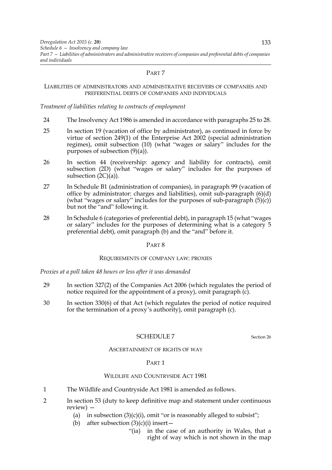### LIABILITIES OF ADMINISTRATORS AND ADMINISTRATIVE RECEIVERS OF COMPANIES AND PREFERENTIAL DEBTS OF COMPANIES AND INDIVIDUALS

### *Treatment of liabilities relating to contracts of employment*

- 24 The Insolvency Act 1986 is amended in accordance with paragraphs 25 to 28.
- 25 In section 19 (vacation of office by administrator), as continued in force by virtue of section 249(1) of the Enterprise Act 2002 (special administration regimes), omit subsection (10) (what "wages or salary" includes for the purposes of subsection (9)(a)).
- 26 In section 44 (receivership: agency and liability for contracts), omit subsection (2D) (what "wages or salary" includes for the purposes of subsection  $(2C)(a)$ ).
- 27 In Schedule B1 (administration of companies), in paragraph 99 (vacation of office by administrator: charges and liabilities), omit sub-paragraph (6)(d) (what "wages or salary" includes for the purposes of sub-paragraph  $(5)(c)$ ) but not the "and" following it.
- 28 In Schedule 6 (categories of preferential debt), in paragraph 15 (what "wages or salary" includes for the purposes of determining what is a category 5 preferential debt), omit paragraph (b) and the "and" before it.

#### PART 8

#### REQUIREMENTS OF COMPANY LAW: PROXIES

*Proxies at a poll taken 48 hours or less after it was demanded*

- 29 In section 327(2) of the Companies Act 2006 (which regulates the period of notice required for the appointment of a proxy), omit paragraph  $(c)$ .
- 30 In section 330(6) of that Act (which regulates the period of notice required for the termination of a proxy's authority), omit paragraph (c).

# SCHEDULE 7 Section 26

#### ASCERTAINMENT OF RIGHTS OF WAY

# PART 1

# WILDLIFE AND COUNTRYSIDE ACT 1981

- 1 The Wildlife and Countryside Act 1981 is amended as follows.
- 2 In section 53 (duty to keep definitive map and statement under continuous review) —
	- (a) in subsection  $(3)(c)(i)$ , omit "or is reasonably alleged to subsist";
	- (b) after subsection  $(3)(c)(i)$  insert
		- "(ia) in the case of an authority in Wales, that a right of way which is not shown in the map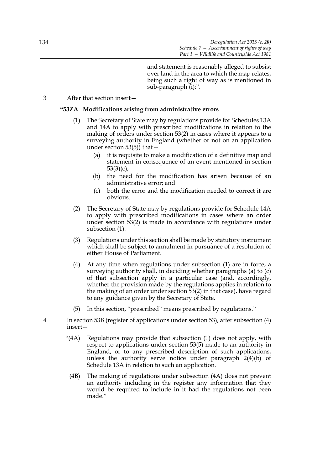and statement is reasonably alleged to subsist over land in the area to which the map relates, being such a right of way as is mentioned in sub-paragraph (i);".

# 3 After that section insert—

# **"53ZA Modifications arising from administrative errors**

- (1) The Secretary of State may by regulations provide for Schedules 13A and 14A to apply with prescribed modifications in relation to the making of orders under section 53(2) in cases where it appears to a surveying authority in England (whether or not on an application under section  $53(5)$ ) that  $-$ 
	- (a) it is requisite to make a modification of a definitive map and statement in consequence of an event mentioned in section 53(3)(c);
	- (b) the need for the modification has arisen because of an administrative error; and
	- (c) both the error and the modification needed to correct it are obvious.
- (2) The Secretary of State may by regulations provide for Schedule 14A to apply with prescribed modifications in cases where an order under section 53(2) is made in accordance with regulations under subsection (1).
- (3) Regulations under this section shall be made by statutory instrument which shall be subject to annulment in pursuance of a resolution of either House of Parliament.
- (4) At any time when regulations under subsection (1) are in force, a surveying authority shall, in deciding whether paragraphs (a) to (c) of that subsection apply in a particular case (and, accordingly, whether the provision made by the regulations applies in relation to the making of an order under section 53(2) in that case), have regard to any guidance given by the Secretary of State.
- (5) In this section, "prescribed" means prescribed by regulations."
- 4 In section 53B (register of applications under section 53), after subsection (4) insert—
	- "(4A) Regulations may provide that subsection (1) does not apply, with respect to applications under section 53(5) made to an authority in England, or to any prescribed description of such applications, unless the authority serve notice under paragraph 2(4)(b) of Schedule 13A in relation to such an application.
		- (4B) The making of regulations under subsection (4A) does not prevent an authority including in the register any information that they would be required to include in it had the regulations not been made."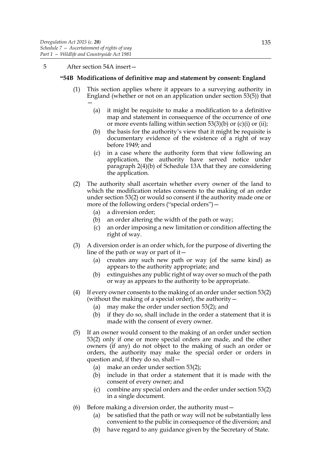### 5 After section 54A insert—

### **"54B Modifications of definitive map and statement by consent: England**

- (1) This section applies where it appears to a surveying authority in England (whether or not on an application under section 53(5)) that —
	- (a) it might be requisite to make a modification to a definitive map and statement in consequence of the occurrence of one or more events falling within section  $53(3)(b)$  or (c)(i) or (ii);
	- (b) the basis for the authority's view that it might be requisite is documentary evidence of the existence of a right of way before 1949; and
	- (c) in a case where the authority form that view following an application, the authority have served notice under paragraph 2(4)(b) of Schedule 13A that they are considering the application.
- (2) The authority shall ascertain whether every owner of the land to which the modification relates consents to the making of an order under section 53(2) or would so consent if the authority made one or more of the following orders ("special orders") –
	- (a) a diversion order;
	- (b) an order altering the width of the path or way;
	- (c) an order imposing a new limitation or condition affecting the right of way.
- (3) A diversion order is an order which, for the purpose of diverting the line of the path or way or part of it—
	- (a) creates any such new path or way (of the same kind) as appears to the authority appropriate; and
	- (b) extinguishes any public right of way over so much of the path or way as appears to the authority to be appropriate.
- (4) If every owner consents to the making of an order under section 53(2) (without the making of a special order), the authority  $-$ 
	- (a) may make the order under section 53(2); and
	- (b) if they do so, shall include in the order a statement that it is made with the consent of every owner.
- (5) If an owner would consent to the making of an order under section 53(2) only if one or more special orders are made, and the other owners (if any) do not object to the making of such an order or orders, the authority may make the special order or orders in question and, if they do so, shall—
	- (a) make an order under section 53(2);
	- (b) include in that order a statement that it is made with the consent of every owner; and
	- (c) combine any special orders and the order under section 53(2) in a single document.
- (6) Before making a diversion order, the authority must—
	- (a) be satisfied that the path or way will not be substantially less convenient to the public in consequence of the diversion; and
	- (b) have regard to any guidance given by the Secretary of State.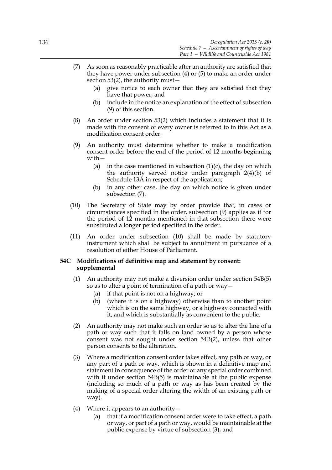- (7) As soon as reasonably practicable after an authority are satisfied that they have power under subsection (4) or (5) to make an order under section  $53(2)$ , the authority must  $-$ 
	- (a) give notice to each owner that they are satisfied that they have that power; and
	- (b) include in the notice an explanation of the effect of subsection (9) of this section.
- (8) An order under section 53(2) which includes a statement that it is made with the consent of every owner is referred to in this Act as a modification consent order.
- (9) An authority must determine whether to make a modification consent order before the end of the period of 12 months beginning with—
	- (a) in the case mentioned in subsection  $(1)(c)$ , the day on which the authority served notice under paragraph 2(4)(b) of Schedule 13A in respect of the application;
	- (b) in any other case, the day on which notice is given under subsection (7).
- (10) The Secretary of State may by order provide that, in cases or circumstances specified in the order, subsection (9) applies as if for the period of 12 months mentioned in that subsection there were substituted a longer period specified in the order.
- (11) An order under subsection (10) shall be made by statutory instrument which shall be subject to annulment in pursuance of a resolution of either House of Parliament.

## **54C Modifications of definitive map and statement by consent: supplemental**

- (1) An authority may not make a diversion order under section 54B(5) so as to alter a point of termination of a path or way—
	- (a) if that point is not on a highway; or
	- (b) (where it is on a highway) otherwise than to another point which is on the same highway, or a highway connected with it, and which is substantially as convenient to the public.
- (2) An authority may not make such an order so as to alter the line of a path or way such that it falls on land owned by a person whose consent was not sought under section 54B(2), unless that other person consents to the alteration.
- (3) Where a modification consent order takes effect, any path or way, or any part of a path or way, which is shown in a definitive map and statement in consequence of the order or any special order combined with it under section 54B(5) is maintainable at the public expense (including so much of a path or way as has been created by the making of a special order altering the width of an existing path or way).
- (4) Where it appears to an authority  $-$ 
	- (a) that if a modification consent order were to take effect, a path or way, or part of a path or way, would be maintainable at the public expense by virtue of subsection (3); and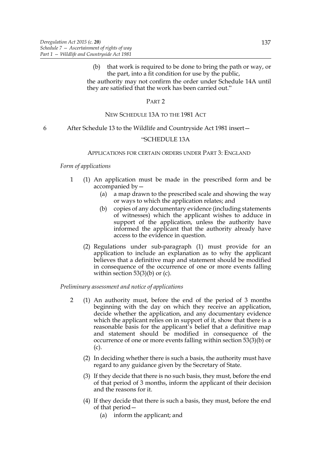(b) that work is required to be done to bring the path or way, or the part, into a fit condition for use by the public, the authority may not confirm the order under Schedule 14A until they are satisfied that the work has been carried out."

### PART 2

# NEW SCHEDULE 13A TO THE 1981 ACT

### 6 After Schedule 13 to the Wildlife and Countryside Act 1981 insert—

#### "SCHEDULE 13A

### APPLICATIONS FOR CERTAIN ORDERS UNDER PART 3: ENGLAND

# *Form of applications*

- 1 (1) An application must be made in the prescribed form and be accompanied by—
	- (a) a map drawn to the prescribed scale and showing the way or ways to which the application relates; and
	- (b) copies of any documentary evidence (including statements of witnesses) which the applicant wishes to adduce in support of the application, unless the authority have informed the applicant that the authority already have access to the evidence in question.
	- (2) Regulations under sub-paragraph (1) must provide for an application to include an explanation as to why the applicant believes that a definitive map and statement should be modified in consequence of the occurrence of one or more events falling within section  $53(3)(b)$  or (c).

### *Preliminary assessment and notice of applications*

- 2 (1) An authority must, before the end of the period of 3 months beginning with the day on which they receive an application, decide whether the application, and any documentary evidence which the applicant relies on in support of it, show that there is a reasonable basis for the applicant's belief that a definitive map and statement should be modified in consequence of the occurrence of one or more events falling within section 53(3)(b) or (c).
	- (2) In deciding whether there is such a basis, the authority must have regard to any guidance given by the Secretary of State.
	- (3) If they decide that there is no such basis, they must, before the end of that period of 3 months, inform the applicant of their decision and the reasons for it.
	- (4) If they decide that there is such a basis, they must, before the end of that period—
		- (a) inform the applicant; and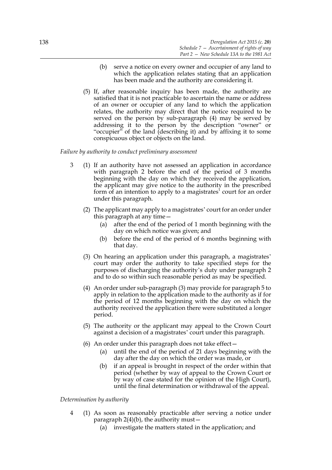- (b) serve a notice on every owner and occupier of any land to which the application relates stating that an application has been made and the authority are considering it.
- (5) If, after reasonable inquiry has been made, the authority are satisfied that it is not practicable to ascertain the name or address of an owner or occupier of any land to which the application relates, the authority may direct that the notice required to be served on the person by sub-paragraph (4) may be served by addressing it to the person by the description "owner" or "occupier" of the land (describing it) and by affixing it to some conspicuous object or objects on the land.

# *Failure by authority to conduct preliminary assessment*

- 3 (1) If an authority have not assessed an application in accordance with paragraph 2 before the end of the period of 3 months beginning with the day on which they received the application, the applicant may give notice to the authority in the prescribed form of an intention to apply to a magistrates' court for an order under this paragraph.
	- (2) The applicant may apply to a magistrates' court for an order under this paragraph at any time—
		- (a) after the end of the period of 1 month beginning with the day on which notice was given; and
		- (b) before the end of the period of 6 months beginning with that day.
	- (3) On hearing an application under this paragraph, a magistrates' court may order the authority to take specified steps for the purposes of discharging the authority's duty under paragraph 2 and to do so within such reasonable period as may be specified.
	- (4) An order under sub-paragraph (3) may provide for paragraph 5 to apply in relation to the application made to the authority as if for the period of 12 months beginning with the day on which the authority received the application there were substituted a longer period.
	- (5) The authority or the applicant may appeal to the Crown Court against a decision of a magistrates' court under this paragraph.
	- (6) An order under this paragraph does not take effect—
		- (a) until the end of the period of 21 days beginning with the day after the day on which the order was made, or
		- (b) if an appeal is brought in respect of the order within that period (whether by way of appeal to the Crown Court or by way of case stated for the opinion of the High Court), until the final determination or withdrawal of the appeal.

# *Determination by authority*

- 4 (1) As soon as reasonably practicable after serving a notice under paragraph  $2(4)(b)$ , the authority must –
	- (a) investigate the matters stated in the application; and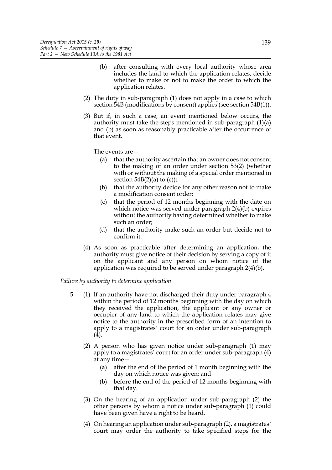- (b) after consulting with every local authority whose area includes the land to which the application relates, decide whether to make or not to make the order to which the application relates.
- (2) The duty in sub-paragraph (1) does not apply in a case to which section 54B (modifications by consent) applies (see section 54B(1)).
- (3) But if, in such a case, an event mentioned below occurs, the authority must take the steps mentioned in sub-paragraph (1)(a) and (b) as soon as reasonably practicable after the occurrence of that event.

The events are—

- (a) that the authority ascertain that an owner does not consent to the making of an order under section 53(2) (whether with or without the making of a special order mentioned in section  $54B(2)(a)$  to (c));
- (b) that the authority decide for any other reason not to make a modification consent order;
- (c) that the period of 12 months beginning with the date on which notice was served under paragraph 2(4)(b) expires without the authority having determined whether to make such an order;
- (d) that the authority make such an order but decide not to confirm it.
- (4) As soon as practicable after determining an application, the authority must give notice of their decision by serving a copy of it on the applicant and any person on whom notice of the application was required to be served under paragraph 2(4)(b).

### *Failure by authority to determine application*

- 5 (1) If an authority have not discharged their duty under paragraph 4 within the period of 12 months beginning with the day on which they received the application, the applicant or any owner or occupier of any land to which the application relates may give notice to the authority in the prescribed form of an intention to apply to a magistrates' court for an order under sub-paragraph (4).
	- (2) A person who has given notice under sub-paragraph (1) may apply to a magistrates' court for an order under sub-paragraph (4) at any time—
		- (a) after the end of the period of 1 month beginning with the day on which notice was given; and
		- (b) before the end of the period of 12 months beginning with that day.
	- (3) On the hearing of an application under sub-paragraph (2) the other persons by whom a notice under sub-paragraph (1) could have been given have a right to be heard.
	- (4) On hearing an application under sub-paragraph (2), a magistrates' court may order the authority to take specified steps for the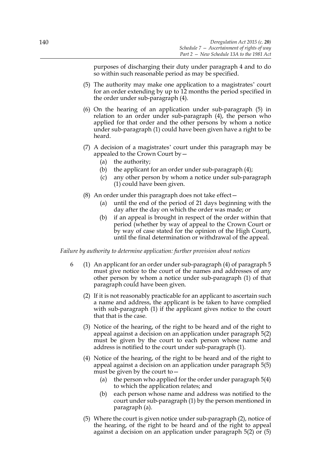purposes of discharging their duty under paragraph 4 and to do so within such reasonable period as may be specified.

- (5) The authority may make one application to a magistrates' court for an order extending by up to 12 months the period specified in the order under sub-paragraph (4).
- (6) On the hearing of an application under sub-paragraph (5) in relation to an order under sub-paragraph (4), the person who applied for that order and the other persons by whom a notice under sub-paragraph (1) could have been given have a right to be heard.
- (7) A decision of a magistrates' court under this paragraph may be appealed to the Crown Court by—
	- (a) the authority;
	- (b) the applicant for an order under sub-paragraph (4);
	- (c) any other person by whom a notice under sub-paragraph (1) could have been given.
- (8) An order under this paragraph does not take effect—
	- (a) until the end of the period of 21 days beginning with the day after the day on which the order was made; or
	- (b) if an appeal is brought in respect of the order within that period (whether by way of appeal to the Crown Court or by way of case stated for the opinion of the High Court), until the final determination or withdrawal of the appeal.

*Failure by authority to determine application: further provision about notices*

- 6 (1) An applicant for an order under sub-paragraph (4) of paragraph 5 must give notice to the court of the names and addresses of any other person by whom a notice under sub-paragraph (1) of that paragraph could have been given.
	- (2) If it is not reasonably practicable for an applicant to ascertain such a name and address, the applicant is be taken to have complied with sub-paragraph (1) if the applicant gives notice to the court that that is the case.
	- (3) Notice of the hearing, of the right to be heard and of the right to appeal against a decision on an application under paragraph 5(2) must be given by the court to each person whose name and address is notified to the court under sub-paragraph (1).
	- (4) Notice of the hearing, of the right to be heard and of the right to appeal against a decision on an application under paragraph 5(5) must be given by the court to—
		- (a) the person who applied for the order under paragraph 5(4) to which the application relates; and
		- (b) each person whose name and address was notified to the court under sub-paragraph (1) by the person mentioned in paragraph (a).
	- (5) Where the court is given notice under sub-paragraph (2), notice of the hearing, of the right to be heard and of the right to appeal against a decision on an application under paragraph 5(2) or (5)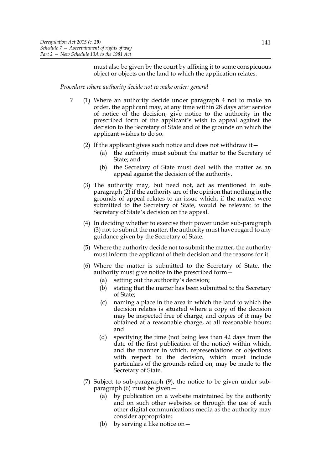must also be given by the court by affixing it to some conspicuous object or objects on the land to which the application relates.

*Procedure where authority decide not to make order: general*

- 7 (1) Where an authority decide under paragraph 4 not to make an order, the applicant may, at any time within 28 days after service of notice of the decision, give notice to the authority in the prescribed form of the applicant's wish to appeal against the decision to the Secretary of State and of the grounds on which the applicant wishes to do so.
	- (2) If the applicant gives such notice and does not withdraw it—
		- (a) the authority must submit the matter to the Secretary of State; and
		- (b) the Secretary of State must deal with the matter as an appeal against the decision of the authority.
	- (3) The authority may, but need not, act as mentioned in subparagraph (2) if the authority are of the opinion that nothing in the grounds of appeal relates to an issue which, if the matter were submitted to the Secretary of State, would be relevant to the Secretary of State's decision on the appeal.
	- (4) In deciding whether to exercise their power under sub-paragraph (3) not to submit the matter, the authority must have regard to any guidance given by the Secretary of State.
	- (5) Where the authority decide not to submit the matter, the authority must inform the applicant of their decision and the reasons for it.
	- (6) Where the matter is submitted to the Secretary of State, the authority must give notice in the prescribed form—
		- (a) setting out the authority's decision;
		- (b) stating that the matter has been submitted to the Secretary of State;
		- (c) naming a place in the area in which the land to which the decision relates is situated where a copy of the decision may be inspected free of charge, and copies of it may be obtained at a reasonable charge, at all reasonable hours; and
		- (d) specifying the time (not being less than 42 days from the date of the first publication of the notice) within which, and the manner in which, representations or objections with respect to the decision, which must include particulars of the grounds relied on, may be made to the Secretary of State.
	- (7) Subject to sub-paragraph (9), the notice to be given under subparagraph (6) must be given—
		- (a) by publication on a website maintained by the authority and on such other websites or through the use of such other digital communications media as the authority may consider appropriate;
		- (b) by serving a like notice on  $-$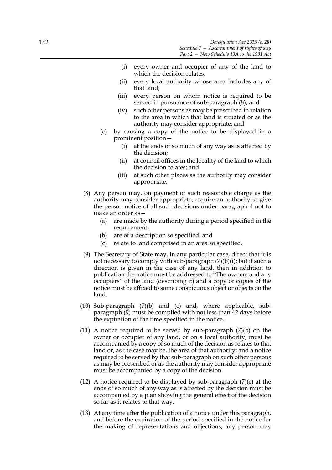- (i) every owner and occupier of any of the land to which the decision relates;
- (ii) every local authority whose area includes any of that land;
- (iii) every person on whom notice is required to be served in pursuance of sub-paragraph (8); and
- (iv) such other persons as may be prescribed in relation to the area in which that land is situated or as the authority may consider appropriate; and
- (c) by causing a copy of the notice to be displayed in a prominent position—
	- (i) at the ends of so much of any way as is affected by the decision;
	- (ii) at council offices in the locality of the land to which the decision relates; and
	- (iii) at such other places as the authority may consider appropriate.
- (8) Any person may, on payment of such reasonable charge as the authority may consider appropriate, require an authority to give the person notice of all such decisions under paragraph 4 not to make an order as—
	- (a) are made by the authority during a period specified in the requirement;
	- (b) are of a description so specified; and
	- (c) relate to land comprised in an area so specified.
- (9) The Secretary of State may, in any particular case, direct that it is not necessary to comply with sub-paragraph  $(7)(b)(i)$ ; but if such a direction is given in the case of any land, then in addition to publication the notice must be addressed to "The owners and any occupiers" of the land (describing it) and a copy or copies of the notice must be affixed to some conspicuous object or objects on the land.
- (10) Sub-paragraph (7)(b) and (c) and, where applicable, subparagraph (9) must be complied with not less than 42 days before the expiration of the time specified in the notice.
- (11) A notice required to be served by sub-paragraph  $(7)(b)$  on the owner or occupier of any land, or on a local authority, must be accompanied by a copy of so much of the decision as relates to that land or, as the case may be, the area of that authority; and a notice required to be served by that sub-paragraph on such other persons as may be prescribed or as the authority may consider appropriate must be accompanied by a copy of the decision.
- (12) A notice required to be displayed by sub-paragraph  $(7)(c)$  at the ends of so much of any way as is affected by the decision must be accompanied by a plan showing the general effect of the decision so far as it relates to that way.
- (13) At any time after the publication of a notice under this paragraph, and before the expiration of the period specified in the notice for the making of representations and objections, any person may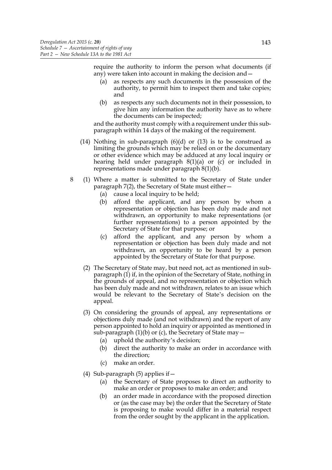require the authority to inform the person what documents (if any) were taken into account in making the decision and—

- (a) as respects any such documents in the possession of the authority, to permit him to inspect them and take copies; and
- (b) as respects any such documents not in their possession, to give him any information the authority have as to where the documents can be inspected;

and the authority must comply with a requirement under this subparagraph within 14 days of the making of the requirement.

- (14) Nothing in sub-paragraph (6)(d) or (13) is to be construed as limiting the grounds which may be relied on or the documentary or other evidence which may be adduced at any local inquiry or hearing held under paragraph 8(1)(a) or (c) or included in representations made under paragraph 8(1)(b).
- 8 (1) Where a matter is submitted to the Secretary of State under paragraph 7(2), the Secretary of State must either—
	- (a) cause a local inquiry to be held;
	- (b) afford the applicant, and any person by whom a representation or objection has been duly made and not withdrawn, an opportunity to make representations (or further representations) to a person appointed by the Secretary of State for that purpose; or
	- (c) afford the applicant, and any person by whom a representation or objection has been duly made and not withdrawn, an opportunity to be heard by a person appointed by the Secretary of State for that purpose.
	- (2) The Secretary of State may, but need not, act as mentioned in subparagraph (1) if, in the opinion of the Secretary of State, nothing in the grounds of appeal, and no representation or objection which has been duly made and not withdrawn, relates to an issue which would be relevant to the Secretary of State's decision on the appeal.
	- (3) On considering the grounds of appeal, any representations or objections duly made (and not withdrawn) and the report of any person appointed to hold an inquiry or appointed as mentioned in sub-paragraph  $(1)(b)$  or  $(c)$ , the Secretary of State may  $-$ 
		- (a) uphold the authority's decision;
		- (b) direct the authority to make an order in accordance with the direction;
		- (c) make an order.
	- (4) Sub-paragraph (5) applies if—
		- (a) the Secretary of State proposes to direct an authority to make an order or proposes to make an order; and
		- (b) an order made in accordance with the proposed direction or (as the case may be) the order that the Secretary of State is proposing to make would differ in a material respect from the order sought by the applicant in the application.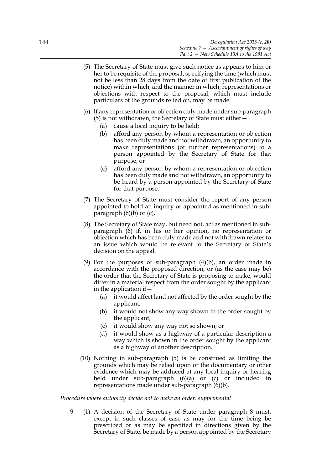- (5) The Secretary of State must give such notice as appears to him or her to be requisite of the proposal, specifying the time (which must not be less than 28 days from the date of first publication of the notice) within which, and the manner in which, representations or objections with respect to the proposal, which must include particulars of the grounds relied on, may be made.
- (6) If any representation or objection duly made under sub-paragraph (5) is not withdrawn, the Secretary of State must either—
	- (a) cause a local inquiry to be held;
	- (b) afford any person by whom a representation or objection has been duly made and not withdrawn, an opportunity to make representations (or further representations) to a person appointed by the Secretary of State for that purpose; or
	- (c) afford any person by whom a representation or objection has been duly made and not withdrawn, an opportunity to be heard by a person appointed by the Secretary of State for that purpose.
- (7) The Secretary of State must consider the report of any person appointed to hold an inquiry or appointed as mentioned in subparagraph  $(6)(b)$  or  $(c)$ .
- (8) The Secretary of State may, but need not, act as mentioned in subparagraph (6) if, in his or her opinion, no representation or objection which has been duly made and not withdrawn relates to an issue which would be relevant to the Secretary of State's decision on the appeal.
- (9) For the purposes of sub-paragraph (4)(b), an order made in accordance with the proposed direction, or (as the case may be) the order that the Secretary of State is proposing to make, would differ in a material respect from the order sought by the applicant in the application if—
	- (a) it would affect land not affected by the order sought by the applicant;
	- (b) it would not show any way shown in the order sought by the applicant;
	- (c) it would show any way not so shown; or
	- (d) it would show as a highway of a particular description a way which is shown in the order sought by the applicant as a highway of another description.
- (10) Nothing in sub-paragraph (5) is be construed as limiting the grounds which may be relied upon or the documentary or other evidence which may be adduced at any local inquiry or hearing held under sub-paragraph (6)(a) or (c) or included in representations made under sub-paragraph (6)(b).

### *Procedure where authority decide not to make an order: supplemental*

9 (1) A decision of the Secretary of State under paragraph 8 must, except in such classes of case as may for the time being be prescribed or as may be specified in directions given by the Secretary of State, be made by a person appointed by the Secretary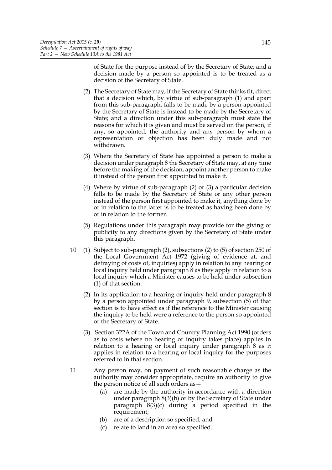of State for the purpose instead of by the Secretary of State; and a decision made by a person so appointed is to be treated as a decision of the Secretary of State.

- (2) The Secretary of State may, if the Secretary of State thinks fit, direct that a decision which, by virtue of sub-paragraph (1) and apart from this sub-paragraph, falls to be made by a person appointed by the Secretary of State is instead to be made by the Secretary of State; and a direction under this sub-paragraph must state the reasons for which it is given and must be served on the person, if any, so appointed, the authority and any person by whom a representation or objection has been duly made and not withdrawn.
- (3) Where the Secretary of State has appointed a person to make a decision under paragraph 8 the Secretary of State may, at any time before the making of the decision, appoint another person to make it instead of the person first appointed to make it.
- (4) Where by virtue of sub-paragraph (2) or (3) a particular decision falls to be made by the Secretary of State or any other person instead of the person first appointed to make it, anything done by or in relation to the latter is to be treated as having been done by or in relation to the former.
- (5) Regulations under this paragraph may provide for the giving of publicity to any directions given by the Secretary of State under this paragraph.
- 10 (1) Subject to sub-paragraph (2), subsections (2) to (5) of section 250 of the Local Government Act 1972 (giving of evidence at, and defraying of costs of, inquiries) apply in relation to any hearing or local inquiry held under paragraph 8 as they apply in relation to a local inquiry which a Minister causes to be held under subsection (1) of that section.
	- (2) In its application to a hearing or inquiry held under paragraph 8 by a person appointed under paragraph 9, subsection (5) of that section is to have effect as if the reference to the Minister causing the inquiry to be held were a reference to the person so appointed or the Secretary of State.
	- (3) Section 322A of the Town and Country Planning Act 1990 (orders as to costs where no hearing or inquiry takes place) applies in relation to a hearing or local inquiry under paragraph 8 as it applies in relation to a hearing or local inquiry for the purposes referred to in that section.
- 11 Any person may, on payment of such reasonable charge as the authority may consider appropriate, require an authority to give the person notice of all such orders as—
	- (a) are made by the authority in accordance with a direction under paragraph 8(3)(b) or by the Secretary of State under paragraph 8(3)(c) during a period specified in the requirement;
	- (b) are of a description so specified; and
	- (c) relate to land in an area so specified.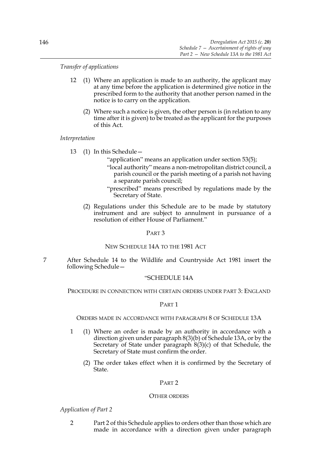# *Transfer of applications*

- 12 (1) Where an application is made to an authority, the applicant may at any time before the application is determined give notice in the prescribed form to the authority that another person named in the notice is to carry on the application.
	- (2) Where such a notice is given, the other person is (in relation to any time after it is given) to be treated as the applicant for the purposes of this Act.

### *Interpretation*

- 13 (1) In this Schedule—
	- "application" means an application under section 53(5);
	- "local authority" means a non-metropolitan district council, a parish council or the parish meeting of a parish not having a separate parish council;
	- "prescribed" means prescribed by regulations made by the Secretary of State.
	- (2) Regulations under this Schedule are to be made by statutory instrument and are subject to annulment in pursuance of a resolution of either House of Parliament."

### PART 3

### NEW SCHEDULE 14A TO THE 1981 ACT

7 After Schedule 14 to the Wildlife and Countryside Act 1981 insert the following Schedule—

## "SCHEDULE 14A

PROCEDURE IN CONNECTION WITH CERTAIN ORDERS UNDER PART 3: ENGLAND

### PART 1

### ORDERS MADE IN ACCORDANCE WITH PARAGRAPH 8 OF SCHEDULE 13A

- 1 (1) Where an order is made by an authority in accordance with a direction given under paragraph 8(3)(b) of Schedule 13A, or by the Secretary of State under paragraph 8(3)(c) of that Schedule, the Secretary of State must confirm the order.
	- (2) The order takes effect when it is confirmed by the Secretary of State.

### PART 2

### OTHER ORDERS

# *Application of Part 2*

2 Part 2 of this Schedule applies to orders other than those which are made in accordance with a direction given under paragraph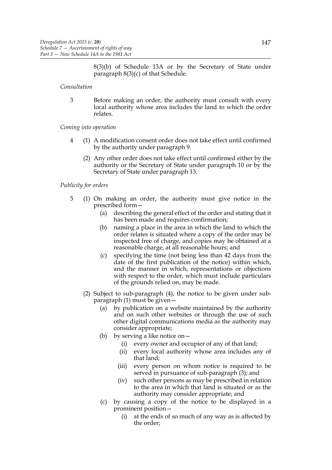8(3)(b) of Schedule 13A or by the Secretary of State under paragraph 8(3)(c) of that Schedule.

### *Consultation*

3 Before making an order, the authority must consult with every local authority whose area includes the land to which the order relates.

### *Coming into operation*

- 4 (1) A modification consent order does not take effect until confirmed by the authority under paragraph 9.
	- (2) Any other order does not take effect until confirmed either by the authority or the Secretary of State under paragraph 10 or by the Secretary of State under paragraph 13.

## *Publicity for orders*

- 5 (1) On making an order, the authority must give notice in the prescribed form—
	- (a) describing the general effect of the order and stating that it has been made and requires confirmation;
	- (b) naming a place in the area in which the land to which the order relates is situated where a copy of the order may be inspected free of charge, and copies may be obtained at a reasonable charge, at all reasonable hours; and
	- (c) specifying the time (not being less than 42 days from the date of the first publication of the notice) within which, and the manner in which, representations or objections with respect to the order, which must include particulars of the grounds relied on, may be made.
	- (2) Subject to sub-paragraph (4), the notice to be given under subparagraph (1) must be given—
		- (a) by publication on a website maintained by the authority and on such other websites or through the use of such other digital communications media as the authority may consider appropriate;
		- (b) by serving a like notice on  $-$ 
			- (i) every owner and occupier of any of that land;
			- (ii) every local authority whose area includes any of that land;
			- (iii) every person on whom notice is required to be served in pursuance of sub-paragraph (3); and
			- (iv) such other persons as may be prescribed in relation to the area in which that land is situated or as the authority may consider appropriate; and
		- (c) by causing a copy of the notice to be displayed in a prominent position—
			- (i) at the ends of so much of any way as is affected by the order;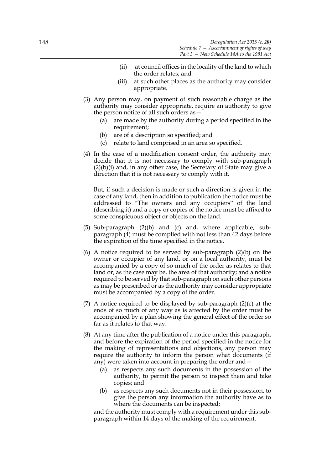- (ii) at council offices in the locality of the land to which the order relates; and
- (iii) at such other places as the authority may consider appropriate.
- (3) Any person may, on payment of such reasonable charge as the authority may consider appropriate, require an authority to give the person notice of all such orders as—
	- (a) are made by the authority during a period specified in the requirement;
	- (b) are of a description so specified; and
	- (c) relate to land comprised in an area so specified.
- (4) In the case of a modification consent order, the authority may decide that it is not necessary to comply with sub-paragraph (2)(b)(i) and, in any other case, the Secretary of State may give a direction that it is not necessary to comply with it.

But, if such a decision is made or such a direction is given in the case of any land, then in addition to publication the notice must be addressed to "The owners and any occupiers" of the land (describing it) and a copy or copies of the notice must be affixed to some conspicuous object or objects on the land.

- (5) Sub-paragraph (2)(b) and (c) and, where applicable, subparagraph (4) must be complied with not less than 42 days before the expiration of the time specified in the notice.
- (6) A notice required to be served by sub-paragraph (2)(b) on the owner or occupier of any land, or on a local authority, must be accompanied by a copy of so much of the order as relates to that land or, as the case may be, the area of that authority; and a notice required to be served by that sub-paragraph on such other persons as may be prescribed or as the authority may consider appropriate must be accompanied by a copy of the order.
- (7) A notice required to be displayed by sub-paragraph  $(2)(c)$  at the ends of so much of any way as is affected by the order must be accompanied by a plan showing the general effect of the order so far as it relates to that way.
- (8) At any time after the publication of a notice under this paragraph, and before the expiration of the period specified in the notice for the making of representations and objections, any person may require the authority to inform the person what documents (if any) were taken into account in preparing the order and—
	- (a) as respects any such documents in the possession of the authority, to permit the person to inspect them and take copies; and
	- (b) as respects any such documents not in their possession, to give the person any information the authority have as to where the documents can be inspected;

and the authority must comply with a requirement under this subparagraph within 14 days of the making of the requirement.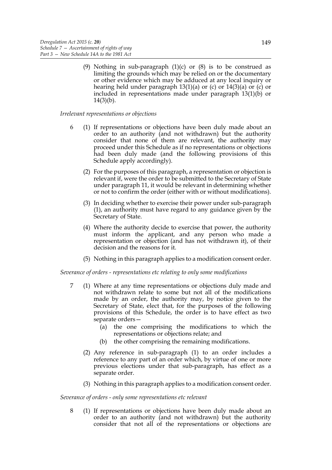(9) Nothing in sub-paragraph  $(1)(c)$  or  $(8)$  is to be construed as limiting the grounds which may be relied on or the documentary or other evidence which may be adduced at any local inquiry or hearing held under paragraph 13(1)(a) or (c) or 14(3)(a) or (c) or included in representations made under paragraph 13(1)(b) or  $14(3)(b)$ .

## *Irrelevant representations or objections*

- 6 (1) If representations or objections have been duly made about an order to an authority (and not withdrawn) but the authority consider that none of them are relevant, the authority may proceed under this Schedule as if no representations or objections had been duly made (and the following provisions of this Schedule apply accordingly).
	- (2) For the purposes of this paragraph, a representation or objection is relevant if, were the order to be submitted to the Secretary of State under paragraph 11, it would be relevant in determining whether or not to confirm the order (either with or without modifications).
	- (3) In deciding whether to exercise their power under sub-paragraph (1), an authority must have regard to any guidance given by the Secretary of State.
	- (4) Where the authority decide to exercise that power, the authority must inform the applicant, and any person who made a representation or objection (and has not withdrawn it), of their decision and the reasons for it.
	- (5) Nothing in this paragraph applies to a modification consent order.

### *Severance of orders - representations etc relating to only some modifications*

- 7 (1) Where at any time representations or objections duly made and not withdrawn relate to some but not all of the modifications made by an order, the authority may, by notice given to the Secretary of State, elect that, for the purposes of the following provisions of this Schedule, the order is to have effect as two separate orders—
	- (a) the one comprising the modifications to which the representations or objections relate; and
	- (b) the other comprising the remaining modifications.
	- (2) Any reference in sub-paragraph (1) to an order includes a reference to any part of an order which, by virtue of one or more previous elections under that sub-paragraph, has effect as a separate order.
	- (3) Nothing in this paragraph applies to a modification consent order.

### *Severance of orders - only some representations etc relevant*

8 (1) If representations or objections have been duly made about an order to an authority (and not withdrawn) but the authority consider that not all of the representations or objections are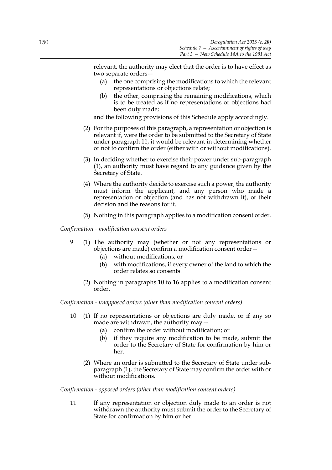relevant, the authority may elect that the order is to have effect as two separate orders—

- (a) the one comprising the modifications to which the relevant representations or objections relate;
- (b) the other, comprising the remaining modifications, which is to be treated as if no representations or objections had been duly made;

and the following provisions of this Schedule apply accordingly.

- (2) For the purposes of this paragraph, a representation or objection is relevant if, were the order to be submitted to the Secretary of State under paragraph 11, it would be relevant in determining whether or not to confirm the order (either with or without modifications).
- (3) In deciding whether to exercise their power under sub-paragraph (1), an authority must have regard to any guidance given by the Secretary of State.
- (4) Where the authority decide to exercise such a power, the authority must inform the applicant, and any person who made a representation or objection (and has not withdrawn it), of their decision and the reasons for it.
- (5) Nothing in this paragraph applies to a modification consent order.

*Confirmation - modification consent orders*

- 9 (1) The authority may (whether or not any representations or objections are made) confirm a modification consent order—
	- (a) without modifications; or
	- (b) with modifications, if every owner of the land to which the order relates so consents.
	- (2) Nothing in paragraphs 10 to 16 applies to a modification consent order.

*Confirmation - unopposed orders (other than modification consent orders)*

- 10 (1) If no representations or objections are duly made, or if any so made are withdrawn, the authority may—
	- (a) confirm the order without modification; or
	- (b) if they require any modification to be made, submit the order to the Secretary of State for confirmation by him or her.
	- (2) Where an order is submitted to the Secretary of State under subparagraph (1), the Secretary of State may confirm the order with or without modifications.

*Confirmation - opposed orders (other than modification consent orders)*

11 If any representation or objection duly made to an order is not withdrawn the authority must submit the order to the Secretary of State for confirmation by him or her.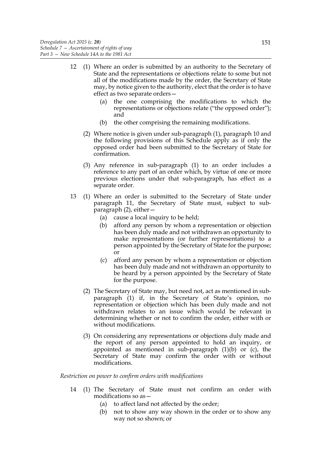- 12 (1) Where an order is submitted by an authority to the Secretary of State and the representations or objections relate to some but not all of the modifications made by the order, the Secretary of State may, by notice given to the authority, elect that the order is to have effect as two separate orders—
	- (a) the one comprising the modifications to which the representations or objections relate ("the opposed order"); and
	- (b) the other comprising the remaining modifications.
	- (2) Where notice is given under sub-paragraph (1), paragraph 10 and the following provisions of this Schedule apply as if only the opposed order had been submitted to the Secretary of State for confirmation.
	- (3) Any reference in sub-paragraph (1) to an order includes a reference to any part of an order which, by virtue of one or more previous elections under that sub-paragraph, has effect as a separate order.
- 13 (1) Where an order is submitted to the Secretary of State under paragraph 11, the Secretary of State must, subject to subparagraph (2), either—
	- (a) cause a local inquiry to be held;
	- (b) afford any person by whom a representation or objection has been duly made and not withdrawn an opportunity to make representations (or further representations) to a person appointed by the Secretary of State for the purpose; or
	- (c) afford any person by whom a representation or objection has been duly made and not withdrawn an opportunity to be heard by a person appointed by the Secretary of State for the purpose.
	- (2) The Secretary of State may, but need not, act as mentioned in subparagraph (1) if, in the Secretary of State's opinion, no representation or objection which has been duly made and not withdrawn relates to an issue which would be relevant in determining whether or not to confirm the order, either with or without modifications.
	- (3) On considering any representations or objections duly made and the report of any person appointed to hold an inquiry, or appointed as mentioned in sub-paragraph  $(1)(b)$  or  $(c)$ , the Secretary of State may confirm the order with or without modifications.

*Restriction on power to confirm orders with modifications*

- 14 (1) The Secretary of State must not confirm an order with modifications so as—
	- (a) to affect land not affected by the order;
	- (b) not to show any way shown in the order or to show any way not so shown; or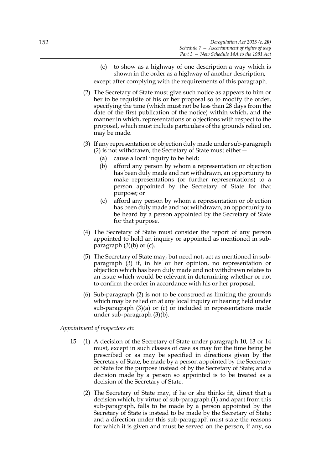- (c) to show as a highway of one description a way which is shown in the order as a highway of another description, except after complying with the requirements of this paragraph.
- (2) The Secretary of State must give such notice as appears to him or her to be requisite of his or her proposal so to modify the order, specifying the time (which must not be less than 28 days from the date of the first publication of the notice) within which, and the manner in which, representations or objections with respect to the proposal, which must include particulars of the grounds relied on, may be made.
- (3) If any representation or objection duly made under sub-paragraph (2) is not withdrawn, the Secretary of State must either—
	- (a) cause a local inquiry to be held;
	- (b) afford any person by whom a representation or objection has been duly made and not withdrawn, an opportunity to make representations (or further representations) to a person appointed by the Secretary of State for that purpose; or
	- (c) afford any person by whom a representation or objection has been duly made and not withdrawn, an opportunity to be heard by a person appointed by the Secretary of State for that purpose.
- (4) The Secretary of State must consider the report of any person appointed to hold an inquiry or appointed as mentioned in subparagraph  $(3)(b)$  or  $(c)$ .
- (5) The Secretary of State may, but need not, act as mentioned in subparagraph (3) if, in his or her opinion, no representation or objection which has been duly made and not withdrawn relates to an issue which would be relevant in determining whether or not to confirm the order in accordance with his or her proposal.
- (6) Sub-paragraph (2) is not to be construed as limiting the grounds which may be relied on at any local inquiry or hearing held under sub-paragraph (3)(a) or (c) or included in representations made under sub-paragraph (3)(b).

### *Appointment of inspectors etc*

- 15 (1) A decision of the Secretary of State under paragraph 10, 13 or 14 must, except in such classes of case as may for the time being be prescribed or as may be specified in directions given by the Secretary of State, be made by a person appointed by the Secretary of State for the purpose instead of by the Secretary of State; and a decision made by a person so appointed is to be treated as a decision of the Secretary of State.
	- (2) The Secretary of State may, if he or she thinks fit, direct that a decision which, by virtue of sub-paragraph (1) and apart from this sub-paragraph, falls to be made by a person appointed by the Secretary of State is instead to be made by the Secretary of State; and a direction under this sub-paragraph must state the reasons for which it is given and must be served on the person, if any, so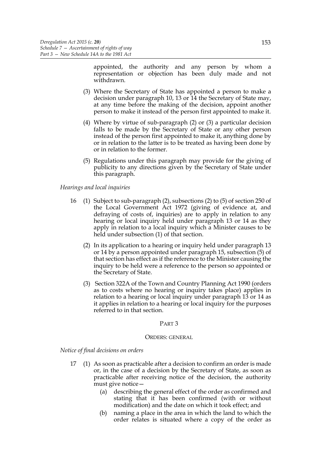appointed, the authority and any person by whom a representation or objection has been duly made and not withdrawn.

- (3) Where the Secretary of State has appointed a person to make a decision under paragraph 10, 13 or 14 the Secretary of State may, at any time before the making of the decision, appoint another person to make it instead of the person first appointed to make it.
- (4) Where by virtue of sub-paragraph (2) or (3) a particular decision falls to be made by the Secretary of State or any other person instead of the person first appointed to make it, anything done by or in relation to the latter is to be treated as having been done by or in relation to the former.
- (5) Regulations under this paragraph may provide for the giving of publicity to any directions given by the Secretary of State under this paragraph.

# *Hearings and local inquiries*

- 16 (1) Subject to sub-paragraph (2), subsections (2) to (5) of section 250 of the Local Government Act 1972 (giving of evidence at, and defraying of costs of, inquiries) are to apply in relation to any hearing or local inquiry held under paragraph 13 or 14 as they apply in relation to a local inquiry which a Minister causes to be held under subsection (1) of that section.
	- (2) In its application to a hearing or inquiry held under paragraph 13 or 14 by a person appointed under paragraph 15, subsection (5) of that section has effect as if the reference to the Minister causing the inquiry to be held were a reference to the person so appointed or the Secretary of State.
	- (3) Section 322A of the Town and Country Planning Act 1990 (orders as to costs where no hearing or inquiry takes place) applies in relation to a hearing or local inquiry under paragraph 13 or 14 as it applies in relation to a hearing or local inquiry for the purposes referred to in that section.

### PART 3

#### ORDERS: GENERAL

*Notice of final decisions on orders*

- 17 (1) As soon as practicable after a decision to confirm an order is made or, in the case of a decision by the Secretary of State, as soon as practicable after receiving notice of the decision, the authority must give notice—
	- (a) describing the general effect of the order as confirmed and stating that it has been confirmed (with or without modification) and the date on which it took effect; and
	- (b) naming a place in the area in which the land to which the order relates is situated where a copy of the order as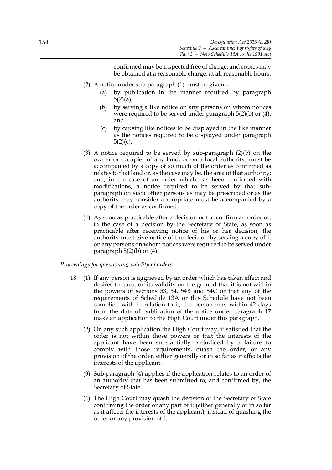confirmed may be inspected free of charge, and copies may be obtained at a reasonable charge, at all reasonable hours.

- (2) A notice under sub-paragraph (1) must be given—
	- (a) by publication in the manner required by paragraph  $5(2)(a);$
	- (b) by serving a like notice on any persons on whom notices were required to be served under paragraph 5(2)(b) or (4); and
	- (c) by causing like notices to be displayed in the like manner as the notices required to be displayed under paragraph  $5(2)(c)$ .
- (3) A notice required to be served by sub-paragraph (2)(b) on the owner or occupier of any land, or on a local authority, must be accompanied by a copy of so much of the order as confirmed as relates to that land or, as the case may be, the area of that authority; and, in the case of an order which has been confirmed with modifications, a notice required to be served by that subparagraph on such other persons as may be prescribed or as the authority may consider appropriate must be accompanied by a copy of the order as confirmed.
- (4) As soon as practicable after a decision not to confirm an order or, in the case of a decision by the Secretary of State, as soon as practicable after receiving notice of his or her decision, the authority must give notice of the decision by serving a copy of it on any persons on whom notices were required to be served under paragraph 5(2)(b) or (4).

# *Proceedings for questioning validity of orders*

- 18 (1) If any person is aggrieved by an order which has taken effect and desires to question its validity on the ground that it is not within the powers of sections 53, 54, 54B and 54C or that any of the requirements of Schedule 13A or this Schedule have not been complied with in relation to it, the person may within 42 days from the date of publication of the notice under paragraph 17 make an application to the High Court under this paragraph.
	- (2) On any such application the High Court may, if satisfied that the order is not within those powers or that the interests of the applicant have been substantially prejudiced by a failure to comply with those requirements, quash the order, or any provision of the order, either generally or in so far as it affects the interests of the applicant.
	- (3) Sub-paragraph (4) applies if the application relates to an order of an authority that has been submitted to, and confirmed by, the Secretary of State.
	- (4) The High Court may quash the decision of the Secretary of State confirming the order or any part of it (either generally or in so far as it affects the interests of the applicant), instead of quashing the order or any provision of it.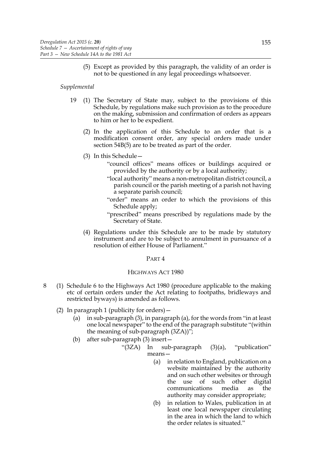(5) Except as provided by this paragraph, the validity of an order is not to be questioned in any legal proceedings whatsoever.

### *Supplemental*

- 19 (1) The Secretary of State may, subject to the provisions of this Schedule, by regulations make such provision as to the procedure on the making, submission and confirmation of orders as appears to him or her to be expedient.
	- (2) In the application of this Schedule to an order that is a modification consent order, any special orders made under section 54B(5) are to be treated as part of the order.
	- (3) In this Schedule—
		- "council offices" means offices or buildings acquired or provided by the authority or by a local authority;
		- "local authority" means a non-metropolitan district council, a parish council or the parish meeting of a parish not having a separate parish council;
		- "order" means an order to which the provisions of this Schedule apply;
		- "prescribed" means prescribed by regulations made by the Secretary of State.
	- (4) Regulations under this Schedule are to be made by statutory instrument and are to be subject to annulment in pursuance of a resolution of either House of Parliament."

### PART 4

# HIGHWAYS ACT 1980

- 8 (1) Schedule 6 to the Highways Act 1980 (procedure applicable to the making etc of certain orders under the Act relating to footpaths, bridleways and restricted byways) is amended as follows.
	- (2) In paragraph 1 (publicity for orders)—
		- (a) in sub-paragraph (3), in paragraph (a), for the words from "in at least one local newspaper" to the end of the paragraph substitute "(within the meaning of sub-paragraph (3ZA))";
		- (b) after sub-paragraph (3) insert—
			- "(3ZA) In sub-paragraph (3)(a), "publication" means—
				- (a) in relation to England, publication on a website maintained by the authority and on such other websites or through the use of such other digital communications media as the authority may consider appropriate;
				- (b) in relation to Wales, publication in at least one local newspaper circulating in the area in which the land to which the order relates is situated."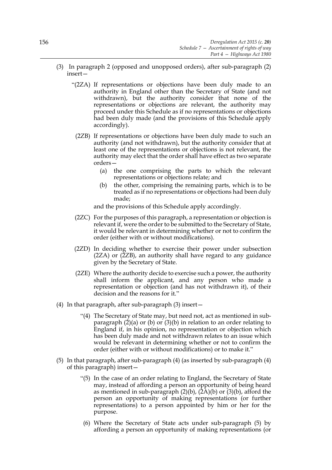- (3) In paragraph 2 (opposed and unopposed orders), after sub-paragraph (2) insert—
	- "(2ZA) If representations or objections have been duly made to an authority in England other than the Secretary of State (and not withdrawn), but the authority consider that none of the representations or objections are relevant, the authority may proceed under this Schedule as if no representations or objections had been duly made (and the provisions of this Schedule apply accordingly).
		- (2ZB) If representations or objections have been duly made to such an authority (and not withdrawn), but the authority consider that at least one of the representations or objections is not relevant, the authority may elect that the order shall have effect as two separate orders—
			- (a) the one comprising the parts to which the relevant representations or objections relate; and
			- (b) the other, comprising the remaining parts, which is to be treated as if no representations or objections had been duly made;

and the provisions of this Schedule apply accordingly.

- (2ZC) For the purposes of this paragraph, a representation or objection is relevant if, were the order to be submitted to the Secretary of State, it would be relevant in determining whether or not to confirm the order (either with or without modifications).
- (2ZD) In deciding whether to exercise their power under subsection  $(2ZA)$  or  $(2ZB)$ , an authority shall have regard to any guidance given by the Secretary of State.
- (2ZE) Where the authority decide to exercise such a power, the authority shall inform the applicant, and any person who made a representation or objection (and has not withdrawn it), of their decision and the reasons for it."
- (4) In that paragraph, after sub-paragraph (3) insert—
	- "(4) The Secretary of State may, but need not, act as mentioned in subparagraph  $(2)(a)$  or  $(b)$  or  $(3)(b)$  in relation to an order relating to England if, in his opinion, no representation or objection which has been duly made and not withdrawn relates to an issue which would be relevant in determining whether or not to confirm the order (either with or without modifications) or to make it."
- (5) In that paragraph, after sub-paragraph (4) (as inserted by sub-paragraph (4) of this paragraph) insert—
	- "(5) In the case of an order relating to England, the Secretary of State may, instead of affording a person an opportunity of being heard as mentioned in sub-paragraph  $(2)(b)$ ,  $(2A)(b)$  or  $(3)(b)$ , afford the person an opportunity of making representations (or further representations) to a person appointed by him or her for the purpose.
	- (6) Where the Secretary of State acts under sub-paragraph (5) by affording a person an opportunity of making representations (or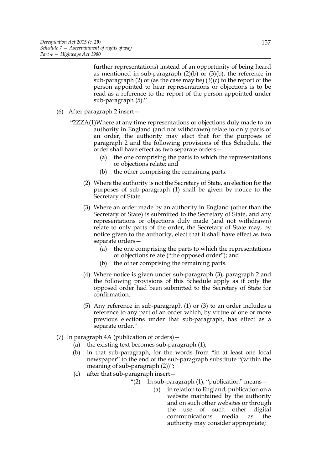further representations) instead of an opportunity of being heard as mentioned in sub-paragraph  $(2)(b)$  or  $(3)(b)$ , the reference in sub-paragraph (2) or (as the case may be) (3)(c) to the report of the person appointed to hear representations or objections is to be read as a reference to the report of the person appointed under sub-paragraph (5)."

- (6) After paragraph 2 insert—
	- "2ZZA(1)Where at any time representations or objections duly made to an authority in England (and not withdrawn) relate to only parts of an order, the authority may elect that for the purposes of paragraph 2 and the following provisions of this Schedule, the order shall have effect as two separate orders—
		- (a) the one comprising the parts to which the representations or objections relate; and
		- (b) the other comprising the remaining parts.
		- (2) Where the authority is not the Secretary of State, an election for the purposes of sub-paragraph (1) shall be given by notice to the Secretary of State.
		- (3) Where an order made by an authority in England (other than the Secretary of State) is submitted to the Secretary of State, and any representations or objections duly made (and not withdrawn) relate to only parts of the order, the Secretary of State may, by notice given to the authority, elect that it shall have effect as two separate orders—
			- (a) the one comprising the parts to which the representations or objections relate ("the opposed order"); and
			- (b) the other comprising the remaining parts.
		- (4) Where notice is given under sub-paragraph (3), paragraph 2 and the following provisions of this Schedule apply as if only the opposed order had been submitted to the Secretary of State for confirmation.
		- (5) Any reference in sub-paragraph (1) or (3) to an order includes a reference to any part of an order which, by virtue of one or more previous elections under that sub-paragraph, has effect as a separate order."
- (7) In paragraph 4A (publication of orders)—
	- (a) the existing text becomes sub-paragraph (1);
	- (b) in that sub-paragraph, for the words from "in at least one local newspaper" to the end of the sub-paragraph substitute "(within the meaning of sub-paragraph  $(2)$ ";
	- (c) after that sub-paragraph insert—
		- "(2) In sub-paragraph (1), "publication" means—
			- (a) in relation to England, publication on a website maintained by the authority and on such other websites or through the use of such other digital communications media as the authority may consider appropriate;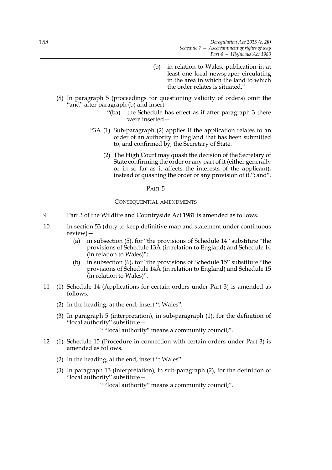- (b) in relation to Wales, publication in at least one local newspaper circulating in the area in which the land to which the order relates is situated."
- (8) In paragraph 5 (proceedings for questioning validity of orders) omit the "and" after paragraph (b) and insert—
	- "(ba) the Schedule has effect as if after paragraph 3 there were inserted—
	- "3A (1) Sub-paragraph (2) applies if the application relates to an order of an authority in England that has been submitted to, and confirmed by, the Secretary of State.
		- (2) The High Court may quash the decision of the Secretary of State confirming the order or any part of it (either generally or in so far as it affects the interests of the applicant), instead of quashing the order or any provision of it."; and".

#### PART 5

#### CONSEQUENTIAL AMENDMENTS

- 9 Part 3 of the Wildlife and Countryside Act 1981 is amended as follows.
- 10 In section 53 (duty to keep definitive map and statement under continuous review)—
	- (a) in subsection (5), for "the provisions of Schedule 14" substitute "the provisions of Schedule 13A (in relation to England) and Schedule 14 (in relation to Wales)";
	- (b) in subsection (6), for "the provisions of Schedule 15" substitute "the provisions of Schedule 14A (in relation to England) and Schedule 15 (in relation to Wales)".
- 11 (1) Schedule 14 (Applications for certain orders under Part 3) is amended as follows.
	- (2) In the heading, at the end, insert ": Wales".
	- (3) In paragraph 5 (interpretation), in sub-paragraph (1), for the definition of "local authority" substitute—
		- " "local authority" means a community council;".
- 12 (1) Schedule 15 (Procedure in connection with certain orders under Part 3) is amended as follows.
	- (2) In the heading, at the end, insert ": Wales".
	- (3) In paragraph 13 (interpretation), in sub-paragraph (2), for the definition of "local authority" substitute—

" "local authority" means a community council;".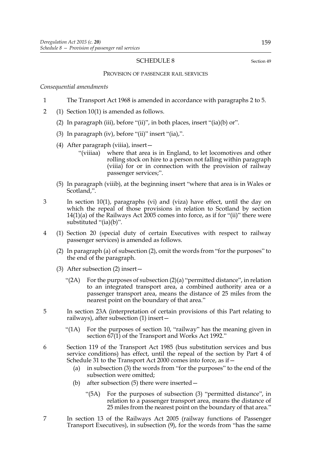## SCHEDULE 8 Section 49

#### PROVISION OF PASSENGER RAIL SERVICES

*Consequential amendments*

- 1 The Transport Act 1968 is amended in accordance with paragraphs 2 to 5.
- 2 (1) Section 10(1) is amended as follows.
	- (2) In paragraph (iii), before "(ii)", in both places, insert "(ia)(b) or".
	- (3) In paragraph (iv), before "(ii)" insert "(ia),".
	- (4) After paragraph (viiia), insert—
		- "(viiiaa) where that area is in England, to let locomotives and other rolling stock on hire to a person not falling within paragraph (viiia) for or in connection with the provision of railway passenger services;".
	- (5) In paragraph (viiib), at the beginning insert "where that area is in Wales or Scotland,".
- 3 In section 10(1), paragraphs (vi) and (viza) have effect, until the day on which the repeal of those provisions in relation to Scotland by section 14(1)(a) of the Railways Act 2005 comes into force, as if for "(ii)" there were substituted "(ia)(b)".
- 4 (1) Section 20 (special duty of certain Executives with respect to railway passenger services) is amended as follows.
	- (2) In paragraph (a) of subsection (2), omit the words from "for the purposes" to the end of the paragraph.
	- (3) After subsection (2) insert—
		- " $(2A)$  For the purposes of subsection  $(2)(a)$  "permitted distance", in relation to an integrated transport area, a combined authority area or a passenger transport area, means the distance of 25 miles from the nearest point on the boundary of that area."
- 5 In section 23A (interpretation of certain provisions of this Part relating to railways), after subsection (1) insert—
	- "(1A) For the purposes of section 10, "railway" has the meaning given in section  $\dot{67}(1)$  of the Transport and Works Act 1992."
- 6 Section 119 of the Transport Act 1985 (bus substitution services and bus service conditions) has effect, until the repeal of the section by Part 4 of Schedule 31 to the Transport Act 2000 comes into force, as if—
	- (a) in subsection (3) the words from "for the purposes" to the end of the subsection were omitted;
	- (b) after subsection (5) there were inserted—
		- "(5A) For the purposes of subsection (3) "permitted distance", in relation to a passenger transport area, means the distance of 25 miles from the nearest point on the boundary of that area."
- 7 In section 13 of the Railways Act 2005 (railway functions of Passenger Transport Executives), in subsection (9), for the words from "has the same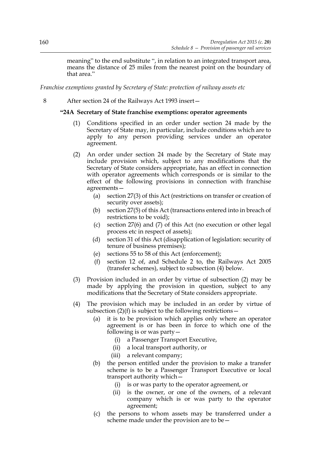meaning" to the end substitute ", in relation to an integrated transport area, means the distance of 25 miles from the nearest point on the boundary of that area."

*Franchise exemptions granted by Secretary of State: protection of railway assets etc*

8 After section 24 of the Railways Act 1993 insert—

# **"24A Secretary of State franchise exemptions: operator agreements**

- (1) Conditions specified in an order under section 24 made by the Secretary of State may, in particular, include conditions which are to apply to any person providing services under an operator agreement.
- (2) An order under section 24 made by the Secretary of State may include provision which, subject to any modifications that the Secretary of State considers appropriate, has an effect in connection with operator agreements which corresponds or is similar to the effect of the following provisions in connection with franchise agreements—
	- (a) section 27(3) of this Act (restrictions on transfer or creation of security over assets);
	- (b) section 27(5) of this Act (transactions entered into in breach of restrictions to be void);
	- (c) section 27(6) and (7) of this Act (no execution or other legal process etc in respect of assets);
	- (d) section 31 of this Act (disapplication of legislation: security of tenure of business premises);
	- (e) sections 55 to 58 of this Act (enforcement);
	- (f) section 12 of, and Schedule 2 to, the Railways Act 2005 (transfer schemes), subject to subsection (4) below.
- (3) Provision included in an order by virtue of subsection (2) may be made by applying the provision in question, subject to any modifications that the Secretary of State considers appropriate.
- (4) The provision which may be included in an order by virtue of subsection  $(2)(f)$  is subject to the following restrictions –
	- (a) it is to be provision which applies only where an operator agreement is or has been in force to which one of the following is or was party—
		- (i) a Passenger Transport Executive,
		- (ii) a local transport authority, or
		- (iii) a relevant company;
	- (b) the person entitled under the provision to make a transfer scheme is to be a Passenger Transport Executive or local transport authority which—
		- (i) is or was party to the operator agreement, or
		- (ii) is the owner, or one of the owners, of a relevant company which is or was party to the operator agreement;
	- (c) the persons to whom assets may be transferred under a scheme made under the provision are to be—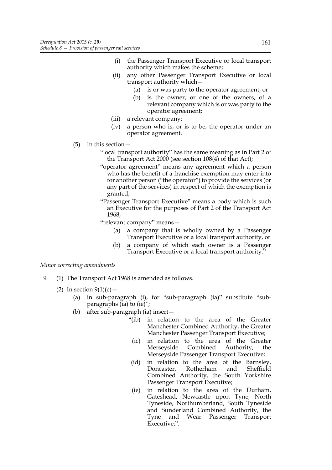- (i) the Passenger Transport Executive or local transport authority which makes the scheme;
- (ii) any other Passenger Transport Executive or local transport authority which—
	- (a) is or was party to the operator agreement, or
	- (b) is the owner, or one of the owners, of a relevant company which is or was party to the operator agreement;
- (iii) a relevant company;
- (iv) a person who is, or is to be, the operator under an operator agreement.
- (5) In this section—
	- "local transport authority" has the same meaning as in Part 2 of the Transport Act 2000 (see section 108(4) of that Act);
	- "operator agreement" means any agreement which a person who has the benefit of a franchise exemption may enter into for another person ("the operator") to provide the services (or any part of the services) in respect of which the exemption is granted;
	- "Passenger Transport Executive" means a body which is such an Executive for the purposes of Part 2 of the Transport Act 1968;
	- "relevant company" means—
		- (a) a company that is wholly owned by a Passenger Transport Executive or a local transport authority, or
		- (b) a company of which each owner is a Passenger Transport Executive or a local transport authority."

## *Minor correcting amendments*

- 9 (1) The Transport Act 1968 is amended as follows.
	- (2) In section  $9(1)(c)$ 
		- (a) in sub-paragraph (i), for "sub-paragraph (ia)" substitute "subparagraphs (ia) to (ie)";
		- (b) after sub-paragraph (ia) insert—
			- "(ib) in relation to the area of the Greater Manchester Combined Authority, the Greater Manchester Passenger Transport Executive;
			- (ic) in relation to the area of the Greater Merseyside Combined Authority, the Merseyside Passenger Transport Executive;
			- (id) in relation to the area of the Barnsley, Doncaster, Rotherham and Sheffield Combined Authority, the South Yorkshire Passenger Transport Executive;
			- (ie) in relation to the area of the Durham, Gateshead, Newcastle upon Tyne, North Tyneside, Northumberland, South Tyneside and Sunderland Combined Authority, the Tyne and Wear Passenger Transport Executive;".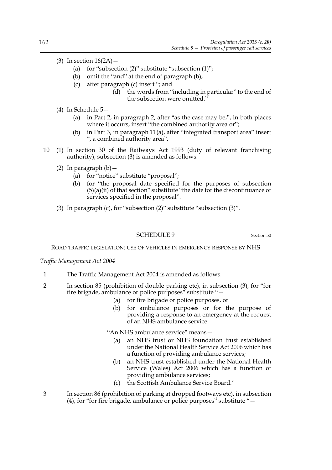- (3) In section  $16(2A)$ 
	- (a) for "subsection  $(2)$ " substitute "subsection  $(1)$ ";
	- (b) omit the "and" at the end of paragraph (b);
	- (c) after paragraph (c) insert "; and
		- (d) the words from "including in particular" to the end of the subsection were omitted."
- (4) In Schedule 5—
	- (a) in Part 2, in paragraph 2, after "as the case may be,", in both places where it occurs, insert "the combined authority area or";
	- (b) in Part 3, in paragraph 11(a), after "integrated transport area" insert ", a combined authority area".
- 10 (1) In section 30 of the Railways Act 1993 (duty of relevant franchising authority), subsection (3) is amended as follows.
	- (2) In paragraph  $(b)$  -
		- (a) for "notice" substitute "proposal";
		- (b) for "the proposal date specified for the purposes of subsection  $(5)(a)(ii)$  of that section" substitute "the date for the discontinuance of services specified in the proposal".
	- (3) In paragraph (c), for "subsection (2)" substitute "subsection (3)".

### SCHEDULE 9 Section 50

ROAD TRAFFIC LEGISLATION: USE OF VEHICLES IN EMERGENCY RESPONSE BY NHS

### *Traffic Management Act 2004*

- 1 The Traffic Management Act 2004 is amended as follows.
- 2 In section 85 (prohibition of double parking etc), in subsection (3), for "for fire brigade, ambulance or police purposes" substitute "—
	- (a) for fire brigade or police purposes, or
	- (b) for ambulance purposes or for the purpose of providing a response to an emergency at the request of an NHS ambulance service.

"An NHS ambulance service" means—

- (a) an NHS trust or NHS foundation trust established under the National Health Service Act 2006 which has a function of providing ambulance services;
- (b) an NHS trust established under the National Health Service (Wales) Act 2006 which has a function of providing ambulance services;
- (c) the Scottish Ambulance Service Board."
- 3 In section 86 (prohibition of parking at dropped footways etc), in subsection (4), for "for fire brigade, ambulance or police purposes" substitute "—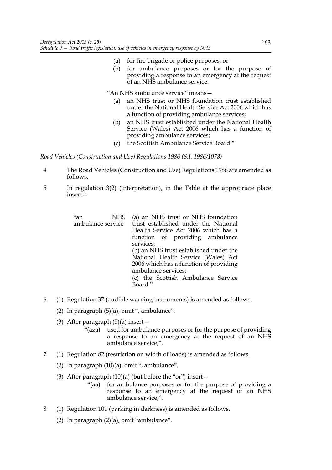- (a) for fire brigade or police purposes, or
- (b) for ambulance purposes or for the purpose of providing a response to an emergency at the request of an NHS ambulance service.

"An NHS ambulance service" means—

- (a) an NHS trust or NHS foundation trust established under the National Health Service Act 2006 which has a function of providing ambulance services;
- (b) an NHS trust established under the National Health Service (Wales) Act 2006 which has a function of providing ambulance services;
- (c) the Scottish Ambulance Service Board."

*Road Vehicles (Construction and Use) Regulations 1986 (S.I. 1986/1078)*

 $\overline{1}$ 

- 4 The Road Vehicles (Construction and Use) Regulations 1986 are amended as follows.
- 5 In regulation 3(2) (interpretation), in the Table at the appropriate place insert—

| "an<br><b>NHS</b> | (a) an NHS trust or NHS foundation     |
|-------------------|----------------------------------------|
| ambulance service | trust established under the National   |
|                   | Health Service Act 2006 which has a    |
|                   | function of providing ambulance        |
|                   | services;                              |
|                   | (b) an NHS trust established under the |
|                   | National Health Service (Wales) Act    |
|                   | 2006 which has a function of providing |
|                   | ambulance services;                    |
|                   | (c) the Scottish Ambulance Service     |
|                   | Board."                                |
|                   |                                        |

- 6 (1) Regulation 37 (audible warning instruments) is amended as follows.
	- (2) In paragraph  $(5)(a)$ , omit ", ambulance".
	- (3) After paragraph  $(5)(a)$  insert
		- "(aza) used for ambulance purposes or for the purpose of providing a response to an emergency at the request of an NHS ambulance service;".
- 7 (1) Regulation 82 (restriction on width of loads) is amended as follows.
	- (2) In paragraph (10)(a), omit ", ambulance".
	- (3) After paragraph  $(10)(a)$  (but before the "or") insert -
		- "(aa) for ambulance purposes or for the purpose of providing a response to an emergency at the request of an NHS ambulance service;".
- 8 (1) Regulation 101 (parking in darkness) is amended as follows.
	- (2) In paragraph (2)(a), omit "ambulance".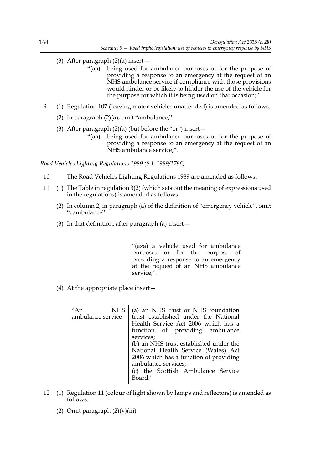- (3) After paragraph  $(2)(a)$  insert
	- "(aa) being used for ambulance purposes or for the purpose of providing a response to an emergency at the request of an NHS ambulance service if compliance with those provisions would hinder or be likely to hinder the use of the vehicle for the purpose for which it is being used on that occasion;".
- 9 (1) Regulation 107 (leaving motor vehicles unattended) is amended as follows.
	- (2) In paragraph (2)(a), omit "ambulance,".
	- (3) After paragraph  $(2)(a)$  (but before the "or") insert  $-$ 
		- "(aa) being used for ambulance purposes or for the purpose of providing a response to an emergency at the request of an NHS ambulance service;".

*Road Vehicles Lighting Regulations 1989 (S.I. 1989/1796)*

- 10 The Road Vehicles Lighting Regulations 1989 are amended as follows.
- 11 (1) The Table in regulation 3(2) (which sets out the meaning of expressions used in the regulations) is amended as follows.
	- (2) In column 2, in paragraph (a) of the definition of "emergency vehicle", omit ", ambulance".
	- (3) In that definition, after paragraph (a) insert—

"(aza) a vehicle used for ambulance purposes or for the purpose of providing a response to an emergency at the request of an NHS ambulance service;".

(4) At the appropriate place insert—

"An NHS ambulance service (a) an NHS trust or NHS foundation trust established under the National Health Service Act 2006 which has a function of providing ambulance services; (b) an NHS trust established under the National Health Service (Wales) Act 2006 which has a function of providing ambulance services; (c) the Scottish Ambulance Service Board."

- 12 (1) Regulation 11 (colour of light shown by lamps and reflectors) is amended as follows.
	- (2) Omit paragraph  $(2)(y)(iii)$ .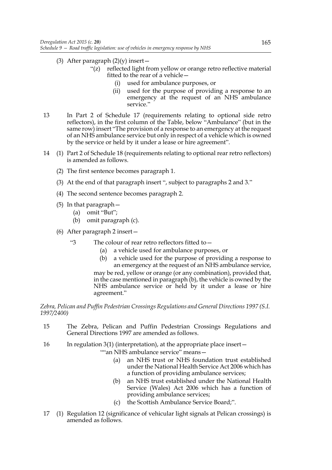- (3) After paragraph  $(2)(y)$  insert
	- "(z) reflected light from yellow or orange retro reflective material fitted to the rear of a vehicle
		- used for ambulance purposes, or
		- (ii) used for the purpose of providing a response to an emergency at the request of an NHS ambulance service."
- 13 In Part 2 of Schedule 17 (requirements relating to optional side retro reflectors), in the first column of the Table, below "Ambulance" (but in the same row) insert "The provision of a response to an emergency at the request of an NHS ambulance service but only in respect of a vehicle which is owned by the service or held by it under a lease or hire agreement".
- 14 (1) Part 2 of Schedule 18 (requirements relating to optional rear retro reflectors) is amended as follows.
	- (2) The first sentence becomes paragraph 1.
	- (3) At the end of that paragraph insert ", subject to paragraphs 2 and 3."
	- (4) The second sentence becomes paragraph 2.
	- (5) In that paragraph—
		- (a) omit "But";
		- (b) omit paragraph (c).
	- (6) After paragraph 2 insert—
		- "3 The colour of rear retro reflectors fitted to—
			- (a) a vehicle used for ambulance purposes, or
			- (b) a vehicle used for the purpose of providing a response to an emergency at the request of an NHS ambulance service,

may be red, yellow or orange (or any combination), provided that, in the case mentioned in paragraph (b), the vehicle is owned by the NHS ambulance service or held by it under a lease or hire agreement."

# *Zebra, Pelican and Puffin Pedestrian Crossings Regulations and General Directions 1997 (S.I. 1997/2400)*

- 15 The Zebra, Pelican and Puffin Pedestrian Crossings Regulations and General Directions 1997 are amended as follows.
- 16 In regulation 3(1) (interpretation), at the appropriate place insert—

""an NHS ambulance service" means-

- (a) an NHS trust or NHS foundation trust established under the National Health Service Act 2006 which has a function of providing ambulance services;
- (b) an NHS trust established under the National Health Service (Wales) Act 2006 which has a function of providing ambulance services;
- (c) the Scottish Ambulance Service Board;".
- 17 (1) Regulation 12 (significance of vehicular light signals at Pelican crossings) is amended as follows.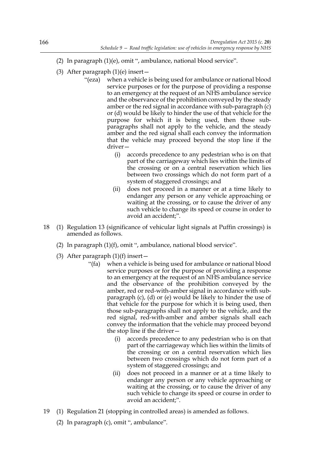- (2) In paragraph (1)(e), omit ", ambulance, national blood service".
- (3) After paragraph  $(1)(e)$  insert
	- "(eza) when a vehicle is being used for ambulance or national blood service purposes or for the purpose of providing a response to an emergency at the request of an NHS ambulance service and the observance of the prohibition conveyed by the steady amber or the red signal in accordance with sub-paragraph (c) or (d) would be likely to hinder the use of that vehicle for the purpose for which it is being used, then those subparagraphs shall not apply to the vehicle, and the steady amber and the red signal shall each convey the information that the vehicle may proceed beyond the stop line if the driver—
		- (i) accords precedence to any pedestrian who is on that part of the carriageway which lies within the limits of the crossing or on a central reservation which lies between two crossings which do not form part of a system of staggered crossings; and
		- (ii) does not proceed in a manner or at a time likely to endanger any person or any vehicle approaching or waiting at the crossing, or to cause the driver of any such vehicle to change its speed or course in order to avoid an accident;".
- 18 (1) Regulation 13 (significance of vehicular light signals at Puffin crossings) is amended as follows.
	- (2) In paragraph (1)(f), omit ", ambulance, national blood service".
	- (3) After paragraph  $(1)(f)$  insert
		- "(fa) when a vehicle is being used for ambulance or national blood service purposes or for the purpose of providing a response to an emergency at the request of an NHS ambulance service and the observance of the prohibition conveyed by the amber, red or red-with-amber signal in accordance with subparagraph (c), (d) or (e) would be likely to hinder the use of that vehicle for the purpose for which it is being used, then those sub-paragraphs shall not apply to the vehicle, and the red signal, red-with-amber and amber signals shall each convey the information that the vehicle may proceed beyond the stop line if the driver—
			- (i) accords precedence to any pedestrian who is on that part of the carriageway which lies within the limits of the crossing or on a central reservation which lies between two crossings which do not form part of a system of staggered crossings; and
			- (ii) does not proceed in a manner or at a time likely to endanger any person or any vehicle approaching or waiting at the crossing, or to cause the driver of any such vehicle to change its speed or course in order to avoid an accident;".
- 19 (1) Regulation 21 (stopping in controlled areas) is amended as follows.
	- (2) In paragraph (c), omit ", ambulance".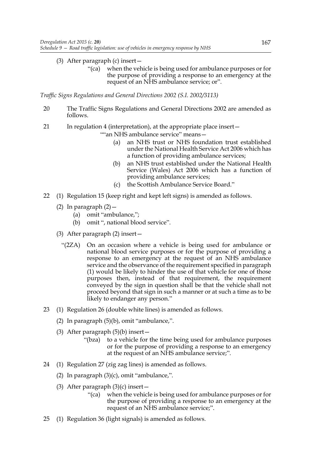# (3) After paragraph (c) insert—

"(ca) when the vehicle is being used for ambulance purposes or for the purpose of providing a response to an emergency at the request of an NHS ambulance service; or".

*Traffic Signs Regulations and General Directions 2002 (S.I. 2002/3113)*

- 20 The Traffic Signs Regulations and General Directions 2002 are amended as follows.
- 21 In regulation 4 (interpretation), at the appropriate place insert—

""an NHS ambulance service" means—

- (a) an NHS trust or NHS foundation trust established under the National Health Service Act 2006 which has a function of providing ambulance services;
- (b) an NHS trust established under the National Health Service (Wales) Act 2006 which has a function of providing ambulance services;
- (c) the Scottish Ambulance Service Board."
- 22 (1) Regulation 15 (keep right and kept left signs) is amended as follows.
	- (2) In paragraph  $(2)$  -
		- (a) omit "ambulance,";
		- (b) omit ", national blood service".
	- (3) After paragraph (2) insert—
		- "(2ZA) On an occasion where a vehicle is being used for ambulance or national blood service purposes or for the purpose of providing a response to an emergency at the request of an NHS ambulance service and the observance of the requirement specified in paragraph (1) would be likely to hinder the use of that vehicle for one of those purposes then, instead of that requirement, the requirement conveyed by the sign in question shall be that the vehicle shall not proceed beyond that sign in such a manner or at such a time as to be likely to endanger any person."
- 23 (1) Regulation 26 (double white lines) is amended as follows.
	- (2) In paragraph (5)(b), omit "ambulance,".
	- (3) After paragraph (5)(b) insert—
		- "(bza) to a vehicle for the time being used for ambulance purposes or for the purpose of providing a response to an emergency at the request of an NHS ambulance service;".
- 24 (1) Regulation 27 (zig zag lines) is amended as follows.
	- (2) In paragraph (3)(c), omit "ambulance,".
	- (3) After paragraph  $(3)(c)$  insert -
		- "(ca) when the vehicle is being used for ambulance purposes or for the purpose of providing a response to an emergency at the request of an NHS ambulance service;".
- 25 (1) Regulation 36 (light signals) is amended as follows.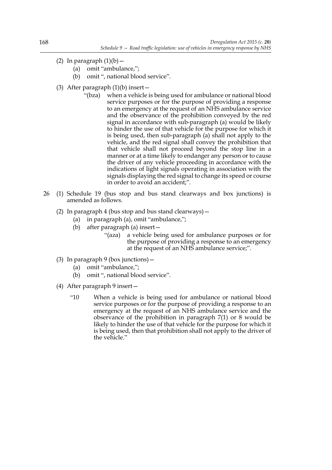- (2) In paragraph  $(1)(b)$ 
	- (a) omit "ambulance,";
	- (b) omit ", national blood service".
- (3) After paragraph (1)(b) insert—
	- "(bza) when a vehicle is being used for ambulance or national blood service purposes or for the purpose of providing a response to an emergency at the request of an NHS ambulance service and the observance of the prohibition conveyed by the red signal in accordance with sub-paragraph (a) would be likely to hinder the use of that vehicle for the purpose for which it is being used, then sub-paragraph (a) shall not apply to the vehicle, and the red signal shall convey the prohibition that that vehicle shall not proceed beyond the stop line in a manner or at a time likely to endanger any person or to cause the driver of any vehicle proceeding in accordance with the indications of light signals operating in association with the signals displaying the red signal to change its speed or course in order to avoid an accident;".
- 26 (1) Schedule 19 (bus stop and bus stand clearways and box junctions) is amended as follows.
	- (2) In paragraph 4 (bus stop and bus stand clearways)—
		- (a) in paragraph (a), omit "ambulance,";
		- (b) after paragraph (a) insert—
			- "(aza) a vehicle being used for ambulance purposes or for the purpose of providing a response to an emergency at the request of an NHS ambulance service;".
	- (3) In paragraph 9 (box junctions)—
		- (a) omit "ambulance,";
		- (b) omit ", national blood service".
	- (4) After paragraph 9 insert—
		- "10 When a vehicle is being used for ambulance or national blood service purposes or for the purpose of providing a response to an emergency at the request of an NHS ambulance service and the observance of the prohibition in paragraph 7(1) or 8 would be likely to hinder the use of that vehicle for the purpose for which it is being used, then that prohibition shall not apply to the driver of the vehicle."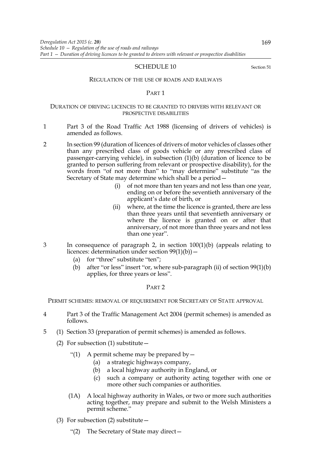# SCHEDULE 10 Section 51

#### REGULATION OF THE USE OF ROADS AND RAILWAYS

#### PART 1

# DURATION OF DRIVING LICENCES TO BE GRANTED TO DRIVERS WITH RELEVANT OR PROSPECTIVE DISABILITIES

- 1 Part 3 of the Road Traffic Act 1988 (licensing of drivers of vehicles) is amended as follows.
- 2 In section 99 (duration of licences of drivers of motor vehicles of classes other than any prescribed class of goods vehicle or any prescribed class of passenger-carrying vehicle), in subsection (1)(b) (duration of licence to be granted to person suffering from relevant or prospective disability), for the words from "of not more than" to "may determine" substitute "as the Secretary of State may determine which shall be a period—
	- (i) of not more than ten years and not less than one year, ending on or before the seventieth anniversary of the applicant's date of birth, or
	- (ii) where, at the time the licence is granted, there are less than three years until that seventieth anniversary or where the licence is granted on or after that anniversary, of not more than three years and not less than one year".
- 3 In consequence of paragraph 2, in section 100(1)(b) (appeals relating to licences: determination under section  $99(1)(b)$  –
	- (a) for "three" substitute "ten";
	- (b) after "or less" insert "or, where sub-paragraph (ii) of section 99(1)(b) applies, for three years or less".

# PART 2

PERMIT SCHEMES: REMOVAL OF REQUIREMENT FOR SECRETARY OF STATE APPROVAL

- 4 Part 3 of the Traffic Management Act 2004 (permit schemes) is amended as follows.
- 5 (1) Section 33 (preparation of permit schemes) is amended as follows.
	- (2) For subsection (1) substitute  $-$ 
		- "(1) A permit scheme may be prepared by  $-$ 
			- (a) a strategic highways company,
			- (b) a local highway authority in England, or
			- (c) such a company or authority acting together with one or more other such companies or authorities.
		- (1A) A local highway authority in Wales, or two or more such authorities acting together, may prepare and submit to the Welsh Ministers a permit scheme."
	- (3) For subsection (2) substitute—
		- "(2) The Secretary of State may direct—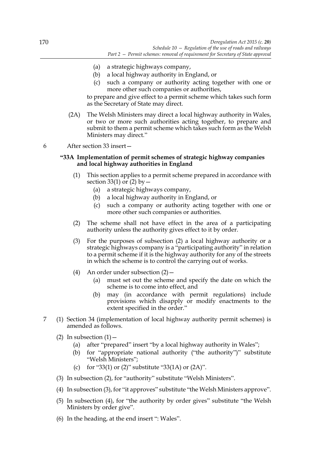- (a) a strategic highways company,
- (b) a local highway authority in England, or
- (c) such a company or authority acting together with one or more other such companies or authorities,

to prepare and give effect to a permit scheme which takes such form as the Secretary of State may direct.

- (2A) The Welsh Ministers may direct a local highway authority in Wales, or two or more such authorities acting together, to prepare and submit to them a permit scheme which takes such form as the Welsh Ministers may direct."
- 6 After section 33 insert—

## **"33A Implementation of permit schemes of strategic highway companies and local highway authorities in England**

- (1) This section applies to a permit scheme prepared in accordance with section 33(1) or  $(2)$  by  $-$ 
	- (a) a strategic highways company,
	- (b) a local highway authority in England, or
	- (c) such a company or authority acting together with one or more other such companies or authorities.
- (2) The scheme shall not have effect in the area of a participating authority unless the authority gives effect to it by order.
- (3) For the purposes of subsection (2) a local highway authority or a strategic highways company is a "participating authority" in relation to a permit scheme if it is the highway authority for any of the streets in which the scheme is to control the carrying out of works.
- (4) An order under subsection (2)—
	- (a) must set out the scheme and specify the date on which the scheme is to come into effect, and
	- (b) may (in accordance with permit regulations) include provisions which disapply or modify enactments to the extent specified in the order."
- 7 (1) Section 34 (implementation of local highway authority permit schemes) is amended as follows.
	- (2) In subsection  $(1)$ 
		- (a) after "prepared" insert "by a local highway authority in Wales";
		- (b) for "appropriate national authority ("the authority")" substitute "Welsh Ministers";
		- (c) for "33(1) or (2)" substitute "33(1A) or  $(2A)$ ".
	- (3) In subsection (2), for "authority" substitute "Welsh Ministers".
	- (4) In subsection (3), for "it approves" substitute "the Welsh Ministers approve".
	- (5) In subsection (4), for "the authority by order gives" substitute "the Welsh Ministers by order give".
	- (6) In the heading, at the end insert ": Wales".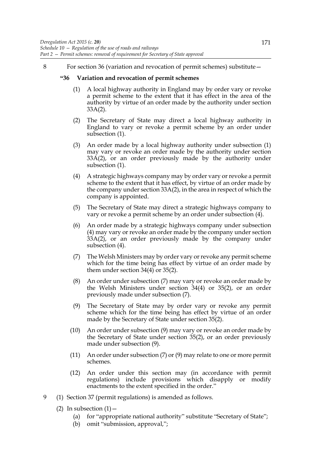8 For section 36 (variation and revocation of permit schemes) substitute—

# **"36 Variation and revocation of permit schemes**

- (1) A local highway authority in England may by order vary or revoke a permit scheme to the extent that it has effect in the area of the authority by virtue of an order made by the authority under section 33A(2).
- (2) The Secretary of State may direct a local highway authority in England to vary or revoke a permit scheme by an order under subsection (1).
- (3) An order made by a local highway authority under subsection (1) may vary or revoke an order made by the authority under section 33A(2), or an order previously made by the authority under subsection (1).
- (4) A strategic highways company may by order vary or revoke a permit scheme to the extent that it has effect, by virtue of an order made by the company under section 33A(2), in the area in respect of which the company is appointed.
- (5) The Secretary of State may direct a strategic highways company to vary or revoke a permit scheme by an order under subsection (4).
- (6) An order made by a strategic highways company under subsection (4) may vary or revoke an order made by the company under section 33A(2), or an order previously made by the company under subsection (4).
- (7) The Welsh Ministers may by order vary or revoke any permit scheme which for the time being has effect by virtue of an order made by them under section  $34(4)$  or  $35(2)$ .
- (8) An order under subsection (7) may vary or revoke an order made by the Welsh Ministers under section 34(4) or 35(2), or an order previously made under subsection (7).
- (9) The Secretary of State may by order vary or revoke any permit scheme which for the time being has effect by virtue of an order made by the Secretary of State under section 35(2).
- (10) An order under subsection (9) may vary or revoke an order made by the Secretary of State under section 35(2), or an order previously made under subsection (9).
- (11) An order under subsection (7) or (9) may relate to one or more permit schemes.
- (12) An order under this section may (in accordance with permit regulations) include provisions which disapply or modify enactments to the extent specified in the order."
- 9 (1) Section 37 (permit regulations) is amended as follows.
	- (2) In subsection  $(1)$  -
		- (a) for "appropriate national authority" substitute "Secretary of State";
		- (b) omit "submission, approval,";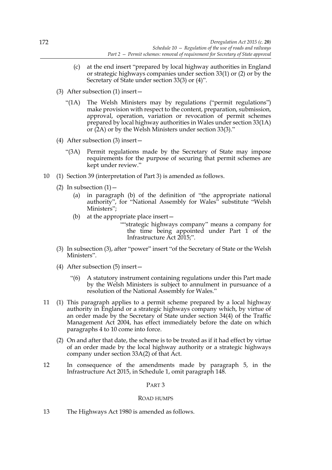- (c) at the end insert "prepared by local highway authorities in England or strategic highways companies under section 33(1) or (2) or by the Secretary of State under section 33(3) or (4)".
- (3) After subsection (1) insert—
	- "(1A) The Welsh Ministers may by regulations ("permit regulations") make provision with respect to the content, preparation, submission, approval, operation, variation or revocation of permit schemes prepared by local highway authorities in Wales under section 33(1A) or (2A) or by the Welsh Ministers under section 33(3)."
- (4) After subsection (3) insert—
	- "(3A) Permit regulations made by the Secretary of State may impose requirements for the purpose of securing that permit schemes are kept under review."
- 10 (1) Section 39 (interpretation of Part 3) is amended as follows.
	- (2) In subsection  $(1)$ 
		- (a) in paragraph (b) of the definition of "the appropriate national authority", for "National Assembly for Wales" substitute "Welsh Ministers";
		- (b) at the appropriate place insert—

""strategic highways company" means a company for the time being appointed under Part 1 of the Infrastructure Act 2015;".

- (3) In subsection (3), after "power" insert "of the Secretary of State or the Welsh Ministers".
- (4) After subsection (5) insert—
	- "(6) A statutory instrument containing regulations under this Part made by the Welsh Ministers is subject to annulment in pursuance of a resolution of the National Assembly for Wales."
- 11 (1) This paragraph applies to a permit scheme prepared by a local highway authority in England or a strategic highways company which, by virtue of an order made by the Secretary of State under section 34(4) of the Traffic Management Act 2004, has effect immediately before the date on which paragraphs 4 to 10 come into force.
	- (2) On and after that date, the scheme is to be treated as if it had effect by virtue of an order made by the local highway authority or a strategic highways company under section 33A(2) of that Act.
- 12 In consequence of the amendments made by paragraph 5, in the Infrastructure Act 2015, in Schedule 1, omit paragraph 148.

# PART 3

# ROAD HUMPS

13 The Highways Act 1980 is amended as follows.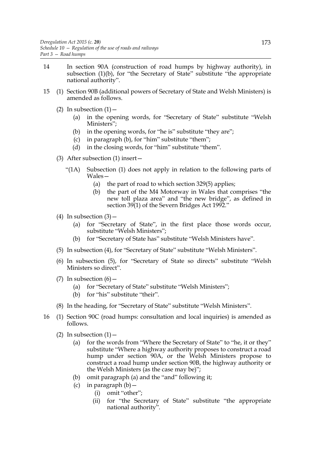- 14 In section 90A (construction of road humps by highway authority), in subsection (1)(b), for "the Secretary of State" substitute "the appropriate national authority".
- 15 (1) Section 90B (additional powers of Secretary of State and Welsh Ministers) is amended as follows.
	- (2) In subsection  $(1)$ 
		- (a) in the opening words, for "Secretary of State" substitute "Welsh Ministers";
		- (b) in the opening words, for "he is" substitute "they are";
		- (c) in paragraph (b), for "him" substitute "them";
		- (d) in the closing words, for "him" substitute "them".
	- (3) After subsection (1) insert—
		- "(1A) Subsection (1) does not apply in relation to the following parts of Wales—
			- (a) the part of road to which section 329(5) applies;
			- (b) the part of the M4 Motorway in Wales that comprises "the new toll plaza area" and "the new bridge", as defined in section 39(1) of the Severn Bridges Act 1992."
	- (4) In subsection  $(3)$ 
		- (a) for "Secretary of State", in the first place those words occur, substitute "Welsh Ministers";
		- (b) for "Secretary of State has" substitute "Welsh Ministers have".
	- (5) In subsection (4), for "Secretary of State" substitute "Welsh Ministers".
	- (6) In subsection (5), for "Secretary of State so directs" substitute "Welsh Ministers so direct".
	- (7) In subsection  $(6)$  -
		- (a) for "Secretary of State" substitute "Welsh Ministers";
		- (b) for "his" substitute "their".
	- (8) In the heading, for "Secretary of State" substitute "Welsh Ministers".
- 16 (1) Section 90C (road humps: consultation and local inquiries) is amended as follows.
	- (2) In subsection  $(1)$ 
		- (a) for the words from "Where the Secretary of State" to "he, it or they" substitute "Where a highway authority proposes to construct a road hump under section 90A, or the Welsh Ministers propose to construct a road hump under section 90B, the highway authority or the Welsh Ministers (as the case may be)";
		- (b) omit paragraph (a) and the "and" following it;
		- (c) in paragraph  $(b)$ 
			- (i) omit "other";
			- (ii) for "the Secretary of State" substitute "the appropriate national authority".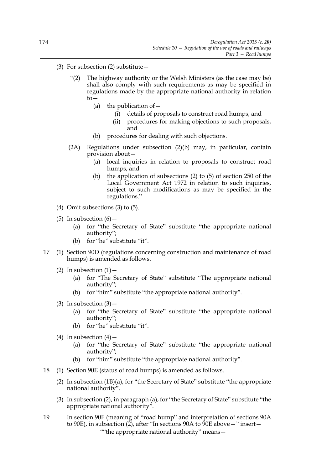- (3) For subsection (2) substitute  $-$ 
	- "(2) The highway authority or the Welsh Ministers (as the case may be) shall also comply with such requirements as may be specified in regulations made by the appropriate national authority in relation to—
		- (a) the publication of  $-$ 
			- (i) details of proposals to construct road humps, and
			- (ii) procedures for making objections to such proposals, and
		- (b) procedures for dealing with such objections.
	- (2A) Regulations under subsection (2)(b) may, in particular, contain provision about—
		- (a) local inquiries in relation to proposals to construct road humps, and
		- (b) the application of subsections (2) to (5) of section 250 of the Local Government Act 1972 in relation to such inquiries, subject to such modifications as may be specified in the regulations."
- (4) Omit subsections (3) to (5).
- (5) In subsection  $(6)$ 
	- (a) for "the Secretary of State" substitute "the appropriate national authority";
	- (b) for "he" substitute "it".
- 17 (1) Section 90D (regulations concerning construction and maintenance of road humps) is amended as follows.
	- (2) In subsection  $(1)$  -
		- (a) for "The Secretary of State" substitute "The appropriate national authority";
		- (b) for "him" substitute "the appropriate national authority".
	- (3) In subsection  $(3)$ 
		- (a) for "the Secretary of State" substitute "the appropriate national authority";
		- (b) for "he" substitute "it".
	- (4) In subsection  $(4)$ 
		- (a) for "the Secretary of State" substitute "the appropriate national authority";
		- (b) for "him" substitute "the appropriate national authority".
- 18 (1) Section 90E (status of road humps) is amended as follows.
	- (2) In subsection (1B)(a), for "the Secretary of State" substitute "the appropriate national authority".
	- (3) In subsection (2), in paragraph (a), for "the Secretary of State" substitute "the appropriate national authority".
- 19 In section 90F (meaning of "road hump" and interpretation of sections 90A to 90E), in subsection ( $\tilde{2}$ ), after "In sections 90A to  $\tilde{9}0E$  above —" insert— ""the appropriate national authority" means—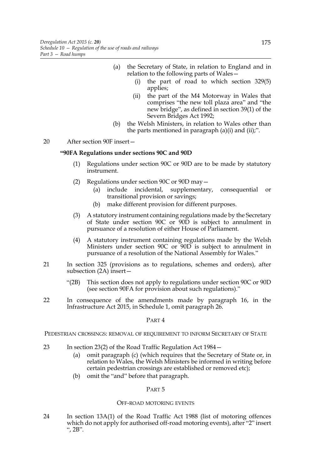- (a) the Secretary of State, in relation to England and in relation to the following parts of Wales—
	- (i) the part of road to which section 329(5) applies;
	- (ii) the part of the M4 Motorway in Wales that comprises "the new toll plaza area" and "the new bridge", as defined in section 39(1) of the Severn Bridges Act 1992;
- (b) the Welsh Ministers, in relation to Wales other than the parts mentioned in paragraph  $(a)(i)$  and  $(ii)$ ;".

20 After section 90F insert—

### **"90FA Regulations under sections 90C and 90D**

- (1) Regulations under section 90C or 90D are to be made by statutory instrument.
- (2) Regulations under section 90C or 90D may—
	- (a) include incidental, supplementary, consequential or transitional provision or savings;
	- (b) make different provision for different purposes.
- (3) A statutory instrument containing regulations made by the Secretary of State under section 90C or 90D is subject to annulment in pursuance of a resolution of either House of Parliament.
- (4) A statutory instrument containing regulations made by the Welsh Ministers under section 90C or 90D is subject to annulment in pursuance of a resolution of the National Assembly for Wales."
- 21 In section 325 (provisions as to regulations, schemes and orders), after subsection (2A) insert—
	- "(2B) This section does not apply to regulations under section 90C or 90D (see section 90FA for provision about such regulations)."
- 22 In consequence of the amendments made by paragraph 16, in the Infrastructure Act 2015, in Schedule 1, omit paragraph 26.

PART 4

PEDESTRIAN CROSSINGS: REMOVAL OF REQUIREMENT TO INFORM SECRETARY OF STATE

- 23 In section 23(2) of the Road Traffic Regulation Act 1984—
	- (a) omit paragraph (c) (which requires that the Secretary of State or, in relation to Wales, the Welsh Ministers be informed in writing before certain pedestrian crossings are established or removed etc);
	- (b) omit the "and" before that paragraph.

PART 5

#### OFF-ROAD MOTORING EVENTS

24 In section 13A(1) of the Road Traffic Act 1988 (list of motoring offences which do not apply for authorised off-road motoring events), after "2" insert ",  $2B$ ".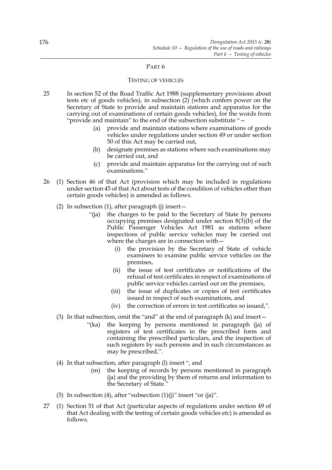#### TESTING OF VEHICLES

- 25 In section 52 of the Road Traffic Act 1988 (supplementary provisions about tests etc of goods vehicles), in subsection  $(2)$  (which confers power on the Secretary of State to provide and maintain stations and apparatus for the carrying out of examinations of certain goods vehicles), for the words from "provide and maintain" to the end of the subsection substitute "—
	- (a) provide and maintain stations where examinations of goods vehicles under regulations under section 49 or under section 50 of this Act may be carried out,
	- (b) designate premises as stations where such examinations may be carried out, and
	- (c) provide and maintain apparatus for the carrying out of such examinations."
- 26 (1) Section 46 of that Act (provision which may be included in regulations under section 45 of that Act about tests of the condition of vehicles other than certain goods vehicles) is amended as follows.
	- (2) In subsection (1), after paragraph (j) insert—
		- "(ja) the charges to be paid to the Secretary of State by persons occupying premises designated under section 8(3)(b) of the Public Passenger Vehicles Act 1981 as stations where inspections of public service vehicles may be carried out where the charges are in connection with—
			- (i) the provision by the Secretary of State of vehicle examiners to examine public service vehicles on the premises,
			- (ii) the issue of test certificates or notifications of the refusal of test certificates in respect of examinations of public service vehicles carried out on the premises,
			- (iii) the issue of duplicates or copies of test certificates issued in respect of such examinations, and
			- (iv) the correction of errors in test certificates so issued,".
	- (3) In that subsection, omit the "and" at the end of paragraph (k) and insert—
		- "(ka) the keeping by persons mentioned in paragraph (ja) of registers of test certificates in the prescribed form and containing the prescribed particulars, and the inspection of such registers by such persons and in such circumstances as may be prescribed,".
	- (4) In that subsection, after paragraph (l) insert ", and
		- (m) the keeping of records by persons mentioned in paragraph (ja) and the providing by them of returns and information to the Secretary of State."
	- (5) In subsection (4), after "subsection  $(1)(i)$ " insert "or  $(ia)$ ".
- 27 (1) Section 51 of that Act (particular aspects of regulations under section 49 of that Act dealing with the testing of certain goods vehicles etc) is amended as follows.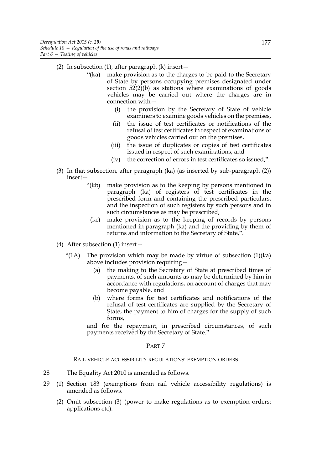- (2) In subsection  $(1)$ , after paragraph  $(k)$  insert  $-$ 
	- "(ka) make provision as to the charges to be paid to the Secretary of State by persons occupying premises designated under section  $52(2)(b)$  as stations where examinations of goods vehicles may be carried out where the charges are in connection with—
		- (i) the provision by the Secretary of State of vehicle examiners to examine goods vehicles on the premises,
		- (ii) the issue of test certificates or notifications of the refusal of test certificates in respect of examinations of goods vehicles carried out on the premises,
		- (iii) the issue of duplicates or copies of test certificates issued in respect of such examinations, and
		- (iv) the correction of errors in test certificates so issued,".
- (3) In that subsection, after paragraph (ka) (as inserted by sub-paragraph (2)) insert—
	- "(kb) make provision as to the keeping by persons mentioned in paragraph (ka) of registers of test certificates in the prescribed form and containing the prescribed particulars, and the inspection of such registers by such persons and in such circumstances as may be prescribed,
	- (kc) make provision as to the keeping of records by persons mentioned in paragraph (ka) and the providing by them of returns and information to the Secretary of State,".
- (4) After subsection (1) insert—
	- "(1A) The provision which may be made by virtue of subsection  $(1)(ka)$ above includes provision requiring—
		- (a) the making to the Secretary of State at prescribed times of payments, of such amounts as may be determined by him in accordance with regulations, on account of charges that may become payable, and
		- (b) where forms for test certificates and notifications of the refusal of test certificates are supplied by the Secretary of State, the payment to him of charges for the supply of such forms,

and for the repayment, in prescribed circumstances, of such payments received by the Secretary of State."

#### PART 7

RAIL VEHICLE ACCESSIBILITY REGULATIONS: EXEMPTION ORDERS

- 28 The Equality Act 2010 is amended as follows.
- 29 (1) Section 183 (exemptions from rail vehicle accessibility regulations) is amended as follows.
	- (2) Omit subsection (3) (power to make regulations as to exemption orders: applications etc).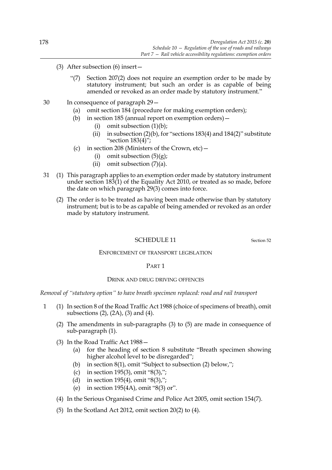- (3) After subsection (6) insert—
	- "(7) Section 207(2) does not require an exemption order to be made by statutory instrument; but such an order is as capable of being amended or revoked as an order made by statutory instrument."
- 30 In consequence of paragraph 29—
	- (a) omit section 184 (procedure for making exemption orders);
	- (b) in section 185 (annual report on exemption orders)—
		- (i) omit subsection (1)(b);
		- (ii) in subsection  $(2)(b)$ , for "sections 183(4) and 184(2)" substitute "section 183(4)";
	- (c) in section 208 (Ministers of the Crown,  $etc$ )
		- (i) omit subsection  $(5)(g)$ ;
		- (ii) omit subsection  $(7)(a)$ .
- 31 (1) This paragraph applies to an exemption order made by statutory instrument under section 183(1) of the Equality Act 2010, or treated as so made, before the date on which paragraph 29(3) comes into force.
	- (2) The order is to be treated as having been made otherwise than by statutory instrument; but is to be as capable of being amended or revoked as an order made by statutory instrument.

#### SCHEDULE 11 Section 52

# ENFORCEMENT OF TRANSPORT LEGISLATION

#### PART 1

#### DRINK AND DRUG DRIVING OFFENCES

*Removal of "statutory option" to have breath specimen replaced: road and rail transport*

- 1 (1) In section 8 of the Road Traffic Act 1988 (choice of specimens of breath), omit subsections (2), (2A), (3) and (4).
	- (2) The amendments in sub-paragraphs (3) to (5) are made in consequence of sub-paragraph (1).
	- (3) In the Road Traffic Act 1988—
		- (a) for the heading of section 8 substitute "Breath specimen showing higher alcohol level to be disregarded";
		- (b) in section 8(1), omit "Subject to subsection (2) below,";
		- (c) in section 195(3), omit "8(3),";
		- (d) in section 195(4), omit "8(3),";
		- (e) in section 195(4A), omit "8(3) or".
	- (4) In the Serious Organised Crime and Police Act 2005, omit section 154(7).
	- (5) In the Scotland Act 2012, omit section 20(2) to (4).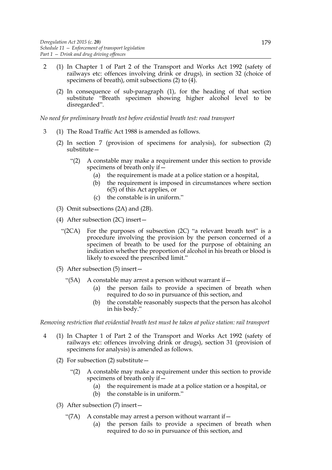- 2 (1) In Chapter 1 of Part 2 of the Transport and Works Act 1992 (safety of railways etc: offences involving drink or drugs), in section 32 (choice of specimens of breath), omit subsections (2) to (4).
	- (2) In consequence of sub-paragraph (1), for the heading of that section substitute "Breath specimen showing higher alcohol level to be disregarded".

*No need for preliminary breath test before evidential breath test: road transport*

- 3 (1) The Road Traffic Act 1988 is amended as follows.
	- (2) In section 7 (provision of specimens for analysis), for subsection (2) substitute—
		- "(2) A constable may make a requirement under this section to provide specimens of breath only if—
			- (a) the requirement is made at a police station or a hospital,
			- (b) the requirement is imposed in circumstances where section 6(5) of this Act applies, or
			- (c) the constable is in uniform."
	- (3) Omit subsections (2A) and (2B).
	- (4) After subsection (2C) insert—
		- "(2CA) For the purposes of subsection (2C) "a relevant breath test" is a procedure involving the provision by the person concerned of a specimen of breath to be used for the purpose of obtaining an indication whether the proportion of alcohol in his breath or blood is likely to exceed the prescribed limit."
	- (5) After subsection (5) insert—
		- "(5A) A constable may arrest a person without warrant if  $-$ 
			- (a) the person fails to provide a specimen of breath when required to do so in pursuance of this section, and
			- (b) the constable reasonably suspects that the person has alcohol in his body."

*Removing restriction that evidential breath test must be taken at police station: rail transport*

- 4 (1) In Chapter 1 of Part 2 of the Transport and Works Act 1992 (safety of railways etc: offences involving drink or drugs), section 31 (provision of specimens for analysis) is amended as follows.
	- (2) For subsection (2) substitute—
		- "(2) A constable may make a requirement under this section to provide specimens of breath only if—
			- (a) the requirement is made at a police station or a hospital, or
			- (b) the constable is in uniform."
	- (3) After subsection (7) insert—
		- "(7A) A constable may arrest a person without warrant if  $-$ 
			- (a) the person fails to provide a specimen of breath when required to do so in pursuance of this section, and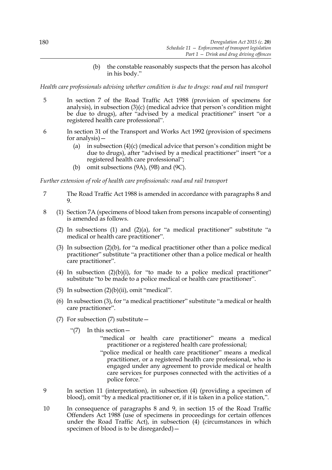(b) the constable reasonably suspects that the person has alcohol in his body."

*Health care professionals advising whether condition is due to drugs: road and rail transport*

- 5 In section 7 of the Road Traffic Act 1988 (provision of specimens for analysis), in subsection (3)(c) (medical advice that person's condition might be due to drugs), after "advised by a medical practitioner" insert "or a registered health care professional".
- 6 In section 31 of the Transport and Works Act 1992 (provision of specimens for analysis)—
	- (a) in subsection (4)(c) (medical advice that person's condition might be due to drugs), after "advised by a medical practitioner" insert "or a registered health care professional";
	- (b) omit subsections  $(9A)$ ,  $(9B)$  and  $(9C)$ .

*Further extension of role of health care professionals: road and rail transport*

- 7 The Road Traffic Act 1988 is amended in accordance with paragraphs 8 and 9.
- 8 (1) Section 7A (specimens of blood taken from persons incapable of consenting) is amended as follows.
	- (2) In subsections (1) and (2)(a), for "a medical practitioner" substitute "a medical or health care practitioner".
	- (3) In subsection (2)(b), for "a medical practitioner other than a police medical practitioner" substitute "a practitioner other than a police medical or health care practitioner".
	- (4) In subsection  $(2)(b)(i)$ , for "to made to a police medical practitioner" substitute "to be made to a police medical or health care practitioner".
	- (5) In subsection (2)(b)(ii), omit "medical".
	- (6) In subsection (3), for "a medical practitioner" substitute "a medical or health care practitioner".
	- (7) For subsection (7) substitute—
		- "(7) In this section—
			- "medical or health care practitioner" means a medical practitioner or a registered health care professional;
			- "police medical or health care practitioner" means a medical practitioner, or a registered health care professional, who is engaged under any agreement to provide medical or health care services for purposes connected with the activities of a police force."
- 9 In section 11 (interpretation), in subsection (4) (providing a specimen of blood), omit "by a medical practitioner or, if it is taken in a police station,".
- 10 In consequence of paragraphs 8 and 9, in section 15 of the Road Traffic Offenders Act 1988 (use of specimens in proceedings for certain offences under the Road Traffic Act), in subsection (4) (circumstances in which specimen of blood is to be disregarded)—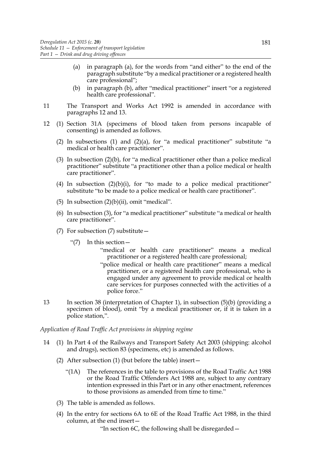- (a) in paragraph (a), for the words from "and either" to the end of the paragraph substitute "by a medical practitioner or a registered health care professional";
- (b) in paragraph (b), after "medical practitioner" insert "or a registered health care professional".
- 11 The Transport and Works Act 1992 is amended in accordance with paragraphs 12 and 13.
- 12 (1) Section 31A (specimens of blood taken from persons incapable of consenting) is amended as follows.
	- (2) In subsections (1) and (2)(a), for "a medical practitioner" substitute "a medical or health care practitioner".
	- (3) In subsection (2)(b), for "a medical practitioner other than a police medical practitioner" substitute "a practitioner other than a police medical or health care practitioner".
	- (4) In subsection  $(2)(b)(i)$ , for "to made to a police medical practitioner" substitute "to be made to a police medical or health care practitioner".
	- (5) In subsection  $(2)(b)(ii)$ , omit "medical".
	- (6) In subsection (3), for "a medical practitioner" substitute "a medical or health care practitioner".
	- (7) For subsection (7) substitute  $-$ 
		- "(7) In this section—
			- "medical or health care practitioner" means a medical practitioner or a registered health care professional;
			- "police medical or health care practitioner" means a medical practitioner, or a registered health care professional, who is engaged under any agreement to provide medical or health care services for purposes connected with the activities of a police force."
- 13 In section 38 (interpretation of Chapter 1), in subsection (5)(b) (providing a specimen of blood), omit "by a medical practitioner or, if it is taken in a police station,".

#### *Application of Road Traffic Act provisions in shipping regime*

- 14 (1) In Part 4 of the Railways and Transport Safety Act 2003 (shipping: alcohol and drugs), section 83 (specimens, etc) is amended as follows.
	- (2) After subsection (1) (but before the table) insert—
		- "(1A) The references in the table to provisions of the Road Traffic Act 1988 or the Road Traffic Offenders Act 1988 are, subject to any contrary intention expressed in this Part or in any other enactment, references to those provisions as amended from time to time."
	- (3) The table is amended as follows.
	- (4) In the entry for sections 6A to 6E of the Road Traffic Act 1988, in the third column, at the end insert—

"In section 6C, the following shall be disregarded—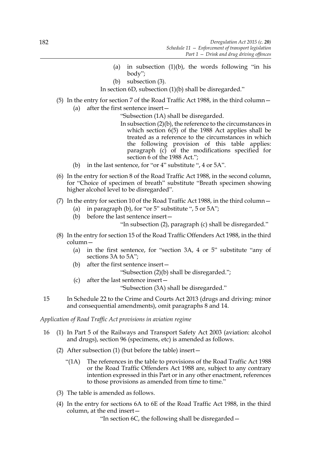- (a) in subsection  $(1)(b)$ , the words following "in his body";
- (b) subsection (3).

In section 6D, subsection (1)(b) shall be disregarded."

(5) In the entry for section 7 of the Road Traffic Act 1988, in the third column— (a) after the first sentence insert—

"Subsection (1A) shall be disregarded.

- In subsection (2)(b), the reference to the circumstances in which section 6(5) of the 1988 Act applies shall be treated as a reference to the circumstances in which the following provision of this table applies: paragraph (c) of the modifications specified for section  $\vec{6}$  of the 1988 Act.";
- (b) in the last sentence, for "or 4" substitute ", 4 or 5A".
- (6) In the entry for section 8 of the Road Traffic Act 1988, in the second column, for "Choice of specimen of breath" substitute "Breath specimen showing higher alcohol level to be disregarded".
- (7) In the entry for section 10 of the Road Traffic Act 1988, in the third column—
	- (a) in paragraph (b), for "or  $5$ " substitute ",  $5$  or  $5A$ ";
	- (b) before the last sentence insert—

"In subsection (2), paragraph (c) shall be disregarded."

- (8) In the entry for section 15 of the Road Traffic Offenders Act 1988, in the third column—
	- (a) in the first sentence, for "section 3A, 4 or 5" substitute "any of sections 3A to 5A";
	- (b) after the first sentence insert—
		- "Subsection (2)(b) shall be disregarded.";
	- (c) after the last sentence insert—

"Subsection (3A) shall be disregarded."

15 In Schedule 22 to the Crime and Courts Act 2013 (drugs and driving: minor and consequential amendments), omit paragraphs 8 and 14.

*Application of Road Traffic Act provisions in aviation regime*

- 16 (1) In Part 5 of the Railways and Transport Safety Act 2003 (aviation: alcohol and drugs), section 96 (specimens, etc) is amended as follows.
	- (2) After subsection (1) (but before the table) insert—
		- "(1A) The references in the table to provisions of the Road Traffic Act 1988 or the Road Traffic Offenders Act 1988 are, subject to any contrary intention expressed in this Part or in any other enactment, references to those provisions as amended from time to time."
	- (3) The table is amended as follows.
	- (4) In the entry for sections 6A to 6E of the Road Traffic Act 1988, in the third column, at the end insert—

"In section 6C, the following shall be disregarded—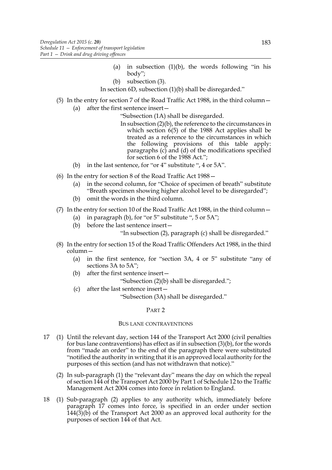- (a) in subsection  $(1)(b)$ , the words following "in his body";
- (b) subsection (3).
- In section 6D, subsection (1)(b) shall be disregarded."
- (5) In the entry for section 7 of the Road Traffic Act 1988, in the third column— (a) after the first sentence insert—

"Subsection (1A) shall be disregarded.

- In subsection (2)(b), the reference to the circumstances in which section 6(5) of the 1988 Act applies shall be treated as a reference to the circumstances in which the following provisions of this table apply: paragraphs (c) and (d) of the modifications specified for section 6 of the 1988 Act.";
- (b) in the last sentence, for "or 4" substitute ", 4 or 5A".
- (6) In the entry for section 8 of the Road Traffic Act 1988—
	- (a) in the second column, for "Choice of specimen of breath" substitute "Breath specimen showing higher alcohol level to be disregarded";
	- (b) omit the words in the third column.
- (7) In the entry for section 10 of the Road Traffic Act 1988, in the third column—
	- (a) in paragraph (b), for "or 5" substitute ",  $5$  or  $5A$ ";
	- (b) before the last sentence insert—

"In subsection (2), paragraph (c) shall be disregarded."

- (8) In the entry for section 15 of the Road Traffic Offenders Act 1988, in the third column—
	- (a) in the first sentence, for "section 3A, 4 or 5" substitute "any of sections 3A to 5A";
	- (b) after the first sentence insert—
		- "Subsection (2)(b) shall be disregarded.";
	- (c) after the last sentence insert—

"Subsection (3A) shall be disregarded."

#### PART<sub>2</sub>

#### BUS LANE CONTRAVENTIONS

- 17 (1) Until the relevant day, section 144 of the Transport Act 2000 (civil penalties for bus lane contraventions) has effect as if in subsection (3)(b), for the words from "made an order" to the end of the paragraph there were substituted "notified the authority in writing that it is an approved local authority for the purposes of this section (and has not withdrawn that notice)."
	- (2) In sub-paragraph (1) the "relevant day" means the day on which the repeal of section 144 of the Transport Act 2000 by Part 1 of Schedule 12 to the Traffic Management Act 2004 comes into force in relation to England.
- 18 (1) Sub-paragraph (2) applies to any authority which, immediately before paragraph 17 comes into force, is specified in an order under section  $144(3)(b)$  of the Transport Act 2000 as an approved local authority for the purposes of section 144 of that Act.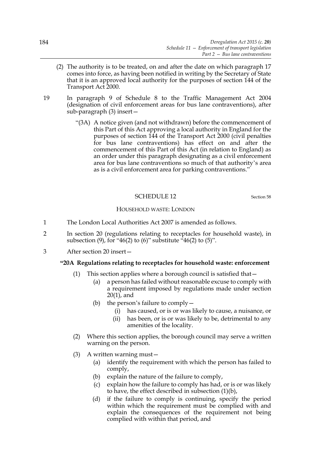- (2) The authority is to be treated, on and after the date on which paragraph 17 comes into force, as having been notified in writing by the Secretary of State that it is an approved local authority for the purposes of section 144 of the Transport Act 2000.
- 19 In paragraph 9 of Schedule 8 to the Traffic Management Act 2004 (designation of civil enforcement areas for bus lane contraventions), after sub-paragraph (3) insert—
	- "(3A) A notice given (and not withdrawn) before the commencement of this Part of this Act approving a local authority in England for the purposes of section 144 of the Transport Act 2000 (civil penalties for bus lane contraventions) has effect on and after the commencement of this Part of this Act (in relation to England) as an order under this paragraph designating as a civil enforcement area for bus lane contraventions so much of that authority's area as is a civil enforcement area for parking contraventions."

### SCHEDULE 12 Section 58

#### HOUSEHOLD WASTE: LONDON

- 1 The London Local Authorities Act 2007 is amended as follows.
- 2 In section 20 (regulations relating to receptacles for household waste), in subsection  $(9)$ , for "46(2) to  $(6)$ " substitute "46(2) to  $(5)$ ".
- 3 After section 20 insert—

### **"20A Regulations relating to receptacles for household waste: enforcement**

- (1) This section applies where a borough council is satisfied that—
	- (a) a person has failed without reasonable excuse to comply with a requirement imposed by regulations made under section 20(1), and
	- (b) the person's failure to comply  $-$ 
		- (i) has caused, or is or was likely to cause, a nuisance, or
		- (ii) has been, or is or was likely to be, detrimental to any amenities of the locality.
- (2) Where this section applies, the borough council may serve a written warning on the person.
- (3) A written warning must—
	- (a) identify the requirement with which the person has failed to comply,
	- (b) explain the nature of the failure to comply,
	- (c) explain how the failure to comply has had, or is or was likely to have, the effect described in subsection (1)(b),
	- (d) if the failure to comply is continuing, specify the period within which the requirement must be complied with and explain the consequences of the requirement not being complied with within that period, and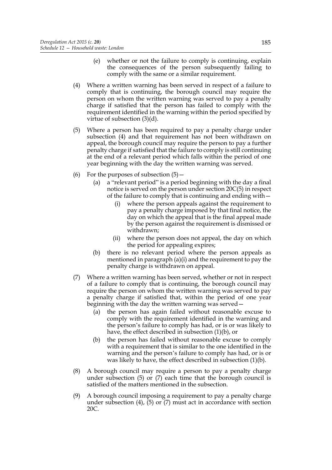- (e) whether or not the failure to comply is continuing, explain the consequences of the person subsequently failing to comply with the same or a similar requirement.
- (4) Where a written warning has been served in respect of a failure to comply that is continuing, the borough council may require the person on whom the written warning was served to pay a penalty charge if satisfied that the person has failed to comply with the requirement identified in the warning within the period specified by virtue of subsection (3)(d).
- (5) Where a person has been required to pay a penalty charge under subsection (4) and that requirement has not been withdrawn on appeal, the borough council may require the person to pay a further penalty charge if satisfied that the failure to comply is still continuing at the end of a relevant period which falls within the period of one year beginning with the day the written warning was served.
- (6) For the purposes of subsection  $(5)$ 
	- (a) a "relevant period" is a period beginning with the day a final notice is served on the person under section 20C(5) in respect of the failure to comply that is continuing and ending with—
		- (i) where the person appeals against the requirement to pay a penalty charge imposed by that final notice, the day on which the appeal that is the final appeal made by the person against the requirement is dismissed or withdrawn;
		- (ii) where the person does not appeal, the day on which the period for appealing expires;
	- (b) there is no relevant period where the person appeals as mentioned in paragraph (a)(i) and the requirement to pay the penalty charge is withdrawn on appeal.
- (7) Where a written warning has been served, whether or not in respect of a failure to comply that is continuing, the borough council may require the person on whom the written warning was served to pay a penalty charge if satisfied that, within the period of one year beginning with the day the written warning was served—
	- (a) the person has again failed without reasonable excuse to comply with the requirement identified in the warning and the person's failure to comply has had, or is or was likely to have, the effect described in subsection (1)(b), or
	- (b) the person has failed without reasonable excuse to comply with a requirement that is similar to the one identified in the warning and the person's failure to comply has had, or is or was likely to have, the effect described in subsection (1)(b).
- (8) A borough council may require a person to pay a penalty charge under subsection (5) or (7) each time that the borough council is satisfied of the matters mentioned in the subsection.
- (9) A borough council imposing a requirement to pay a penalty charge under subsection (4), (5) or (7) must act in accordance with section 20C.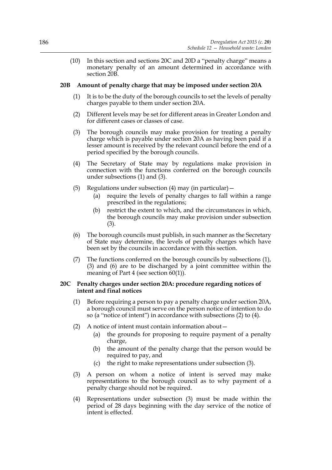(10) In this section and sections 20C and 20D a "penalty charge" means a monetary penalty of an amount determined in accordance with section 20B.

# **20B Amount of penalty charge that may be imposed under section 20A**

- (1) It is to be the duty of the borough councils to set the levels of penalty charges payable to them under section 20A.
- (2) Different levels may be set for different areas in Greater London and for different cases or classes of case.
- (3) The borough councils may make provision for treating a penalty charge which is payable under section 20A as having been paid if a lesser amount is received by the relevant council before the end of a period specified by the borough councils.
- (4) The Secretary of State may by regulations make provision in connection with the functions conferred on the borough councils under subsections (1) and (3).
- (5) Regulations under subsection  $(4)$  may (in particular)
	- (a) require the levels of penalty charges to fall within a range prescribed in the regulations;
	- (b) restrict the extent to which, and the circumstances in which, the borough councils may make provision under subsection (3).
- (6) The borough councils must publish, in such manner as the Secretary of State may determine, the levels of penalty charges which have been set by the councils in accordance with this section.
- (7) The functions conferred on the borough councils by subsections (1), (3) and (6) are to be discharged by a joint committee within the meaning of Part 4 (see section 60(1)).

### **20C Penalty charges under section 20A: procedure regarding notices of intent and final notices**

- (1) Before requiring a person to pay a penalty charge under section 20A, a borough council must serve on the person notice of intention to do so (a "notice of intent") in accordance with subsections (2) to (4).
- (2) A notice of intent must contain information about—
	- (a) the grounds for proposing to require payment of a penalty charge,
	- (b) the amount of the penalty charge that the person would be required to pay, and
	- (c) the right to make representations under subsection (3).
- (3) A person on whom a notice of intent is served may make representations to the borough council as to why payment of a penalty charge should not be required.
- (4) Representations under subsection (3) must be made within the period of 28 days beginning with the day service of the notice of intent is effected.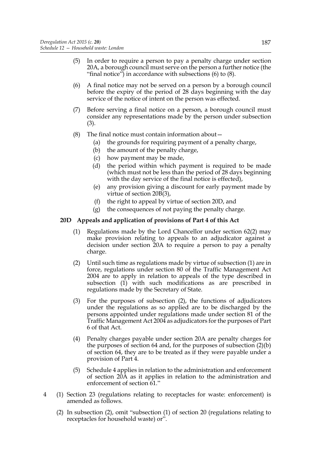- (5) In order to require a person to pay a penalty charge under section 20A, a borough council must serve on the person a further notice (the "final notice") in accordance with subsections  $(6)$  to  $(8)$ .
- (6) A final notice may not be served on a person by a borough council before the expiry of the period of 28 days beginning with the day service of the notice of intent on the person was effected.
- (7) Before serving a final notice on a person, a borough council must consider any representations made by the person under subsection (3).
- (8) The final notice must contain information about—
	- (a) the grounds for requiring payment of a penalty charge,
	- (b) the amount of the penalty charge,
	- (c) how payment may be made,
	- (d) the period within which payment is required to be made (which must not be less than the period of 28 days beginning with the day service of the final notice is effected),
	- (e) any provision giving a discount for early payment made by virtue of section 20B(3),
	- (f) the right to appeal by virtue of section 20D, and
	- (g) the consequences of not paying the penalty charge.

# **20D Appeals and application of provisions of Part 4 of this Act**

- (1) Regulations made by the Lord Chancellor under section 62(2) may make provision relating to appeals to an adjudicator against a decision under section 20A to require a person to pay a penalty charge.
- (2) Until such time as regulations made by virtue of subsection (1) are in force, regulations under section 80 of the Traffic Management Act 2004 are to apply in relation to appeals of the type described in subsection (1) with such modifications as are prescribed in regulations made by the Secretary of State.
- (3) For the purposes of subsection (2), the functions of adjudicators under the regulations as so applied are to be discharged by the persons appointed under regulations made under section 81 of the Traffic Management Act 2004 as adjudicators for the purposes of Part 6 of that Act.
- (4) Penalty charges payable under section 20A are penalty charges for the purposes of section 64 and, for the purposes of subsection (2)(b) of section 64, they are to be treated as if they were payable under a provision of Part 4.
- (5) Schedule 4 applies in relation to the administration and enforcement of section 20A as it applies in relation to the administration and enforcement of section 61."
- 4 (1) Section 23 (regulations relating to receptacles for waste: enforcement) is amended as follows.
	- (2) In subsection (2), omit "subsection (1) of section 20 (regulations relating to receptacles for household waste) or".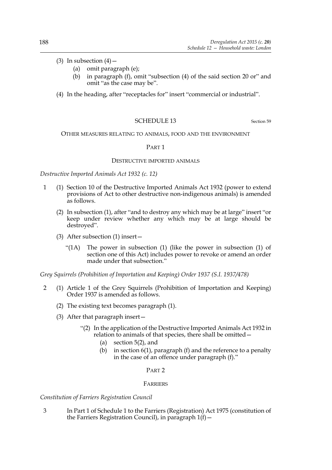- (3) In subsection  $(4)$ 
	- (a) omit paragraph (e);
	- (b) in paragraph (f), omit "subsection (4) of the said section 20 or" and omit "as the case may be".
- (4) In the heading, after "receptacles for" insert "commercial or industrial".

# SCHEDULE 13 Section 59

OTHER MEASURES RELATING TO ANIMALS, FOOD AND THE ENVIRONMENT

### PART 1

### DESTRUCTIVE IMPORTED ANIMALS

*Destructive Imported Animals Act 1932 (c. 12)*

- 1 (1) Section 10 of the Destructive Imported Animals Act 1932 (power to extend provisions of Act to other destructive non-indigenous animals) is amended as follows.
	- (2) In subsection (1), after "and to destroy any which may be at large" insert "or keep under review whether any which may be at large should be destroyed".
	- (3) After subsection (1) insert—
		- "(1A) The power in subsection (1) (like the power in subsection (1) of section one of this Act) includes power to revoke or amend an order made under that subsection."

*Grey Squirrels (Prohibition of Importation and Keeping) Order 1937 (S.I. 1937/478)*

- 2 (1) Article 1 of the Grey Squirrels (Prohibition of Importation and Keeping) Order 1937 is amended as follows.
	- (2) The existing text becomes paragraph (1).
	- (3) After that paragraph insert—
		- "(2) In the application of the Destructive Imported Animals Act 1932 in relation to animals of that species, there shall be omitted—
			- (a) section 5(2), and
			- (b) in section  $6(1)$ , paragraph (f) and the reference to a penalty in the case of an offence under paragraph (f)."

### PART 2

## FARRIERS

## *Constitution of Farriers Registration Council*

3 In Part 1 of Schedule 1 to the Farriers (Registration) Act 1975 (constitution of the Farriers Registration Council), in paragraph  $1(f)$  -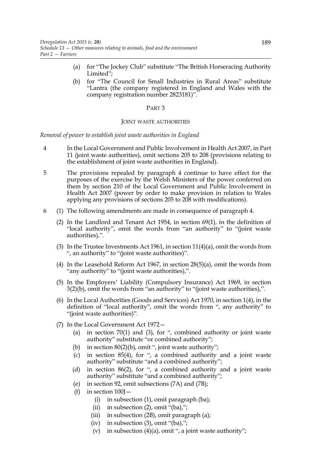- (a) for "The Jockey Club" substitute "The British Horseracing Authority Limited";
- (b) for "The Council for Small Industries in Rural Areas" substitute "Lantra (the company registered in England and Wales with the company registration number 2823181)".

#### JOINT WASTE AUTHORITIES

*Removal of power to establish joint waste authorities in England*

- 4 In the Local Government and Public Involvement in Health Act 2007, in Part 11 (joint waste authorities), omit sections 205 to 208 (provisions relating to the establishment of joint waste authorities in England).
- 5 The provisions repealed by paragraph 4 continue to have effect for the purposes of the exercise by the Welsh Ministers of the power conferred on them by section 210 of the Local Government and Public Involvement in Health Act 2007 (power by order to make provision in relation to Wales applying any provisions of sections 205 to 208 with modifications).
- 6 (1) The following amendments are made in consequence of paragraph 4.
	- (2) In the Landlord and Tenant Act 1954, in section 69(1), in the definition of "local authority", omit the words from "an authority" to "(joint waste authorities),".
	- (3) In the Trustee Investments Act 1961, in section 11(4)(a), omit the words from ", an authority" to "(joint waste authorities)".
	- (4) In the Leasehold Reform Act 1967, in section 28(5)(a), omit the words from "any authority" to "(joint waste authorities),".
	- (5) In the Employers' Liability (Compulsory Insurance) Act 1969, in section 3(2)(b), omit the words from "an authority" to "(joint waste authorities),".
	- (6) In the Local Authorities (Goods and Services) Act 1970, in section 1(4), in the definition of "local authority", omit the words from ", any authority" to "(joint waste authorities)".
	- (7) In the Local Government Act 1972—
		- (a) in section  $70(1)$  and  $(3)$ , for ", combined authority or joint waste authority" substitute "or combined authority";
		- (b) in section  $80(2)(b)$ , omit ", joint waste authority";
		- (c) in section 85(4), for ", a combined authority and a joint waste authority" substitute "and a combined authority";
		- (d) in section 86(2), for ", a combined authority and a joint waste authority" substitute "and a combined authority";
		- (e) in section 92, omit subsections (7A) and (7B);
		- (f) in section  $100$ <sup>-</sup>
			- (i) in subsection (1), omit paragraph (ba);
			- (ii) in subsection  $(2)$ , omit " $(ba)$ ,";
			- (iii) in subsection (2B), omit paragraph (a);
			- (iv) in subsection  $(3)$ , omit " $(ba)$ ,";
			- (v) in subsection  $(4)(a)$ , omit ", a joint waste authority";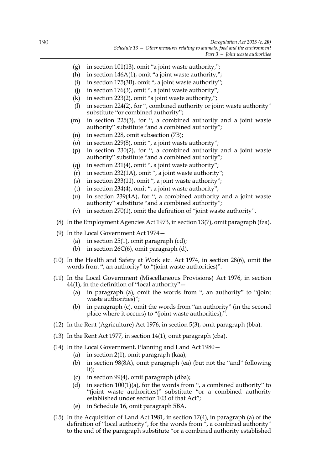- (g) in section 101(13), omit "a joint waste authority,";
- (h) in section 146A(1), omit "a joint waste authority,";
- (i) in section 175(3B), omit ", a joint waste authority";
- (i) in section 176(3), omit ", a joint waste authority";
- (k) in section 223(2), omit "a joint waste authority,";
- (l) in section 224(2), for ", combined authority or joint waste authority" substitute "or combined authority";
- (m) in section 225(3), for ", a combined authority and a joint waste authority" substitute "and a combined authority";
- (n) in section 228, omit subsection (7B);
- (o) in section 229(8), omit ", a joint waste authority";
- (p) in section 230(2), for ", a combined authority and a joint waste authority" substitute "and a combined authority";
- (q) in section 231(4), omit ", a joint waste authority";
- (r) in section 232(1A), omit ", a joint waste authority";
- (s) in section 233(11), omit ", a joint waste authority";
- (t) in section 234(4), omit ", a joint waste authority";
- (u) in section 239(4A), for ", a combined authority and a joint waste authority" substitute "and a combined authority";
- (v) in section 270(1), omit the definition of "joint waste authority".
- (8) In the Employment Agencies Act 1973, in section 13(7), omit paragraph (fza).
- (9) In the Local Government Act 1974—
	- (a) in section  $25(1)$ , omit paragraph (cd);
	- (b) in section  $26C(6)$ , omit paragraph (d).
- (10) In the Health and Safety at Work etc. Act 1974, in section 28(6), omit the words from ", an authority" to "(joint waste authorities)".
- (11) In the Local Government (Miscellaneous Provisions) Act 1976, in section  $44(1)$ , in the definition of "local authority"  $-$ 
	- (a) in paragraph (a), omit the words from ", an authority" to "(joint waste authorities)";
	- (b) in paragraph (c), omit the words from "an authority" (in the second place where it occurs) to "(joint waste authorities),".
- (12) In the Rent (Agriculture) Act 1976, in section 5(3), omit paragraph (bba).
- (13) In the Rent Act 1977, in section 14(1), omit paragraph (cba).
- (14) In the Local Government, Planning and Land Act 1980—
	- (a) in section 2(1), omit paragraph (kaa);
	- (b) in section 98(8A), omit paragraph (ea) (but not the "and" following it);
	- (c) in section 99(4), omit paragraph (dba);
	- (d) in section  $100(1)(a)$ , for the words from ", a combined authority" to "(joint waste authorities)" substitute "or a combined authority established under section 103 of that Act";
	- (e) in Schedule 16, omit paragraph 5BA.
- (15) In the Acquisition of Land Act 1981, in section 17(4), in paragraph (a) of the definition of "local authority", for the words from ", a combined authority" to the end of the paragraph substitute "or a combined authority established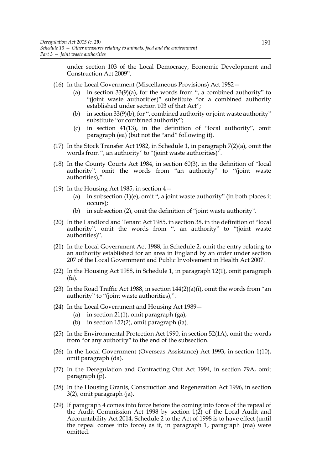under section 103 of the Local Democracy, Economic Development and Construction Act 2009".

- (16) In the Local Government (Miscellaneous Provisions) Act 1982—
	- (a) in section  $33(9)(a)$ , for the words from ", a combined authority" to "(joint waste authorities)" substitute "or a combined authority" established under section 103 of that Act";
	- (b) in section  $33(9)(b)$ , for ", combined authority or joint waste authority" substitute "or combined authority";
	- (c) in section 41(13), in the definition of "local authority", omit paragraph (ea) (but not the "and" following it).
- (17) In the Stock Transfer Act 1982, in Schedule 1, in paragraph  $7(2)(a)$ , omit the words from ", an authority" to "(joint waste authorities)".
- (18) In the County Courts Act 1984, in section 60(3), in the definition of "local authority", omit the words from "an authority" to "(joint waste authorities),".
- (19) In the Housing Act 1985, in section 4—
	- (a) in subsection (1)(e), omit ", a joint waste authority" (in both places it occurs);
	- (b) in subsection (2), omit the definition of "joint waste authority".
- (20) In the Landlord and Tenant Act 1985, in section 38, in the definition of "local authority", omit the words from ", an authority" to "(joint waste authorities)".
- (21) In the Local Government Act 1988, in Schedule 2, omit the entry relating to an authority established for an area in England by an order under section 207 of the Local Government and Public Involvement in Health Act 2007.
- (22) In the Housing Act 1988, in Schedule 1, in paragraph 12(1), omit paragraph (fa).
- (23) In the Road Traffic Act 1988, in section 144(2)(a)(i), omit the words from "an authority" to "(joint waste authorities),".
- (24) In the Local Government and Housing Act 1989—
	- (a) in section 21(1), omit paragraph  $(ga)$ ;
	- (b) in section 152(2), omit paragraph (ia).
- (25) In the Environmental Protection Act 1990, in section 52(1A), omit the words from "or any authority" to the end of the subsection.
- (26) In the Local Government (Overseas Assistance) Act 1993, in section 1(10), omit paragraph (da).
- (27) In the Deregulation and Contracting Out Act 1994, in section 79A, omit paragraph (p).
- (28) In the Housing Grants, Construction and Regeneration Act 1996, in section 3(2), omit paragraph (ja).
- (29) If paragraph 4 comes into force before the coming into force of the repeal of the Audit Commission Act 1998 by section 1(2) of the Local Audit and Accountability Act 2014, Schedule 2 to the Act of 1998 is to have effect (until the repeal comes into force) as if, in paragraph 1, paragraph (ma) were omitted.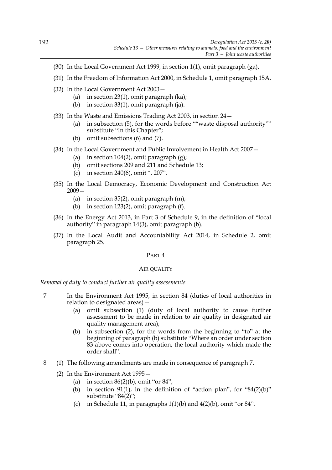- (30) In the Local Government Act 1999, in section 1(1), omit paragraph (ga).
- (31) In the Freedom of Information Act 2000, in Schedule 1, omit paragraph 15A.
- (32) In the Local Government Act 2003—
	- (a) in section 23(1), omit paragraph (ka);
	- (b) in section 33(1), omit paragraph (ja).
- (33) In the Waste and Emissions Trading Act 2003, in section 24—
	- (a) in subsection (5), for the words before ""waste disposal authority"" substitute "In this Chapter";
	- (b) omit subsections (6) and (7).
- (34) In the Local Government and Public Involvement in Health Act 2007—
	- (a) in section  $104(2)$ , omit paragraph  $(g)$ ;
	- (b) omit sections 209 and 211 and Schedule 13;
	- (c) in section 240(6), omit ", 207".
- (35) In the Local Democracy, Economic Development and Construction Act 2009—
	- (a) in section 35(2), omit paragraph (m);
	- (b) in section 123(2), omit paragraph (f).
- (36) In the Energy Act 2013, in Part 3 of Schedule 9, in the definition of "local authority" in paragraph 14(3), omit paragraph (b).
- (37) In the Local Audit and Accountability Act 2014, in Schedule 2, omit paragraph 25.

### AIR QUALITY

*Removal of duty to conduct further air quality assessments*

- 7 In the Environment Act 1995, in section 84 (duties of local authorities in relation to designated areas)—
	- (a) omit subsection (1) (duty of local authority to cause further assessment to be made in relation to air quality in designated air quality management area);
	- (b) in subsection (2), for the words from the beginning to "to" at the beginning of paragraph (b) substitute "Where an order under section 83 above comes into operation, the local authority which made the order shall".
- 8 (1) The following amendments are made in consequence of paragraph 7.
	- (2) In the Environment Act 1995—
		- (a) in section  $86(2)(b)$ , omit "or  $84$ ";
		- (b) in section 91(1), in the definition of "action plan", for "84(2)(b)" substitute "84(2)";
		- (c) in Schedule 11, in paragraphs  $1(1)(b)$  and  $4(2)(b)$ , omit "or 84".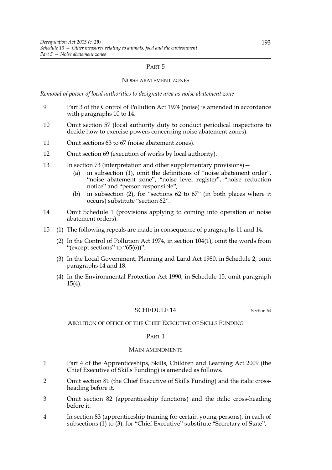### NOISE ABATEMENT ZONES

*Removal of power of local authorities to designate area as noise abatement zone*

- 9 Part 3 of the Control of Pollution Act 1974 (noise) is amended in accordance with paragraphs 10 to 14.
- 10 Omit section 57 (local authority duty to conduct periodical inspections to decide how to exercise powers concerning noise abatement zones).
- 11 Omit sections 63 to 67 (noise abatement zones).
- 12 Omit section 69 (execution of works by local authority).
- 13 In section 73 (interpretation and other supplementary provisions)—
	- (a) in subsection (1), omit the definitions of "noise abatement order", "noise abatement zone", "noise level register", "noise reduction notice" and "person responsible";
	- (b) in subsection (2), for "sections 62 to 67" (in both places where it occurs) substitute "section 62".
- 14 Omit Schedule 1 (provisions applying to coming into operation of noise abatement orders).
- 15 (1) The following repeals are made in consequence of paragraphs 11 and 14.
	- (2) In the Control of Pollution Act 1974, in section 104(1), omit the words from "(except sections" to " $65(6)$ ".
	- (3) In the Local Government, Planning and Land Act 1980, in Schedule 2, omit paragraphs 14 and 18.
	- (4) In the Environmental Protection Act 1990, in Schedule 15, omit paragraph 15(4).

#### SCHEDULE 14 Section 64

ABOLITION OF OFFICE OF THE CHIEF EXECUTIVE OF SKILLS FUNDING

#### PART 1

#### MAIN AMENDMENTS

- 1 Part 4 of the Apprenticeships, Skills, Children and Learning Act 2009 (the Chief Executive of Skills Funding) is amended as follows.
- 2 Omit section 81 (the Chief Executive of Skills Funding) and the italic crossheading before it.
- 3 Omit section 82 (apprenticeship functions) and the italic cross-heading before it.
- 4 In section 83 (apprenticeship training for certain young persons), in each of subsections (1) to (3), for "Chief Executive" substitute "Secretary of State".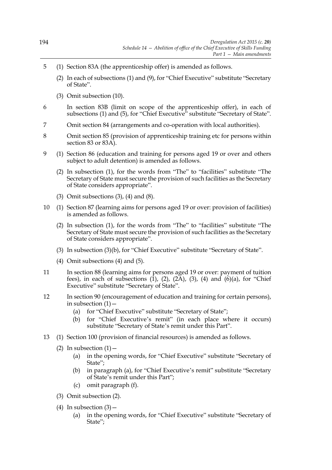- 5 (1) Section 83A (the apprenticeship offer) is amended as follows.
	- (2) In each of subsections (1) and (9), for "Chief Executive" substitute "Secretary of State".
	- (3) Omit subsection (10).
- 6 In section 83B (limit on scope of the apprenticeship offer), in each of subsections (1) and (5), for "Chief Executive" substitute "Secretary of State".
- 7 Omit section 84 (arrangements and co-operation with local authorities).
- 8 Omit section 85 (provision of apprenticeship training etc for persons within section 83 or 83A).
- 9 (1) Section 86 (education and training for persons aged 19 or over and others subject to adult detention) is amended as follows.
	- (2) In subsection (1), for the words from "The" to "facilities" substitute "The Secretary of State must secure the provision of such facilities as the Secretary of State considers appropriate".
	- (3) Omit subsections (3), (4) and (8).
- 10 (1) Section 87 (learning aims for persons aged 19 or over: provision of facilities) is amended as follows.
	- (2) In subsection (1), for the words from "The" to "facilities" substitute "The Secretary of State must secure the provision of such facilities as the Secretary of State considers appropriate".
	- (3) In subsection (3)(b), for "Chief Executive" substitute "Secretary of State".
	- (4) Omit subsections (4) and (5).
- 11 In section 88 (learning aims for persons aged 19 or over: payment of tuition fees), in each of subsections  $(1)$ ,  $(2)$ ,  $(2\overline{A})$ ,  $(3)$ ,  $(4)$  and  $(6)(a)$ , for "Chief Executive" substitute "Secretary of State".
- 12 In section 90 (encouragement of education and training for certain persons), in subsection  $(1)$  -
	- (a) for "Chief Executive" substitute "Secretary of State";
	- (b) for "Chief Executive's remit" (in each place where it occurs) substitute "Secretary of State's remit under this Part".
- 13 (1) Section 100 (provision of financial resources) is amended as follows.
	- (2) In subsection  $(1)$ 
		- (a) in the opening words, for "Chief Executive" substitute "Secretary of State";
		- (b) in paragraph (a), for "Chief Executive's remit" substitute "Secretary of State's remit under this Part";
		- (c) omit paragraph (f).
	- (3) Omit subsection (2).
	- (4) In subsection  $(3)$  -
		- (a) in the opening words, for "Chief Executive" substitute "Secretary of State";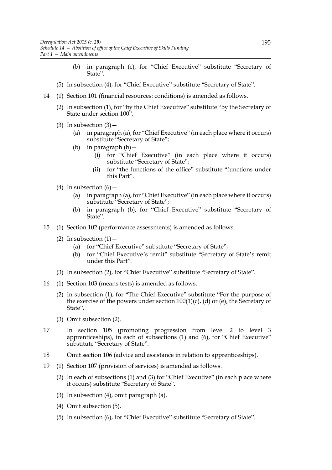- (b) in paragraph (c), for "Chief Executive" substitute "Secretary of State".
- (5) In subsection (4), for "Chief Executive" substitute "Secretary of State".
- 14 (1) Section 101 (financial resources: conditions) is amended as follows.
	- (2) In subsection (1), for "by the Chief Executive" substitute "by the Secretary of State under section 100".
	- (3) In subsection  $(3)$ 
		- (a) in paragraph (a), for "Chief Executive" (in each place where it occurs) substitute "Secretary of State";
		- (b) in paragraph (b)—
			- (i) for "Chief Executive" (in each place where it occurs) substitute "Secretary of State";
			- (ii) for "the functions of the office" substitute "functions under this Part".
	- (4) In subsection  $(6)$  -
		- (a) in paragraph (a), for "Chief Executive" (in each place where it occurs) substitute "Secretary of State";
		- (b) in paragraph (b), for "Chief Executive" substitute "Secretary of State".
- 15 (1) Section 102 (performance assessments) is amended as follows.
	- (2) In subsection  $(1)$  -
		- (a) for "Chief Executive" substitute "Secretary of State";
		- (b) for "Chief Executive's remit" substitute "Secretary of State's remit under this Part".
	- (3) In subsection (2), for "Chief Executive" substitute "Secretary of State".
- 16 (1) Section 103 (means tests) is amended as follows.
	- (2) In subsection (1), for "The Chief Executive" substitute "For the purpose of the exercise of the powers under section  $100(1)(c)$ , (d) or (e), the Secretary of State".
	- (3) Omit subsection (2).
- 17 In section 105 (promoting progression from level 2 to level 3 apprenticeships), in each of subsections (1) and (6), for "Chief Executive" substitute "Secretary of State".
- 18 Omit section 106 (advice and assistance in relation to apprenticeships).
- 19 (1) Section 107 (provision of services) is amended as follows.
	- (2) In each of subsections (1) and (3) for "Chief Executive" (in each place where it occurs) substitute "Secretary of State".
	- (3) In subsection (4), omit paragraph (a).
	- (4) Omit subsection (5).
	- (5) In subsection (6), for "Chief Executive" substitute "Secretary of State".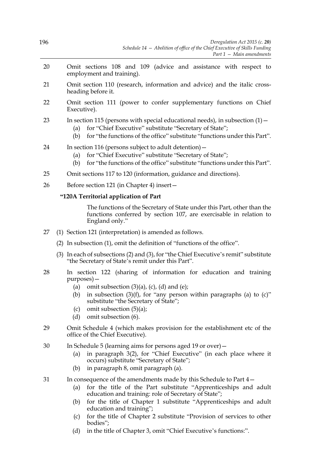- 20 Omit sections 108 and 109 (advice and assistance with respect to employment and training).
- 21 Omit section 110 (research, information and advice) and the italic crossheading before it.
- 22 Omit section 111 (power to confer supplementary functions on Chief Executive).

# 23 In section 115 (persons with special educational needs), in subsection  $(1)$  -

- (a) for "Chief Executive" substitute "Secretary of State";
- (b) for "the functions of the office" substitute "functions under this Part".
- 24 In section 116 (persons subject to adult detention)—
	- (a) for "Chief Executive" substitute "Secretary of State";
	- (b) for "the functions of the office" substitute "functions under this Part".
- 25 Omit sections 117 to 120 (information, guidance and directions).
- 26 Before section 121 (in Chapter 4) insert—

## **"120A Territorial application of Part**

The functions of the Secretary of State under this Part, other than the functions conferred by section 107, are exercisable in relation to England only."

- 27 (1) Section 121 (interpretation) is amended as follows.
	- (2) In subsection (1), omit the definition of "functions of the office".
	- (3) In each of subsections (2) and (3), for "the Chief Executive's remit" substitute "the Secretary of State's remit under this Part".
- 28 In section 122 (sharing of information for education and training purposes)—
	- (a) omit subsection  $(3)(a)$ ,  $(c)$ ,  $(d)$  and  $(e)$ ;
	- (b) in subsection  $(3)(f)$ , for "any person within paragraphs (a) to  $(c)$ " substitute "the Secretary of State";
	- (c) omit subsection  $(5)(a)$ ;
	- (d) omit subsection (6).
- 29 Omit Schedule 4 (which makes provision for the establishment etc of the office of the Chief Executive).
- 30 In Schedule 5 (learning aims for persons aged 19 or over)—
	- (a) in paragraph 3(2), for "Chief Executive" (in each place where it occurs) substitute "Secretary of State";
	- (b) in paragraph 8, omit paragraph (a).
- 31 In consequence of the amendments made by this Schedule to Part 4—
	- (a) for the title of the Part substitute "Apprenticeships and adult education and training: role of Secretary of State";
	- (b) for the title of Chapter 1 substitute "Apprenticeships and adult education and training";
	- (c) for the title of Chapter 2 substitute "Provision of services to other bodies";
	- (d) in the title of Chapter 3, omit "Chief Executive's functions:".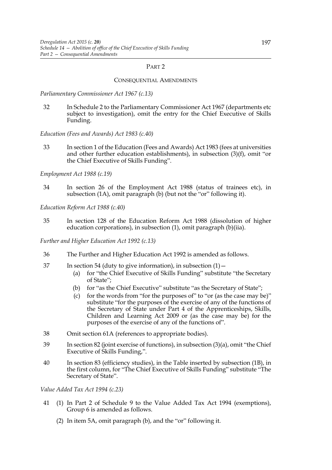#### CONSEQUENTIAL AMENDMENTS

*Parliamentary Commissioner Act 1967 (c.13)*

- 32 In Schedule 2 to the Parliamentary Commissioner Act 1967 (departments etc subject to investigation), omit the entry for the Chief Executive of Skills Funding.
- *Education (Fees and Awards) Act 1983 (c.40)*
- 33 In section 1 of the Education (Fees and Awards) Act 1983 (fees at universities and other further education establishments), in subsection  $(3)(f)$ , omit "or the Chief Executive of Skills Funding".

### *Employment Act 1988 (c.19)*

34 In section 26 of the Employment Act 1988 (status of trainees etc), in subsection (1A), omit paragraph (b) (but not the "or" following it).

*Education Reform Act 1988 (c.40)*

35 In section 128 of the Education Reform Act 1988 (dissolution of higher education corporations), in subsection (1), omit paragraph (b)(iia).

*Further and Higher Education Act 1992 (c.13)*

- 36 The Further and Higher Education Act 1992 is amended as follows.
- 37 In section 54 (duty to give information), in subsection  $(1)$  -
	- (a) for "the Chief Executive of Skills Funding" substitute "the Secretary of State";
	- (b) for "as the Chief Executive" substitute "as the Secretary of State";
	- (c) for the words from "for the purposes of" to "or (as the case may be)" substitute "for the purposes of the exercise of any of the functions of the Secretary of State under Part 4 of the Apprenticeships, Skills, Children and Learning Act 2009 or (as the case may be) for the purposes of the exercise of any of the functions of".
- 38 Omit section 61A (references to appropriate bodies).
- 39 In section 82 (joint exercise of functions), in subsection (3)(a), omit "the Chief Executive of Skills Funding,".
- 40 In section 83 (efficiency studies), in the Table inserted by subsection (1B), in the first column, for "The Chief Executive of Skills Funding" substitute "The Secretary of State".

### *Value Added Tax Act 1994 (c.23)*

- 41 (1) In Part 2 of Schedule 9 to the Value Added Tax Act 1994 (exemptions), Group 6 is amended as follows.
	- (2) In item 5A, omit paragraph (b), and the "or" following it.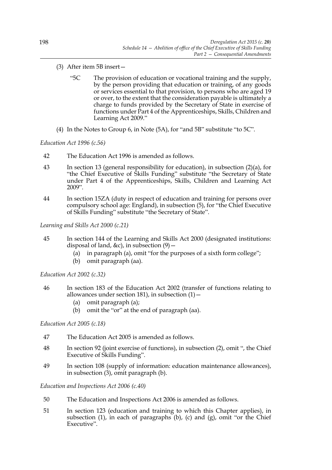- (3) After item 5B insert—
	- "5C The provision of education or vocational training and the supply, by the person providing that education or training, of any goods or services essential to that provision, to persons who are aged 19 or over, to the extent that the consideration payable is ultimately a charge to funds provided by the Secretary of State in exercise of functions under Part 4 of the Apprenticeships, Skills, Children and Learning Act 2009."
- (4) In the Notes to Group 6, in Note (5A), for "and 5B" substitute "to 5C".

## *Education Act 1996 (c.56)*

- 42 The Education Act 1996 is amended as follows.
- 43 In section 13 (general responsibility for education), in subsection (2)(a), for "the Chief Executive of Skills Funding" substitute "the Secretary of State under Part 4 of the Apprenticeships, Skills, Children and Learning Act 2009".
- 44 In section 15ZA (duty in respect of education and training for persons over compulsory school age: England), in subsection (5), for "the Chief Executive of Skills Funding" substitute "the Secretary of State".

*Learning and Skills Act 2000 (c.21)*

- 45 In section 144 of the Learning and Skills Act 2000 (designated institutions: disposal of land, &c), in subsection  $(9)$  –
	- (a) in paragraph (a), omit "for the purposes of a sixth form college";
	- (b) omit paragraph (aa).

*Education Act 2002 (c.32)*

- 46 In section 183 of the Education Act 2002 (transfer of functions relating to allowances under section 181), in subsection  $(1)$  –
	- (a) omit paragraph (a);
	- (b) omit the "or" at the end of paragraph (aa).

## *Education Act 2005 (c.18)*

- 47 The Education Act 2005 is amended as follows.
- 48 In section 92 (joint exercise of functions), in subsection (2), omit ", the Chief Executive of Skills Funding".
- 49 In section 108 (supply of information: education maintenance allowances), in subsection (3), omit paragraph (b).

*Education and Inspections Act 2006 (c.40)*

- 50 The Education and Inspections Act 2006 is amended as follows.
- 51 In section 123 (education and training to which this Chapter applies), in subsection (1), in each of paragraphs (b), (c) and (g), omit "or the Chief Executive".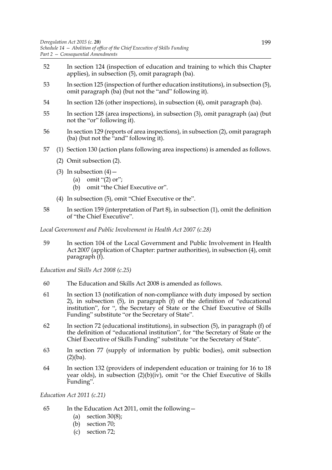- 52 In section 124 (inspection of education and training to which this Chapter applies), in subsection (5), omit paragraph (ba).
- 53 In section 125 (inspection of further education institutions), in subsection (5), omit paragraph (ba) (but not the "and" following it).
- 54 In section 126 (other inspections), in subsection (4), omit paragraph (ba).
- 55 In section 128 (area inspections), in subsection (3), omit paragraph (aa) (but not the "or" following it).
- 56 In section 129 (reports of area inspections), in subsection (2), omit paragraph (ba) (but not the "and" following it).
- 57 (1) Section 130 (action plans following area inspections) is amended as follows.
	- (2) Omit subsection (2).
	- (3) In subsection  $(4)$ 
		- (a) omit " $(2)$  or";
		- (b) omit "the Chief Executive or".
	- (4) In subsection (5), omit "Chief Executive or the".
- 58 In section 159 (interpretation of Part 8), in subsection (1), omit the definition of "the Chief Executive".

*Local Government and Public Involvement in Health Act 2007 (c.28)*

59 In section 104 of the Local Government and Public Involvement in Health Act 2007 (application of Chapter: partner authorities), in subsection (4), omit paragraph (f).

*Education and Skills Act 2008 (c.25)*

- 60 The Education and Skills Act 2008 is amended as follows.
- 61 In section 13 (notification of non-compliance with duty imposed by section 2), in subsection (5), in paragraph (f) of the definition of "educational institution", for ", the Secretary of State or the Chief Executive of Skills Funding" substitute "or the Secretary of State".
- 62 In section 72 (educational institutions), in subsection (5), in paragraph (f) of the definition of "educational institution", for "the Secretary of State or the Chief Executive of Skills Funding" substitute "or the Secretary of State".
- 63 In section 77 (supply of information by public bodies), omit subsection  $(2)(ba)$ .
- 64 In section 132 (providers of independent education or training for 16 to 18 year olds), in subsection (2)(b)(iv), omit "or the Chief Executive of Skills Funding".

*Education Act 2011 (c.21)*

- 65 In the Education Act 2011, omit the following—
	- (a) section  $30(8)$ ;
	- (b) section 70;
	- (c) section 72;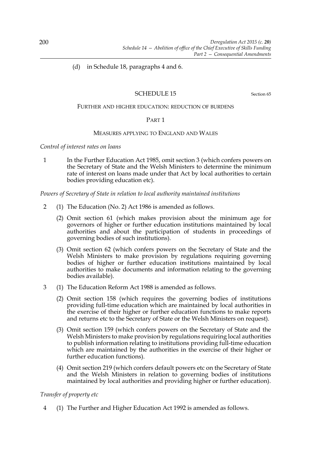(d) in Schedule 18, paragraphs 4 and 6.

# SCHEDULE 15 Section 65

#### FURTHER AND HIGHER EDUCATION: REDUCTION OF BURDENS

### PART 1

#### MEASURES APPLYING TO ENGLAND AND WALES

*Control of interest rates on loans*

1 In the Further Education Act 1985, omit section 3 (which confers powers on the Secretary of State and the Welsh Ministers to determine the minimum rate of interest on loans made under that Act by local authorities to certain bodies providing education etc).

*Powers of Secretary of State in relation to local authority maintained institutions*

- 2 (1) The Education (No. 2) Act 1986 is amended as follows.
	- (2) Omit section 61 (which makes provision about the minimum age for governors of higher or further education institutions maintained by local authorities and about the participation of students in proceedings of governing bodies of such institutions).
	- (3) Omit section 62 (which confers powers on the Secretary of State and the Welsh Ministers to make provision by regulations requiring governing bodies of higher or further education institutions maintained by local authorities to make documents and information relating to the governing bodies available).
- 3 (1) The Education Reform Act 1988 is amended as follows.
	- (2) Omit section 158 (which requires the governing bodies of institutions providing full-time education which are maintained by local authorities in the exercise of their higher or further education functions to make reports and returns etc to the Secretary of State or the Welsh Ministers on request).
	- (3) Omit section 159 (which confers powers on the Secretary of State and the Welsh Ministers to make provision by regulations requiring local authorities to publish information relating to institutions providing full-time education which are maintained by the authorities in the exercise of their higher or further education functions).
	- (4) Omit section 219 (which confers default powers etc on the Secretary of State and the Welsh Ministers in relation to governing bodies of institutions maintained by local authorities and providing higher or further education).

### *Transfer of property etc*

4 (1) The Further and Higher Education Act 1992 is amended as follows.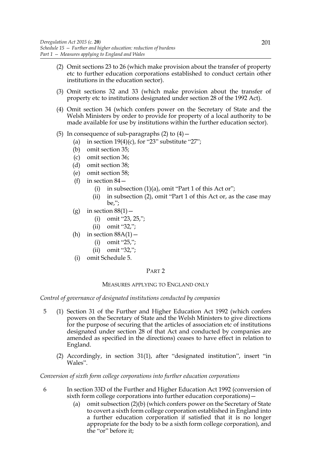- (2) Omit sections 23 to 26 (which make provision about the transfer of property etc to further education corporations established to conduct certain other institutions in the education sector).
- (3) Omit sections 32 and 33 (which make provision about the transfer of property etc to institutions designated under section 28 of the 1992 Act).
- (4) Omit section 34 (which confers power on the Secretary of State and the Welsh Ministers by order to provide for property of a local authority to be made available for use by institutions within the further education sector).
- (5) In consequence of sub-paragraphs  $(2)$  to  $(4)$  -
	- (a) in section  $19(4)(c)$ , for "23" substitute "27";
	- (b) omit section 35;
	- (c) omit section 36;
	- (d) omit section 38;
	- (e) omit section 58;
	- (f) in section  $84-$ 
		- (i) in subsection  $(1)(a)$ , omit "Part 1 of this Act or";
		- (ii) in subsection (2), omit "Part 1 of this Act or, as the case may be,";
	- (g) in section  $88(1)$  -
		- (i) omit "23, 25,";
		- (ii) omit "32,";
	- (h) in section  $88A(1)$  -
		- (i) omit "25,";
		- (ii) omit "32,";
	- (i) omit Schedule 5.

## MEASURES APPLYING TO ENGLAND ONLY

*Control of governance of designated institutions conducted by companies*

- 5 (1) Section 31 of the Further and Higher Education Act 1992 (which confers powers on the Secretary of State and the Welsh Ministers to give directions for the purpose of securing that the articles of association etc of institutions designated under section 28 of that Act and conducted by companies are amended as specified in the directions) ceases to have effect in relation to England.
	- (2) Accordingly, in section 31(1), after "designated institution", insert "in Wales".

## *Conversion of sixth form college corporations into further education corporations*

- 6 In section 33D of the Further and Higher Education Act 1992 (conversion of sixth form college corporations into further education corporations)—
	- (a) omit subsection (2)(b) (which confers power on the Secretary of State to covert a sixth form college corporation established in England into a further education corporation if satisfied that it is no longer appropriate for the body to be a sixth form college corporation), and the "or" before it;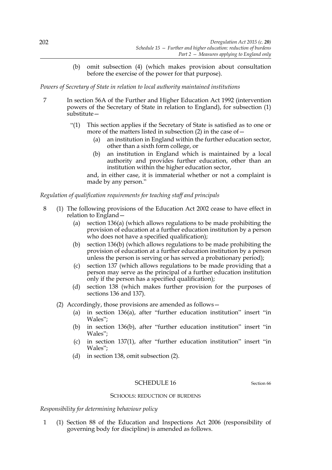(b) omit subsection (4) (which makes provision about consultation before the exercise of the power for that purpose).

*Powers of Secretary of State in relation to local authority maintained institutions*

- 7 In section 56A of the Further and Higher Education Act 1992 (intervention powers of the Secretary of State in relation to England), for subsection (1) substitute—
	- "(1) This section applies if the Secretary of State is satisfied as to one or more of the matters listed in subsection  $(2)$  in the case of  $-$ 
		- (a) an institution in England within the further education sector, other than a sixth form college, or
		- (b) an institution in England which is maintained by a local authority and provides further education, other than an institution within the higher education sector,

and, in either case, it is immaterial whether or not a complaint is made by any person."

### *Regulation of qualification requirements for teaching staff and principals*

- 8 (1) The following provisions of the Education Act 2002 cease to have effect in relation to England—
	- (a) section 136(a) (which allows regulations to be made prohibiting the provision of education at a further education institution by a person who does not have a specified qualification);
	- (b) section 136(b) (which allows regulations to be made prohibiting the provision of education at a further education institution by a person unless the person is serving or has served a probationary period);
	- (c) section 137 (which allows regulations to be made providing that a person may serve as the principal of a further education institution only if the person has a specified qualification);
	- (d) section 138 (which makes further provision for the purposes of sections 136 and 137).
	- (2) Accordingly, those provisions are amended as follows—
		- (a) in section 136(a), after "further education institution" insert "in Wales";
		- (b) in section 136(b), after "further education institution" insert "in Wales";
		- (c) in section 137(1), after "further education institution" insert "in Wales";
		- (d) in section 138, omit subsection (2).

# SCHEDULE 16 Section 66

#### SCHOOLS: REDUCTION OF BURDENS

*Responsibility for determining behaviour policy*

1 (1) Section 88 of the Education and Inspections Act 2006 (responsibility of governing body for discipline) is amended as follows.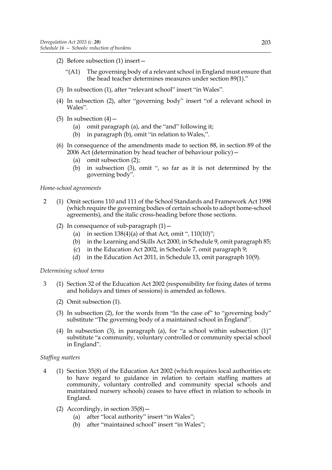- (2) Before subsection (1) insert—
	- "(A1) The governing body of a relevant school in England must ensure that the head teacher determines measures under section 89(1)."
- (3) In subsection (1), after "relevant school" insert "in Wales".
- (4) In subsection (2), after "governing body" insert "of a relevant school in Wales".
- (5) In subsection  $(4)$ 
	- (a) omit paragraph (a), and the "and" following it;
	- (b) in paragraph (b), omit "in relation to Wales,".
- (6) In consequence of the amendments made to section 88, in section 89 of the 2006 Act (determination by head teacher of behaviour policy)—
	- (a) omit subsection (2);
	- (b) in subsection (3), omit ", so far as it is not determined by the governing body".

*Home-school agreements*

- 2 (1) Omit sections 110 and 111 of the School Standards and Framework Act 1998 (which require the governing bodies of certain schools to adopt home-school agreements), and the italic cross-heading before those sections.
	- (2) In consequence of sub-paragraph  $(1)$  -
		- (a) in section  $138(4)(a)$  of that Act, omit ",  $110(10)$ ";
		- (b) in the Learning and Skills Act 2000, in Schedule 9, omit paragraph 85;
		- (c) in the Education Act 2002, in Schedule 7, omit paragraph 9;
		- (d) in the Education Act 2011, in Schedule 13, omit paragraph 10(9).

## *Determining school terms*

- 3 (1) Section 32 of the Education Act 2002 (responsibility for fixing dates of terms and holidays and times of sessions) is amended as follows.
	- (2) Omit subsection (1).
	- (3) In subsection (2), for the words from "In the case of" to "governing body" substitute "The governing body of a maintained school in England".
	- (4) In subsection (3), in paragraph (a), for "a school within subsection (1)" substitute "a community, voluntary controlled or community special school in England".

## *Staffing matters*

- 4 (1) Section 35(8) of the Education Act 2002 (which requires local authorities etc to have regard to guidance in relation to certain staffing matters at community, voluntary controlled and community special schools and maintained nursery schools) ceases to have effect in relation to schools in England.
	- (2) Accordingly, in section  $35(8)$  -
		- (a) after "local authority" insert "in Wales";
		- (b) after "maintained school" insert "in Wales";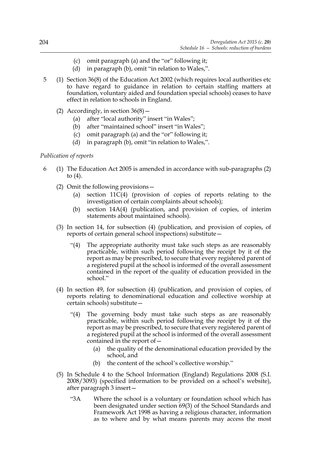- (c) omit paragraph (a) and the "or" following it;
- (d) in paragraph (b), omit "in relation to Wales,".
- 5 (1) Section 36(8) of the Education Act 2002 (which requires local authorities etc to have regard to guidance in relation to certain staffing matters at foundation, voluntary aided and foundation special schools) ceases to have effect in relation to schools in England.
	- (2) Accordingly, in section  $36(8)$ 
		- (a) after "local authority" insert "in Wales";
		- (b) after "maintained school" insert "in Wales";
		- (c) omit paragraph (a) and the "or" following it;
		- (d) in paragraph (b), omit "in relation to Wales,".

# *Publication of reports*

- 6 (1) The Education Act 2005 is amended in accordance with sub-paragraphs (2) to  $(4)$ .
	- (2) Omit the following provisions—
		- (a) section 11C(4) (provision of copies of reports relating to the investigation of certain complaints about schools);
		- (b) section 14A(4) (publication, and provision of copies, of interim statements about maintained schools).
	- (3) In section 14, for subsection (4) (publication, and provision of copies, of reports of certain general school inspections) substitute—
		- "(4) The appropriate authority must take such steps as are reasonably practicable, within such period following the receipt by it of the report as may be prescribed, to secure that every registered parent of a registered pupil at the school is informed of the overall assessment contained in the report of the quality of education provided in the school."
	- (4) In section 49, for subsection (4) (publication, and provision of copies, of reports relating to denominational education and collective worship at certain schools) substitute—
		- "(4) The governing body must take such steps as are reasonably practicable, within such period following the receipt by it of the report as may be prescribed, to secure that every registered parent of a registered pupil at the school is informed of the overall assessment contained in the report of—
			- (a) the quality of the denominational education provided by the school, and
			- (b) the content of the school's collective worship."
	- (5) In Schedule 4 to the School Information (England) Regulations 2008 (S.I. 2008/3093) (specified information to be provided on a school's website), after paragraph 3 insert—
		- "3A Where the school is a voluntary or foundation school which has been designated under section 69(3) of the School Standards and Framework Act 1998 as having a religious character, information as to where and by what means parents may access the most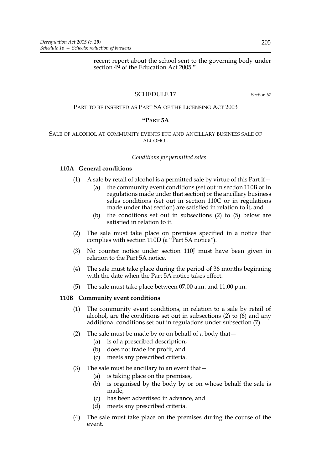recent report about the school sent to the governing body under section 49 of the Education Act 2005."

# SCHEDULE 17 Section 67

# PART TO BE INSERTED AS PART 5A OF THE LICENSING ACT 2003

### **"PART 5A**

#### SALE OF ALCOHOL AT COMMUNITY EVENTS ETC AND ANCILLARY BUSINESS SALE OF ALCOHOL

#### *Conditions for permitted sales*

## **110A General conditions**

- (1) A sale by retail of alcohol is a permitted sale by virtue of this Part if  $-$ 
	- (a) the community event conditions (set out in section 110B or in regulations made under that section) or the ancillary business sales conditions (set out in section 110C or in regulations made under that section) are satisfied in relation to it, and
	- (b) the conditions set out in subsections (2) to (5) below are satisfied in relation to it.
- (2) The sale must take place on premises specified in a notice that complies with section 110D (a "Part 5A notice").
- (3) No counter notice under section 110J must have been given in relation to the Part 5A notice.
- (4) The sale must take place during the period of 36 months beginning with the date when the Part 5A notice takes effect.
- (5) The sale must take place between 07.00 a.m. and 11.00 p.m.

### **110B Community event conditions**

- (1) The community event conditions, in relation to a sale by retail of alcohol, are the conditions set out in subsections  $(2)$  to  $(6)$  and any additional conditions set out in regulations under subsection (7).
- (2) The sale must be made by or on behalf of a body that  $-$ 
	- (a) is of a prescribed description,
	- (b) does not trade for profit, and
	- (c) meets any prescribed criteria.
- (3) The sale must be ancillary to an event that—
	- (a) is taking place on the premises,
	- (b) is organised by the body by or on whose behalf the sale is made,
	- (c) has been advertised in advance, and
	- (d) meets any prescribed criteria.
- (4) The sale must take place on the premises during the course of the event.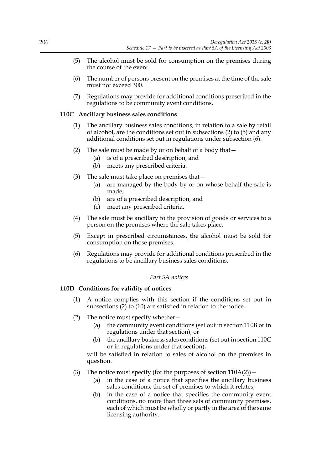- (5) The alcohol must be sold for consumption on the premises during the course of the event.
- (6) The number of persons present on the premises at the time of the sale must not exceed 300.
- (7) Regulations may provide for additional conditions prescribed in the regulations to be community event conditions.

### **110C Ancillary business sales conditions**

- (1) The ancillary business sales conditions, in relation to a sale by retail of alcohol, are the conditions set out in subsections (2) to (5) and any additional conditions set out in regulations under subsection (6).
- (2) The sale must be made by or on behalf of a body that  $-$ 
	- (a) is of a prescribed description, and
	- (b) meets any prescribed criteria.
- (3) The sale must take place on premises that—
	- (a) are managed by the body by or on whose behalf the sale is made,
	- (b) are of a prescribed description, and
	- (c) meet any prescribed criteria.
- (4) The sale must be ancillary to the provision of goods or services to a person on the premises where the sale takes place.
- (5) Except in prescribed circumstances, the alcohol must be sold for consumption on those premises.
- (6) Regulations may provide for additional conditions prescribed in the regulations to be ancillary business sales conditions.

### *Part 5A notices*

## **110D Conditions for validity of notices**

- (1) A notice complies with this section if the conditions set out in subsections (2) to (10) are satisfied in relation to the notice.
- (2) The notice must specify whether—
	- (a) the community event conditions (set out in section 110B or in regulations under that section), or
	- (b) the ancillary business sales conditions (set out in section 110C or in regulations under that section),

will be satisfied in relation to sales of alcohol on the premises in question.

- (3) The notice must specify (for the purposes of section  $110A(2)$ )
	- (a) in the case of a notice that specifies the ancillary business sales conditions, the set of premises to which it relates;
	- (b) in the case of a notice that specifies the community event conditions, no more than three sets of community premises, each of which must be wholly or partly in the area of the same licensing authority.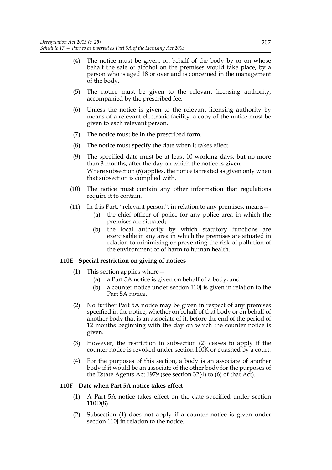- (4) The notice must be given, on behalf of the body by or on whose behalf the sale of alcohol on the premises would take place, by a person who is aged 18 or over and is concerned in the management of the body.
- (5) The notice must be given to the relevant licensing authority, accompanied by the prescribed fee.
- (6) Unless the notice is given to the relevant licensing authority by means of a relevant electronic facility, a copy of the notice must be given to each relevant person.
- (7) The notice must be in the prescribed form.
- (8) The notice must specify the date when it takes effect.
- (9) The specified date must be at least 10 working days, but no more than 3 months, after the day on which the notice is given. Where subsection (6) applies, the notice is treated as given only when that subsection is complied with.
- (10) The notice must contain any other information that regulations require it to contain.
- (11) In this Part, "relevant person", in relation to any premises, means—
	- (a) the chief officer of police for any police area in which the premises are situated;
	- (b) the local authority by which statutory functions are exercisable in any area in which the premises are situated in relation to minimising or preventing the risk of pollution of the environment or of harm to human health.

#### **110E Special restriction on giving of notices**

- (1) This section applies where—
	- (a) a Part 5A notice is given on behalf of a body, and
	- (b) a counter notice under section 110J is given in relation to the Part 5A notice.
- (2) No further Part 5A notice may be given in respect of any premises specified in the notice, whether on behalf of that body or on behalf of another body that is an associate of it, before the end of the period of 12 months beginning with the day on which the counter notice is given.
- (3) However, the restriction in subsection (2) ceases to apply if the counter notice is revoked under section 110K or quashed by a court.
- (4) For the purposes of this section, a body is an associate of another body if it would be an associate of the other body for the purposes of the Estate Agents Act 1979 (see section 32(4) to (6) of that Act).

#### **110F Date when Part 5A notice takes effect**

- (1) A Part 5A notice takes effect on the date specified under section 110D(8).
- (2) Subsection (1) does not apply if a counter notice is given under section 110J in relation to the notice.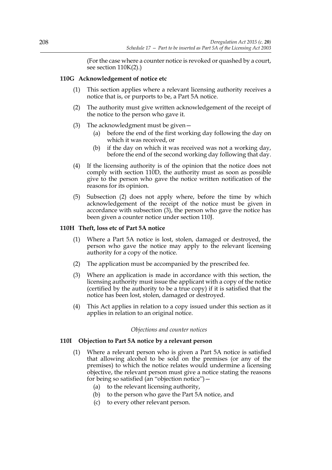(For the case where a counter notice is revoked or quashed by a court, see section 110K(2).)

### **110G Acknowledgement of notice etc**

- (1) This section applies where a relevant licensing authority receives a notice that is, or purports to be, a Part 5A notice.
- (2) The authority must give written acknowledgement of the receipt of the notice to the person who gave it.
- (3) The acknowledgment must be given—
	- (a) before the end of the first working day following the day on which it was received, or
	- (b) if the day on which it was received was not a working day, before the end of the second working day following that day.
- (4) If the licensing authority is of the opinion that the notice does not comply with section 110D, the authority must as soon as possible give to the person who gave the notice written notification of the reasons for its opinion.
- (5) Subsection (2) does not apply where, before the time by which acknowledgement of the receipt of the notice must be given in accordance with subsection (3), the person who gave the notice has been given a counter notice under section 110J.

#### **110H Theft, loss etc of Part 5A notice**

- (1) Where a Part 5A notice is lost, stolen, damaged or destroyed, the person who gave the notice may apply to the relevant licensing authority for a copy of the notice.
- (2) The application must be accompanied by the prescribed fee.
- (3) Where an application is made in accordance with this section, the licensing authority must issue the applicant with a copy of the notice (certified by the authority to be a true copy) if it is satisfied that the notice has been lost, stolen, damaged or destroyed.
- (4) This Act applies in relation to a copy issued under this section as it applies in relation to an original notice.

#### *Objections and counter notices*

#### **110I Objection to Part 5A notice by a relevant person**

- (1) Where a relevant person who is given a Part 5A notice is satisfied that allowing alcohol to be sold on the premises (or any of the premises) to which the notice relates would undermine a licensing objective, the relevant person must give a notice stating the reasons for being so satisfied (an "objection notice")—
	- (a) to the relevant licensing authority,
	- (b) to the person who gave the Part 5A notice, and
	- (c) to every other relevant person.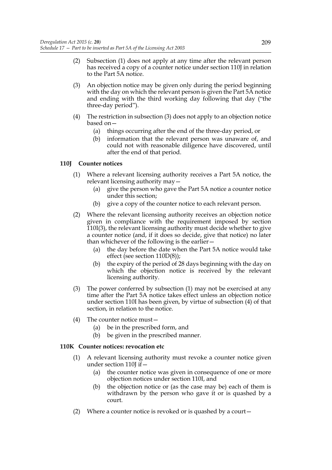- (2) Subsection (1) does not apply at any time after the relevant person has received a copy of a counter notice under section 110J in relation to the Part 5A notice.
- (3) An objection notice may be given only during the period beginning with the day on which the relevant person is given the Part 5A notice and ending with the third working day following that day ("the three-day period").
- (4) The restriction in subsection (3) does not apply to an objection notice based on—
	- (a) things occurring after the end of the three-day period, or
	- (b) information that the relevant person was unaware of, and could not with reasonable diligence have discovered, until after the end of that period.

# **110J Counter notices**

- (1) Where a relevant licensing authority receives a Part 5A notice, the relevant licensing authority may—
	- (a) give the person who gave the Part 5A notice a counter notice under this section;
	- (b) give a copy of the counter notice to each relevant person.
- (2) Where the relevant licensing authority receives an objection notice given in compliance with the requirement imposed by section 110I(3), the relevant licensing authority must decide whether to give a counter notice (and, if it does so decide, give that notice) no later than whichever of the following is the earlier—
	- (a) the day before the date when the Part 5A notice would take effect (see section 110D(8));
	- (b) the expiry of the period of 28 days beginning with the day on which the objection notice is received by the relevant licensing authority.
- (3) The power conferred by subsection (1) may not be exercised at any time after the Part 5A notice takes effect unless an objection notice under section 110I has been given, by virtue of subsection (4) of that section, in relation to the notice.
- (4) The counter notice must—
	- (a) be in the prescribed form, and
	- (b) be given in the prescribed manner.

# **110K Counter notices: revocation etc**

- (1) A relevant licensing authority must revoke a counter notice given under section 110J if  $-$ 
	- (a) the counter notice was given in consequence of one or more objection notices under section 110I, and
	- (b) the objection notice or (as the case may be) each of them is withdrawn by the person who gave it or is quashed by a court.
- (2) Where a counter notice is revoked or is quashed by a court—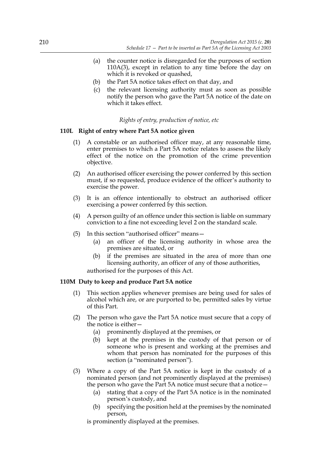- (a) the counter notice is disregarded for the purposes of section 110A(3), except in relation to any time before the day on which it is revoked or quashed,
- (b) the Part 5A notice takes effect on that day, and
- (c) the relevant licensing authority must as soon as possible notify the person who gave the Part 5A notice of the date on which it takes effect.

# *Rights of entry, production of notice, etc*

# **110L Right of entry where Part 5A notice given**

- (1) A constable or an authorised officer may, at any reasonable time, enter premises to which a Part 5A notice relates to assess the likely effect of the notice on the promotion of the crime prevention objective.
- (2) An authorised officer exercising the power conferred by this section must, if so requested, produce evidence of the officer's authority to exercise the power.
- (3) It is an offence intentionally to obstruct an authorised officer exercising a power conferred by this section.
- (4) A person guilty of an offence under this section is liable on summary conviction to a fine not exceeding level 2 on the standard scale.
- (5) In this section "authorised officer" means—
	- (a) an officer of the licensing authority in whose area the premises are situated, or
	- (b) if the premises are situated in the area of more than one licensing authority, an officer of any of those authorities,

authorised for the purposes of this Act.

# **110M Duty to keep and produce Part 5A notice**

- (1) This section applies whenever premises are being used for sales of alcohol which are, or are purported to be, permitted sales by virtue of this Part.
- (2) The person who gave the Part 5A notice must secure that a copy of the notice is either—
	- (a) prominently displayed at the premises, or
	- (b) kept at the premises in the custody of that person or of someone who is present and working at the premises and whom that person has nominated for the purposes of this section (a "nominated person").
- (3) Where a copy of the Part 5A notice is kept in the custody of a nominated person (and not prominently displayed at the premises) the person who gave the Part 5A notice must secure that a notice—
	- (a) stating that a copy of the Part 5A notice is in the nominated person's custody, and
	- (b) specifying the position held at the premises by the nominated person,

is prominently displayed at the premises.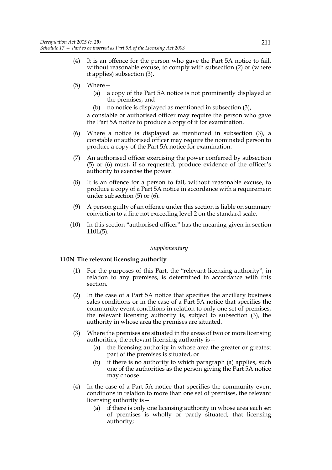- (4) It is an offence for the person who gave the Part 5A notice to fail, without reasonable excuse, to comply with subsection (2) or (where it applies) subsection (3).
- (5) Where—
	- (a) a copy of the Part 5A notice is not prominently displayed at the premises, and
	- (b) no notice is displayed as mentioned in subsection (3),

a constable or authorised officer may require the person who gave the Part 5A notice to produce a copy of it for examination.

- (6) Where a notice is displayed as mentioned in subsection (3), a constable or authorised officer may require the nominated person to produce a copy of the Part 5A notice for examination.
- (7) An authorised officer exercising the power conferred by subsection (5) or (6) must, if so requested, produce evidence of the officer's authority to exercise the power.
- (8) It is an offence for a person to fail, without reasonable excuse, to produce a copy of a Part 5A notice in accordance with a requirement under subsection (5) or (6).
- (9) A person guilty of an offence under this section is liable on summary conviction to a fine not exceeding level 2 on the standard scale.
- (10) In this section "authorised officer" has the meaning given in section 110L(5).

### *Supplementary*

# **110N The relevant licensing authority**

- (1) For the purposes of this Part, the "relevant licensing authority", in relation to any premises, is determined in accordance with this section.
- (2) In the case of a Part 5A notice that specifies the ancillary business sales conditions or in the case of a Part 5A notice that specifies the community event conditions in relation to only one set of premises, the relevant licensing authority is, subject to subsection (3), the authority in whose area the premises are situated.
- (3) Where the premises are situated in the areas of two or more licensing authorities, the relevant licensing authority is—
	- (a) the licensing authority in whose area the greater or greatest part of the premises is situated, or
	- (b) if there is no authority to which paragraph (a) applies, such one of the authorities as the person giving the Part 5A notice may choose.
- (4) In the case of a Part 5A notice that specifies the community event conditions in relation to more than one set of premises, the relevant licensing authority is—
	- (a) if there is only one licensing authority in whose area each set of premises is wholly or partly situated, that licensing authority;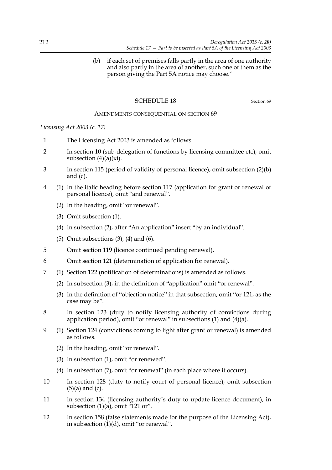(b) if each set of premises falls partly in the area of one authority and also partly in the area of another, such one of them as the person giving the Part 5A notice may choose."

# SCHEDULE 18 Section 69

### AMENDMENTS CONSEQUENTIAL ON SECTION 69

*Licensing Act 2003 (c. 17)*

- 1 The Licensing Act 2003 is amended as follows.
- 2 In section 10 (sub-delegation of functions by licensing committee etc), omit subsection  $(4)(a)(xi)$ .
- 3 In section 115 (period of validity of personal licence), omit subsection (2)(b) and (c).
- 4 (1) In the italic heading before section 117 (application for grant or renewal of personal licence), omit "and renewal".
	- (2) In the heading, omit "or renewal".
	- (3) Omit subsection (1).
	- (4) In subsection (2), after "An application" insert "by an individual".
	- (5) Omit subsections (3), (4) and (6).
- 5 Omit section 119 (licence continued pending renewal).
- 6 Omit section 121 (determination of application for renewal).
- 7 (1) Section 122 (notification of determinations) is amended as follows.
	- (2) In subsection (3), in the definition of "application" omit "or renewal".
	- (3) In the definition of "objection notice" in that subsection, omit "or 121, as the case may be".
- 8 In section 123 (duty to notify licensing authority of convictions during application period), omit "or renewal" in subsections (1) and (4)(a).
- 9 (1) Section 124 (convictions coming to light after grant or renewal) is amended as follows.
	- (2) In the heading, omit "or renewal".
	- (3) In subsection (1), omit "or renewed".
	- (4) In subsection (7), omit "or renewal" (in each place where it occurs).
- 10 In section 128 (duty to notify court of personal licence), omit subsection (5)(a) and (c).
- 11 In section 134 (licensing authority's duty to update licence document), in subsection  $(1)(a)$ , omit "121 or".
- 12 In section 158 (false statements made for the purpose of the Licensing Act), in subsection  $(1)(d)$ , omit "or renewal".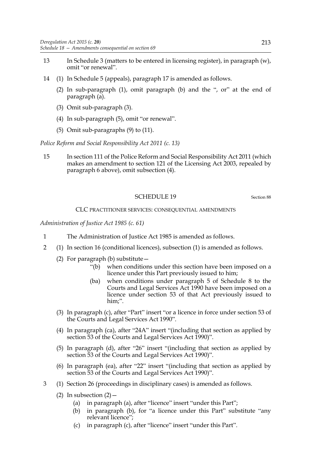- 13 In Schedule 3 (matters to be entered in licensing register), in paragraph (w), omit "or renewal".
- 14 (1) In Schedule 5 (appeals), paragraph 17 is amended as follows.
	- (2) In sub-paragraph (1), omit paragraph (b) and the ", or" at the end of paragraph (a).
	- (3) Omit sub-paragraph (3).
	- (4) In sub-paragraph (5), omit "or renewal".
	- (5) Omit sub-paragraphs (9) to (11).

*Police Reform and Social Responsibility Act 2011 (c. 13)*

15 In section 111 of the Police Reform and Social Responsibility Act 2011 (which makes an amendment to section 121 of the Licensing Act 2003, repealed by paragraph 6 above), omit subsection (4).

### SCHEDULE 19 Section 88

### CLC PRACTITIONER SERVICES: CONSEQUENTIAL AMENDMENTS

*Administration of Justice Act 1985 (c. 61)*

- 1 The Administration of Justice Act 1985 is amended as follows.
- 2 (1) In section 16 (conditional licences), subsection (1) is amended as follows.
	- (2) For paragraph (b) substitute—
		- "(b) when conditions under this section have been imposed on a licence under this Part previously issued to him;
		- (ba) when conditions under paragraph 5 of Schedule 8 to the Courts and Legal Services Act 1990 have been imposed on a licence under section 53 of that Act previously issued to him;".
	- (3) In paragraph (c), after "Part" insert "or a licence in force under section 53 of the Courts and Legal Services Act 1990".
	- (4) In paragraph (ca), after "24A" insert "(including that section as applied by section 53 of the Courts and Legal Services Act 1990)".
	- (5) In paragraph (d), after "26" insert "(including that section as applied by section 53 of the Courts and Legal Services Act 1990)".
	- (6) In paragraph (ea), after "22" insert "(including that section as applied by section 53 of the Courts and Legal Services Act 1990)".
- 3 (1) Section 26 (proceedings in disciplinary cases) is amended as follows.
	- (2) In subsection  $(2)$  -
		- (a) in paragraph (a), after "licence" insert "under this Part";
		- (b) in paragraph (b), for "a licence under this Part" substitute "any relevant licence";
		- (c) in paragraph (c), after "licence" insert "under this Part".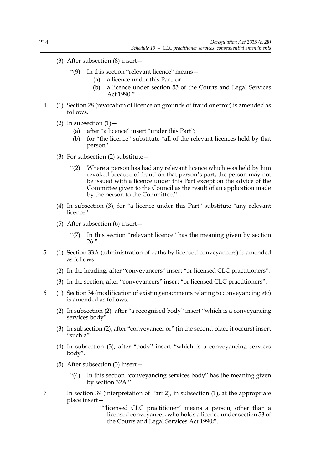- (3) After subsection (8) insert—
	- "(9) In this section "relevant licence" means—
		- (a) a licence under this Part, or
		- (b) a licence under section 53 of the Courts and Legal Services Act 1990."
- 4 (1) Section 28 (revocation of licence on grounds of fraud or error) is amended as follows.
	- (2) In subsection  $(1)$ 
		- (a) after "a licence" insert "under this Part";
		- (b) for "the licence" substitute "all of the relevant licences held by that person".
	- (3) For subsection  $(2)$  substitute  $-$ 
		- "(2) Where a person has had any relevant licence which was held by him revoked because of fraud on that person's part, the person may not be issued with a licence under this Part except on the advice of the Committee given to the Council as the result of an application made by the person to the Committee."
	- (4) In subsection (3), for "a licence under this Part" substitute "any relevant licence".
	- (5) After subsection (6) insert—
		- "(7) In this section "relevant licence" has the meaning given by section 26."
- 5 (1) Section 33A (administration of oaths by licensed conveyancers) is amended as follows.
	- (2) In the heading, after "conveyancers" insert "or licensed CLC practitioners".
	- (3) In the section, after "conveyancers" insert "or licensed CLC practitioners".
- 6 (1) Section 34 (modification of existing enactments relating to conveyancing etc) is amended as follows.
	- (2) In subsection (2), after "a recognised body" insert "which is a conveyancing services body".
	- (3) In subsection (2), after "conveyancer or" (in the second place it occurs) insert "such a".
	- (4) In subsection (3), after "body" insert "which is a conveyancing services body".
	- (5) After subsection (3) insert—
		- "(4) In this section "conveyancing services body" has the meaning given by section 32A."
- 7 In section 39 (interpretation of Part 2), in subsection (1), at the appropriate place insert—
	- ""licensed CLC practitioner" means a person, other than a licensed conveyancer, who holds a licence under section 53 of the Courts and Legal Services Act 1990;".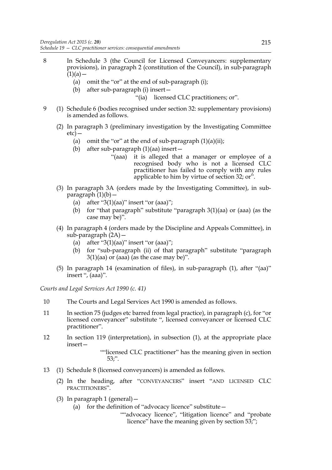- 8 In Schedule 3 (the Council for Licensed Conveyancers: supplementary provisions), in paragraph 2 (constitution of the Council), in sub-paragraph  $(1)(a)$  —
	- (a) omit the "or" at the end of sub-paragraph (i);
	- (b) after sub-paragraph (i) insert—

"(ia) licensed CLC practitioners; or".

- 9 (1) Schedule 6 (bodies recognised under section 32: supplementary provisions) is amended as follows.
	- (2) In paragraph 3 (preliminary investigation by the Investigating Committee  $etc$ ) —
		- (a) omit the "or" at the end of sub-paragraph  $(1)(a)(ii)$ ;
		- (b) after sub-paragraph (1)(aa) insert—
			- "(aaa) it is alleged that a manager or employee of a recognised body who is not a licensed CLC practitioner has failed to comply with any rules applicable to him by virtue of section 32; or".
	- (3) In paragraph 3A (orders made by the Investigating Committee), in subparagraph  $(1)(b)$  –
		- (a) after " $3(1)(aa)$ " insert "or  $(aaa)$ ";
		- (b) for "that paragraph" substitute "paragraph  $3(1)(aa)$  or (aaa) (as the case may be)".
	- (4) In paragraph 4 (orders made by the Discipline and Appeals Committee), in sub-paragraph  $(2A)$  –
		- (a) after " $3(1)(aa)$ " insert "or  $(aaa)$ ";
		- (b) for "sub-paragraph (ii) of that paragraph" substitute "paragraph  $3(1)(aa)$  or (aaa) (as the case may be)".
	- (5) In paragraph 14 (examination of files), in sub-paragraph (1), after "(aa)" insert ", (aaa)".

*Courts and Legal Services Act 1990 (c. 41)*

- 10 The Courts and Legal Services Act 1990 is amended as follows.
- 11 In section 75 (judges etc barred from legal practice), in paragraph (c), for "or licensed conveyancer" substitute ", licensed conveyancer or licensed CLC practitioner".
- 12 In section 119 (interpretation), in subsection (1), at the appropriate place insert—

""licensed CLC practitioner" has the meaning given in section 53;".

- 13 (1) Schedule 8 (licensed conveyancers) is amended as follows.
	- (2) In the heading, after "CONVEYANCERS" insert "AND LICENSED CLC PRACTITIONERS".
	- (3) In paragraph 1 (general)—
		- (a) for the definition of "advocacy licence" substitute  $-$

""advocacy licence", "litigation licence" and "probate licence" have the meaning given by section 53;";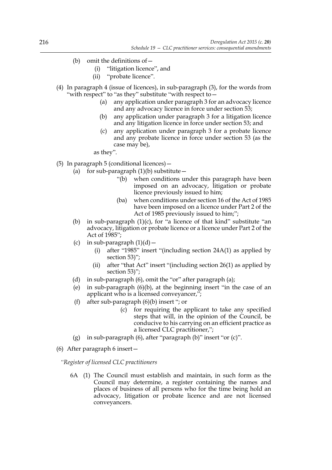- (b) omit the definitions of  $-$ 
	- (i) "litigation licence", and
	- (ii) "probate licence".
- (4) In paragraph 4 (issue of licences), in sub-paragraph (3), for the words from "with respect" to "as they" substitute "with respect to—
	- (a) any application under paragraph 3 for an advocacy licence and any advocacy licence in force under section 53;
	- (b) any application under paragraph 3 for a litigation licence and any litigation licence in force under section 53; and
	- (c) any application under paragraph 3 for a probate licence and any probate licence in force under section 53 (as the case may be),

as they".

- (5) In paragraph 5 (conditional licences)—
	- (a) for sub-paragraph  $(1)(b)$  substitute
		- "(b) when conditions under this paragraph have been imposed on an advocacy, litigation or probate licence previously issued to him;
		- (ba) when conditions under section 16 of the Act of 1985 have been imposed on a licence under Part 2 of the Act of 1985 previously issued to him;";
	- (b) in sub-paragraph  $(1)(c)$ , for "a licence of that kind" substitute "an advocacy, litigation or probate licence or a licence under Part 2 of the Act of 1985";
	- (c) in sub-paragraph  $(1)(d)$ 
		- (i) after "1985" insert "(including section 24A(1) as applied by section 53)";
		- (ii) after "that Act" insert "(including section 26(1) as applied by section 53)";
	- (d) in sub-paragraph (6), omit the "or" after paragraph (a);
	- (e) in sub-paragraph (6)(b), at the beginning insert "in the case of an applicant who is a licensed conveyancer,";
	- (f) after sub-paragraph (6)(b) insert "; or
		- (c) for requiring the applicant to take any specified steps that will, in the opinion of the Council, be conducive to his carrying on an efficient practice as a licensed CLC practitioner,";
	- (g) in sub-paragraph  $(6)$ , after "paragraph  $(b)$ " insert "or  $(c)$ ".
- (6) After paragraph 6 insert—

*"Register of licensed CLC practitioners*

6A (1) The Council must establish and maintain, in such form as the Council may determine, a register containing the names and places of business of all persons who for the time being hold an advocacy, litigation or probate licence and are not licensed conveyancers.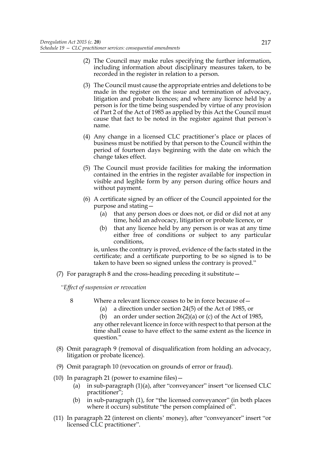- (2) The Council may make rules specifying the further information, including information about disciplinary measures taken, to be recorded in the register in relation to a person.
- (3) The Council must cause the appropriate entries and deletions to be made in the register on the issue and termination of advocacy, litigation and probate licences; and where any licence held by a person is for the time being suspended by virtue of any provision of Part 2 of the Act of 1985 as applied by this Act the Council must cause that fact to be noted in the register against that person's name.
- (4) Any change in a licensed CLC practitioner's place or places of business must be notified by that person to the Council within the period of fourteen days beginning with the date on which the change takes effect.
- (5) The Council must provide facilities for making the information contained in the entries in the register available for inspection in visible and legible form by any person during office hours and without payment.
- (6) A certificate signed by an officer of the Council appointed for the purpose and stating—
	- (a) that any person does or does not, or did or did not at any time, hold an advocacy, litigation or probate licence, or
	- (b) that any licence held by any person is or was at any time either free of conditions or subject to any particular conditions,

is, unless the contrary is proved, evidence of the facts stated in the certificate; and a certificate purporting to be so signed is to be taken to have been so signed unless the contrary is proved."

(7) For paragraph 8 and the cross-heading preceding it substitute—

*"Effect of suspension or revocation*

- 8 Where a relevant licence ceases to be in force because of—
	- (a) a direction under section 24(5) of the Act of 1985, or
	- (b) an order under section 26(2)(a) or (c) of the Act of 1985,

any other relevant licence in force with respect to that person at the time shall cease to have effect to the same extent as the licence in question."

- (8) Omit paragraph 9 (removal of disqualification from holding an advocacy, litigation or probate licence).
- (9) Omit paragraph 10 (revocation on grounds of error or fraud).
- (10) In paragraph 21 (power to examine files)—
	- (a) in sub-paragraph (1)(a), after "conveyancer" insert "or licensed CLC practitioner";
	- (b) in sub-paragraph (1), for "the licensed conveyancer" (in both places where it occurs) substitute "the person complained of".
- (11) In paragraph 22 (interest on clients' money), after "conveyancer" insert "or licensed CLC practitioner".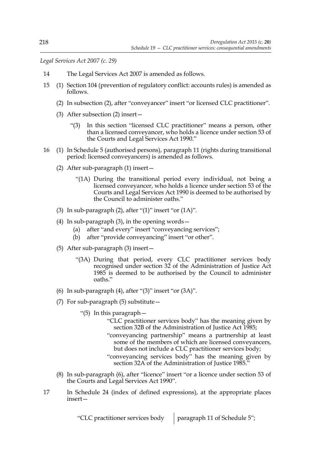*Legal Services Act 2007 (c. 29)*

- 14 The Legal Services Act 2007 is amended as follows.
- 15 (1) Section 104 (prevention of regulatory conflict: accounts rules) is amended as follows.
	- (2) In subsection (2), after "conveyancer" insert "or licensed CLC practitioner".
	- (3) After subsection (2) insert—
		- "(3) In this section "licensed CLC practitioner" means a person, other than a licensed conveyancer, who holds a licence under section 53 of the Courts and Legal Services Act 1990."
- 16 (1) In Schedule 5 (authorised persons), paragraph 11 (rights during transitional period: licensed conveyancers) is amended as follows.
	- (2) After sub-paragraph (1) insert—
		- "(1A) During the transitional period every individual, not being a licensed conveyancer, who holds a licence under section 53 of the Courts and Legal Services Act 1990 is deemed to be authorised by the Council to administer oaths."
	- (3) In sub-paragraph  $(2)$ , after " $(1)$ " insert "or  $(1A)$ ".
	- (4) In sub-paragraph (3), in the opening words—
		- (a) after "and every" insert "conveyancing services";
		- (b) after "provide conveyancing" insert "or other".
	- (5) After sub-paragraph (3) insert—
		- "(3A) During that period, every CLC practitioner services body recognised under section 32 of the Administration of Justice Act 1985 is deemed to be authorised by the Council to administer oaths."
	- (6) In sub-paragraph  $(4)$ , after " $(3)$ " insert "or  $(3A)$ ".
	- (7) For sub-paragraph (5) substitute—
		- "(5) In this paragraph—
			- "CLC practitioner services body" has the meaning given by section 32B of the Administration of Justice Act 1985;
			- "conveyancing partnership" means a partnership at least some of the members of which are licensed conveyancers, but does not include a CLC practitioner services body;
			- "conveyancing services body" has the meaning given by section 32A of the Administration of Justice 1985."
	- (8) In sub-paragraph (6), after "licence" insert "or a licence under section 53 of the Courts and Legal Services Act 1990".
- 17 In Schedule 24 (index of defined expressions), at the appropriate places insert—

"CLC practitioner services body | paragraph 11 of Schedule 5";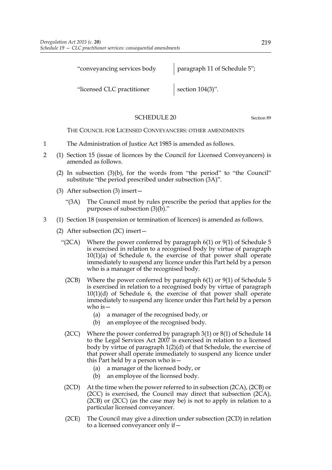"conveyancing services body paragraph 11 of Schedule 5";

"licensed CLC practitioner section 104(3)".

# SCHEDULE 20 Section 89

THE COUNCIL FOR LICENSED CONVEYANCERS: OTHER AMENDMENTS

- 1 The Administration of Justice Act 1985 is amended as follows.
- 2 (1) Section 15 (issue of licences by the Council for Licensed Conveyancers) is amended as follows.
	- (2) In subsection  $(3)(b)$ , for the words from "the period" to "the Council" substitute "the period prescribed under subsection (3A)".
	- (3) After subsection (3) insert—
		- "(3A) The Council must by rules prescribe the period that applies for the purposes of subsection (3)(b)."
- 3 (1) Section 18 (suspension or termination of licences) is amended as follows.
	- (2) After subsection (2C) insert—
		- "( $2CA$ ) Where the power conferred by paragraph  $6(1)$  or  $9(1)$  of Schedule 5 is exercised in relation to a recognised body by virtue of paragraph 10(1)(a) of Schedule 6, the exercise of that power shall operate immediately to suspend any licence under this Part held by a person who is a manager of the recognised body.
			- (2CB) Where the power conferred by paragraph 6(1) or 9(1) of Schedule 5 is exercised in relation to a recognised body by virtue of paragraph 10(1)(d) of Schedule 6, the exercise of that power shall operate immediately to suspend any licence under this Part held by a person who is—
				- (a) a manager of the recognised body, or
				- (b) an employee of the recognised body.
		- (2CC) Where the power conferred by paragraph 3(1) or 8(1) of Schedule 14 to the Legal Services Act 2007 is exercised in relation to a licensed body by virtue of paragraph 1(2)(d) of that Schedule, the exercise of that power shall operate immediately to suspend any licence under this Part held by a person who is—
			- (a) a manager of the licensed body, or
			- (b) an employee of the licensed body.
		- (2CD) At the time when the power referred to in subsection (2CA), (2CB) or (2CC) is exercised, the Council may direct that subsection (2CA), (2CB) or (2CC) (as the case may be) is not to apply in relation to a particular licensed conveyancer.
		- (2CE) The Council may give a direction under subsection (2CD) in relation to a licensed conveyancer only if—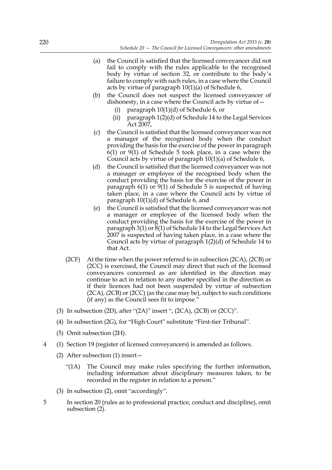- (a) the Council is satisfied that the licensed conveyancer did not fail to comply with the rules applicable to the recognised body by virtue of section 32, or contribute to the body's failure to comply with such rules, in a case where the Council acts by virtue of paragraph 10(1)(a) of Schedule 6,
- (b) the Council does not suspect the licensed conveyancer of dishonesty, in a case where the Council acts by virtue of—
	- (i) paragraph 10(1)(d) of Schedule 6, or
	- (ii) paragraph 1(2)(d) of Schedule 14 to the Legal Services Act 2007,
- (c) the Council is satisfied that the licensed conveyancer was not a manager of the recognised body when the conduct providing the basis for the exercise of the power in paragraph 6(1) or 9(1) of Schedule 5 took place, in a case where the Council acts by virtue of paragraph 10(1)(a) of Schedule 6,
- (d) the Council is satisfied that the licensed conveyancer was not a manager or employee of the recognised body when the conduct providing the basis for the exercise of the power in paragraph 6(1) or 9(1) of Schedule 5 is suspected of having taken place, in a case where the Council acts by virtue of paragraph 10(1)(d) of Schedule 6, and
- (e) the Council is satisfied that the licensed conveyancer was not a manager or employee of the licensed body when the conduct providing the basis for the exercise of the power in paragraph  $3(1)$  or  $8(1)$  of Schedule 14 to the Legal Services Act 2007 is suspected of having taken place, in a case where the Council acts by virtue of paragraph 1(2)(d) of Schedule 14 to that Act.
- (2CF) At the time when the power referred to in subsection (2CA), (2CB) or (2CC) is exercised, the Council may direct that such of the licensed conveyancers concerned as are identified in the direction may continue to act in relation to any matter specified in the direction as if their licences had not been suspended by virtue of subsection (2CA), (2CB) or (2CC) (as the case may be), subject to such conditions (if any) as the Council sees fit to impose."
- (3) In subsection (2D), after "(2A)" insert ", (2CA), (2CB) or (2CC)".
- (4) In subsection (2G), for "High Court" substitute "First-tier Tribunal".
- (5) Omit subsection (2H).
- 4 (1) Section 19 (register of licensed conveyancers) is amended as follows.
	- (2) After subsection (1) insert—
		- "(1A) The Council may make rules specifying the further information, including information about disciplinary measures taken, to be recorded in the register in relation to a person."
	- (3) In subsection (2), omit "accordingly".
- 5 In section 20 (rules as to professional practice, conduct and discipline), omit subsection (2).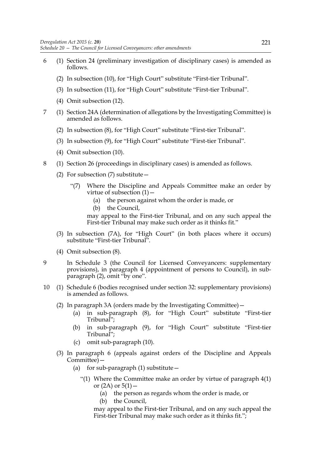- 6 (1) Section 24 (preliminary investigation of disciplinary cases) is amended as follows.
	- (2) In subsection (10), for "High Court" substitute "First-tier Tribunal".
	- (3) In subsection (11), for "High Court" substitute "First-tier Tribunal".
	- (4) Omit subsection (12).
- 7 (1) Section 24A (determination of allegations by the Investigating Committee) is amended as follows.
	- (2) In subsection (8), for "High Court" substitute "First-tier Tribunal".
	- (3) In subsection (9), for "High Court" substitute "First-tier Tribunal".
	- (4) Omit subsection (10).
- 8 (1) Section 26 (proceedings in disciplinary cases) is amended as follows.
	- (2) For subsection (7) substitute—
		- "(7) Where the Discipline and Appeals Committee make an order by virtue of subsection (1)—
			- (a) the person against whom the order is made, or
			- (b) the Council,

may appeal to the First-tier Tribunal, and on any such appeal the First-tier Tribunal may make such order as it thinks fit."

- (3) In subsection (7A), for "High Court" (in both places where it occurs) substitute "First-tier Tribunal".
- (4) Omit subsection (8).
- 9 In Schedule 3 (the Council for Licensed Conveyancers: supplementary provisions), in paragraph 4 (appointment of persons to Council), in subparagraph (2), omit "by one".
- 10 (1) Schedule 6 (bodies recognised under section 32: supplementary provisions) is amended as follows.
	- (2) In paragraph 3A (orders made by the Investigating Committee)—
		- (a) in sub-paragraph (8), for "High Court" substitute "First-tier Tribunal";
		- (b) in sub-paragraph (9), for "High Court" substitute "First-tier Tribunal":
		- (c) omit sub-paragraph (10).
	- (3) In paragraph 6 (appeals against orders of the Discipline and Appeals Committee)—
		- (a) for sub-paragraph  $(1)$  substitute  $-$ 
			- "(1) Where the Committee make an order by virtue of paragraph 4(1) or  $(2A)$  or  $5(1)$  –
				- (a) the person as regards whom the order is made, or
				- (b) the Council.

may appeal to the First-tier Tribunal, and on any such appeal the First-tier Tribunal may make such order as it thinks fit.";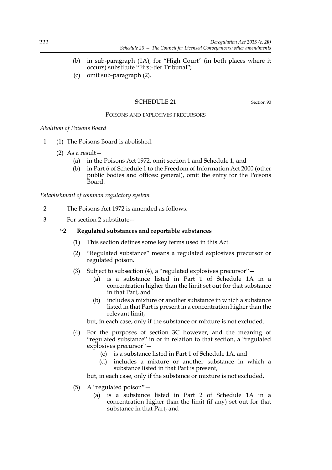- (b) in sub-paragraph (1A), for "High Court" (in both places where it occurs) substitute "First-tier Tribunal";
- (c) omit sub-paragraph (2).

# SCHEDULE 21 Section 90

# POISONS AND EXPLOSIVES PRECURSORS

# *Abolition of Poisons Board*

- 1 (1) The Poisons Board is abolished.
	- (2) As a result—
		- (a) in the Poisons Act 1972, omit section 1 and Schedule 1, and
		- (b) in Part 6 of Schedule 1 to the Freedom of Information Act 2000 (other public bodies and offices: general), omit the entry for the Poisons Board.

*Establishment of common regulatory system*

- 2 The Poisons Act 1972 is amended as follows.
- 3 For section 2 substitute—

# **"2 Regulated substances and reportable substances**

- (1) This section defines some key terms used in this Act.
- (2) "Regulated substance" means a regulated explosives precursor or regulated poison.
- (3) Subject to subsection (4), a "regulated explosives precursor"—
	- (a) is a substance listed in Part 1 of Schedule 1A in a concentration higher than the limit set out for that substance in that Part, and
	- (b) includes a mixture or another substance in which a substance listed in that Part is present in a concentration higher than the relevant limit,

but, in each case, only if the substance or mixture is not excluded.

- (4) For the purposes of section 3C however, and the meaning of "regulated substance" in or in relation to that section, a "regulated explosives precursor"—
	- (c) is a substance listed in Part 1 of Schedule 1A, and
	- (d) includes a mixture or another substance in which a substance listed in that Part is present,

but, in each case, only if the substance or mixture is not excluded.

- (5) A "regulated poison"—
	- (a) is a substance listed in Part 2 of Schedule 1A in a concentration higher than the limit (if any) set out for that substance in that Part, and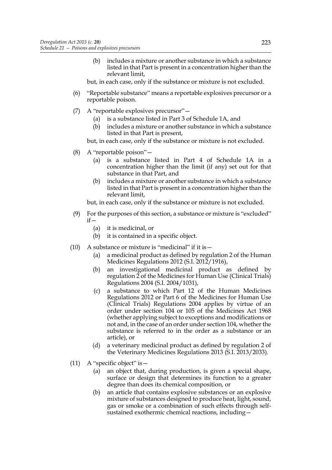(b) includes a mixture or another substance in which a substance listed in that Part is present in a concentration higher than the relevant limit,

but, in each case, only if the substance or mixture is not excluded.

- (6) "Reportable substance" means a reportable explosives precursor or a reportable poison.
- (7) A "reportable explosives precursor"—
	- (a) is a substance listed in Part 3 of Schedule 1A, and
	- (b) includes a mixture or another substance in which a substance listed in that Part is present,

but, in each case, only if the substance or mixture is not excluded.

- (8) A "reportable poison"—
	- (a) is a substance listed in Part 4 of Schedule 1A in a concentration higher than the limit (if any) set out for that substance in that Part, and
	- (b) includes a mixture or another substance in which a substance listed in that Part is present in a concentration higher than the relevant limit,

but, in each case, only if the substance or mixture is not excluded.

- (9) For the purposes of this section, a substance or mixture is "excluded" if—
	- (a) it is medicinal, or
	- (b) it is contained in a specific object.
- (10) A substance or mixture is "medicinal" if it is  $-$ 
	- (a) a medicinal product as defined by regulation 2 of the Human Medicines Regulations 2012 (S.I. 2012/1916),
	- (b) an investigational medicinal product as defined by regulation 2 of the Medicines for Human Use (Clinical Trials) Regulations 2004 (S.I. 2004/1031),
	- (c) a substance to which Part 12 of the Human Medicines Regulations 2012 or Part 6 of the Medicines for Human Use (Clinical Trials) Regulations 2004 applies by virtue of an order under section 104 or 105 of the Medicines Act 1968 (whether applying subject to exceptions and modifications or not and, in the case of an order under section 104, whether the substance is referred to in the order as a substance or an article), or
	- (d) a veterinary medicinal product as defined by regulation 2 of the Veterinary Medicines Regulations 2013 (S.I. 2013/2033).
- (11) A "specific object" is  $-$ 
	- (a) an object that, during production, is given a special shape, surface or design that determines its function to a greater degree than does its chemical composition, or
	- (b) an article that contains explosive substances or an explosive mixture of substances designed to produce heat, light, sound, gas or smoke or a combination of such effects through selfsustained exothermic chemical reactions, including—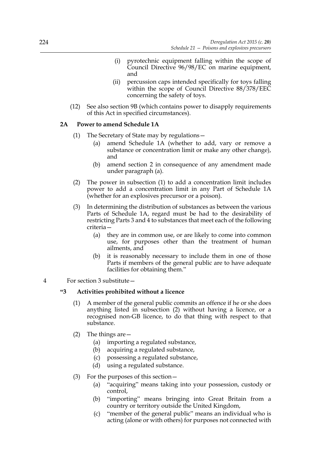- (i) pyrotechnic equipment falling within the scope of Council Directive 96/98/EC on marine equipment, and
- (ii) percussion caps intended specifically for toys falling within the scope of Council Directive 88/378/EEC concerning the safety of toys.
- (12) See also section 9B (which contains power to disapply requirements of this Act in specified circumstances).

# **2A Power to amend Schedule 1A**

- (1) The Secretary of State may by regulations—
	- (a) amend Schedule 1A (whether to add, vary or remove a substance or concentration limit or make any other change), and
	- (b) amend section 2 in consequence of any amendment made under paragraph (a).
- (2) The power in subsection (1) to add a concentration limit includes power to add a concentration limit in any Part of Schedule 1A (whether for an explosives precursor or a poison).
- (3) In determining the distribution of substances as between the various Parts of Schedule 1A, regard must be had to the desirability of restricting Parts 3 and 4 to substances that meet each of the following criteria—
	- (a) they are in common use, or are likely to come into common use, for purposes other than the treatment of human ailments, and
	- (b) it is reasonably necessary to include them in one of those Parts if members of the general public are to have adequate facilities for obtaining them."
- 4 For section 3 substitute—

# **"3 Activities prohibited without a licence**

- (1) A member of the general public commits an offence if he or she does anything listed in subsection (2) without having a licence, or a recognised non-GB licence, to do that thing with respect to that substance.
- (2) The things are—
	- (a) importing a regulated substance,
	- (b) acquiring a regulated substance,
	- (c) possessing a regulated substance,
	- (d) using a regulated substance.
- (3) For the purposes of this section—
	- (a) "acquiring" means taking into your possession, custody or control,
	- (b) "importing" means bringing into Great Britain from a country or territory outside the United Kingdom,
	- (c) "member of the general public" means an individual who is acting (alone or with others) for purposes not connected with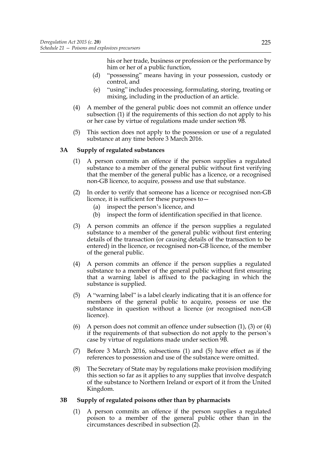his or her trade, business or profession or the performance by him or her of a public function,

- (d) "possessing" means having in your possession, custody or control, and
- (e) "using" includes processing, formulating, storing, treating or mixing, including in the production of an article.
- (4) A member of the general public does not commit an offence under subsection (1) if the requirements of this section do not apply to his or her case by virtue of regulations made under section 9B.
- (5) This section does not apply to the possession or use of a regulated substance at any time before 3 March 2016.

# **3A Supply of regulated substances**

- (1) A person commits an offence if the person supplies a regulated substance to a member of the general public without first verifying that the member of the general public has a licence, or a recognised non-GB licence, to acquire, possess and use that substance.
- (2) In order to verify that someone has a licence or recognised non-GB licence, it is sufficient for these purposes to—
	- (a) inspect the person's licence, and
	- (b) inspect the form of identification specified in that licence.
- (3) A person commits an offence if the person supplies a regulated substance to a member of the general public without first entering details of the transaction (or causing details of the transaction to be entered) in the licence, or recognised non-GB licence, of the member of the general public.
- (4) A person commits an offence if the person supplies a regulated substance to a member of the general public without first ensuring that a warning label is affixed to the packaging in which the substance is supplied.
- (5) A "warning label" is a label clearly indicating that it is an offence for members of the general public to acquire, possess or use the substance in question without a licence (or recognised non-GB licence).
- (6) A person does not commit an offence under subsection  $(1)$ ,  $(3)$  or  $(4)$ if the requirements of that subsection do not apply to the person's case by virtue of regulations made under section 9B.
- (7) Before 3 March 2016, subsections (1) and (5) have effect as if the references to possession and use of the substance were omitted.
- (8) The Secretary of State may by regulations make provision modifying this section so far as it applies to any supplies that involve despatch of the substance to Northern Ireland or export of it from the United Kingdom.

# **3B Supply of regulated poisons other than by pharmacists**

(1) A person commits an offence if the person supplies a regulated poison to a member of the general public other than in the circumstances described in subsection (2).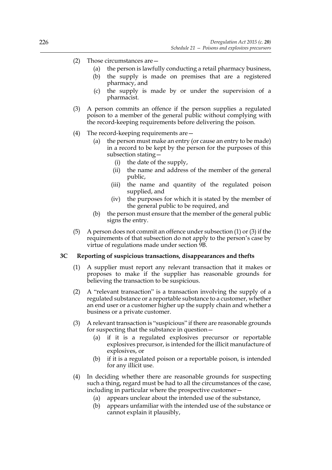- (2) Those circumstances are—
	- (a) the person is lawfully conducting a retail pharmacy business,
	- (b) the supply is made on premises that are a registered pharmacy, and
	- (c) the supply is made by or under the supervision of a pharmacist.
- (3) A person commits an offence if the person supplies a regulated poison to a member of the general public without complying with the record-keeping requirements before delivering the poison.
- (4) The record-keeping requirements are—
	- (a) the person must make an entry (or cause an entry to be made) in a record to be kept by the person for the purposes of this subsection stating—
		- (i) the date of the supply,
		- (ii) the name and address of the member of the general public,
		- (iii) the name and quantity of the regulated poison supplied, and
		- (iv) the purposes for which it is stated by the member of the general public to be required, and
	- (b) the person must ensure that the member of the general public signs the entry.
- (5) A person does not commit an offence under subsection (1) or (3) if the requirements of that subsection do not apply to the person's case by virtue of regulations made under section 9B.

# **3C Reporting of suspicious transactions, disappearances and thefts**

- (1) A supplier must report any relevant transaction that it makes or proposes to make if the supplier has reasonable grounds for believing the transaction to be suspicious.
- (2) A "relevant transaction" is a transaction involving the supply of a regulated substance or a reportable substance to a customer, whether an end user or a customer higher up the supply chain and whether a business or a private customer.
- (3) A relevant transaction is "suspicious" if there are reasonable grounds for suspecting that the substance in question—
	- (a) if it is a regulated explosives precursor or reportable explosives precursor, is intended for the illicit manufacture of explosives, or
	- (b) if it is a regulated poison or a reportable poison, is intended for any illicit use.
- (4) In deciding whether there are reasonable grounds for suspecting such a thing, regard must be had to all the circumstances of the case, including in particular where the prospective customer—
	- (a) appears unclear about the intended use of the substance,
	- (b) appears unfamiliar with the intended use of the substance or cannot explain it plausibly,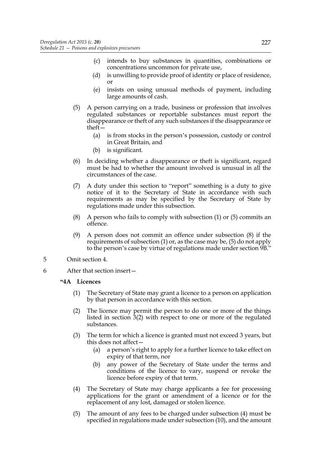- (c) intends to buy substances in quantities, combinations or concentrations uncommon for private use,
- (d) is unwilling to provide proof of identity or place of residence, or
- (e) insists on using unusual methods of payment, including large amounts of cash.
- (5) A person carrying on a trade, business or profession that involves regulated substances or reportable substances must report the disappearance or theft of any such substances if the disappearance or theft—
	- (a) is from stocks in the person's possession, custody or control in Great Britain, and
	- (b) is significant.
- (6) In deciding whether a disappearance or theft is significant, regard must be had to whether the amount involved is unusual in all the circumstances of the case.
- (7) A duty under this section to "report" something is a duty to give notice of it to the Secretary of State in accordance with such requirements as may be specified by the Secretary of State by regulations made under this subsection.
- (8) A person who fails to comply with subsection (1) or (5) commits an offence.
- (9) A person does not commit an offence under subsection (8) if the requirements of subsection (1) or, as the case may be, (5) do not apply to the person's case by virtue of regulations made under section 9B."
- 5 Omit section 4.
- 6 After that section insert—

# **"4A Licences**

- (1) The Secretary of State may grant a licence to a person on application by that person in accordance with this section.
- (2) The licence may permit the person to do one or more of the things listed in section 3(2) with respect to one or more of the regulated substances.
- (3) The term for which a licence is granted must not exceed 3 years, but this does not affect—
	- (a) a person's right to apply for a further licence to take effect on expiry of that term, nor
	- (b) any power of the Secretary of State under the terms and conditions of the licence to vary, suspend or revoke the licence before expiry of that term.
- (4) The Secretary of State may charge applicants a fee for processing applications for the grant or amendment of a licence or for the replacement of any lost, damaged or stolen licence.
- (5) The amount of any fees to be charged under subsection (4) must be specified in regulations made under subsection (10), and the amount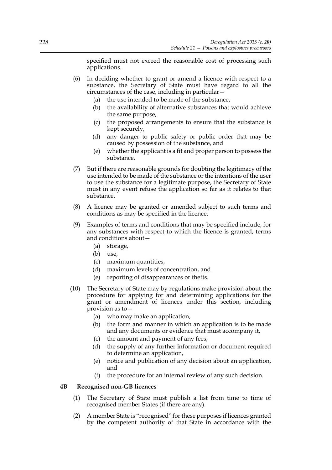specified must not exceed the reasonable cost of processing such applications.

- (6) In deciding whether to grant or amend a licence with respect to a substance, the Secretary of State must have regard to all the circumstances of the case, including in particular—
	- (a) the use intended to be made of the substance,
	- (b) the availability of alternative substances that would achieve the same purpose,
	- (c) the proposed arrangements to ensure that the substance is kept securely,
	- (d) any danger to public safety or public order that may be caused by possession of the substance, and
	- (e) whether the applicant is a fit and proper person to possess the substance.
- (7) But if there are reasonable grounds for doubting the legitimacy of the use intended to be made of the substance or the intentions of the user to use the substance for a legitimate purpose, the Secretary of State must in any event refuse the application so far as it relates to that substance.
- (8) A licence may be granted or amended subject to such terms and conditions as may be specified in the licence.
- (9) Examples of terms and conditions that may be specified include, for any substances with respect to which the licence is granted, terms and conditions about—
	- (a) storage,
	- (b) use,
	- (c) maximum quantities,
	- (d) maximum levels of concentration, and
	- (e) reporting of disappearances or thefts.
- (10) The Secretary of State may by regulations make provision about the procedure for applying for and determining applications for the grant or amendment of licences under this section, including provision as to—
	- (a) who may make an application,
	- (b) the form and manner in which an application is to be made and any documents or evidence that must accompany it,
	- (c) the amount and payment of any fees,
	- (d) the supply of any further information or document required to determine an application,
	- (e) notice and publication of any decision about an application, and
	- (f) the procedure for an internal review of any such decision.

# **4B Recognised non-GB licences**

- (1) The Secretary of State must publish a list from time to time of recognised member States (if there are any).
- (2) A member State is "recognised" for these purposes if licences granted by the competent authority of that State in accordance with the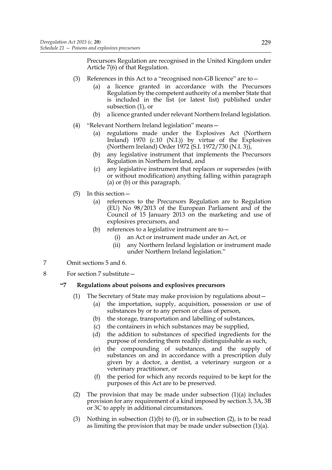Precursors Regulation are recognised in the United Kingdom under Article 7(6) of that Regulation.

- (3) References in this Act to a "recognised non-GB licence" are to—
	- (a) a licence granted in accordance with the Precursors Regulation by the competent authority of a member State that is included in the list (or latest list) published under subsection (1), or
	- (b) a licence granted under relevant Northern Ireland legislation.
- (4) "Relevant Northern Ireland legislation" means—
	- (a) regulations made under the Explosives Act (Northern Ireland) 1970 (c.10 (N.I.)) by virtue of the Explosives (Northern Ireland) Order 1972 (S.I. 1972/730 (N.I. 3)),
	- (b) any legislative instrument that implements the Precursors Regulation in Northern Ireland, and
	- (c) any legislative instrument that replaces or supersedes (with or without modification) anything falling within paragraph (a) or (b) or this paragraph.
- (5) In this section—
	- (a) references to the Precursors Regulation are to Regulation (EU) No 98/2013 of the European Parliament and of the Council of 15 January 2013 on the marketing and use of explosives precursors, and
	- (b) references to a legislative instrument are to—
		- (i) an Act or instrument made under an Act, or
		- (ii) any Northern Ireland legislation or instrument made under Northern Ireland legislation."
- 7 Omit sections 5 and 6.
- 8 For section 7 substitute—

# **"7 Regulations about poisons and explosives precursors**

- (1) The Secretary of State may make provision by regulations about—
	- (a) the importation, supply, acquisition, possession or use of substances by or to any person or class of person,
	- (b) the storage, transportation and labelling of substances,
	- (c) the containers in which substances may be supplied,
	- (d) the addition to substances of specified ingredients for the purpose of rendering them readily distinguishable as such,
	- (e) the compounding of substances, and the supply of substances on and in accordance with a prescription duly given by a doctor, a dentist, a veterinary surgeon or a veterinary practitioner, or
	- (f) the period for which any records required to be kept for the purposes of this Act are to be preserved.
- (2) The provision that may be made under subsection (1)(a) includes provision for any requirement of a kind imposed by section 3, 3A, 3B or 3C to apply in additional circumstances.
- (3) Nothing in subsection  $(1)(b)$  to  $(f)$ , or in subsection  $(2)$ , is to be read as limiting the provision that may be made under subsection (1)(a).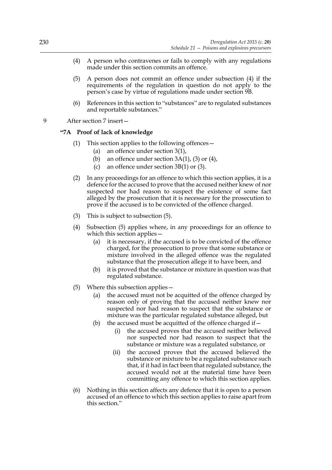- (4) A person who contravenes or fails to comply with any regulations made under this section commits an offence.
- (5) A person does not commit an offence under subsection (4) if the requirements of the regulation in question do not apply to the person's case by virtue of regulations made under section 9B.
- (6) References in this section to "substances" are to regulated substances and reportable substances."
- 9 After section 7 insert—

### **"7A Proof of lack of knowledge**

- (1) This section applies to the following offences—
	- (a) an offence under section 3(1),
	- (b) an offence under section  $3A(1)$ , (3) or (4),
	- (c) an offence under section 3B(1) or (3).
- (2) In any proceedings for an offence to which this section applies, it is a defence for the accused to prove that the accused neither knew of nor suspected nor had reason to suspect the existence of some fact alleged by the prosecution that it is necessary for the prosecution to prove if the accused is to be convicted of the offence charged.
- (3) This is subject to subsection (5).
- (4) Subsection (5) applies where, in any proceedings for an offence to which this section applies—
	- (a) it is necessary, if the accused is to be convicted of the offence charged, for the prosecution to prove that some substance or mixture involved in the alleged offence was the regulated substance that the prosecution allege it to have been, and
	- (b) it is proved that the substance or mixture in question was that regulated substance.
- (5) Where this subsection applies—
	- (a) the accused must not be acquitted of the offence charged by reason only of proving that the accused neither knew nor suspected nor had reason to suspect that the substance or mixture was the particular regulated substance alleged, but
	- (b) the accused must be acquitted of the offence charged if  $-$ 
		- (i) the accused proves that the accused neither believed nor suspected nor had reason to suspect that the substance or mixture was a regulated substance, or
		- (ii) the accused proves that the accused believed the substance or mixture to be a regulated substance such that, if it had in fact been that regulated substance, the accused would not at the material time have been committing any offence to which this section applies.
- (6) Nothing in this section affects any defence that it is open to a person accused of an offence to which this section applies to raise apart from this section."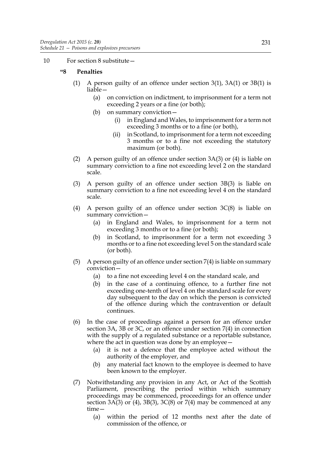10 For section 8 substitute—

# **"8 Penalties**

- (1) A person guilty of an offence under section 3(1), 3A(1) or 3B(1) is liable—
	- (a) on conviction on indictment, to imprisonment for a term not exceeding 2 years or a fine (or both);
	- (b) on summary conviction—
		- (i) in England and Wales, to imprisonment for a term not exceeding 3 months or to a fine (or both),
		- (ii) in Scotland, to imprisonment for a term not exceeding 3 months or to a fine not exceeding the statutory maximum (or both).
- (2) A person guilty of an offence under section  $3A(3)$  or (4) is liable on summary conviction to a fine not exceeding level 2 on the standard scale.
- (3) A person guilty of an offence under section 3B(3) is liable on summary conviction to a fine not exceeding level 4 on the standard scale.
- (4) A person guilty of an offence under section  $3C(8)$  is liable on summary conviction—
	- (a) in England and Wales, to imprisonment for a term not exceeding 3 months or to a fine (or both);
	- (b) in Scotland, to imprisonment for a term not exceeding 3 months or to a fine not exceeding level 5 on the standard scale (or both).
- (5) A person guilty of an offence under section 7(4) is liable on summary conviction—
	- (a) to a fine not exceeding level 4 on the standard scale, and
	- (b) in the case of a continuing offence, to a further fine not exceeding one-tenth of level 4 on the standard scale for every day subsequent to the day on which the person is convicted of the offence during which the contravention or default continues.
- (6) In the case of proceedings against a person for an offence under section 3A, 3B or 3C, or an offence under section 7(4) in connection with the supply of a regulated substance or a reportable substance, where the act in question was done by an employee -
	- (a) it is not a defence that the employee acted without the authority of the employer, and
	- (b) any material fact known to the employee is deemed to have been known to the employer.
- (7) Notwithstanding any provision in any Act, or Act of the Scottish Parliament, prescribing the period within which summary proceedings may be commenced, proceedings for an offence under section  $3A(3)$  or  $(4)$ ,  $3B(3)$ ,  $3C(8)$  or  $7(4)$  may be commenced at any time—
	- (a) within the period of 12 months next after the date of commission of the offence, or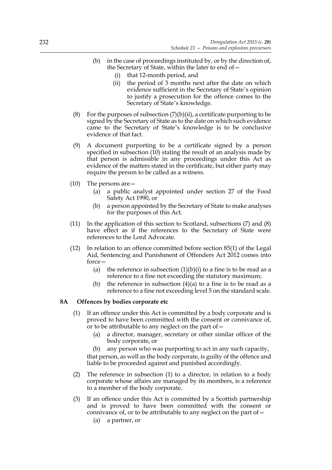- (b) in the case of proceedings instituted by, or by the direction of, the Secretary of State, within the later to end of—
	- (i) that 12-month period, and
	- (ii) the period of 3 months next after the date on which evidence sufficient in the Secretary of State's opinion to justify a prosecution for the offence comes to the Secretary of State's knowledge.
- (8) For the purposes of subsection  $(7)(b)(ii)$ , a certificate purporting to be signed by the Secretary of State as to the date on which such evidence came to the Secretary of State's knowledge is to be conclusive evidence of that fact.
- (9) A document purporting to be a certificate signed by a person specified in subsection (10) stating the result of an analysis made by that person is admissible in any proceedings under this Act as evidence of the matters stated in the certificate, but either party may require the person to be called as a witness.
- (10) The persons are—
	- (a) a public analyst appointed under section 27 of the Food Safety Act 1990, or
	- (b) a person appointed by the Secretary of State to make analyses for the purposes of this Act.
- (11) In the application of this section to Scotland, subsections (7) and (8) have effect as if the references to the Secretary of State were references to the Lord Advocate.
- (12) In relation to an offence committed before section 85(1) of the Legal Aid, Sentencing and Punishment of Offenders Act 2012 comes into force—
	- (a) the reference in subsection  $(1)(b)(i)$  to a fine is to be read as a reference to a fine not exceeding the statutory maximum;
	- (b) the reference in subsection  $(4)(a)$  to a fine is to be read as a reference to a fine not exceeding level 5 on the standard scale.

# **8A Offences by bodies corporate etc**

- (1) If an offence under this Act is committed by a body corporate and is proved to have been committed with the consent or connivance of, or to be attributable to any neglect on the part of  $-$ 
	- (a) a director, manager, secretary or other similar officer of the body corporate, or

(b) any person who was purporting to act in any such capacity, that person, as well as the body corporate, is guilty of the offence and liable to be proceeded against and punished accordingly.

- (2) The reference in subsection (1) to a director, in relation to a body corporate whose affairs are managed by its members, is a reference to a member of the body corporate.
- (3) If an offence under this Act is committed by a Scottish partnership and is proved to have been committed with the consent or connivance of, or to be attributable to any neglect on the part of  $-$ 
	- (a) a partner, or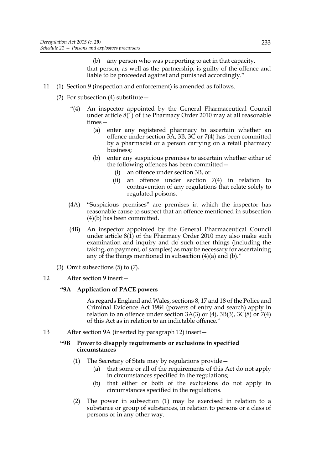(b) any person who was purporting to act in that capacity, that person, as well as the partnership, is guilty of the offence and liable to be proceeded against and punished accordingly."

- 11 (1) Section 9 (inspection and enforcement) is amended as follows.
	- (2) For subsection (4) substitute  $-$ 
		- "(4) An inspector appointed by the General Pharmaceutical Council under article 8(1) of the Pharmacy Order 2010 may at all reasonable times—
			- (a) enter any registered pharmacy to ascertain whether an offence under section 3A, 3B, 3C or 7(4) has been committed by a pharmacist or a person carrying on a retail pharmacy business;
			- (b) enter any suspicious premises to ascertain whether either of the following offences has been committed—
				- (i) an offence under section 3B, or
				- (ii) an offence under section 7(4) in relation to contravention of any regulations that relate solely to regulated poisons.
		- (4A) "Suspicious premises" are premises in which the inspector has reasonable cause to suspect that an offence mentioned in subsection (4)(b) has been committed.
		- (4B) An inspector appointed by the General Pharmaceutical Council under article 8(1) of the Pharmacy Order 2010 may also make such examination and inquiry and do such other things (including the taking, on payment, of samples) as may be necessary for ascertaining any of the things mentioned in subsection (4)(a) and (b)."
	- (3) Omit subsections (5) to (7).
- 12 After section 9 insert—

# **"9A Application of PACE powers**

 As regards England and Wales, sections 8, 17 and 18 of the Police and Criminal Evidence Act 1984 (powers of entry and search) apply in relation to an offence under section 3A(3) or  $(4)$ , 3B(3), 3C(8) or 7(4) of this Act as in relation to an indictable offence."

13 After section 9A (inserted by paragraph 12) insert—

### **"9B Power to disapply requirements or exclusions in specified circumstances**

- (1) The Secretary of State may by regulations provide—
	- (a) that some or all of the requirements of this Act do not apply in circumstances specified in the regulations;
	- (b) that either or both of the exclusions do not apply in circumstances specified in the regulations.
- (2) The power in subsection (1) may be exercised in relation to a substance or group of substances, in relation to persons or a class of persons or in any other way.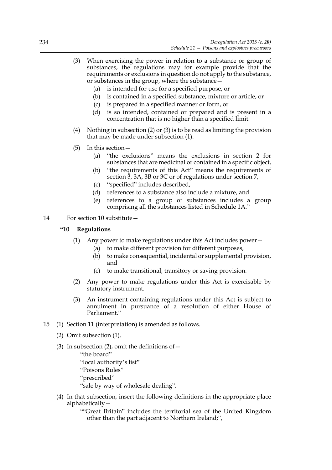- (3) When exercising the power in relation to a substance or group of substances, the regulations may for example provide that the requirements or exclusions in question do not apply to the substance, or substances in the group, where the substance—
	- (a) is intended for use for a specified purpose, or
	- (b) is contained in a specified substance, mixture or article, or
	- (c) is prepared in a specified manner or form, or
	- (d) is so intended, contained or prepared and is present in a concentration that is no higher than a specified limit.
- (4) Nothing in subsection (2) or (3) is to be read as limiting the provision that may be made under subsection (1).
- (5) In this section—
	- (a) "the exclusions" means the exclusions in section 2 for substances that are medicinal or contained in a specific object,
	- (b) "the requirements of this Act" means the requirements of section 3, 3A, 3B or 3C or of regulations under section 7,
	- (c) "specified" includes described,
	- (d) references to a substance also include a mixture, and
	- (e) references to a group of substances includes a group comprising all the substances listed in Schedule 1A."
- 14 For section 10 substitute—

### **"10 Regulations**

- (1) Any power to make regulations under this Act includes power—
	- (a) to make different provision for different purposes,
	- (b) to make consequential, incidental or supplemental provision, and
	- (c) to make transitional, transitory or saving provision.
- (2) Any power to make regulations under this Act is exercisable by statutory instrument.
- (3) An instrument containing regulations under this Act is subject to annulment in pursuance of a resolution of either House of Parliament."
- 15 (1) Section 11 (interpretation) is amended as follows.
	- (2) Omit subsection (1).
	- (3) In subsection (2), omit the definitions of  $-$ "the board" "local authority's list" "Poisons Rules" "prescribed" "sale by way of wholesale dealing".
	- (4) In that subsection, insert the following definitions in the appropriate place alphabetically—

""Great Britain" includes the territorial sea of the United Kingdom other than the part adjacent to Northern Ireland;",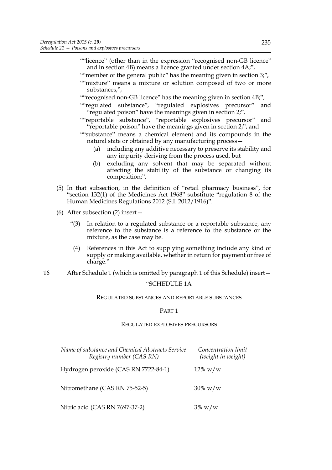- ""licence" (other than in the expression "recognised non-GB licence" and in section 4B) means a licence granted under section 4A;",
- "" member of the general public" has the meaning given in section 3;", ""mixture" means a mixture or solution composed of two or more substances;",
- "" recognised non-GB licence" has the meaning given in section 4B;",
- ""regulated substance", "regulated explosives precursor" and "regulated poison" have the meanings given in section 2;",
- ""reportable substance", "reportable explosives precursor" and "reportable poison" have the meanings given in section 2;", and
- ""substance" means a chemical element and its compounds in the natural state or obtained by any manufacturing process—
	- (a) including any additive necessary to preserve its stability and any impurity deriving from the process used, but
	- (b) excluding any solvent that may be separated without affecting the stability of the substance or changing its composition;".
- (5) In that subsection, in the definition of "retail pharmacy business", for "section 132(1) of the Medicines Act 1968" substitute "regulation 8 of the Human Medicines Regulations 2012 (S.I. 2012/1916)".
- (6) After subsection (2) insert—
	- "(3) In relation to a regulated substance or a reportable substance, any reference to the substance is a reference to the substance or the mixture, as the case may be.
	- (4) References in this Act to supplying something include any kind of supply or making available, whether in return for payment or free of charge."
- 16 After Schedule 1 (which is omitted by paragraph 1 of this Schedule) insert—

# "SCHEDULE 1A

#### REGULATED SUBSTANCES AND REPORTABLE SUBSTANCES

### PART 1

### REGULATED EXPLOSIVES PRECURSORS

| Name of substance and Chemical Abstracts Service<br>Registry number (CAS RN) | Concentration limit<br>(weight in weight) |
|------------------------------------------------------------------------------|-------------------------------------------|
| Hydrogen peroxide (CAS RN 7722-84-1)                                         | $12\% \text{ w/w}$                        |
| Nitromethane (CAS RN 75-52-5)                                                | $30\% \text{ w/w}$                        |
| Nitric acid (CAS RN 7697-37-2)                                               | $3\%$ w/w                                 |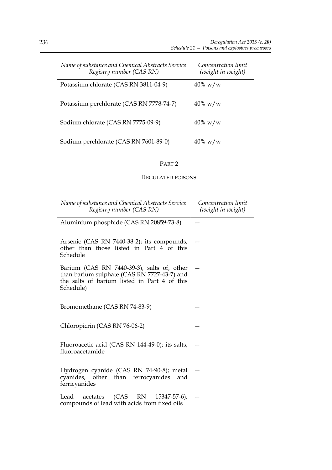| Name of substance and Chemical Abstracts Service<br>Registry number (CAS RN) | Concentration limit<br>(weight in weight) |
|------------------------------------------------------------------------------|-------------------------------------------|
| Potassium chlorate (CAS RN 3811-04-9)                                        | $40\% \text{ w/w}$                        |
| Potassium perchlorate (CAS RN 7778-74-7)                                     | $40\% \text{ w/w}$                        |
| Sodium chlorate (CAS RN 7775-09-9)                                           | $40\% \text{ w/w}$                        |
| Sodium perchlorate (CAS RN 7601-89-0)                                        | $40\% \text{ w/w}$                        |

# PART 2

# REGULATED POISONS

| Name of substance and Chemical Abstracts Service<br>Registry number (CAS RN)                                                                           | Concentration limit<br>(weight in weight) |
|--------------------------------------------------------------------------------------------------------------------------------------------------------|-------------------------------------------|
| Aluminium phosphide (CAS RN 20859-73-8)                                                                                                                |                                           |
| Arsenic (CAS RN 7440-38-2); its compounds,<br>other than those listed in Part 4 of this<br>Schedule                                                    |                                           |
| Barium (CAS RN 7440-39-3), salts of, other<br>than barium sulphate (CAS RN 7727-43-7) and<br>the salts of barium listed in Part 4 of this<br>Schedule) |                                           |
| Bromomethane (CAS RN 74-83-9)                                                                                                                          |                                           |
| Chloropicrin (CAS RN 76-06-2)                                                                                                                          |                                           |
| Fluoroacetic acid (CAS RN 144-49-0); its salts;<br>fluoroacetamide                                                                                     |                                           |
| Hydrogen cyanide (CAS RN 74-90-8); metal<br>cyanides, other than ferrocyanides<br>and<br>ferricyanides                                                 |                                           |
| acetates (CAS RN 15347-57-6);<br>Lead<br>compounds of lead with acids from fixed oils                                                                  |                                           |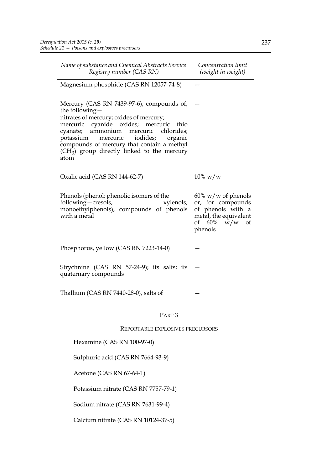| Name of substance and Chemical Abstracts Service<br>Registry number (CAS RN)                                                                                                                                                                                                                                                                       | Concentration limit<br>(weight in weight)                                                                               |
|----------------------------------------------------------------------------------------------------------------------------------------------------------------------------------------------------------------------------------------------------------------------------------------------------------------------------------------------------|-------------------------------------------------------------------------------------------------------------------------|
| Magnesium phosphide (CAS RN 12057-74-8)                                                                                                                                                                                                                                                                                                            |                                                                                                                         |
| Mercury (CAS RN 7439-97-6), compounds of,<br>the following-<br>nitrates of mercury; oxides of mercury;<br>mercuric cyanide oxides; mercuric thio<br>mercuric chlorides;<br>cyanate; ammonium<br>mercuric<br>iodides;<br>potassium<br>organic<br>compounds of mercury that contain a methyl<br>$(CH3)$ group directly linked to the mercury<br>atom |                                                                                                                         |
| Oxalic acid (CAS RN 144-62-7)                                                                                                                                                                                                                                                                                                                      | $10\% \text{ w/w}$                                                                                                      |
| Phenols (phenol; phenolic isomers of the<br>following – cresols,<br>xylenols,<br>monoethylphenols); compounds of phenols<br>with a metal                                                                                                                                                                                                           | $60\%$ w/w of phenols<br>or, for compounds<br>of phenols with a<br>metal, the equivalent<br>of $60\%$ w/w of<br>phenols |
| Phosphorus, yellow (CAS RN 7223-14-0)                                                                                                                                                                                                                                                                                                              |                                                                                                                         |
| Strychnine (CAS RN 57-24-9); its salts; its<br>quaternary compounds                                                                                                                                                                                                                                                                                |                                                                                                                         |
| Thallium (CAS RN 7440-28-0), salts of                                                                                                                                                                                                                                                                                                              |                                                                                                                         |

# PART 3

REPORTABLE EXPLOSIVES PRECURSORS

Hexamine (CAS RN 100-97-0)

Sulphuric acid (CAS RN 7664-93-9)

Acetone (CAS RN 67-64-1)

Potassium nitrate (CAS RN 7757-79-1)

Sodium nitrate (CAS RN 7631-99-4)

Calcium nitrate (CAS RN 10124-37-5)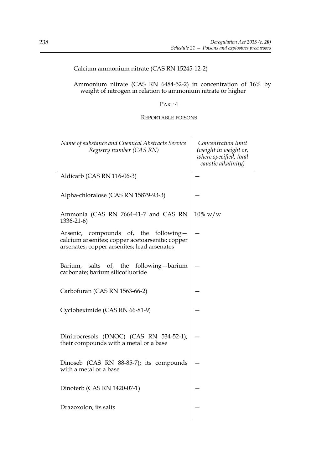# Calcium ammonium nitrate (CAS RN 15245-12-2)

### Ammonium nitrate (CAS RN 6484-52-2) in concentration of 16% by weight of nitrogen in relation to ammonium nitrate or higher

# PART 4

### REPORTABLE POISONS

| Name of substance and Chemical Abstracts Service<br>Registry number (CAS RN)                                                            | Concentration limit<br>(weight in weight or,<br>where specified, total<br>caustic alkalinity) |
|-----------------------------------------------------------------------------------------------------------------------------------------|-----------------------------------------------------------------------------------------------|
| Aldicarb (CAS RN 116-06-3)                                                                                                              |                                                                                               |
| Alpha-chloralose (CAS RN 15879-93-3)                                                                                                    |                                                                                               |
| Ammonia (CAS RN 7664-41-7 and CAS RN<br>$1336 - 21 - 6$                                                                                 | $10\% \text{ w/w}$                                                                            |
| Arsenic, compounds of, the following-<br>calcium arsenites; copper acetoarsenite; copper<br>arsenates; copper arsenites; lead arsenates |                                                                                               |
| salts<br>of, the following-barium<br>Barium,<br>carbonate; barium silicofluoride                                                        |                                                                                               |
| Carbofuran (CAS RN 1563-66-2)                                                                                                           |                                                                                               |
| Cycloheximide (CAS RN 66-81-9)                                                                                                          |                                                                                               |
| Dinitrocresols (DNOC) (CAS RN 534-52-1);<br>their compounds with a metal or a base                                                      |                                                                                               |
| Dinoseb (CAS RN 88-85-7); its compounds<br>with a metal or a base                                                                       |                                                                                               |
| Dinoterb (CAS RN 1420-07-1)                                                                                                             |                                                                                               |
| Drazoxolon; its salts                                                                                                                   |                                                                                               |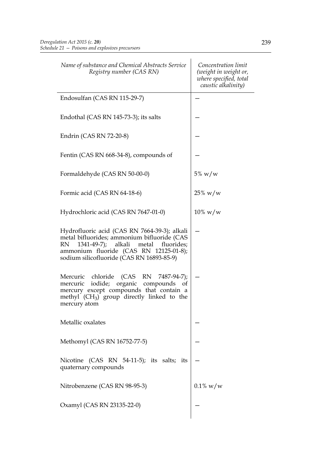| Name of substance and Chemical Abstracts Service<br>Registry number (CAS RN)                                                                                                                                                           | Concentration limit<br>(weight in weight or,<br>where specified, total<br>caustic alkalinity) |
|----------------------------------------------------------------------------------------------------------------------------------------------------------------------------------------------------------------------------------------|-----------------------------------------------------------------------------------------------|
| Endosulfan (CAS RN 115-29-7)                                                                                                                                                                                                           |                                                                                               |
| Endothal (CAS RN 145-73-3); its salts                                                                                                                                                                                                  |                                                                                               |
| Endrin (CAS RN 72-20-8)                                                                                                                                                                                                                |                                                                                               |
| Fentin (CAS RN 668-34-8), compounds of                                                                                                                                                                                                 |                                                                                               |
| Formaldehyde (CAS RN 50-00-0)                                                                                                                                                                                                          | $5\%~w/w$                                                                                     |
| Formic acid (CAS RN 64-18-6)                                                                                                                                                                                                           | $25\% \text{ w/w}$                                                                            |
| Hydrochloric acid (CAS RN 7647-01-0)                                                                                                                                                                                                   | $10\% \text{ w/w}$                                                                            |
| Hydrofluoric acid (CAS RN 7664-39-3); alkali<br>metal bifluorides; ammonium bifluoride (CAS<br>1341-49-7); alkali<br>RN.<br>metal<br>fluorides;<br>ammonium fluoride (CAS RN 12125-01-8);<br>sodium silicofluoride (CAS RN 16893-85-9) |                                                                                               |
| Mercuric chloride (CAS RN 7487-94-7);<br>mercuric iodide; organic compounds<br>of<br>mercury except compounds that contain a<br>methyl (CH <sub>3</sub> ) group directly linked to the<br>mercury atom                                 |                                                                                               |
| Metallic oxalates                                                                                                                                                                                                                      |                                                                                               |
| Methomyl (CAS RN 16752-77-5)                                                                                                                                                                                                           |                                                                                               |
| Nicotine (CAS RN 54-11-5); its salts; its<br>quaternary compounds                                                                                                                                                                      |                                                                                               |
| Nitrobenzene (CAS RN 98-95-3)                                                                                                                                                                                                          | $0.1\% \text{ w/w}$                                                                           |
| Oxamyl (CAS RN 23135-22-0)                                                                                                                                                                                                             |                                                                                               |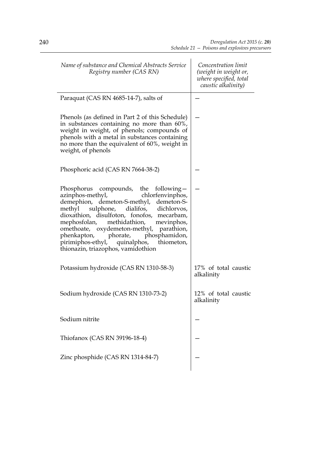| Name of substance and Chemical Abstracts Service<br>Registry number (CAS RN)                                                                                                                                                                                                                                                                                                                                                 | Concentration limit<br>(weight in weight or,<br>where specified, total<br>caustic alkalinity) |
|------------------------------------------------------------------------------------------------------------------------------------------------------------------------------------------------------------------------------------------------------------------------------------------------------------------------------------------------------------------------------------------------------------------------------|-----------------------------------------------------------------------------------------------|
| Paraquat (CAS RN 4685-14-7), salts of                                                                                                                                                                                                                                                                                                                                                                                        |                                                                                               |
| Phenols (as defined in Part 2 of this Schedule)<br>in substances containing no more than 60%,<br>weight in weight, of phenols; compounds of<br>phenols with a metal in substances containing<br>no more than the equivalent of 60%, weight in<br>weight, of phenols                                                                                                                                                          |                                                                                               |
| Phosphoric acid (CAS RN 7664-38-2)                                                                                                                                                                                                                                                                                                                                                                                           |                                                                                               |
| Phosphorus compounds, the following-<br>azinphos-methyl,<br>chlorfenvinphos,<br>demephion, demeton-S-methyl, demeton-S-<br>methyl sulphone, dialifos, dichlorvos,<br>dioxathion, disulfoton, fonofos, mecarbam,<br>mephosfolan, methidathion, mevinphos,<br>omethoate, oxydemeton-methyl, parathion,<br>phenkapton, phorate, phosphamidon,<br>pirimiphos-ethyl, quinalphos, thiometon,<br>thionazin, triazophos, vamidothion |                                                                                               |
| Potassium hydroxide (CAS RN 1310-58-3)                                                                                                                                                                                                                                                                                                                                                                                       | 17% of total caustic<br>alkalinity                                                            |
| Sodium hydroxide (CAS RN 1310-73-2)                                                                                                                                                                                                                                                                                                                                                                                          | 12% of total caustic<br>alkalinity                                                            |
| Sodium nitrite                                                                                                                                                                                                                                                                                                                                                                                                               |                                                                                               |
| Thiofanox (CAS RN 39196-18-4)                                                                                                                                                                                                                                                                                                                                                                                                |                                                                                               |
| Zinc phosphide (CAS RN 1314-84-7)                                                                                                                                                                                                                                                                                                                                                                                            |                                                                                               |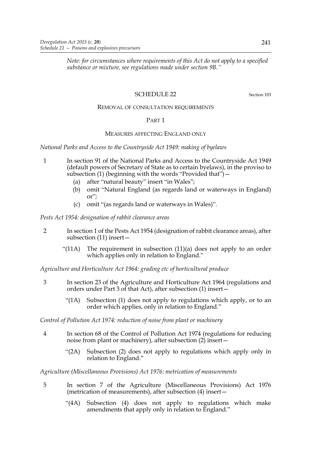*Note: for circumstances where requirements of this Act do not apply to a specified substance or mixture, see regulations made under section 9B."*

# SCHEDULE 22 Section 103

### REMOVAL OF CONSULTATION REQUIREMENTS

### PART 1

# MEASURES AFFECTING ENGLAND ONLY

*National Parks and Access to the Countryside Act 1949: making of byelaws*

- 1 In section 91 of the National Parks and Access to the Countryside Act 1949 (default powers of Secretary of State as to certain byelaws), in the proviso to subsection (1) (beginning with the words "Provided that")—
	- (a) after "natural beauty" insert "in Wales";
	- (b) omit "Natural England (as regards land or waterways in England) or";
	- (c) omit "(as regards land or waterways in Wales)".

*Pests Act 1954: designation of rabbit clearance areas*

- 2 In section 1 of the Pests Act 1954 (designation of rabbit clearance areas), after subsection (11) insert—
	- "(11A) The requirement in subsection (11)(a) does not apply to an order which applies only in relation to England."

*Agriculture and Horticulture Act 1964: grading etc of horticultural produce*

- 3 In section 23 of the Agriculture and Horticulture Act 1964 (regulations and orders under Part 3 of that Act), after subsection (1) insert—
	- "(1A) Subsection (1) does not apply to regulations which apply, or to an order which applies, only in relation to England."

*Control of Pollution Act 1974: reduction of noise from plant or machinery*

- 4 In section 68 of the Control of Pollution Act 1974 (regulations for reducing noise from plant or machinery), after subsection (2) insert—
	- "(2A) Subsection (2) does not apply to regulations which apply only in relation to England."

*Agriculture (Miscellaneous Provisions) Act 1976: metrication of measurements*

- 5 In section 7 of the Agriculture (Miscellaneous Provisions) Act 1976 (metrication of measurements), after subsection (4) insert—
	- "(4A) Subsection (4) does not apply to regulations which make amendments that apply only in relation to England."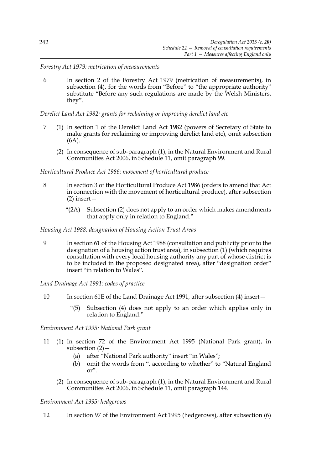*Forestry Act 1979: metrication of measurements*

6 In section 2 of the Forestry Act 1979 (metrication of measurements), in subsection (4), for the words from "Before" to "the appropriate authority" substitute "Before any such regulations are made by the Welsh Ministers, they".

*Derelict Land Act 1982: grants for reclaiming or improving derelict land etc*

- 7 (1) In section 1 of the Derelict Land Act 1982 (powers of Secretary of State to make grants for reclaiming or improving derelict land etc), omit subsection (6A).
	- (2) In consequence of sub-paragraph (1), in the Natural Environment and Rural Communities Act 2006, in Schedule 11, omit paragraph 99.

### *Horticultural Produce Act 1986: movement of horticultural produce*

- 8 In section 3 of the Horticultural Produce Act 1986 (orders to amend that Act in connection with the movement of horticultural produce), after subsection (2) insert—
	- "(2A) Subsection (2) does not apply to an order which makes amendments that apply only in relation to England."

### *Housing Act 1988: designation of Housing Action Trust Areas*

9 In section 61 of the Housing Act 1988 (consultation and publicity prior to the designation of a housing action trust area), in subsection (1) (which requires consultation with every local housing authority any part of whose district is to be included in the proposed designated area), after "designation order" insert "in relation to Wales".

*Land Drainage Act 1991: codes of practice*

- 10 In section 61E of the Land Drainage Act 1991, after subsection (4) insert—
	- "(5) Subsection (4) does not apply to an order which applies only in relation to England."

*Environment Act 1995: National Park grant*

- 11 (1) In section 72 of the Environment Act 1995 (National Park grant), in subsection  $(2)$  –
	- (a) after "National Park authority" insert "in Wales";
	- (b) omit the words from ", according to whether" to "Natural England or".
	- (2) In consequence of sub-paragraph (1), in the Natural Environment and Rural Communities Act 2006, in Schedule 11, omit paragraph 144.

# *Environment Act 1995: hedgerows*

12 In section 97 of the Environment Act 1995 (hedgerows), after subsection (6)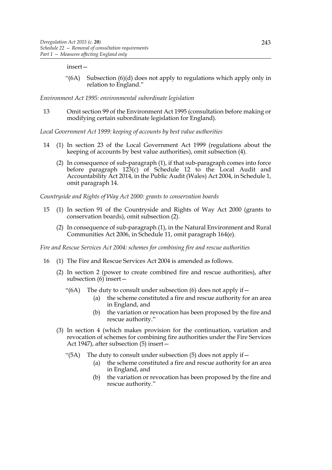#### insert—

"(6A) Subsection (6)(d) does not apply to regulations which apply only in relation to England."

*Environment Act 1995: environmental subordinate legislation*

13 Omit section 99 of the Environment Act 1995 (consultation before making or modifying certain subordinate legislation for England).

*Local Government Act 1999: keeping of accounts by best value authorities*

- 14 (1) In section 23 of the Local Government Act 1999 (regulations about the keeping of accounts by best value authorities), omit subsection (4).
	- (2) In consequence of sub-paragraph (1), if that sub-paragraph comes into force before paragraph 123(c) of Schedule 12 to the Local Audit and Accountability Act 2014, in the Public Audit (Wales) Act 2004, in Schedule 1, omit paragraph 14.

*Countryside and Rights of Way Act 2000: grants to conservation boards*

- 15 (1) In section 91 of the Countryside and Rights of Way Act 2000 (grants to conservation boards), omit subsection (2).
	- (2) In consequence of sub-paragraph (1), in the Natural Environment and Rural Communities Act 2006, in Schedule 11, omit paragraph 164(e).

*Fire and Rescue Services Act 2004: schemes for combining fire and rescue authorities*

- 16 (1) The Fire and Rescue Services Act 2004 is amended as follows.
	- (2) In section 2 (power to create combined fire and rescue authorities), after subsection  $(6)$  insert –
		- "(6A) The duty to consult under subsection (6) does not apply if  $-$ 
			- (a) the scheme constituted a fire and rescue authority for an area in England, and
			- (b) the variation or revocation has been proposed by the fire and rescue authority."
	- (3) In section 4 (which makes provision for the continuation, variation and revocation of schemes for combining fire authorities under the Fire Services Act 1947), after subsection (5) insert—
		- "(5A) The duty to consult under subsection (5) does not apply if  $-$ 
			- (a) the scheme constituted a fire and rescue authority for an area in England, and
			- (b) the variation or revocation has been proposed by the fire and rescue authority."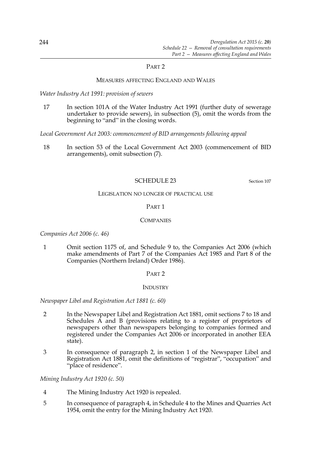### PART 2

### MEASURES AFFECTING ENGLAND AND WALES

*Water Industry Act 1991: provision of sewers*

17 In section 101A of the Water Industry Act 1991 (further duty of sewerage undertaker to provide sewers), in subsection (5), omit the words from the beginning to "and" in the closing words.

*Local Government Act 2003: commencement of BID arrangements following appeal*

18 In section 53 of the Local Government Act 2003 (commencement of BID arrangements), omit subsection (7).

# SCHEDULE 23 Section 107

#### LEGISLATION NO LONGER OF PRACTICAL USE

### PART 1

### **COMPANIES**

*Companies Act 2006 (c. 46)*

1 Omit section 1175 of, and Schedule 9 to, the Companies Act 2006 (which make amendments of Part 7 of the Companies Act 1985 and Part 8 of the Companies (Northern Ireland) Order 1986).

### PART 2

### **INDUSTRY**

*Newspaper Libel and Registration Act 1881 (c. 60)*

- 2 In the Newspaper Libel and Registration Act 1881, omit sections 7 to 18 and Schedules A and B (provisions relating to a register of proprietors of newspapers other than newspapers belonging to companies formed and registered under the Companies Act 2006 or incorporated in another EEA state).
- 3 In consequence of paragraph 2, in section 1 of the Newspaper Libel and Registration Act 1881, omit the definitions of "registrar", "occupation" and "place of residence".

*Mining Industry Act 1920 (c. 50)*

- 4 The Mining Industry Act 1920 is repealed.
- 5 In consequence of paragraph 4, in Schedule 4 to the Mines and Quarries Act 1954, omit the entry for the Mining Industry Act 1920.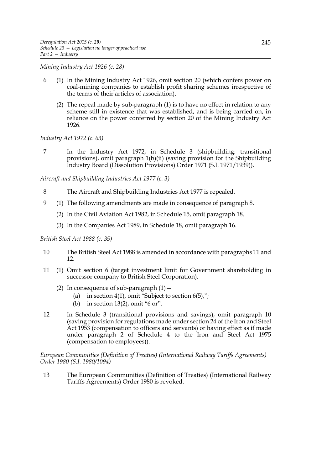*Mining Industry Act 1926 (c. 28)*

- 6 (1) In the Mining Industry Act 1926, omit section 20 (which confers power on coal-mining companies to establish profit sharing schemes irrespective of the terms of their articles of association).
	- (2) The repeal made by sub-paragraph (1) is to have no effect in relation to any scheme still in existence that was established, and is being carried on, in reliance on the power conferred by section 20 of the Mining Industry Act 1926.

*Industry Act 1972 (c. 63)*

7 In the Industry Act 1972, in Schedule 3 (shipbuilding: transitional provisions), omit paragraph  $1(b)(ii)$  (saving provision for the Shipbuilding Industry Board (Dissolution Provisions) Order 1971 (S.I. 1971/1939)).

*Aircraft and Shipbuilding Industries Act 1977 (c. 3)*

- 8 The Aircraft and Shipbuilding Industries Act 1977 is repealed.
- 9 (1) The following amendments are made in consequence of paragraph 8.
	- (2) In the Civil Aviation Act 1982, in Schedule 15, omit paragraph 18.
	- (3) In the Companies Act 1989, in Schedule 18, omit paragraph 16.

# *British Steel Act 1988 (c. 35)*

- 10 The British Steel Act 1988 is amended in accordance with paragraphs 11 and 12.
- 11 (1) Omit section 6 (target investment limit for Government shareholding in successor company to British Steel Corporation).
	- (2) In consequence of sub-paragraph  $(1)$  -
		- (a) in section  $4(1)$ , omit "Subject to section  $6(5)$ ,";
		- (b) in section 13(2), omit "6 or".
- 12 In Schedule 3 (transitional provisions and savings), omit paragraph 10 (saving provision for regulations made under section 24 of the Iron and Steel Act 1953 (compensation to officers and servants) or having effect as if made under paragraph 2 of Schedule 4 to the Iron and Steel Act 1975 (compensation to employees)).

*European Communities (Definition of Treaties) (International Railway Tariffs Agreements) Order 1980 (S.I. 1980/1094)*

13 The European Communities (Definition of Treaties) (International Railway Tariffs Agreements) Order 1980 is revoked.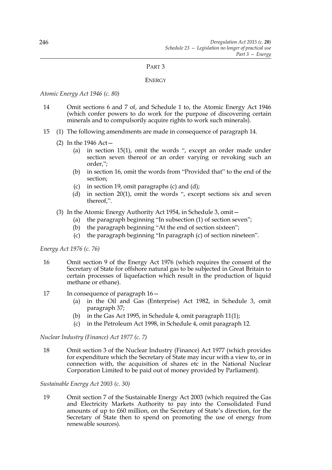### PART 3

### **ENERGY**

*Atomic Energy Act 1946 (c. 80)*

- 14 Omit sections 6 and 7 of, and Schedule 1 to, the Atomic Energy Act 1946 (which confer powers to do work for the purpose of discovering certain minerals and to compulsorily acquire rights to work such minerals).
- 15 (1) The following amendments are made in consequence of paragraph 14.
	- (2) In the 1946 Act—
		- (a) in section 15(1), omit the words ", except an order made under section seven thereof or an order varying or revoking such an order,";
		- (b) in section 16, omit the words from "Provided that" to the end of the section;
		- (c) in section 19, omit paragraphs (c) and (d);
		- (d) in section 20(1), omit the words ", except sections six and seven thereof,".
	- (3) In the Atomic Energy Authority Act 1954, in Schedule 3, omit—
		- (a) the paragraph beginning "In subsection (1) of section seven";
		- (b) the paragraph beginning "At the end of section sixteen";
		- (c) the paragraph beginning "In paragraph (c) of section nineteen".

*Energy Act 1976 (c. 76)*

- 16 Omit section 9 of the Energy Act 1976 (which requires the consent of the Secretary of State for offshore natural gas to be subjected in Great Britain to certain processes of liquefaction which result in the production of liquid methane or ethane).
- 17 In consequence of paragraph 16—
	- (a) in the Oil and Gas (Enterprise) Act 1982, in Schedule 3, omit paragraph 37;
	- (b) in the Gas Act 1995, in Schedule 4, omit paragraph 11(1);
	- (c) in the Petroleum Act 1998, in Schedule 4, omit paragraph 12.

*Nuclear Industry (Finance) Act 1977 (c. 7)*

18 Omit section 3 of the Nuclear Industry (Finance) Act 1977 (which provides for expenditure which the Secretary of State may incur with a view to, or in connection with, the acquisition of shares etc in the National Nuclear Corporation Limited to be paid out of money provided by Parliament).

# *Sustainable Energy Act 2003 (c. 30)*

19 Omit section 7 of the Sustainable Energy Act 2003 (which required the Gas and Electricity Markets Authority to pay into the Consolidated Fund amounts of up to £60 million, on the Secretary of State's direction, for the Secretary of State then to spend on promoting the use of energy from renewable sources).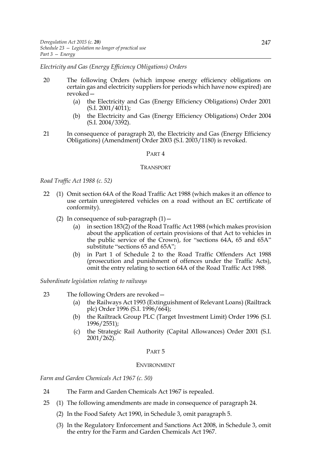*Electricity and Gas (Energy Efficiency Obligations) Orders*

- 20 The following Orders (which impose energy efficiency obligations on certain gas and electricity suppliers for periods which have now expired) are revoked—
	- (a) the Electricity and Gas (Energy Efficiency Obligations) Order 2001  $(S.I. 2001/4011);$
	- (b) the Electricity and Gas (Energy Efficiency Obligations) Order 2004  $(S.I. 2004/3392)$ .
- 21 In consequence of paragraph 20, the Electricity and Gas (Energy Efficiency Obligations) (Amendment) Order 2003 (S.I. 2003/1180) is revoked.

#### PART 4

#### TRANSPORT

*Road Traffic Act 1988 (c. 52)*

- 22 (1) Omit section 64A of the Road Traffic Act 1988 (which makes it an offence to use certain unregistered vehicles on a road without an EC certificate of conformity).
	- (2) In consequence of sub-paragraph  $(1)$  -
		- (a) in section 183(2) of the Road Traffic Act 1988 (which makes provision about the application of certain provisions of that Act to vehicles in the public service of the Crown), for "sections 64A, 65 and 65A" substitute "sections 65 and 65A";
		- (b) in Part 1 of Schedule 2 to the Road Traffic Offenders Act 1988 (prosecution and punishment of offences under the Traffic Acts), omit the entry relating to section 64A of the Road Traffic Act 1988.

*Subordinate legislation relating to railways*

- 23 The following Orders are revoked—
	- (a) the Railways Act 1993 (Extinguishment of Relevant Loans) (Railtrack plc) Order 1996 (S.I. 1996/664);
	- (b) the Railtrack Group PLC (Target Investment Limit) Order 1996 (S.I. 1996/2551);
	- (c) the Strategic Rail Authority (Capital Allowances) Order 2001 (S.I. 2001/262).

## PART 5

#### ENVIRONMENT

*Farm and Garden Chemicals Act 1967 (c. 50)*

- 24 The Farm and Garden Chemicals Act 1967 is repealed.
- 25 (1) The following amendments are made in consequence of paragraph 24.
	- (2) In the Food Safety Act 1990, in Schedule 3, omit paragraph 5.
	- (3) In the Regulatory Enforcement and Sanctions Act 2008, in Schedule 3, omit the entry for the Farm and Garden Chemicals Act 1967.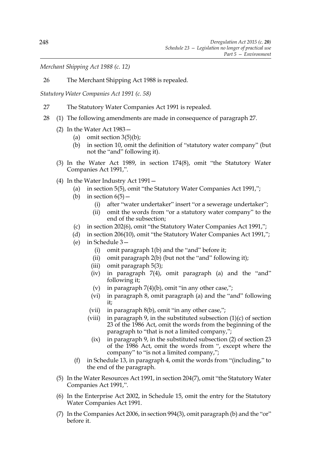*Merchant Shipping Act 1988 (c. 12)*

26 The Merchant Shipping Act 1988 is repealed.

*Statutory Water Companies Act 1991 (c. 58)*

- 27 The Statutory Water Companies Act 1991 is repealed.
- 28 (1) The following amendments are made in consequence of paragraph 27.
	- (2) In the Water Act 1983—
		- (a) omit section  $3(5)(b)$ ;
		- (b) in section 10, omit the definition of "statutory water company" (but not the "and" following it).
	- (3) In the Water Act 1989, in section 174(8), omit "the Statutory Water Companies Act 1991,".
	- (4) In the Water Industry Act 1991—
		- (a) in section 5(5), omit "the Statutory Water Companies Act 1991,";
		- (b) in section  $6(5)$  -
			- (i) after "water undertaker" insert "or a sewerage undertaker";
			- (ii) omit the words from "or a statutory water company" to the end of the subsection;
		- (c) in section 202(6), omit "the Statutory Water Companies Act 1991,";
		- (d) in section 206(10), omit "the Statutory Water Companies Act 1991,";
		- (e) in Schedule 3—
			- (i) omit paragraph 1(b) and the "and" before it;
			- (ii) omit paragraph 2(b) (but not the "and" following it);
			- (iii) omit paragraph 5(3);
			- (iv) in paragraph 7(4), omit paragraph (a) and the "and" following it;
			- (v) in paragraph  $7(4)(b)$ , omit "in any other case,";
			- (vi) in paragraph 8, omit paragraph (a) and the "and" following it;
			- (vii) in paragraph 8(b), omit "in any other case,";
			- (viii) in paragraph 9, in the substituted subsection  $(1)(c)$  of section 23 of the 1986 Act, omit the words from the beginning of the paragraph to "that is not a limited company,";
				- $(ix)$  in paragraph 9, in the substituted subsection  $(2)$  of section 23 of the 1986 Act, omit the words from ", except where the company" to "is not a limited company,";
		- (f) in Schedule 13, in paragraph 4, omit the words from "(including," to the end of the paragraph.
	- (5) In the Water Resources Act 1991, in section 204(7), omit "the Statutory Water Companies Act 1991,".
	- (6) In the Enterprise Act 2002, in Schedule 15, omit the entry for the Statutory Water Companies Act 1991.
	- (7) In the Companies Act 2006, in section 994(3), omit paragraph (b) and the "or" before it.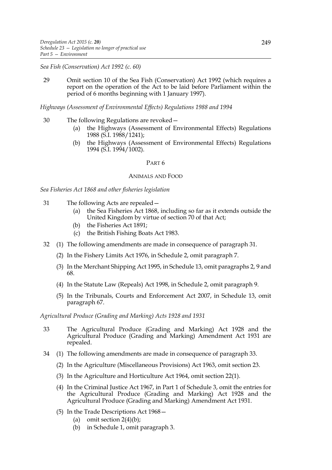*Sea Fish (Conservation) Act 1992 (c. 60)*

29 Omit section 10 of the Sea Fish (Conservation) Act 1992 (which requires a report on the operation of the Act to be laid before Parliament within the period of 6 months beginning with 1 January 1997).

*Highways (Assessment of Environmental Effects) Regulations 1988 and 1994*

- 30 The following Regulations are revoked—
	- (a) the Highways (Assessment of Environmental Effects) Regulations 1988 (S.I. 1988/1241);
	- (b) the Highways (Assessment of Environmental Effects) Regulations 1994 (S.I. 1994/1002).

### PART 6

### ANIMALS AND FOOD

*Sea Fisheries Act 1868 and other fisheries legislation*

- 31 The following Acts are repealed—
	- (a) the Sea Fisheries Act 1868, including so far as it extends outside the United Kingdom by virtue of section 70 of that Act;
	- (b) the Fisheries Act 1891;
	- (c) the British Fishing Boats Act 1983.
- 32 (1) The following amendments are made in consequence of paragraph 31.
	- (2) In the Fishery Limits Act 1976, in Schedule 2, omit paragraph 7.
	- (3) In the Merchant Shipping Act 1995, in Schedule 13, omit paragraphs 2, 9 and 68.
	- (4) In the Statute Law (Repeals) Act 1998, in Schedule 2, omit paragraph 9.
	- (5) In the Tribunals, Courts and Enforcement Act 2007, in Schedule 13, omit paragraph 67.

*Agricultural Produce (Grading and Marking) Acts 1928 and 1931*

- 33 The Agricultural Produce (Grading and Marking) Act 1928 and the Agricultural Produce (Grading and Marking) Amendment Act 1931 are repealed.
- 34 (1) The following amendments are made in consequence of paragraph 33.
	- (2) In the Agriculture (Miscellaneous Provisions) Act 1963, omit section 23.
	- (3) In the Agriculture and Horticulture Act 1964, omit section 22(1).
	- (4) In the Criminal Justice Act 1967, in Part 1 of Schedule 3, omit the entries for the Agricultural Produce (Grading and Marking) Act 1928 and the Agricultural Produce (Grading and Marking) Amendment Act 1931.
	- (5) In the Trade Descriptions Act 1968—
		- (a) omit section 2(4)(b);
		- (b) in Schedule 1, omit paragraph 3.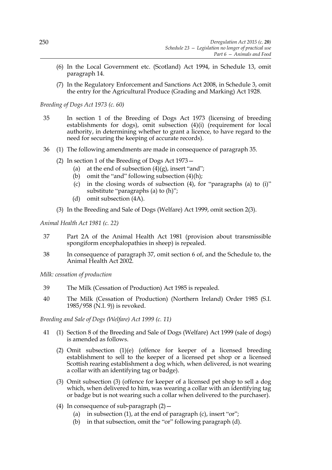- (6) In the Local Government etc. (Scotland) Act 1994, in Schedule 13, omit paragraph 14.
- (7) In the Regulatory Enforcement and Sanctions Act 2008, in Schedule 3, omit the entry for the Agricultural Produce (Grading and Marking) Act 1928.

### *Breeding of Dogs Act 1973 (c. 60)*

- 35 In section 1 of the Breeding of Dogs Act 1973 (licensing of breeding establishments for dogs), omit subsection (4)(i) (requirement for local authority, in determining whether to grant a licence, to have regard to the need for securing the keeping of accurate records).
- 36 (1) The following amendments are made in consequence of paragraph 35.
	- (2) In section 1 of the Breeding of Dogs Act 1973—
		- (a) at the end of subsection  $(4)(g)$ , insert "and";
		- (b) omit the "and" following subsection  $(4)(h)$ ;
		- (c) in the closing words of subsection (4), for "paragraphs (a) to (i)" substitute "paragraphs (a) to (h)";
		- (d) omit subsection (4A).
	- (3) In the Breeding and Sale of Dogs (Welfare) Act 1999, omit section 2(3).

*Animal Health Act 1981 (c. 22)*

- 37 Part 2A of the Animal Health Act 1981 (provision about transmissible spongiform encephalopathies in sheep) is repealed.
- 38 In consequence of paragraph 37, omit section 6 of, and the Schedule to, the Animal Health Act 2002.

*Milk: cessation of production* 

- 39 The Milk (Cessation of Production) Act 1985 is repealed.
- 40 The Milk (Cessation of Production) (Northern Ireland) Order 1985 (S.I. 1985/958 (N.I. 9)) is revoked.

*Breeding and Sale of Dogs (Welfare) Act 1999 (c. 11)*

- 41 (1) Section 8 of the Breeding and Sale of Dogs (Welfare) Act 1999 (sale of dogs) is amended as follows.
	- (2) Omit subsection (1)(e) (offence for keeper of a licensed breeding establishment to sell to the keeper of a licensed pet shop or a licensed Scottish rearing establishment a dog which, when delivered, is not wearing a collar with an identifying tag or badge).
	- (3) Omit subsection (3) (offence for keeper of a licensed pet shop to sell a dog which, when delivered to him, was wearing a collar with an identifying tag or badge but is not wearing such a collar when delivered to the purchaser).
	- (4) In consequence of sub-paragraph  $(2)$  -
		- (a) in subsection  $(1)$ , at the end of paragraph  $(c)$ , insert "or";
		- (b) in that subsection, omit the "or" following paragraph (d).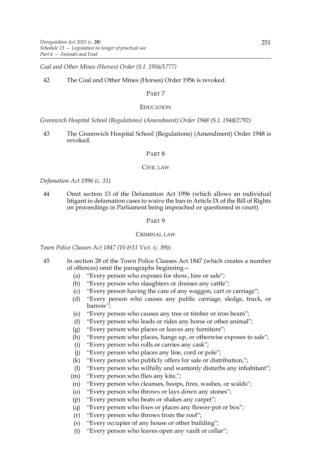*Coal and Other Mines (Horses) Order (S.I. 1956/1777)*

# 42 The Coal and Other Mines (Horses) Order 1956 is revoked.

### PART 7

### EDUCATION

*Greenwich Hospital School (Regulations) (Amendment) Order 1948 (S.I. 1948/2792)*

43 The Greenwich Hospital School (Regulations) (Amendment) Order 1948 is revoked.

### PART 8

### CIVIL LAW

### *Defamation Act 1996 (c. 31)*

44 Omit section 13 of the Defamation Act 1996 (which allows an individual litigant in defamation cases to waive the ban in Article IX of the Bill of Rights on proceedings in Parliament being impeached or questioned in court).

#### PART 9

#### CRIMINAL LAW

*Town Police Clauses Act 1847 (10 &11 Vict. (c. 89))*

- 45 In section 28 of the Town Police Clauses Act 1847 (which creates a number of offences) omit the paragraphs beginning—
	- (a) "Every person who exposes for show, hire or sale";
	- (b) "Every person who slaughters or dresses any cattle";
	- (c) "Every person having the care of any waggon, cart or carriage";
	- (d) "Every person who causes any public carriage, sledge, truck, or barrow";
	- (e) "Every person who causes any tree or timber or iron beam";
	- (f) "Every person who leads or rides any horse or other animal";
	- (g) "Every person who places or leaves any furniture";
	- (h) "Every person who places, hangs up, or otherwise exposes to sale";
	- (i) "Every person who rolls or carries any cask";
	- (j) "Every person who places any line, cord or pole";
	- (k) "Every person who publicly offers for sale or distribution,";
	- (l) "Every person who wilfully and wantonly disturbs any inhabitant";
	- (m) "Every person who flies any kite,";
	- (n) "Every person who cleanses, hoops, fires, washes, or scalds";
	- (o) "Every person who throws or lays down any stones";
	- (p) "Every person who beats or shakes any carpet";
	- (q) "Every person who fixes or places any flower-pot or box";
	- (r) "Every person who throws from the roof";
	- (s) "Every occupier of any house or other building";
	- (t) "Every person who leaves open any vault or cellar";